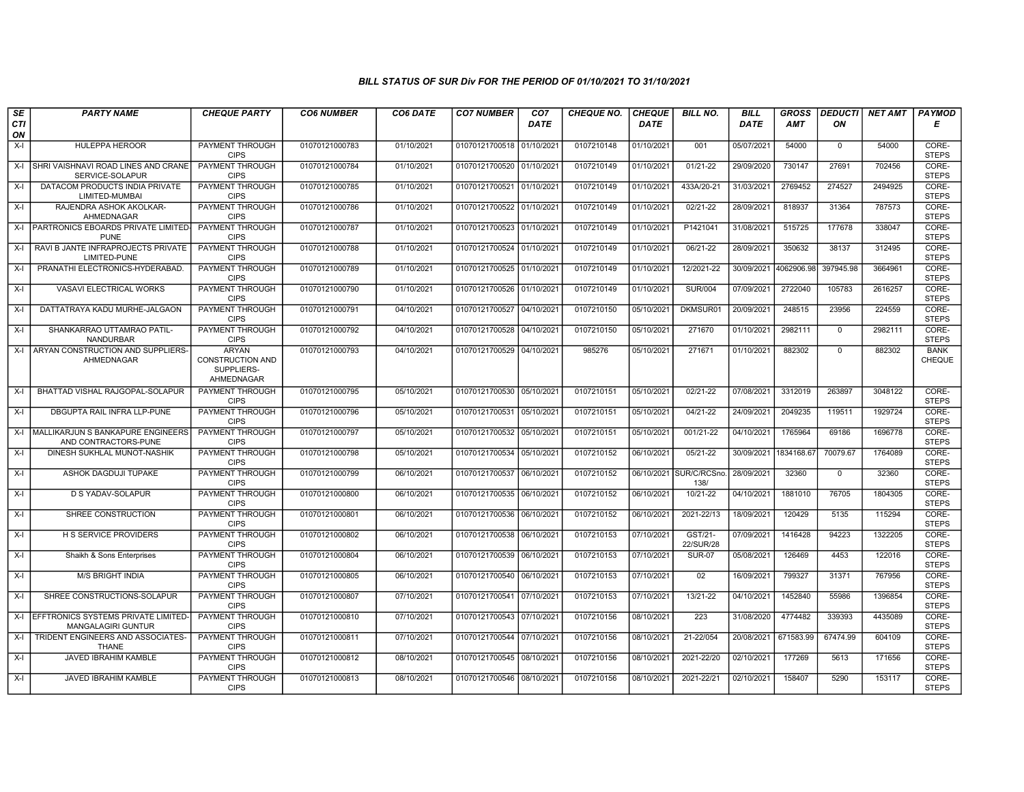| SE        | <b>PARTY NAME</b>                                         | <b>CHEQUE PARTY</b>                                                 | <b>CO6 NUMBER</b> | CO6 DATE   | <b>CO7 NUMBER</b>         | CO <sub>7</sub> | <b>CHEQUE NO.</b> | <b>CHEQUE</b> | <b>BILL NO.</b>      | <b>BILL</b> | <b>GROSS</b> | <b>DEDUCTI</b> | NET AMT | <b>PAYMOD</b>                |
|-----------|-----------------------------------------------------------|---------------------------------------------------------------------|-------------------|------------|---------------------------|-----------------|-------------------|---------------|----------------------|-------------|--------------|----------------|---------|------------------------------|
| CTI<br>ON |                                                           |                                                                     |                   |            |                           | <b>DATE</b>     |                   | <b>DATE</b>   |                      | <b>DATE</b> | AMT          | ON             |         | Е                            |
| $X-I$     | HULEPPA HEROOR                                            | PAYMENT THROUGH<br><b>CIPS</b>                                      | 01070121000783    | 01/10/2021 | 01070121700518 01/10/2021 |                 | 0107210148        | 01/10/2021    | 001                  | 05/07/2021  | 54000        | $\mathbf 0$    | 54000   | CORE-<br><b>STEPS</b>        |
| X-I       | SHRI VAISHNAVI ROAD LINES AND CRANE<br>SERVICE-SOLAPUR    | PAYMENT THROUGH<br><b>CIPS</b>                                      | 01070121000784    | 01/10/2021 | 01070121700520 01/10/2021 |                 | 0107210149        | 01/10/2021    | $01/21 - 22$         | 29/09/2020  | 730147       | 27691          | 702456  | CORE-<br><b>STEPS</b>        |
| $X-I$     | DATACOM PRODUCTS INDIA PRIVATE<br>LIMITED-MUMBAI          | PAYMENT THROUGH<br><b>CIPS</b>                                      | 01070121000785    | 01/10/2021 | 01070121700521 01/10/2021 |                 | 0107210149        | 01/10/2021    | 433A/20-21           | 31/03/2021  | 2769452      | 274527         | 2494925 | CORE-<br><b>STEPS</b>        |
| $X-I$     | RAJENDRA ASHOK AKOLKAR-<br>AHMEDNAGAR                     | PAYMENT THROUGH<br><b>CIPS</b>                                      | 01070121000786    | 01/10/2021 | 01070121700522 01/10/2021 |                 | 0107210149        | 01/10/2021    | 02/21-22             | 28/09/2021  | 818937       | 31364          | 787573  | CORE-<br><b>STEPS</b>        |
| $X-I$     | PARTRONICS EBOARDS PRIVATE LIMITED<br><b>PUNE</b>         | <b>PAYMENT THROUGH</b><br><b>CIPS</b>                               | 01070121000787    | 01/10/2021 | 01070121700523 01/10/2021 |                 | 0107210149        | 01/10/2021    | P1421041             | 31/08/2021  | 515725       | 177678         | 338047  | CORE-<br><b>STEPS</b>        |
| $X-I$     | RAVI B JANTE INFRAPROJECTS PRIVATE<br>LIMITED-PUNE        | <b>PAYMENT THROUGH</b><br><b>CIPS</b>                               | 01070121000788    | 01/10/2021 | 01070121700524 01/10/2021 |                 | 0107210149        | 01/10/2021    | 06/21-22             | 28/09/2021  | 350632       | 38137          | 312495  | CORE-<br><b>STEPS</b>        |
| $X-I$     | PRANATHI ELECTRONICS-HYDERABAD.                           | PAYMENT THROUGH<br><b>CIPS</b>                                      | 01070121000789    | 01/10/2021 | 01070121700525 01/10/2021 |                 | 0107210149        | 01/10/2021    | 12/2021-22           | 30/09/2021  | 4062906.98   | 397945.98      | 3664961 | CORE-<br><b>STEPS</b>        |
| $X-I$     | VASAVI ELECTRICAL WORKS                                   | <b>PAYMENT THROUGH</b><br><b>CIPS</b>                               | 01070121000790    | 01/10/2021 | 01070121700526 01/10/2021 |                 | 0107210149        | 01/10/2021    | <b>SUR/004</b>       | 07/09/2021  | 2722040      | 105783         | 2616257 | CORE-<br><b>STEPS</b>        |
| $X-I$     | DATTATRAYA KADU MURHE-JALGAON                             | <b>PAYMENT THROUGH</b><br><b>CIPS</b>                               | 01070121000791    | 04/10/2021 | 01070121700527 04/10/2021 |                 | 0107210150        | 05/10/2021    | DKMSUR01             | 20/09/2021  | 248515       | 23956          | 224559  | CORE-<br><b>STEPS</b>        |
| $X-I$     | SHANKARRAO UTTAMRAO PATIL-<br><b>NANDURBAR</b>            | <b>PAYMENT THROUGH</b><br><b>CIPS</b>                               | 01070121000792    | 04/10/2021 | 01070121700528 04/10/2021 |                 | 0107210150        | 05/10/2021    | 271670               | 01/10/2021  | 2982111      | $\mathbf 0$    | 2982111 | CORE-<br><b>STEPS</b>        |
| $X-I$     | ARYAN CONSTRUCTION AND SUPPLIERS-<br>AHMEDNAGAR           | <b>ARYAN</b><br><b>CONSTRUCTION AND</b><br>SUPPLIERS-<br>AHMEDNAGAR | 01070121000793    | 04/10/2021 | 01070121700529 04/10/2021 |                 | 985276            | 05/10/2021    | 271671               | 01/10/2021  | 882302       | $\mathbf 0$    | 882302  | <b>BANK</b><br><b>CHEQUE</b> |
| X-I       | BHATTAD VISHAL RAJGOPAL-SOLAPUR                           | PAYMENT THROUGH<br><b>CIPS</b>                                      | 01070121000795    | 05/10/2021 | 01070121700530 05/10/2021 |                 | 0107210151        | 05/10/2021    | 02/21-22             | 07/08/2021  | 3312019      | 263897         | 3048122 | CORE-<br><b>STEPS</b>        |
| $X-I$     | DBGUPTA RAIL INFRA LLP-PUNE                               | PAYMENT THROUGH<br><b>CIPS</b>                                      | 01070121000796    | 05/10/2021 | 01070121700531            | 05/10/2021      | 0107210151        | 05/10/2021    | 04/21-22             | 24/09/2021  | 2049235      | 119511         | 1929724 | CORE-<br><b>STEPS</b>        |
| $X-I$     | MALLIKARJUN S BANKAPURE ENGINEERS<br>AND CONTRACTORS-PUNE | PAYMENT THROUGH<br><b>CIPS</b>                                      | 01070121000797    | 05/10/2021 | 01070121700532 05/10/2021 |                 | 0107210151        | 05/10/2021    | 001/21-22            | 04/10/2021  | 1765964      | 69186          | 1696778 | CORE-<br><b>STEPS</b>        |
| $X-I$     | DINESH SUKHLAL MUNOT-NASHIK                               | <b>PAYMENT THROUGH</b><br><b>CIPS</b>                               | 01070121000798    | 05/10/2021 | 01070121700534 05/10/2021 |                 | 0107210152        | 06/10/2021    | $05/21-22$           | 30/09/2021  | 1834168.67   | 70079.67       | 1764089 | CORE-<br><b>STEPS</b>        |
| $X-I$     | <b>ASHOK DAGDUJI TUPAKE</b>                               | <b>PAYMENT THROUGH</b><br><b>CIPS</b>                               | 01070121000799    | 06/10/2021 | 01070121700537 06/10/2021 |                 | 0107210152        | 06/10/2021    | SUR/C/RCSno<br>138/  | 28/09/2021  | 32360        | $\mathbf 0$    | 32360   | CORE-<br><b>STEPS</b>        |
| $X-I$     | D S YADAV-SOLAPUR                                         | PAYMENT THROUGH<br><b>CIPS</b>                                      | 01070121000800    | 06/10/2021 | 01070121700535 06/10/2021 |                 | 0107210152        | 06/10/2021    | 10/21-22             | 04/10/2021  | 1881010      | 76705          | 1804305 | CORE-<br><b>STEPS</b>        |
| $X-I$     | SHREE CONSTRUCTION                                        | PAYMENT THROUGH<br><b>CIPS</b>                                      | 01070121000801    | 06/10/2021 | 01070121700536 06/10/2021 |                 | 0107210152        | 06/10/2021    | 2021-22/13           | 18/09/2021  | 120429       | 5135           | 115294  | CORE-<br><b>STEPS</b>        |
| $X-I$     | <b>H S SERVICE PROVIDERS</b>                              | <b>PAYMENT THROUGH</b><br><b>CIPS</b>                               | 01070121000802    | 06/10/2021 | 01070121700538 06/10/2021 |                 | 0107210153        | 07/10/2021    | GST/21-<br>22/SUR/28 | 07/09/2021  | 1416428      | 94223          | 1322205 | CORE-<br><b>STEPS</b>        |
| $X-I$     | Shaikh & Sons Enterprises                                 | <b>PAYMENT THROUGH</b><br><b>CIPS</b>                               | 01070121000804    | 06/10/2021 | 01070121700539 06/10/2021 |                 | 0107210153        | 07/10/2021    | <b>SUR-07</b>        | 05/08/2021  | 126469       | 4453           | 122016  | CORE-<br><b>STEPS</b>        |
| $X-I$     | <b>M/S BRIGHT INDIA</b>                                   | PAYMENT THROUGH<br><b>CIPS</b>                                      | 01070121000805    | 06/10/2021 | 01070121700540 06/10/2021 |                 | 0107210153        | 07/10/2021    | 02                   | 16/09/2021  | 799327       | 31371          | 767956  | CORE-<br><b>STEPS</b>        |
| $X-I$     | SHREE CONSTRUCTIONS-SOLAPUR                               | PAYMENT THROUGH<br><b>CIPS</b>                                      | 01070121000807    | 07/10/2021 | 01070121700541 07/10/2021 |                 | 0107210153        | 07/10/2021    | 13/21-22             | 04/10/2021  | 1452840      | 55986          | 1396854 | CORE-<br><b>STEPS</b>        |
| $X-I$     | EFFTRONICS SYSTEMS PRIVATE LIMITED<br>MANGALAGIRI GUNTUR  | PAYMENT THROUGH<br><b>CIPS</b>                                      | 01070121000810    | 07/10/2021 | 01070121700543 07/10/2021 |                 | 0107210156        | 08/10/2021    | 223                  | 31/08/2020  | 4774482      | 339393         | 4435089 | CORE-<br><b>STEPS</b>        |
| $X-I$     | TRIDENT ENGINEERS AND ASSOCIATES-<br><b>THANE</b>         | <b>PAYMENT THROUGH</b><br><b>CIPS</b>                               | 01070121000811    | 07/10/2021 | 01070121700544 07/10/2021 |                 | 0107210156        | 08/10/2021    | 21-22/054            | 20/08/2021  | 671583.99    | 67474.99       | 604109  | CORE-<br><b>STEPS</b>        |
| $X-I$     | JAVED IBRAHIM KAMBLE                                      | PAYMENT THROUGH<br><b>CIPS</b>                                      | 01070121000812    | 08/10/2021 | 01070121700545 08/10/2021 |                 | 0107210156        | 08/10/2021    | 2021-22/20           | 02/10/2021  | 177269       | 5613           | 171656  | CORE-<br><b>STEPS</b>        |
| $X-I$     | <b>JAVED IBRAHIM KAMBLE</b>                               | PAYMENT THROUGH<br><b>CIPS</b>                                      | 01070121000813    | 08/10/2021 | 01070121700546 08/10/2021 |                 | 0107210156        | 08/10/2021    | 2021-22/21           | 02/10/2021  | 158407       | 5290           | 153117  | CORE-<br><b>STEPS</b>        |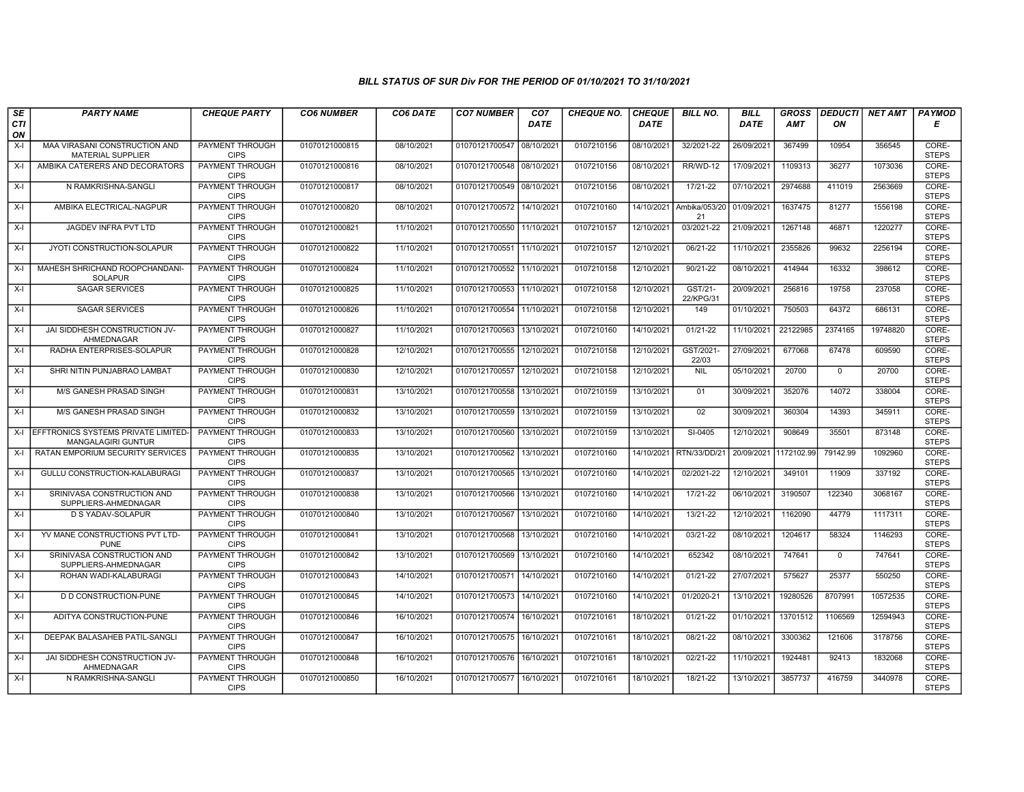| SE        | <b>PARTY NAME</b>                                                   | <b>CHEQUE PARTY</b>                   | <b>CO6 NUMBER</b> | CO6 DATE   | <b>CO7 NUMBER</b>         | CO <sub>7</sub> | <b>CHEQUE NO.</b> | <b>CHEQUE</b> | <b>BILL NO.</b>      | <b>BILL</b> | <b>GROSS</b> | <b>DEDUCTI</b> | NET AMT  | <b>PAYMOD</b>         |
|-----------|---------------------------------------------------------------------|---------------------------------------|-------------------|------------|---------------------------|-----------------|-------------------|---------------|----------------------|-------------|--------------|----------------|----------|-----------------------|
| CTI<br>ON |                                                                     |                                       |                   |            |                           | <b>DATE</b>     |                   | <b>DATE</b>   |                      | <b>DATE</b> | AMT          | ON             |          | Е                     |
| X-I       | MAA VIRASANI CONSTRUCTION AND<br><b>MATERIAL SUPPLIER</b>           | <b>PAYMENT THROUGH</b><br><b>CIPS</b> | 01070121000815    | 08/10/2021 | 01070121700547            | 08/10/2021      | 0107210156        | 08/10/2021    | 32/2021-22           | 26/09/2021  | 367499       | 10954          | 356545   | CORE-<br><b>STEPS</b> |
| X-I       | AMBIKA CATERERS AND DECORATORS                                      | <b>PAYMENT THROUGH</b><br><b>CIPS</b> | 01070121000816    | 08/10/2021 | 01070121700548 08/10/2021 |                 | 0107210156        | 08/10/2021    | <b>RR/WD-12</b>      | 17/09/2021  | 1109313      | 36277          | 1073036  | CORE-<br><b>STEPS</b> |
| $X-I$     | N RAMKRISHNA-SANGLI                                                 | PAYMENT THROUGH<br><b>CIPS</b>        | 01070121000817    | 08/10/2021 | 01070121700549 08/10/202  |                 | 0107210156        | 08/10/2021    | 17/21-22             | 07/10/2021  | 2974688      | 411019         | 2563669  | CORE-<br><b>STEPS</b> |
| $X-I$     | AMBIKA ELECTRICAL-NAGPUR                                            | PAYMENT THROUGH<br><b>CIPS</b>        | 01070121000820    | 08/10/2021 | 01070121700572            | 14/10/202       | 0107210160        | 14/10/2021    | Ambika/053/20<br>21  | 01/09/2021  | 1637475      | 81277          | 1556198  | CORE-<br><b>STEPS</b> |
| $X-I$     | JAGDEV INFRA PVT LTD                                                | <b>PAYMENT THROUGH</b><br><b>CIPS</b> | 01070121000821    | 11/10/2021 | 01070121700550 11/10/202  |                 | 0107210157        | 12/10/2021    | 03/2021-22           | 21/09/2021  | 1267148      | 46871          | 1220277  | CORE-<br><b>STEPS</b> |
| X-I       | JYOTI CONSTRUCTION-SOLAPUR                                          | <b>PAYMENT THROUGH</b><br><b>CIPS</b> | 01070121000822    | 11/10/2021 | 01070121700551 11/10/2021 |                 | 0107210157        | 12/10/2021    | 06/21-22             | 11/10/2021  | 2355826      | 99632          | 2256194  | CORE-<br><b>STEPS</b> |
| $X-I$     | MAHESH SHRICHAND ROOPCHANDANI-<br><b>SOLAPUR</b>                    | PAYMENT THROUGH<br><b>CIPS</b>        | 01070121000824    | 11/10/2021 | 01070121700552            | 11/10/202       | 0107210158        | 12/10/2021    | 90/21-22             | 08/10/2021  | 414944       | 16332          | 398612   | CORE-<br><b>STEPS</b> |
| X-I       | <b>SAGAR SERVICES</b>                                               | PAYMENT THROUGH<br><b>CIPS</b>        | 01070121000825    | 11/10/2021 | 01070121700553            | 11/10/202       | 0107210158        | 12/10/2021    | GST/21-<br>22/KPG/31 | 20/09/2021  | 256816       | 19758          | 237058   | CORE-<br><b>STEPS</b> |
| X-I       | <b>SAGAR SERVICES</b>                                               | PAYMENT THROUGH<br><b>CIPS</b>        | 01070121000826    | 11/10/2021 | 01070121700554 11/10/202  |                 | 0107210158        | 12/10/2021    | 149                  | 01/10/2021  | 750503       | 64372          | 686131   | CORE-<br><b>STEPS</b> |
| $X-I$     | JAI SIDDHESH CONSTRUCTION JV-<br>AHMEDNAGAR                         | <b>PAYMENT THROUGH</b><br><b>CIPS</b> | 01070121000827    | 11/10/2021 | 01070121700563 13/10/2021 |                 | 0107210160        | 14/10/2021    | $01/21 - 22$         | 11/10/2021  | 22122985     | 2374165        | 19748820 | CORE-<br><b>STEPS</b> |
| $X-I$     | RADHA ENTERPRISES-SOLAPUR                                           | PAYMENT THROUGH<br><b>CIPS</b>        | 01070121000828    | 12/10/2021 | 01070121700555            | 12/10/2021      | 0107210158        | 12/10/2021    | GST/2021-<br>22/03   | 27/09/2021  | 677068       | 67478          | 609590   | CORE-<br><b>STEPS</b> |
| $X-I$     | SHRI NITIN PUNJABRAO LAMBAT                                         | PAYMENT THROUGH<br><b>CIPS</b>        | 01070121000830    | 12/10/2021 | 01070121700557            | 12/10/2021      | 0107210158        | 12/10/2021    | <b>NIL</b>           | 05/10/2021  | 20700        | $\mathbf 0$    | 20700    | CORE-<br><b>STEPS</b> |
| $X-I$     | M/S GANESH PRASAD SINGH                                             | <b>PAYMENT THROUGH</b><br><b>CIPS</b> | 01070121000831    | 13/10/2021 | 01070121700558            | 13/10/202       | 0107210159        | 13/10/2021    | 01                   | 30/09/2021  | 352076       | 14072          | 338004   | CORE-<br><b>STEPS</b> |
| $X-I$     | <b>M/S GANESH PRASAD SINGH</b>                                      | PAYMENT THROUGH<br><b>CIPS</b>        | 01070121000832    | 13/10/2021 | 01070121700559            | 13/10/2021      | 0107210159        | 13/10/2021    | 02                   | 30/09/2021  | 360304       | 14393          | 345911   | CORE-<br><b>STEPS</b> |
|           | X-I EFFTRONICS SYSTEMS PRIVATE LIMITED<br><b>MANGALAGIRI GUNTUR</b> | <b>PAYMENT THROUGH</b><br><b>CIPS</b> | 01070121000833    | 13/10/2021 | 01070121700560            | 13/10/202       | 0107210159        | 13/10/2021    | SI-0405              | 12/10/2021  | 908649       | 35501          | 873148   | CORE-<br><b>STEPS</b> |
| X-I       | RATAN EMPORIUM SECURITY SERVICES                                    | PAYMENT THROUGH<br><b>CIPS</b>        | 01070121000835    | 13/10/2021 | 01070121700562            | 13/10/2021      | 0107210160        | 14/10/2021    | RTN/33/DD/21         | 20/09/2021  | 1172102.99   | 79142.99       | 1092960  | CORE-<br><b>STEPS</b> |
| X-I       | GULLU CONSTRUCTION-KALABURAGI                                       | <b>PAYMENT THROUGH</b><br><b>CIPS</b> | 01070121000837    | 13/10/2021 | 01070121700565            | 13/10/2021      | 0107210160        | 14/10/2021    | 02/2021-22           | 12/10/2021  | 349101       | 11909          | 337192   | CORE-<br><b>STEPS</b> |
| X-I       | SRINIVASA CONSTRUCTION AND<br>SUPPLIERS-AHMEDNAGAR                  | <b>PAYMENT THROUGH</b><br><b>CIPS</b> | 01070121000838    | 13/10/2021 | 01070121700566            | 13/10/2021      | 0107210160        | 14/10/2021    | 17/21-22             | 06/10/2021  | 3190507      | 122340         | 3068167  | CORE-<br><b>STEPS</b> |
| $X-I$     | D S YADAV-SOLAPUR                                                   | PAYMENT THROUGH<br><b>CIPS</b>        | 01070121000840    | 13/10/2021 | 01070121700567            | 13/10/2021      | 0107210160        | 14/10/2021    | 13/21-22             | 12/10/2021  | 1162090      | 44779          | 1117311  | CORE-<br><b>STEPS</b> |
| $X-I$     | YV MANE CONSTRUCTIONS PVT LTD-<br><b>PUNE</b>                       | PAYMENT THROUGH<br><b>CIPS</b>        | 01070121000841    | 13/10/2021 | 01070121700568            | 13/10/2021      | 0107210160        | 14/10/2021    | 03/21-22             | 08/10/2021  | 1204617      | 58324          | 1146293  | CORE-<br><b>STEPS</b> |
| $X-I$     | SRINIVASA CONSTRUCTION AND<br>SUPPLIERS-AHMEDNAGAR                  | <b>PAYMENT THROUGH</b><br><b>CIPS</b> | 01070121000842    | 13/10/2021 | 01070121700569            | 13/10/2021      | 0107210160        | 14/10/2021    | 652342               | 08/10/2021  | 747641       | $\mathbf 0$    | 747641   | CORE-<br><b>STEPS</b> |
| $X-I$     | ROHAN WADI-KALABURAGI                                               | PAYMENT THROUGH<br><b>CIPS</b>        | 01070121000843    | 14/10/2021 | 01070121700571 14/10/2021 |                 | 0107210160        | 14/10/2021    | $01/21 - 22$         | 27/07/2021  | 575627       | 25377          | 550250   | CORE-<br><b>STEPS</b> |
| $X-I$     | D D CONSTRUCTION-PUNE                                               | PAYMENT THROUGH<br><b>CIPS</b>        | 01070121000845    | 14/10/2021 | 01070121700573 14/10/2021 |                 | 0107210160        | 14/10/2021    | 01/2020-21           | 13/10/2021  | 19280526     | 8707991        | 10572535 | CORE-<br><b>STEPS</b> |
| $X-I$     | ADITYA CONSTRUCTION-PUNE                                            | PAYMENT THROUGH<br><b>CIPS</b>        | 01070121000846    | 16/10/2021 | 01070121700574            | 16/10/202       | 0107210161        | 18/10/2021    | 01/21-22             | 01/10/2021  | 13701512     | 1106569        | 12594943 | CORE-<br><b>STEPS</b> |
| $X-I$     | DEEPAK BALASAHEB PATIL-SANGLI                                       | PAYMENT THROUGH<br><b>CIPS</b>        | 01070121000847    | 16/10/2021 | 01070121700575            | 16/10/2021      | 0107210161        | 18/10/2021    | 08/21-22             | 08/10/2021  | 3300362      | 121606         | 3178756  | CORE-<br><b>STEPS</b> |
| X-I       | JAI SIDDHESH CONSTRUCTION JV-<br>AHMEDNAGAR                         | PAYMENT THROUGH<br><b>CIPS</b>        | 01070121000848    | 16/10/2021 | 01070121700576            | 16/10/2021      | 0107210161        | 18/10/2021    | $02/21 - 22$         | 11/10/2021  | 1924481      | 92413          | 1832068  | CORE-<br><b>STEPS</b> |
| $X-I$     | N RAMKRISHNA-SANGLI                                                 | <b>PAYMENT THROUGH</b><br><b>CIPS</b> | 01070121000850    | 16/10/2021 | 01070121700577 16/10/2021 |                 | 0107210161        | 18/10/2021    | 18/21-22             | 13/10/2021  | 3857737      | 416759         | 3440978  | CORE-<br><b>STEPS</b> |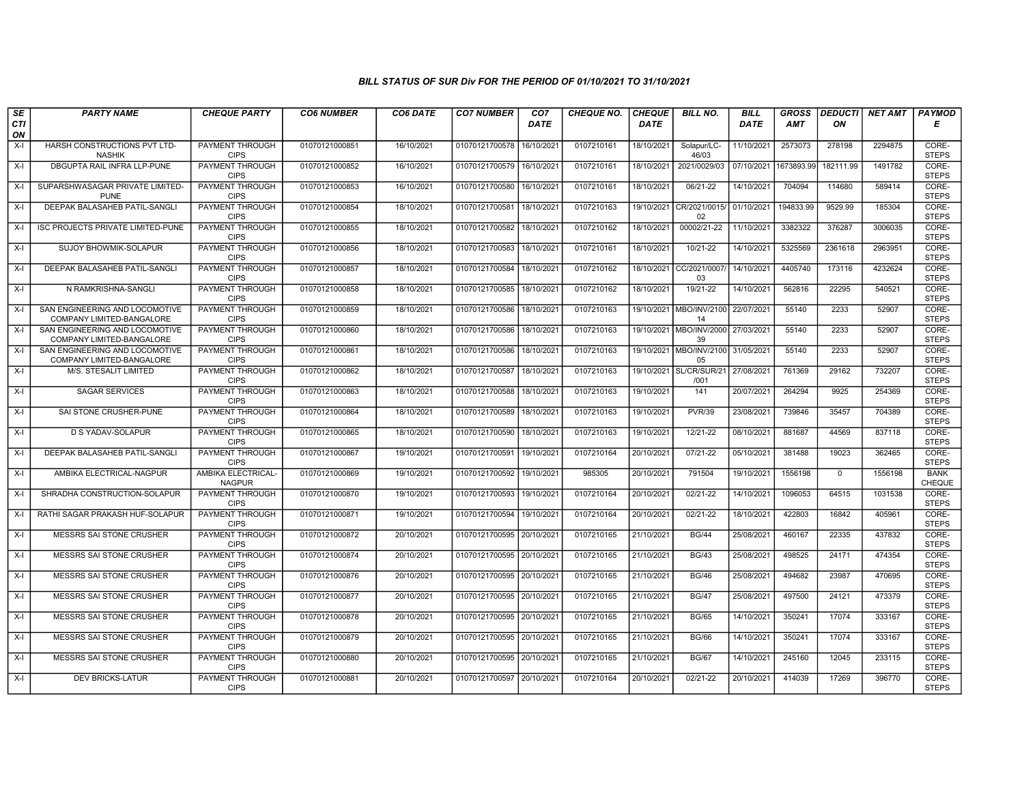| SE        | <b>PARTY NAME</b>                                           | <b>CHEQUE PARTY</b>                   | <b>CO6 NUMBER</b> | CO6 DATE   | <b>CO7 NUMBER</b>         | CO <sub>7</sub> | <b>CHEQUE NO.</b> | <b>CHEQUE</b> | <b>BILL NO.</b>                              | <b>BILL</b>           | <b>GROSS</b> | <b>DEDUCTI</b> | NET AMT | <b>PAYMOD</b>                |
|-----------|-------------------------------------------------------------|---------------------------------------|-------------------|------------|---------------------------|-----------------|-------------------|---------------|----------------------------------------------|-----------------------|--------------|----------------|---------|------------------------------|
| CTI<br>ON |                                                             |                                       |                   |            |                           | <b>DATE</b>     |                   | <b>DATE</b>   |                                              | <b>DATE</b>           | <b>AMT</b>   | ON             |         | Е                            |
| $X-I$     | HARSH CONSTRUCTIONS PVT LTD-<br><b>NASHIK</b>               | PAYMENT THROUGH<br><b>CIPS</b>        | 01070121000851    | 16/10/2021 | 01070121700578            | 16/10/2021      | 0107210161        | 18/10/2021    | Solapur/LC-<br>46/03                         | 11/10/2021            | 2573073      | 278198         | 2294875 | CORE-<br><b>STEPS</b>        |
| $X-I$     | DBGUPTA RAIL INFRA LLP-PUNE                                 | <b>PAYMENT THROUGH</b><br><b>CIPS</b> | 01070121000852    | 16/10/2021 | 01070121700579            | 16/10/2021      | 0107210161        | 18/10/2021    | 2021/0029/03                                 | 07/10/2021 1673893.99 |              | 182111.99      | 1491782 | CORE-<br><b>STEPS</b>        |
| $X-I$     | SUPARSHWASAGAR PRIVATE LIMITED-<br><b>PUNE</b>              | PAYMENT THROUGH<br><b>CIPS</b>        | 01070121000853    | 16/10/2021 | 01070121700580            | 16/10/2021      | 0107210161        | 18/10/2021    | 06/21-22                                     | 14/10/2021            | 704094       | 114680         | 589414  | CORE-<br><b>STEPS</b>        |
| $X-I$     | DEEPAK BALASAHEB PATIL-SANGLI                               | PAYMENT THROUGH<br><b>CIPS</b>        | 01070121000854    | 18/10/2021 | 01070121700581            | 18/10/2021      | 0107210163        | 19/10/2021    | CR/2021/0015/<br>02                          | 01/10/2021            | 194833.99    | 9529.99        | 185304  | CORE-<br><b>STEPS</b>        |
| $X-I$     | ISC PROJECTS PRIVATE LIMITED-PUNE                           | <b>PAYMENT THROUGH</b><br><b>CIPS</b> | 01070121000855    | 18/10/2021 | 01070121700582            | 18/10/2021      | 0107210162        | 18/10/2021    | 00002/21-22                                  | 11/10/2021            | 3382322      | 376287         | 3006035 | CORE-<br><b>STEPS</b>        |
| $X-I$     | <b>SUJOY BHOWMIK-SOLAPUR</b>                                | <b>PAYMENT THROUGH</b><br><b>CIPS</b> | 01070121000856    | 18/10/2021 | 01070121700583            | 18/10/2021      | 0107210161        | 18/10/2021    | $10/21 - 22$                                 | 14/10/2021            | 5325569      | 2361618        | 2963951 | CORE-<br><b>STEPS</b>        |
| $X-I$     | DEEPAK BALASAHEB PATIL-SANGL                                | PAYMENT THROUGH<br><b>CIPS</b>        | 01070121000857    | 18/10/2021 | 01070121700584            | 18/10/202       | 0107210162        | 18/10/2021    | CC/2021/0007<br>03                           | 14/10/2021            | 4405740      | 173116         | 4232624 | CORE-<br><b>STEPS</b>        |
| $X-I$     | N RAMKRISHNA-SANGLI                                         | PAYMENT THROUGH<br><b>CIPS</b>        | 01070121000858    | 18/10/2021 | 01070121700585            | 18/10/2021      | 0107210162        | 18/10/2021    | 19/21-22                                     | 14/10/2021            | 562816       | 22295          | 540521  | CORE-<br><b>STEPS</b>        |
| $X-I$     | SAN ENGINEERING AND LOCOMOTIVE<br>COMPANY LIMITED-BANGALORE | PAYMENT THROUGH<br><b>CIPS</b>        | 01070121000859    | 18/10/2021 | 01070121700586            | 18/10/2021      | 0107210163        | 19/10/2021    | <b>MBO/INV/2100</b><br>14                    | 22/07/2021            | 55140        | 2233           | 52907   | CORE-<br><b>STEPS</b>        |
| $X-I$     | SAN ENGINEERING AND LOCOMOTIVE<br>COMPANY LIMITED-BANGALORE | <b>PAYMENT THROUGH</b><br><b>CIPS</b> | 01070121000860    | 18/10/2021 | 01070121700586            | 18/10/202       | 0107210163        | 19/10/2021    | MBO/INV/2000 27/03/2021<br>39                |                       | 55140        | 2233           | 52907   | CORE-<br><b>STEPS</b>        |
| $X-I$     | SAN ENGINEERING AND LOCOMOTIVE<br>COMPANY LIMITED-BANGALORE | PAYMENT THROUGH<br><b>CIPS</b>        | 01070121000861    | 18/10/2021 | 01070121700586            | 18/10/2021      | 0107210163        |               | 19/10/2021   MBO/INV/2100   31/05/2021<br>05 |                       | 55140        | 2233           | 52907   | CORE-<br><b>STEPS</b>        |
| $X-I$     | M/S. STESALIT LIMITED                                       | PAYMENT THROUGH<br><b>CIPS</b>        | 01070121000862    | 18/10/2021 | 01070121700587            | 18/10/2021      | 0107210163        | 19/10/2021    | SL/CR/SUR/21<br>/001                         | 27/08/2021            | 761369       | 29162          | 732207  | CORE-<br><b>STEPS</b>        |
| X-I       | <b>SAGAR SERVICES</b>                                       | <b>PAYMENT THROUGH</b><br><b>CIPS</b> | 01070121000863    | 18/10/2021 | 01070121700588            | 18/10/2021      | 0107210163        | 19/10/2021    | 141                                          | 20/07/2021            | 264294       | 9925           | 254369  | CORE-<br><b>STEPS</b>        |
| $X-I$     | SAI STONE CRUSHER-PUNE                                      | <b>PAYMENT THROUGH</b><br><b>CIPS</b> | 01070121000864    | 18/10/2021 | 01070121700589            | 18/10/2021      | 0107210163        | 19/10/2021    | <b>PVR/39</b>                                | 23/08/2021            | 739846       | 35457          | 704389  | CORE-<br><b>STEPS</b>        |
| $X-I$     | <b>D S YADAV-SOLAPUR</b>                                    | <b>PAYMENT THROUGH</b><br><b>CIPS</b> | 01070121000865    | 18/10/2021 | 01070121700590            | 18/10/2021      | 0107210163        | 19/10/2021    | 12/21-22                                     | 08/10/2021            | 881687       | 44569          | 837118  | CORE-<br><b>STEPS</b>        |
| $X-I$     | DEEPAK BALASAHEB PATIL-SANGLI                               | PAYMENT THROUGH<br><b>CIPS</b>        | 01070121000867    | 19/10/2021 | 01070121700591            | 19/10/2021      | 0107210164        | 20/10/2021    | 07/21-22                                     | 05/10/2021            | 381488       | 19023          | 362465  | CORE-<br><b>STEPS</b>        |
| $X-I$     | AMBIKA ELECTRICAL-NAGPUR                                    | AMBIKA ELECTRICAL-<br><b>NAGPUR</b>   | 01070121000869    | 19/10/2021 | 01070121700592            | 19/10/2021      | 985305            | 20/10/2021    | 791504                                       | 19/10/2021            | 1556198      | $\mathbf 0$    | 1556198 | <b>BANK</b><br><b>CHEQUE</b> |
| X-I       | SHRADHA CONSTRUCTION-SOLAPUR                                | PAYMENT THROUGH<br><b>CIPS</b>        | 01070121000870    | 19/10/2021 | 01070121700593            | 19/10/2021      | 0107210164        | 20/10/2021    | 02/21-22                                     | 14/10/2021            | 1096053      | 64515          | 1031538 | CORE-<br><b>STEPS</b>        |
| $X-I$     | RATHI SAGAR PRAKASH HUF-SOLAPUR                             | PAYMENT THROUGH<br><b>CIPS</b>        | 01070121000871    | 19/10/2021 | 01070121700594            | 19/10/2021      | 0107210164        | 20/10/2021    | 02/21-22                                     | 18/10/2021            | 422803       | 16842          | 405961  | CORE-<br><b>STEPS</b>        |
| $X-I$     | MESSRS SAI STONE CRUSHER                                    | <b>PAYMENT THROUGH</b><br><b>CIPS</b> | 01070121000872    | 20/10/2021 | 01070121700595 20/10/2021 |                 | 0107210165        | 21/10/2021    | <b>BG/44</b>                                 | 25/08/2021            | 460167       | 22335          | 437832  | CORE-<br><b>STEPS</b>        |
| $X-I$     | MESSRS SAI STONE CRUSHER                                    | PAYMENT THROUGH<br><b>CIPS</b>        | 01070121000874    | 20/10/2021 | 01070121700595            | 20/10/2021      | 0107210165        | 21/10/2021    | <b>BG/43</b>                                 | 25/08/2021            | 498525       | 24171          | 474354  | CORE-<br><b>STEPS</b>        |
| $X-I$     | <b>MESSRS SAI STONE CRUSHER</b>                             | <b>PAYMENT THROUGH</b><br><b>CIPS</b> | 01070121000876    | 20/10/2021 | 01070121700595 20/10/2021 |                 | 0107210165        | 21/10/2021    | <b>BG/46</b>                                 | 25/08/2021            | 494682       | 23987          | 470695  | CORE-<br><b>STEPS</b>        |
| $X-I$     | MESSRS SAI STONE CRUSHER                                    | PAYMENT THROUGH<br><b>CIPS</b>        | 01070121000877    | 20/10/2021 | 01070121700595            | 20/10/202       | 0107210165        | 21/10/2021    | <b>BG/47</b>                                 | 25/08/2021            | 497500       | 24121          | 473379  | CORE-<br><b>STEPS</b>        |
| $X-I$     | MESSRS SAI STONE CRUSHER                                    | PAYMENT THROUGH<br><b>CIPS</b>        | 01070121000878    | 20/10/2021 | 01070121700595            | 20/10/202       | 0107210165        | 21/10/2021    | <b>BG/65</b>                                 | 14/10/2021            | 350241       | 17074          | 333167  | CORE-<br><b>STEPS</b>        |
| $X-I$     | MESSRS SAI STONE CRUSHER                                    | <b>PAYMENT THROUGH</b><br><b>CIPS</b> | 01070121000879    | 20/10/2021 | 01070121700595 20/10/2021 |                 | 0107210165        | 21/10/2021    | <b>BG/66</b>                                 | 14/10/2021            | 350241       | 17074          | 333167  | CORE-<br><b>STEPS</b>        |
| $X-I$     | <b>MESSRS SAI STONE CRUSHER</b>                             | <b>PAYMENT THROUGH</b><br><b>CIPS</b> | 01070121000880    | 20/10/2021 | 01070121700595 20/10/2021 |                 | 0107210165        | 21/10/2021    | <b>BG/67</b>                                 | 14/10/2021            | 245160       | 12045          | 233115  | CORE-<br><b>STEPS</b>        |
| $X-I$     | <b>DEV BRICKS-LATUR</b>                                     | <b>PAYMENT THROUGH</b><br><b>CIPS</b> | 01070121000881    | 20/10/2021 | 01070121700597 20/10/2021 |                 | 0107210164        | 20/10/2021    | 02/21-22                                     | 20/10/2021            | 414039       | 17269          | 396770  | CORE-<br><b>STEPS</b>        |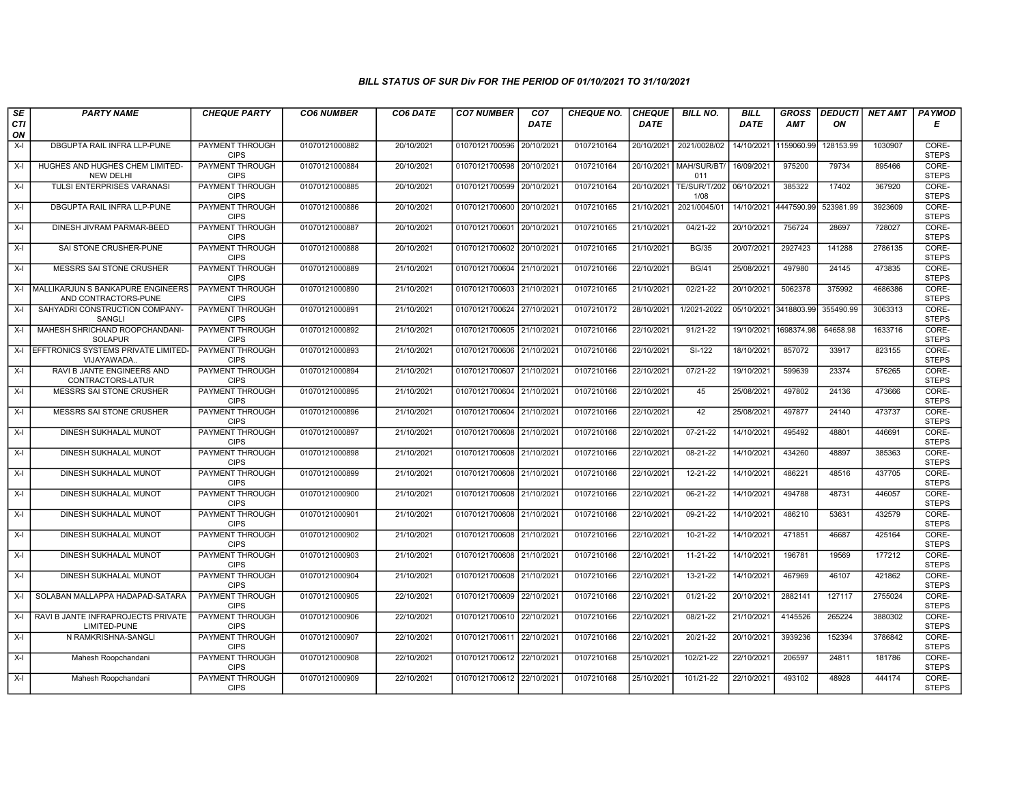| SE        | <b>PARTY NAME</b>                                         | <b>CHEQUE PARTY</b>                   | <b>CO6 NUMBER</b> | CO6 DATE   | <b>CO7 NUMBER</b>         | CO <sub>7</sub> | <b>CHEQUE NO.</b> | <b>CHEQUE</b> | <b>BILL NO.</b>                 | <b>BILL</b>           | <b>GROSS</b>          |           | DEDUCTI NET AMT | <b>PAYMOD</b>         |
|-----------|-----------------------------------------------------------|---------------------------------------|-------------------|------------|---------------------------|-----------------|-------------------|---------------|---------------------------------|-----------------------|-----------------------|-----------|-----------------|-----------------------|
| CTI<br>ON |                                                           |                                       |                   |            |                           | <b>DATE</b>     |                   | <b>DATE</b>   |                                 | DATE                  | <b>AMT</b>            | ON        |                 | Е                     |
| $X-I$     | DBGUPTA RAIL INFRA LLP-PUNE                               | <b>PAYMENT THROUGH</b><br><b>CIPS</b> | 01070121000882    | 20/10/2021 | 01070121700596            | 20/10/2021      | 0107210164        | 20/10/2021    | 2021/0028/02                    | 14/10/2021            | 1159060.99            | 128153.99 | 1030907         | CORE-<br><b>STEPS</b> |
| $X-I$     | HUGHES AND HUGHES CHEM LIMITED-<br><b>NEW DELHI</b>       | <b>PAYMENT THROUGH</b><br><b>CIPS</b> | 01070121000884    | 20/10/2021 | 01070121700598 20/10/2021 |                 | 0107210164        |               | 20/10/2021   MAH/SUR/BT/<br>011 | 16/09/2021            | 975200                | 79734     | 895466          | CORE-<br><b>STEPS</b> |
| $X-I$     | TULSI ENTERPRISES VARANASI                                | PAYMENT THROUGH<br><b>CIPS</b>        | 01070121000885    | 20/10/2021 | 01070121700599            | 20/10/2021      | 0107210164        | 20/10/2021    | TE/SUR/T/202<br>1/08            | 06/10/2021            | 385322                | 17402     | 367920          | CORE-<br><b>STEPS</b> |
| $X-I$     | DBGUPTA RAIL INFRA LLP-PUNE                               | <b>PAYMENT THROUGH</b><br><b>CIPS</b> | 01070121000886    | 20/10/2021 | 01070121700600            | 20/10/2021      | 0107210165        | 21/10/2021    | 2021/0045/01                    | 14/10/2021 4447590.99 |                       | 523981.99 | 3923609         | CORE-<br><b>STEPS</b> |
| $X-I$     | DINESH JIVRAM PARMAR-BEED                                 | <b>PAYMENT THROUGH</b><br><b>CIPS</b> | 01070121000887    | 20/10/2021 | 01070121700601            | 20/10/2021      | 0107210165        | 21/10/2021    | $04/21 - 22$                    | 20/10/2021            | 756724                | 28697     | 728027          | CORE-<br><b>STEPS</b> |
| $X-I$     | SAI STONE CRUSHER-PUNE                                    | <b>PAYMENT THROUGH</b><br><b>CIPS</b> | 01070121000888    | 20/10/2021 | 01070121700602 20/10/2021 |                 | 0107210165        | 21/10/2021    | <b>BG/35</b>                    | 20/07/2021            | 2927423               | 141288    | 2786135         | CORE-<br><b>STEPS</b> |
| $X-I$     | MESSRS SAI STONE CRUSHER                                  | PAYMENT THROUGH<br><b>CIPS</b>        | 01070121000889    | 21/10/2021 | 01070121700604 21/10/2021 |                 | 0107210166        | 22/10/2021    | <b>BG/41</b>                    | 25/08/2021            | 497980                | 24145     | 473835          | CORE-<br><b>STEPS</b> |
| $X-I$     | MALLIKARJUN S BANKAPURE ENGINEERS<br>AND CONTRACTORS-PUNE | PAYMENT THROUGH<br><b>CIPS</b>        | 01070121000890    | 21/10/2021 | 01070121700603 21/10/2021 |                 | 0107210165        | 21/10/2021    | 02/21-22                        | 20/10/2021            | 5062378               | 375992    | 4686386         | CORE-<br><b>STEPS</b> |
| $X-I$     | SAHYADRI CONSTRUCTION COMPANY-<br><b>SANGLI</b>           | <b>PAYMENT THROUGH</b><br><b>CIPS</b> | 01070121000891    | 21/10/2021 | 01070121700624 27/10/2021 |                 | 0107210172        | 28/10/2021    | 1/2021-2022                     | 05/10/2021 3418803.99 |                       | 355490.99 | 3063313         | CORE-<br><b>STEPS</b> |
| $X-I$     | MAHESH SHRICHAND ROOPCHANDANI-<br><b>SOLAPUR</b>          | <b>PAYMENT THROUGH</b><br><b>CIPS</b> | 01070121000892    | 21/10/2021 | 01070121700605 21/10/2021 |                 | 0107210166        | 22/10/2021    | $91/21 - 22$                    |                       | 19/10/2021 1698374.98 | 64658.98  | 1633716         | CORE-<br><b>STEPS</b> |
| $X-I$     | EFFTRONICS SYSTEMS PRIVATE LIMITED-<br>VIJAYAWADA.        | PAYMENT THROUGH<br><b>CIPS</b>        | 01070121000893    | 21/10/2021 | 01070121700606 21/10/2021 |                 | 0107210166        | 22/10/2021    | SI-122                          | 18/10/2021            | 857072                | 33917     | 823155          | CORE-<br><b>STEPS</b> |
| $X-I$     | RAVI B JANTE ENGINEERS AND<br>CONTRACTORS-LATUR           | PAYMENT THROUGH<br><b>CIPS</b>        | 01070121000894    | 21/10/2021 | 01070121700607            | 21/10/2021      | 0107210166        | 22/10/2021    | 07/21-22                        | 19/10/2021            | 599639                | 23374     | 576265          | CORE-<br><b>STEPS</b> |
| $X-I$     | MESSRS SAI STONE CRUSHER                                  | <b>PAYMENT THROUGH</b><br><b>CIPS</b> | 01070121000895    | 21/10/2021 | 01070121700604 21/10/2021 |                 | 0107210166        | 22/10/2021    | 45                              | 25/08/2021            | 497802                | 24136     | 473666          | CORE-<br><b>STEPS</b> |
| $X-I$     | MESSRS SAI STONE CRUSHER                                  | <b>PAYMENT THROUGH</b><br><b>CIPS</b> | 01070121000896    | 21/10/2021 | 01070121700604            | 21/10/202       | 0107210166        | 22/10/2021    | 42                              | 25/08/2021            | 497877                | 24140     | 473737          | CORE-<br><b>STEPS</b> |
| $X-I$     | <b>DINESH SUKHALAL MUNOT</b>                              | PAYMENT THROUGH<br><b>CIPS</b>        | 01070121000897    | 21/10/2021 | 01070121700608 21/10/2021 |                 | 0107210166        | 22/10/2021    | $07 - 21 - 22$                  | 14/10/2021            | 495492                | 48801     | 446691          | CORE-<br><b>STEPS</b> |
| $X-I$     | DINESH SUKHALAL MUNOT                                     | PAYMENT THROUGH<br><b>CIPS</b>        | 01070121000898    | 21/10/2021 | 01070121700608 21/10/2021 |                 | 0107210166        | 22/10/2021    | 08-21-22                        | 14/10/2021            | 434260                | 48897     | 385363          | CORE-<br><b>STEPS</b> |
| $X-I$     | <b>DINESH SUKHALAL MUNOT</b>                              | <b>PAYMENT THROUGH</b><br><b>CIPS</b> | 01070121000899    | 21/10/2021 | 01070121700608 21/10/2021 |                 | 0107210166        | 22/10/2021    | $12 - 21 - 22$                  | 14/10/2021            | 486221                | 48516     | 437705          | CORE-<br><b>STEPS</b> |
| $X-I$     | DINESH SUKHALAL MUNOT                                     | <b>PAYMENT THROUGH</b><br><b>CIPS</b> | 01070121000900    | 21/10/2021 | 01070121700608 21/10/2021 |                 | 0107210166        | 22/10/2021    | 06-21-22                        | 14/10/2021            | 494788                | 48731     | 446057          | CORE-<br><b>STEPS</b> |
| $X-I$     | DINESH SUKHALAL MUNOT                                     | PAYMENT THROUGH<br><b>CIPS</b>        | 01070121000901    | 21/10/2021 | 01070121700608 21/10/2021 |                 | 0107210166        | 22/10/2021    | 09-21-22                        | 14/10/2021            | 486210                | 53631     | 432579          | CORE-<br><b>STEPS</b> |
| $X-I$     | DINESH SUKHALAL MUNOT                                     | <b>PAYMENT THROUGH</b><br><b>CIPS</b> | 01070121000902    | 21/10/2021 | 01070121700608 21/10/2021 |                 | 0107210166        | 22/10/2021    | 10-21-22                        | 14/10/2021            | 471851                | 46687     | 425164          | CORE-<br><b>STEPS</b> |
| $X-I$     | <b>DINESH SUKHALAL MUNOT</b>                              | PAYMENT THROUGH<br><b>CIPS</b>        | 01070121000903    | 21/10/2021 | 01070121700608 21/10/2021 |                 | 0107210166        | 22/10/2021    | $11 - 21 - 22$                  | 14/10/2021            | 196781                | 19569     | 177212          | CORE-<br><b>STEPS</b> |
| X-I       | DINESH SUKHALAL MUNOT                                     | PAYMENT THROUGH<br><b>CIPS</b>        | 01070121000904    | 21/10/2021 | 01070121700608 21/10/2021 |                 | 0107210166        | 22/10/2021    | 13-21-22                        | 14/10/2021            | 467969                | 46107     | 421862          | CORE-<br><b>STEPS</b> |
| $X-I$     | SOLABAN MALLAPPA HADAPAD-SATARA                           | PAYMENT THROUGH<br><b>CIPS</b>        | 01070121000905    | 22/10/2021 | 01070121700609            | 22/10/2021      | 0107210166        | 22/10/2021    | 01/21-22                        | 20/10/2021            | 2882141               | 127117    | 2755024         | CORE-<br><b>STEPS</b> |
| $X-I$     | RAVI B JANTE INFRAPROJECTS PRIVATE<br>LIMITED-PUNE        | <b>PAYMENT THROUGH</b><br><b>CIPS</b> | 01070121000906    | 22/10/2021 | 01070121700610            | 22/10/2021      | 0107210166        | 22/10/2021    | 08/21-22                        | 21/10/2021            | 4145526               | 265224    | 3880302         | CORE-<br><b>STEPS</b> |
| $X-I$     | N RAMKRISHNA-SANGLI                                       | PAYMENT THROUGH<br><b>CIPS</b>        | 01070121000907    | 22/10/2021 | 01070121700611            | 22/10/2021      | 0107210166        | 22/10/2021    | 20/21-22                        | 20/10/2021            | 3939236               | 152394    | 3786842         | CORE-<br><b>STEPS</b> |
| $X-I$     | Mahesh Roopchandani                                       | <b>PAYMENT THROUGH</b><br><b>CIPS</b> | 01070121000908    | 22/10/2021 | 01070121700612 22/10/2021 |                 | 0107210168        | 25/10/2021    | 102/21-22                       | 22/10/2021            | 206597                | 24811     | 181786          | CORE-<br><b>STEPS</b> |
| $X-I$     | Mahesh Roopchandani                                       | <b>PAYMENT THROUGH</b><br><b>CIPS</b> | 01070121000909    | 22/10/2021 | 01070121700612 22/10/2021 |                 | 0107210168        | 25/10/2021    | 101/21-22                       | 22/10/2021            | 493102                | 48928     | 444174          | CORE-<br><b>STEPS</b> |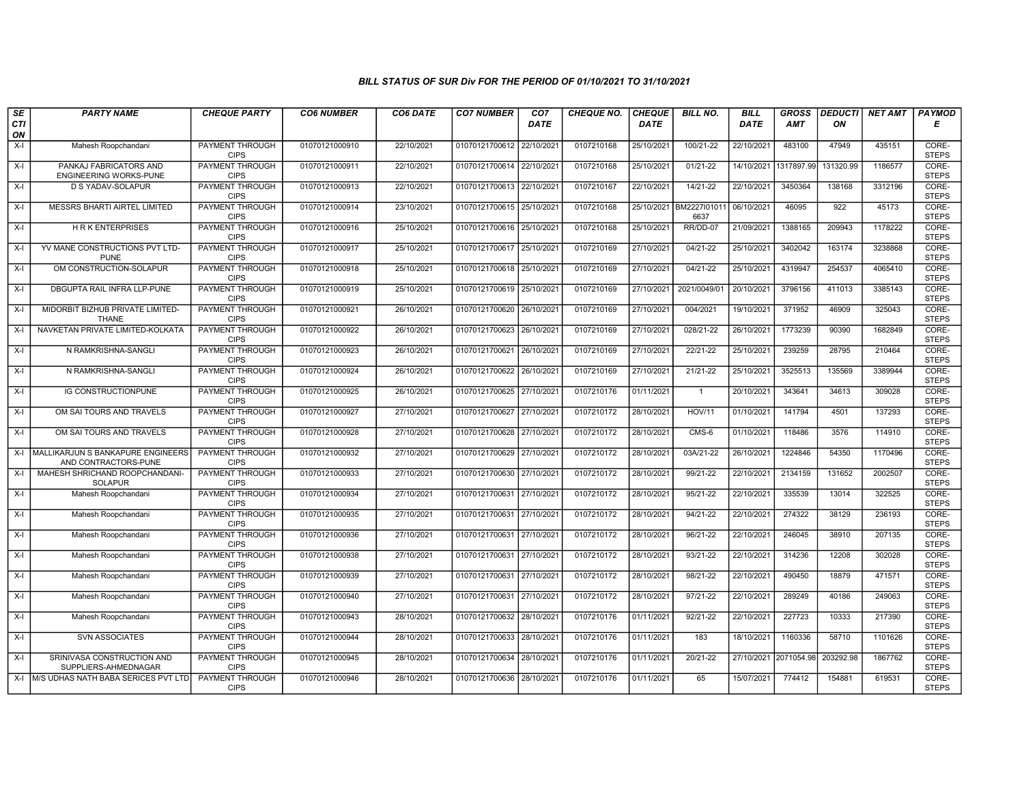| SE        | <b>PARTY NAME</b>                                         | <b>CHEQUE PARTY</b>                   | <b>CO6 NUMBER</b> | CO6 DATE   | <b>CO7 NUMBER</b>         | CO <sub>7</sub> | <b>CHEQUE NO.</b> | <b>CHEQUE</b> | <b>BILL NO.</b>      | <b>BILL</b> | <b>GROSS</b>          | <b>DEDUCTI</b> | NET AMT | <b>PAYMOD</b>         |
|-----------|-----------------------------------------------------------|---------------------------------------|-------------------|------------|---------------------------|-----------------|-------------------|---------------|----------------------|-------------|-----------------------|----------------|---------|-----------------------|
| CTI<br>ON |                                                           |                                       |                   |            |                           | <b>DATE</b>     |                   | <b>DATE</b>   |                      | DATE        | <b>AMT</b>            | ON             |         | Е                     |
| $X-I$     | Mahesh Roopchandani                                       | <b>PAYMENT THROUGH</b><br><b>CIPS</b> | 01070121000910    | 22/10/2021 | 01070121700612 22/10/2021 |                 | 0107210168        | 25/10/2021    | 100/21-22            | 22/10/2021  | 483100                | 47949          | 435151  | CORE-<br><b>STEPS</b> |
| $X-I$     | PANKAJ FABRICATORS AND<br>ENGINEERING WORKS-PUNE          | <b>PAYMENT THROUGH</b><br><b>CIPS</b> | 01070121000911    | 22/10/2021 | 01070121700614 22/10/2021 |                 | 0107210168        | 25/10/2021    | $01/21 - 22$         | 14/10/2021  | 1317897.99            | 131320.99      | 1186577 | CORE-<br><b>STEPS</b> |
| $X-I$     | <b>D S YADAV-SOLAPUR</b>                                  | PAYMENT THROUGH<br><b>CIPS</b>        | 01070121000913    | 22/10/2021 | 01070121700613 22/10/2021 |                 | 0107210167        | 22/10/2021    | 14/21-22             | 22/10/2021  | 3450364               | 138168         | 3312196 | CORE-<br><b>STEPS</b> |
| $X-I$     | MESSRS BHARTI AIRTEL LIMITED                              | PAYMENT THROUGH<br><b>CIPS</b>        | 01070121000914    | 23/10/2021 | 01070121700615 25/10/2021 |                 | 0107210168        | 25/10/2021    | BM2227l01011<br>6637 | 06/10/2021  | 46095                 | 922            | 45173   | CORE-<br><b>STEPS</b> |
| $X-I$     | <b>HRKENTERPRISES</b>                                     | <b>PAYMENT THROUGH</b><br><b>CIPS</b> | 01070121000916    | 25/10/2021 | 01070121700616 25/10/2021 |                 | 0107210168        | 25/10/2021    | RR/DD-07             | 21/09/2021  | 1388165               | 209943         | 1178222 | CORE-<br><b>STEPS</b> |
| $X-I$     | YV MANE CONSTRUCTIONS PVT LTD-<br><b>PUNE</b>             | <b>PAYMENT THROUGH</b><br><b>CIPS</b> | 01070121000917    | 25/10/2021 | 01070121700617 25/10/2021 |                 | 0107210169        | 27/10/2021    | $04/21-22$           | 25/10/2021  | 3402042               | 163174         | 3238868 | CORE-<br><b>STEPS</b> |
| $X-I$     | OM CONSTRUCTION-SOLAPUR                                   | PAYMENT THROUGH<br><b>CIPS</b>        | 01070121000918    | 25/10/2021 | 01070121700618 25/10/2021 |                 | 0107210169        | 27/10/2021    | $04/21 - 22$         | 25/10/2021  | 4319947               | 254537         | 4065410 | CORE-<br><b>STEPS</b> |
| $X-I$     | DBGUPTA RAIL INFRA LLP-PUNE                               | PAYMENT THROUGH<br><b>CIPS</b>        | 01070121000919    | 25/10/2021 | 01070121700619 25/10/2021 |                 | 0107210169        | 27/10/2021    | 2021/0049/01         | 20/10/2021  | 3796156               | 411013         | 3385143 | CORE-<br><b>STEPS</b> |
| $X-I$     | MIDORBIT BIZHUB PRIVATE LIMITED-<br><b>THANE</b>          | <b>PAYMENT THROUGH</b><br><b>CIPS</b> | 01070121000921    | 26/10/2021 | 01070121700620 26/10/2021 |                 | 0107210169        | 27/10/2021    | 004/2021             | 19/10/2021  | 371952                | 46909          | 325043  | CORE-<br><b>STEPS</b> |
| $X-I$     | NAVKETAN PRIVATE LIMITED-KOLKATA                          | <b>PAYMENT THROUGH</b><br><b>CIPS</b> | 01070121000922    | 26/10/2021 | 01070121700623 26/10/2021 |                 | 0107210169        | 27/10/2021    | 028/21-22            | 26/10/2021  | 1773239               | 90390          | 1682849 | CORE-<br><b>STEPS</b> |
| $X-I$     | N RAMKRISHNA-SANGLI                                       | PAYMENT THROUGH<br><b>CIPS</b>        | 01070121000923    | 26/10/2021 | 01070121700621 26/10/2021 |                 | 0107210169        | 27/10/2021    | 22/21-22             | 25/10/2021  | 239259                | 28795          | 210464  | CORE-<br><b>STEPS</b> |
| $X-I$     | N RAMKRISHNA-SANGLI                                       | PAYMENT THROUGH<br><b>CIPS</b>        | 01070121000924    | 26/10/2021 | 01070121700622 26/10/2021 |                 | 0107210169        | 27/10/2021    | 21/21-22             | 25/10/2021  | 3525513               | 135569         | 3389944 | CORE-<br><b>STEPS</b> |
| $X-I$     | <b>IG CONSTRUCTIONPUNE</b>                                | <b>PAYMENT THROUGH</b><br><b>CIPS</b> | 01070121000925    | 26/10/2021 | 01070121700625 27/10/2021 |                 | 0107210176        | 01/11/2021    | $\overline{1}$       | 20/10/2021  | 343641                | 34613          | 309028  | CORE-<br><b>STEPS</b> |
| $X-I$     | OM SAI TOURS AND TRAVELS                                  | <b>PAYMENT THROUGH</b><br><b>CIPS</b> | 01070121000927    | 27/10/2021 | 01070121700627            | 27/10/2021      | 0107210172        | 28/10/2021    | <b>HOV/11</b>        | 01/10/2021  | 141794                | 4501           | 137293  | CORE-<br><b>STEPS</b> |
| $X-I$     | OM SAI TOURS AND TRAVELS                                  | PAYMENT THROUGH<br><b>CIPS</b>        | 01070121000928    | 27/10/2021 | 01070121700628 27/10/2021 |                 | 0107210172        | 28/10/2021    | $CMS-6$              | 01/10/2021  | 118486                | 3576           | 114910  | CORE-<br><b>STEPS</b> |
| $X-I$     | MALLIKARJUN S BANKAPURE ENGINEERS<br>AND CONTRACTORS-PUNE | PAYMENT THROUGH<br><b>CIPS</b>        | 01070121000932    | 27/10/2021 | 01070121700629 27/10/2021 |                 | 0107210172        | 28/10/2021    | 03A/21-22            | 26/10/2021  | 1224846               | 54350          | 1170496 | CORE-<br><b>STEPS</b> |
| $X-I$     | MAHESH SHRICHAND ROOPCHANDANI-<br><b>SOLAPUR</b>          | PAYMENT THROUGH<br><b>CIPS</b>        | 01070121000933    | 27/10/2021 | 01070121700630 27/10/2021 |                 | 0107210172        | 28/10/2021    | 99/21-22             | 22/10/2021  | 2134159               | 131652         | 2002507 | CORE-<br><b>STEPS</b> |
| $X-I$     | Mahesh Roopchandani                                       | <b>PAYMENT THROUGH</b><br><b>CIPS</b> | 01070121000934    | 27/10/2021 | 01070121700631 27/10/2021 |                 | 0107210172        | 28/10/2021    | 95/21-22             | 22/10/2021  | 335539                | 13014          | 322525  | CORE-<br><b>STEPS</b> |
| $X-I$     | Mahesh Roopchandani                                       | PAYMENT THROUGH<br><b>CIPS</b>        | 01070121000935    | 27/10/2021 | 01070121700631            | 27/10/2021      | 0107210172        | 28/10/2021    | $94/21 - 22$         | 22/10/2021  | 274322                | 38129          | 236193  | CORE-<br><b>STEPS</b> |
| $X-I$     | Mahesh Roopchandani                                       | PAYMENT THROUGH<br><b>CIPS</b>        | 01070121000936    | 27/10/2021 | 01070121700631 27/10/2021 |                 | 0107210172        | 28/10/2021    | 96/21-22             | 22/10/2021  | 246045                | 38910          | 207135  | CORE-<br><b>STEPS</b> |
| $X-I$     | Mahesh Roopchandani                                       | <b>PAYMENT THROUGH</b><br><b>CIPS</b> | 01070121000938    | 27/10/2021 | 01070121700631 27/10/2021 |                 | 0107210172        | 28/10/2021    | 93/21-22             | 22/10/2021  | 314236                | 12208          | 302028  | CORE-<br><b>STEPS</b> |
| $X-I$     | Mahesh Roopchandani                                       | <b>PAYMENT THROUGH</b><br><b>CIPS</b> | 01070121000939    | 27/10/2021 | 01070121700631 27/10/2021 |                 | 0107210172        | 28/10/2021    | 98/21-22             | 22/10/2021  | 490450                | 18879          | 471571  | CORE-<br><b>STEPS</b> |
| $X-I$     | Mahesh Roopchandani                                       | PAYMENT THROUGH<br><b>CIPS</b>        | 01070121000940    | 27/10/2021 | 01070121700631 27/10/2021 |                 | 0107210172        | 28/10/2021    | 97/21-22             | 22/10/2021  | 289249                | 40186          | 249063  | CORE-<br><b>STEPS</b> |
| $X-I$     | Mahesh Roopchandani                                       | PAYMENT THROUGH<br><b>CIPS</b>        | 01070121000943    | 28/10/2021 | 01070121700632 28/10/2021 |                 | 0107210176        | 01/11/2021    | 92/21-22             | 22/10/2021  | 227723                | 10333          | 217390  | CORE-<br><b>STEPS</b> |
| $X-I$     | <b>SVN ASSOCIATES</b>                                     | <b>PAYMENT THROUGH</b><br><b>CIPS</b> | 01070121000944    | 28/10/2021 | 01070121700633 28/10/2021 |                 | 0107210176        | 01/11/2021    | 183                  | 18/10/2021  | 1160336               | 58710          | 1101626 | CORE-<br><b>STEPS</b> |
| $X-I$     | SRINIVASA CONSTRUCTION AND<br>SUPPLIERS-AHMEDNAGAR        | <b>PAYMENT THROUGH</b><br><b>CIPS</b> | 01070121000945    | 28/10/2021 | 01070121700634 28/10/2021 |                 | 0107210176        | 01/11/2021    | 20/21-22             |             | 27/10/2021 2071054.98 | 203292.98      | 1867762 | CORE-<br><b>STEPS</b> |
|           | X-I M/S UDHAS NATH BABA SERICES PVT LTD                   | <b>PAYMENT THROUGH</b><br><b>CIPS</b> | 01070121000946    | 28/10/2021 | 01070121700636 28/10/2021 |                 | 0107210176        | 01/11/2021    | 65                   | 15/07/2021  | 774412                | 154881         | 619531  | CORE-<br><b>STEPS</b> |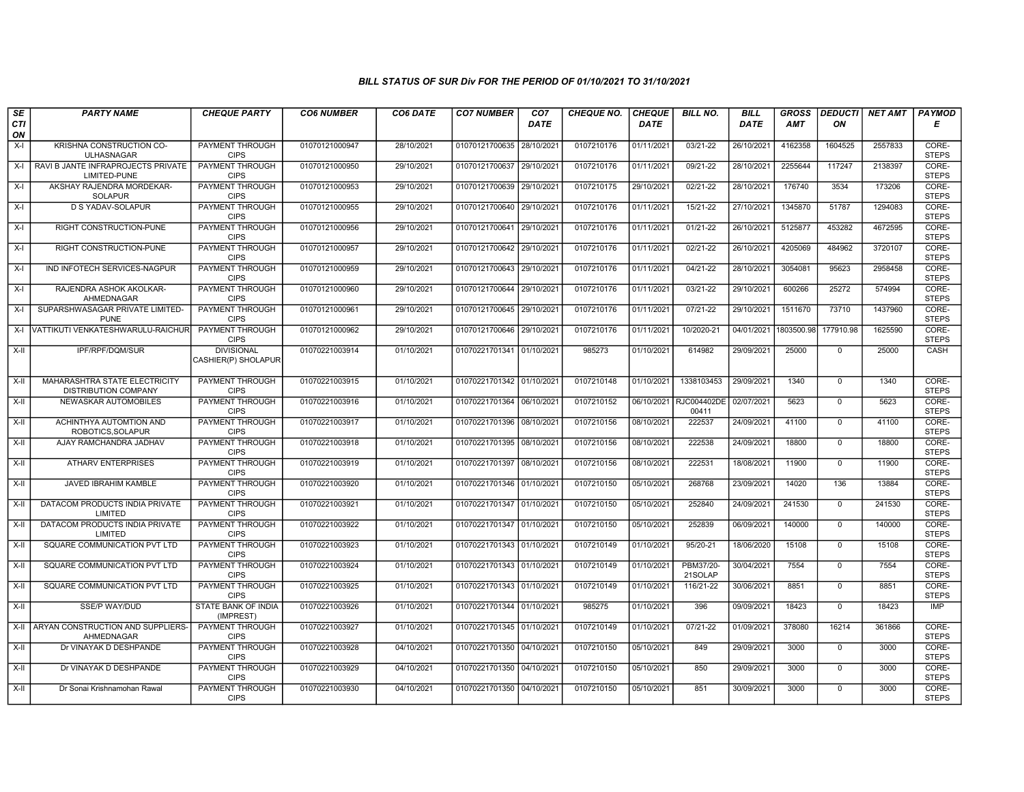| SE        | <b>PARTY NAME</b>                                      | <b>CHEQUE PARTY</b>                      | <b>CO6 NUMBER</b> | CO6 DATE   | <b>CO7 NUMBER</b>         | CO <sub>7</sub> | <b>CHEQUE NO.</b> | <b>CHEQUE</b> | <b>BILL NO.</b>      | <b>BILL</b>           | <b>GROSS</b> | <b>DEDUCTI</b> | <b>NET AMT</b> | <b>PAYMOD</b>         |
|-----------|--------------------------------------------------------|------------------------------------------|-------------------|------------|---------------------------|-----------------|-------------------|---------------|----------------------|-----------------------|--------------|----------------|----------------|-----------------------|
| CTI<br>ON |                                                        |                                          |                   |            |                           | DATE            |                   | DATE          |                      | DATE                  | AMT          | ON             |                | Е                     |
| $X-I$     | KRISHNA CONSTRUCTION CO-<br><b>ULHASNAGAR</b>          | <b>PAYMENT THROUGH</b><br><b>CIPS</b>    | 01070121000947    | 28/10/2021 | 01070121700635            | 28/10/202       | 0107210176        | 01/11/2021    | $03/21 - 22$         | 26/10/2021            | 4162358      | 1604525        | 2557833        | CORE-<br><b>STEPS</b> |
|           | X-I RAVI B JANTE INFRAPROJECTS PRIVATE<br>LIMITED-PUNE | <b>PAYMENT THROUGH</b><br><b>CIPS</b>    | 01070121000950    | 29/10/2021 | 01070121700637 29/10/2021 |                 | 0107210176        | 01/11/2021    | 09/21-22             | 28/10/2021            | 2255644      | 117247         | 2138397        | CORE-<br><b>STEPS</b> |
| $X-I$     | AKSHAY RAJENDRA MORDEKAR-<br><b>SOLAPUR</b>            | PAYMENT THROUGH<br><b>CIPS</b>           | 01070121000953    | 29/10/2021 | 01070121700639            | 29/10/2021      | 0107210175        | 29/10/2021    | 02/21-22             | 28/10/2021            | 176740       | 3534           | 173206         | CORE-<br><b>STEPS</b> |
| $X-I$     | D S YADAV-SOLAPUR                                      | PAYMENT THROUGH<br><b>CIPS</b>           | 01070121000955    | 29/10/2021 | 01070121700640            | 29/10/202       | 0107210176        | 01/11/2021    | 15/21-22             | 27/10/2021            | 1345870      | 51787          | 1294083        | CORE-<br><b>STEPS</b> |
| $X-I$     | RIGHT CONSTRUCTION-PUNE                                | <b>PAYMENT THROUGH</b><br><b>CIPS</b>    | 01070121000956    | 29/10/2021 | 01070121700641            | 29/10/2021      | 0107210176        | 01/11/2021    | $01/21-22$           | 26/10/2021            | 5125877      | 453282         | 4672595        | CORE-<br><b>STEPS</b> |
| $X-I$     | RIGHT CONSTRUCTION-PUNE                                | <b>PAYMENT THROUGH</b><br><b>CIPS</b>    | 01070121000957    | 29/10/2021 | 01070121700642 29/10/2021 |                 | 0107210176        | 01/11/2021    | $02/21 - 22$         | 26/10/2021            | 4205069      | 484962         | 3720107        | CORE-<br><b>STEPS</b> |
| $X-I$     | IND INFOTECH SERVICES-NAGPUR                           | PAYMENT THROUGH<br><b>CIPS</b>           | 01070121000959    | 29/10/2021 | 01070121700643 29/10/2021 |                 | 0107210176        | 01/11/2021    | 04/21-22             | 28/10/2021            | 3054081      | 95623          | 2958458        | CORE-<br><b>STEPS</b> |
| $X-I$     | RAJENDRA ASHOK AKOLKAR-<br>AHMEDNAGAR                  | PAYMENT THROUGH<br><b>CIPS</b>           | 01070121000960    | 29/10/2021 | 01070121700644            | 29/10/2021      | 0107210176        | 01/11/2021    | 03/21-22             | 29/10/2021            | 600266       | 25272          | 574994         | CORE-<br><b>STEPS</b> |
| $X-I$     | SUPARSHWASAGAR PRIVATE LIMITED-<br><b>PUNE</b>         | <b>PAYMENT THROUGH</b><br><b>CIPS</b>    | 01070121000961    | 29/10/2021 | 01070121700645 29/10/2021 |                 | 0107210176        | 01/11/2021    | 07/21-22             | 29/10/2021            | 1511670      | 73710          | 1437960        | CORE-<br><b>STEPS</b> |
| $X-I$     | VATTIKUTI VENKATESHWARULU-RAICHUR                      | <b>PAYMENT THROUGH</b><br><b>CIPS</b>    | 01070121000962    | 29/10/2021 | 01070121700646 29/10/2021 |                 | 0107210176        | 01/11/2021    | 10/2020-21           | 04/01/2021 1803500.98 |              | 177910.98      | 1625590        | CORE-<br><b>STEPS</b> |
| X-II      | IPF/RPF/DQM/SUR                                        | <b>DIVISIONAL</b><br>CASHIER(P) SHOLAPUR | 01070221003914    | 01/10/2021 | 01070221701341 01/10/2021 |                 | 985273            | 01/10/2021    | 614982               | 29/09/2021            | 25000        | $\mathbf 0$    | 25000          | CASH                  |
| $X-II$    | MAHARASHTRA STATE ELECTRICITY<br>DISTRIBUTION COMPANY  | <b>PAYMENT THROUGH</b><br><b>CIPS</b>    | 01070221003915    | 01/10/2021 | 01070221701342 01/10/2021 |                 | 0107210148        | 01/10/2021    | 1338103453           | 29/09/2021            | 1340         | $\mathbf 0$    | 1340           | CORE-<br><b>STEPS</b> |
| $X-II$    | NEWASKAR AUTOMOBILES                                   | PAYMENT THROUGH<br><b>CIPS</b>           | 01070221003916    | 01/10/2021 | 01070221701364            | 06/10/2021      | 0107210152        | 06/10/2021    | RJC004402DE<br>00411 | 02/07/2021            | 5623         | $\mathbf 0$    | 5623           | CORE-<br><b>STEPS</b> |
| X-II      | ACHINTHYA AUTOMTION AND<br>ROBOTICS, SOLAPUR           | PAYMENT THROUGH<br><b>CIPS</b>           | 01070221003917    | 01/10/2021 | 01070221701396 08/10/2021 |                 | 0107210156        | 08/10/2021    | 222537               | 24/09/2021            | 41100        | $\mathbf 0$    | 41100          | CORE-<br><b>STEPS</b> |
| X-II      | AJAY RAMCHANDRA JADHAV                                 | <b>PAYMENT THROUGH</b><br><b>CIPS</b>    | 01070221003918    | 01/10/2021 | 01070221701395 08/10/2021 |                 | 0107210156        | 08/10/2021    | 222538               | 24/09/2021            | 18800        | $\mathbf 0$    | 18800          | CORE-<br><b>STEPS</b> |
| X-II      | <b>ATHARV ENTERPRISES</b>                              | <b>PAYMENT THROUGH</b><br><b>CIPS</b>    | 01070221003919    | 01/10/2021 | 01070221701397            | 08/10/2021      | 0107210156        | 08/10/2021    | 222531               | 18/08/2021            | 11900        | $\mathbf{0}$   | 11900          | CORE-<br><b>STEPS</b> |
| $X-H$     | <b>JAVED IBRAHIM KAMBLE</b>                            | <b>PAYMENT THROUGH</b><br><b>CIPS</b>    | 01070221003920    | 01/10/2021 | 01070221701346 01/10/2021 |                 | 0107210150        | 05/10/2021    | 268768               | 23/09/2021            | 14020        | 136            | 13884          | CORE-<br><b>STEPS</b> |
| X-II      | DATACOM PRODUCTS INDIA PRIVATE<br>LIMITED              | PAYMENT THROUGH<br><b>CIPS</b>           | 01070221003921    | 01/10/2021 | 01070221701347            | 01/10/2021      | 0107210150        | 05/10/2021    | 252840               | 24/09/2021            | 241530       | $\mathbf 0$    | 241530         | CORE-<br><b>STEPS</b> |
| $X-II$    | DATACOM PRODUCTS INDIA PRIVATE<br>LIMITED              | <b>PAYMENT THROUGH</b><br><b>CIPS</b>    | 01070221003922    | 01/10/2021 | 01070221701347            | 01/10/202       | 0107210150        | 05/10/2021    | 252839               | 06/09/2021            | 140000       | $\overline{0}$ | 140000         | CORE-<br><b>STEPS</b> |
| X-II      | SQUARE COMMUNICATION PVT LTD                           | <b>PAYMENT THROUGH</b><br><b>CIPS</b>    | 01070221003923    | 01/10/2021 | 01070221701343 01/10/2021 |                 | 0107210149        | 01/10/2021    | 95/20-21             | 18/06/2020            | 15108        | $\mathbf 0$    | 15108          | CORE-<br><b>STEPS</b> |
| $X-H$     | SQUARE COMMUNICATION PVT LTD                           | <b>PAYMENT THROUGH</b><br><b>CIPS</b>    | 01070221003924    | 01/10/2021 | 01070221701343 01/10/2021 |                 | 0107210149        | 01/10/2021    | PBM37/20-<br>21SOLAP | 30/04/2021            | 7554         | $\mathbf 0$    | 7554           | CORE-<br><b>STEPS</b> |
| X-II      | SQUARE COMMUNICATION PVT LTD                           | PAYMENT THROUGH<br><b>CIPS</b>           | 01070221003925    | 01/10/2021 | 01070221701343            | 01/10/2021      | 0107210149        | 01/10/2021    | 116/21-22            | 30/06/2021            | 8851         | $\mathbf 0$    | 8851           | CORE-<br><b>STEPS</b> |
| $X-II$    | SSE/P WAY/DUD                                          | STATE BANK OF INDIA<br>(IMPREST)         | 01070221003926    | 01/10/2021 | 01070221701344 01/10/2021 |                 | 985275            | 01/10/2021    | 396                  | 09/09/2021            | 18423        | $\overline{0}$ | 18423          | <b>IMP</b>            |
| X-II      | ARYAN CONSTRUCTION AND SUPPLIERS-<br>AHMEDNAGAR        | <b>PAYMENT THROUGH</b><br><b>CIPS</b>    | 01070221003927    | 01/10/2021 | 01070221701345 01/10/2021 |                 | 0107210149        | 01/10/2021    | 07/21-22             | 01/09/2021            | 378080       | 16214          | 361866         | CORE-<br><b>STEPS</b> |
| $X-H$     | Dr VINAYAK D DESHPANDE                                 | <b>PAYMENT THROUGH</b><br><b>CIPS</b>    | 01070221003928    | 04/10/2021 | 01070221701350 04/10/2021 |                 | 0107210150        | 05/10/2021    | 849                  | 29/09/2021            | 3000         | $\mathbf 0$    | 3000           | CORE-<br><b>STEPS</b> |
| X-II      | Dr VINAYAK D DESHPANDE                                 | PAYMENT THROUGH<br><b>CIPS</b>           | 01070221003929    | 04/10/2021 | 01070221701350 04/10/2021 |                 | 0107210150        | 05/10/2021    | 850                  | 29/09/2021            | 3000         | $\Omega$       | 3000           | CORE-<br><b>STEPS</b> |
| $X-II$    | Dr Sonai Krishnamohan Rawal                            | PAYMENT THROUGH<br><b>CIPS</b>           | 01070221003930    | 04/10/2021 | 01070221701350 04/10/2021 |                 | 0107210150        | 05/10/2021    | 851                  | 30/09/2021            | 3000         | $\mathbf 0$    | 3000           | CORE-<br><b>STEPS</b> |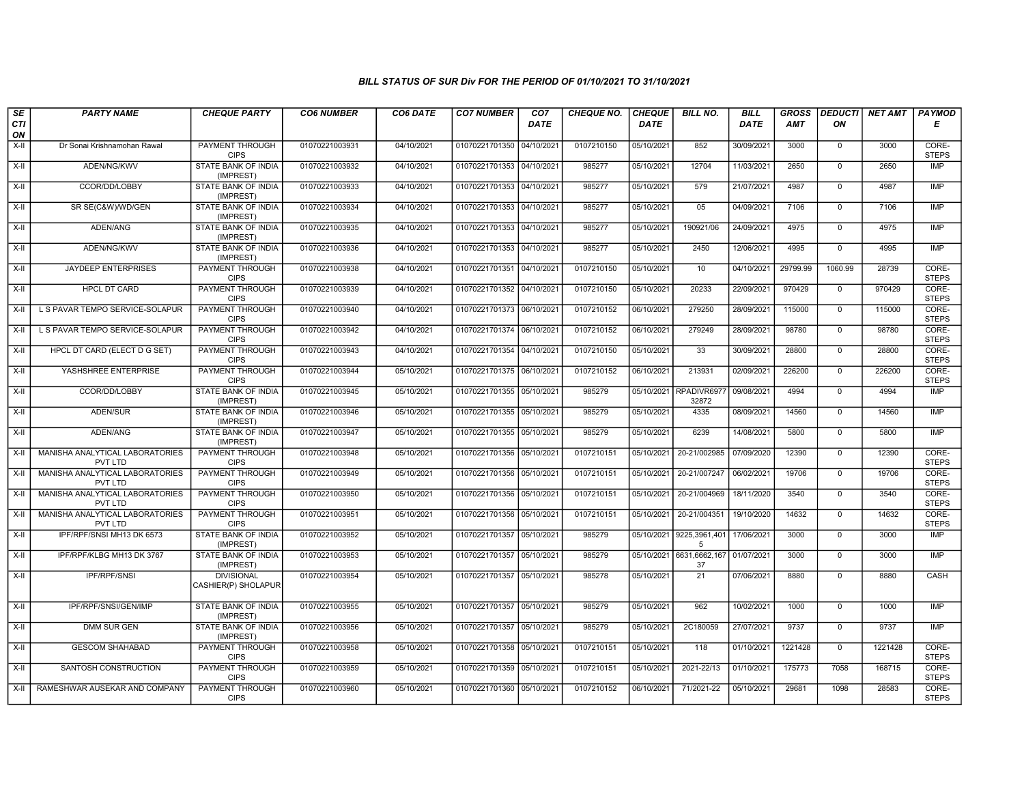| SE<br>CTI | <b>PARTY NAME</b>                                 | <b>CHEQUE PARTY</b>                      | <b>CO6 NUMBER</b> | CO6 DATE   | <b>CO7 NUMBER</b>         | CO <sub>7</sub><br><b>DATE</b> | <b>CHEQUE NO.</b> | <b>CHEQUE</b><br><b>DATE</b> | <b>BILL NO.</b>     | <b>BILL</b><br><b>DATE</b> | <b>GROSS</b><br>AMT | <b>DEDUCTI</b><br>ON | NET AMT | <b>PAYMOD</b><br>Е    |
|-----------|---------------------------------------------------|------------------------------------------|-------------------|------------|---------------------------|--------------------------------|-------------------|------------------------------|---------------------|----------------------------|---------------------|----------------------|---------|-----------------------|
| ON        |                                                   |                                          |                   |            |                           |                                |                   |                              |                     |                            |                     |                      |         |                       |
| $X-H$     | Dr Sonai Krishnamohan Rawal                       | PAYMENT THROUGH<br><b>CIPS</b>           | 01070221003931    | 04/10/2021 | 01070221701350 04/10/2021 |                                | 0107210150        | 05/10/2021                   | 852                 | 30/09/2021                 | 3000                | $\mathbf{0}$         | 3000    | CORE-<br><b>STEPS</b> |
| $X-H$     | ADEN/NG/KWV                                       | <b>STATE BANK OF INDIA</b><br>(IMPREST)  | 01070221003932    | 04/10/2021 | 01070221701353 04/10/2021 |                                | 985277            | 05/10/2021                   | 12704               | 11/03/2021                 | 2650                | $\mathbf 0$          | 2650    | <b>IMP</b>            |
| $X-II$    | CCOR/DD/LOBBY                                     | STATE BANK OF INDIA<br>(IMPREST)         | 01070221003933    | 04/10/2021 | 01070221701353 04/10/2021 |                                | 985277            | 05/10/2021                   | 579                 | 21/07/2021                 | 4987                | $\mathsf{O}$         | 4987    | <b>IMP</b>            |
| $X-II$    | SR SE(C&W)/WD/GEN                                 | STATE BANK OF INDIA<br>(IMPREST)         | 01070221003934    | 04/10/2021 | 01070221701353 04/10/2021 |                                | 985277            | 05/10/2021                   | 05                  | 04/09/2021                 | 7106                | $\overline{0}$       | 7106    | <b>IMP</b>            |
| X-II      | ADEN/ANG                                          | <b>STATE BANK OF INDIA</b><br>(IMPREST)  | 01070221003935    | 04/10/2021 | 01070221701353 04/10/2021 |                                | 985277            | 05/10/2021                   | 190921/06           | 24/09/2021                 | 4975                | $\mathbf 0$          | 4975    | IMP                   |
| X-II      | ADEN/NG/KWV                                       | STATE BANK OF INDIA<br>(IMPREST)         | 01070221003936    | 04/10/2021 | 01070221701353 04/10/2021 |                                | 985277            | 05/10/2021                   | 2450                | 12/06/2021                 | 4995                | $\Omega$             | 4995    | <b>IMP</b>            |
| $X-II$    | JAYDEEP ENTERPRISES                               | PAYMENT THROUGH<br><b>CIPS</b>           | 01070221003938    | 04/10/2021 | 01070221701351            | 04/10/2021                     | 0107210150        | 05/10/2021                   | 10                  | 04/10/2021                 | 29799.99            | 1060.99              | 28739   | CORE-<br><b>STEPS</b> |
| $X-II$    | <b>HPCL DT CARD</b>                               | <b>PAYMENT THROUGH</b><br><b>CIPS</b>    | 01070221003939    | 04/10/2021 | 01070221701352 04/10/2021 |                                | 0107210150        | 05/10/2021                   | 20233               | 22/09/2021                 | 970429              | $\mathsf{O}$         | 970429  | CORE-<br><b>STEPS</b> |
| $X-H$     | L S PAVAR TEMPO SERVICE-SOLAPUR                   | <b>PAYMENT THROUGH</b><br><b>CIPS</b>    | 01070221003940    | 04/10/2021 | 01070221701373 06/10/2021 |                                | 0107210152        | 06/10/2021                   | 279250              | 28/09/2021                 | 115000              | $\mathbf 0$          | 115000  | CORE-<br><b>STEPS</b> |
| X-II      | L S PAVAR TEMPO SERVICE-SOLAPUR                   | <b>PAYMENT THROUGH</b><br><b>CIPS</b>    | 01070221003942    | 04/10/2021 | 01070221701374 06/10/2021 |                                | 0107210152        | 06/10/2021                   | 279249              | 28/09/2021                 | 98780               | $\mathbf 0$          | 98780   | CORE-<br><b>STEPS</b> |
| X-II      | HPCL DT CARD (ELECT D G SET)                      | PAYMENT THROUGH<br><b>CIPS</b>           | 01070221003943    | 04/10/2021 | 01070221701354 04/10/2021 |                                | 0107210150        | 05/10/2021                   | 33                  | 30/09/2021                 | 28800               | $\mathbf{0}$         | 28800   | CORE-<br><b>STEPS</b> |
| $X-II$    | YASHSHREE ENTERPRISE                              | <b>PAYMENT THROUGH</b><br><b>CIPS</b>    | 01070221003944    | 05/10/2021 | 01070221701375 06/10/2021 |                                | 0107210152        | 06/10/2021                   | 213931              | 02/09/2021                 | 226200              | $\mathsf{O}$         | 226200  | CORE-<br><b>STEPS</b> |
| X-II      | CCOR/DD/LOBBY                                     | <b>STATE BANK OF INDIA</b><br>(IMPREST)  | 01070221003945    | 05/10/2021 | 01070221701355 05/10/2021 |                                | 985279            | 05/10/2021                   | RPADIVR697<br>32872 | 09/08/2021                 | 4994                | $\mathbf 0$          | 4994    | IMP                   |
| X-II      | ADEN/SUR                                          | STATE BANK OF INDIA<br>(IMPREST)         | 01070221003946    | 05/10/2021 | 01070221701355 05/10/2021 |                                | 985279            | 05/10/2021                   | 4335                | 08/09/2021                 | 14560               | $\mathbf 0$          | 14560   | <b>IMP</b>            |
| X-II      | ADEN/ANG                                          | STATE BANK OF INDIA<br>(IMPREST)         | 01070221003947    | 05/10/2021 | 01070221701355 05/10/2021 |                                | 985279            | 05/10/2021                   | 6239                | 14/08/2021                 | 5800                | $\mathbf{0}$         | 5800    | <b>IMP</b>            |
| $X-II$    | MANISHA ANALYTICAL LABORATORIES<br><b>PVT LTD</b> | <b>PAYMENT THROUGH</b><br><b>CIPS</b>    | 01070221003948    | 05/10/2021 | 01070221701356 05/10/2021 |                                | 0107210151        | 05/10/2021                   | 20-21/002985        | 07/09/2020                 | 12390               | $\mathbf 0$          | 12390   | CORE-<br><b>STEPS</b> |
| X-II      | MANISHA ANALYTICAL LABORATORIES<br><b>PVT LTD</b> | <b>PAYMENT THROUGH</b><br><b>CIPS</b>    | 01070221003949    | 05/10/2021 | 01070221701356 05/10/2021 |                                | 0107210151        | 05/10/2021                   | 20-21/007247        | 06/02/2021                 | 19706               | $\mathbf 0$          | 19706   | CORE-<br><b>STEPS</b> |
| X-II      | MANISHA ANALYTICAL LABORATORIES<br>PVT LTD        | <b>PAYMENT THROUGH</b><br><b>CIPS</b>    | 01070221003950    | 05/10/2021 | 01070221701356 05/10/2021 |                                | 0107210151        | 05/10/2021                   | 20-21/004969        | 18/11/2020                 | 3540                | $\mathbf 0$          | 3540    | CORE-<br><b>STEPS</b> |
| X-II      | MANISHA ANALYTICAL LABORATORIES<br>PVT LTD        | PAYMENT THROUGH<br><b>CIPS</b>           | 01070221003951    | 05/10/2021 | 01070221701356 05/10/2021 |                                | 0107210151        | 05/10/2021                   | 20-21/004351        | 19/10/2020                 | 14632               | $\mathbf 0$          | 14632   | CORE-<br><b>STEPS</b> |
| $X-II$    | IPF/RPF/SNSI MH13 DK 6573                         | STATE BANK OF INDIA<br>(IMPREST)         | 01070221003952    | 05/10/2021 | 01070221701357 05/10/2021 |                                | 985279            | 05/10/2021                   | 9225,3961,401<br>5  | 17/06/2021                 | 3000                | $\Omega$             | 3000    | <b>IMP</b>            |
| X-II      | IPF/RPF/KLBG MH13 DK 3767                         | STATE BANK OF INDIA<br>(IMPREST)         | 01070221003953    | 05/10/2021 | 01070221701357 05/10/2021 |                                | 985279            | 05/10/2021                   | 6631,6662,167<br>37 | 01/07/2021                 | 3000                | $\mathbf 0$          | 3000    | <b>IMP</b>            |
| X-II      | IPF/RPF/SNSI                                      | <b>DIVISIONAL</b><br>CASHIER(P) SHOLAPUR | 01070221003954    | 05/10/2021 | 01070221701357 05/10/2021 |                                | 985278            | 05/10/2021                   | $\overline{21}$     | 07/06/2021                 | 8880                | $\mathbf 0$          | 8880    | CASH                  |
| $X-II$    | IPF/RPF/SNSI/GEN/IMP                              | <b>STATE BANK OF INDIA</b><br>(IMPREST)  | 01070221003955    | 05/10/2021 | 01070221701357 05/10/2021 |                                | 985279            | 05/10/2021                   | 962                 | 10/02/2021                 | 1000                | $\overline{0}$       | 1000    | IMP                   |
| X-II      | <b>DMM SUR GEN</b>                                | STATE BANK OF INDIA<br>(IMPREST)         | 01070221003956    | 05/10/2021 | 01070221701357 05/10/2021 |                                | 985279            | 05/10/2021                   | 2C180059            | 27/07/2021                 | 9737                | $\mathbf{0}$         | 9737    | <b>IMP</b>            |
| X-II      | <b>GESCOM SHAHABAD</b>                            | <b>PAYMENT THROUGH</b><br><b>CIPS</b>    | 01070221003958    | 05/10/2021 | 01070221701358 05/10/2021 |                                | 0107210151        | 05/10/2021                   | $\overline{118}$    | 01/10/2021                 | 1221428             | $\Omega$             | 1221428 | CORE-<br><b>STEPS</b> |
| $X-II$    | SANTOSH CONSTRUCTION                              | PAYMENT THROUGH<br><b>CIPS</b>           | 01070221003959    | 05/10/2021 | 01070221701359 05/10/2021 |                                | 0107210151        | 05/10/2021                   | 2021-22/13          | 01/10/2021                 | 175773              | 7058                 | 168715  | CORE-<br><b>STEPS</b> |
| $X-II$    | RAMESHWAR AUSEKAR AND COMPANY                     | <b>PAYMENT THROUGH</b><br><b>CIPS</b>    | 01070221003960    | 05/10/2021 | 01070221701360 05/10/2021 |                                | 0107210152        | 06/10/2021                   | 71/2021-22          | 05/10/2021                 | 29681               | 1098                 | 28583   | CORE-<br><b>STEPS</b> |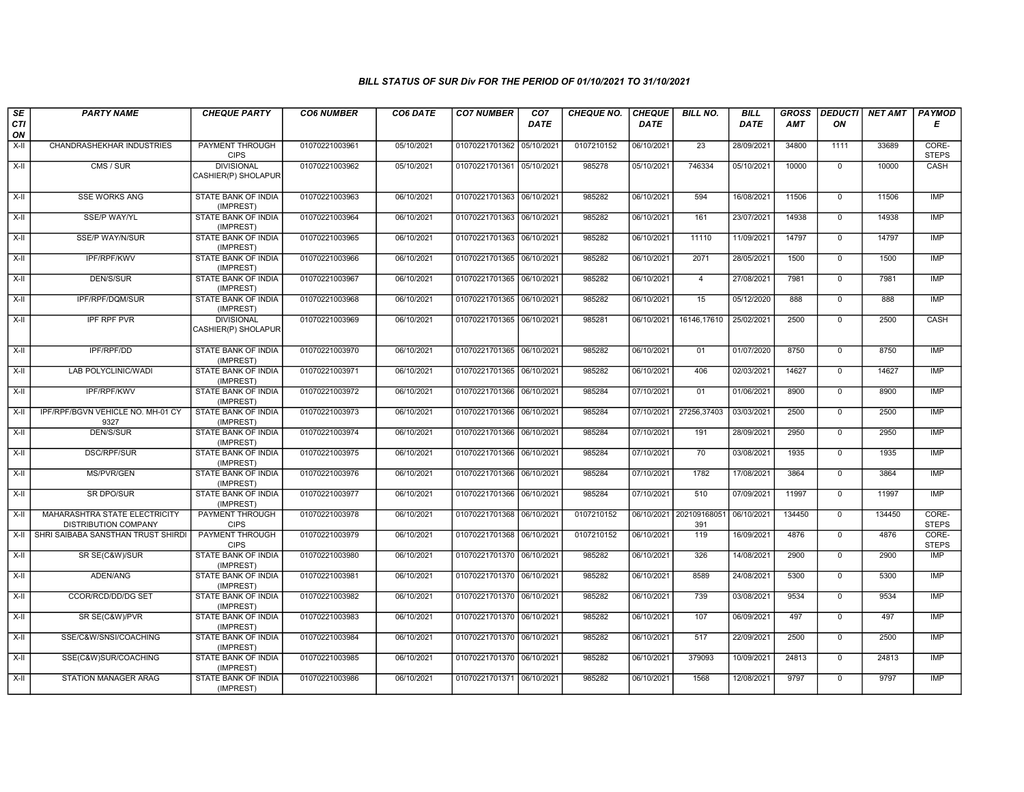| SE<br>CTI | <b>PARTY NAME</b>                                            | <b>CHEQUE PARTY</b>                      | <b>CO6 NUMBER</b> | CO6 DATE   | <b>CO7 NUMBER</b>         | CO <sub>7</sub><br><b>DATE</b> | <b>CHEQUE NO.</b> | <b>CHEQUE</b><br><b>DATE</b> | <b>BILL NO.</b>                | <b>BILL</b><br>DATE | <b>GROSS</b><br><b>AMT</b> | <b>DEDUCTI</b><br>ON | NET AMT | <b>PAYMOD</b><br>Е    |
|-----------|--------------------------------------------------------------|------------------------------------------|-------------------|------------|---------------------------|--------------------------------|-------------------|------------------------------|--------------------------------|---------------------|----------------------------|----------------------|---------|-----------------------|
| ON        |                                                              |                                          |                   |            |                           |                                |                   |                              |                                |                     |                            |                      |         |                       |
| X-II      | CHANDRASHEKHAR INDUSTRIES                                    | <b>PAYMENT THROUGH</b><br><b>CIPS</b>    | 01070221003961    | 05/10/2021 | 01070221701362 05/10/2021 |                                | 0107210152        | 06/10/2021                   | $\overline{23}$                | 28/09/2021          | 34800                      | 1111                 | 33689   | CORE-<br><b>STEPS</b> |
| X-II      | CMS / SUR                                                    | <b>DIVISIONAL</b><br>CASHIER(P) SHOLAPUR | 01070221003962    | 05/10/2021 | 01070221701361 05/10/2021 |                                | 985278            | 05/10/2021                   | 746334                         | 05/10/2021          | 10000                      | $\overline{0}$       | 10000   | CASH                  |
| X-II      | <b>SSE WORKS ANG</b>                                         | <b>STATE BANK OF INDIA</b><br>(IMPREST)  | 01070221003963    | 06/10/2021 | 01070221701363 06/10/2021 |                                | 985282            | 06/10/2021                   | 594                            | 16/08/2021          | 11506                      | $\mathbf 0$          | 11506   | <b>IMP</b>            |
| X-II      | SSE/P WAY/YL                                                 | <b>STATE BANK OF INDIA</b><br>(IMPREST)  | 01070221003964    | 06/10/2021 | 01070221701363 06/10/2021 |                                | 985282            | 06/10/2021                   | 161                            | 23/07/2021          | 14938                      | $\mathbf{0}$         | 14938   | <b>IMP</b>            |
| X-II      | <b>SSE/P WAY/N/SUR</b>                                       | STATE BANK OF INDIA<br>(IMPREST)         | 01070221003965    | 06/10/2021 | 01070221701363 06/10/2021 |                                | 985282            | 06/10/2021                   | 11110                          | 11/09/2021          | 14797                      | $\Omega$             | 14797   | <b>IMP</b>            |
| $X-II$    | IPF/RPF/KWV                                                  | STATE BANK OF INDIA<br>(IMPREST)         | 01070221003966    | 06/10/2021 | 01070221701365 06/10/2021 |                                | 985282            | 06/10/2021                   | 2071                           | 28/05/2021          | 1500                       | $\mathbf 0$          | 1500    | <b>IMP</b>            |
| $X-H$     | <b>DEN/S/SUR</b>                                             | <b>STATE BANK OF INDIA</b><br>(IMPREST)  | 01070221003967    | 06/10/2021 | 01070221701365 06/10/2021 |                                | 985282            | 06/10/2021                   | $\overline{4}$                 | 27/08/2021          | 7981                       | $\overline{0}$       | 7981    | IMP                   |
| X-II      | IPF/RPF/DQM/SUR                                              | <b>STATE BANK OF INDIA</b><br>(IMPREST)  | 01070221003968    | 06/10/2021 | 01070221701365 06/10/2021 |                                | 985282            | 06/10/2021                   | 15                             | 05/12/2020          | 888                        | $\mathbf{0}$         | 888     | <b>IMP</b>            |
| X-II      | IPF RPF PVR                                                  | <b>DIVISIONAL</b><br>CASHIER(P) SHOLAPUR | 01070221003969    | 06/10/2021 | 01070221701365 06/10/2021 |                                | 985281            | 06/10/2021                   | 16146,17610                    | 25/02/2021          | 2500                       | $\mathbf 0$          | 2500    | CASH                  |
| $X-H$     | IPF/RPF/DD                                                   | <b>STATE BANK OF INDIA</b><br>(IMPREST)  | 01070221003970    | 06/10/2021 | 01070221701365 06/10/2021 |                                | 985282            | 06/10/2021                   | 01                             | 01/07/2020          | 8750                       | $\overline{0}$       | 8750    | <b>IMP</b>            |
| X-II      | LAB POLYCLINIC/WADI                                          | STATE BANK OF INDIA<br>(IMPREST)         | 01070221003971    | 06/10/2021 | 01070221701365 06/10/2021 |                                | 985282            | 06/10/2021                   | 406                            | 02/03/2021          | 14627                      | $\mathbf{0}$         | 14627   | <b>IMP</b>            |
| X-II      | IPF/RPF/KWV                                                  | STATE BANK OF INDIA<br>(IMPREST)         | 01070221003972    | 06/10/2021 | 01070221701366 06/10/2021 |                                | 985284            | 07/10/2021                   | 01                             | 01/06/2021          | 8900                       | $\mathbf 0$          | 8900    | <b>IMP</b>            |
| $X-II$    | IPF/RPF/BGVN VEHICLE NO. MH-01 CY<br>9327                    | STATE BANK OF INDIA<br>(IMPREST)         | 01070221003973    | 06/10/2021 | 01070221701366 06/10/2021 |                                | 985284            | 07/10/2021                   | 27256,37403                    | 03/03/2021          | 2500                       | $\overline{0}$       | 2500    | <b>IMP</b>            |
| $X-H$     | <b>DEN/S/SUR</b>                                             | <b>STATE BANK OF INDIA</b><br>(IMPREST)  | 01070221003974    | 06/10/2021 | 01070221701366 06/10/2021 |                                | 985284            | 07/10/2021                   | 191                            | 28/09/2021          | 2950                       | $\overline{0}$       | 2950    | <b>IMP</b>            |
| X-II      | <b>DSC/RPF/SUR</b>                                           | <b>STATE BANK OF INDIA</b><br>(IMPREST)  | 01070221003975    | 06/10/2021 | 01070221701366 06/10/2021 |                                | 985284            | 07/10/2021                   | 70                             | 03/08/2021          | 1935                       | $\overline{0}$       | 1935    | <b>IMP</b>            |
| X-II      | MS/PVR/GEN                                                   | STATE BANK OF INDIA<br>(IMPREST)         | 01070221003976    | 06/10/2021 | 01070221701366 06/10/2021 |                                | 985284            | 07/10/2021                   | 1782                           | 17/08/2021          | 3864                       | $\mathbf{0}$         | 3864    | <b>IMP</b>            |
| X-II      | <b>SR DPO/SUR</b>                                            | STATE BANK OF INDIA<br>(IMPREST)         | 01070221003977    | 06/10/2021 | 01070221701366 06/10/2021 |                                | 985284            | 07/10/2021                   | 510                            | 07/09/2021          | 11997                      | $\mathbf{0}$         | 11997   | <b>IMP</b>            |
| $X-II$    | MAHARASHTRA STATE ELECTRICITY<br><b>DISTRIBUTION COMPANY</b> | <b>PAYMENT THROUGH</b><br><b>CIPS</b>    | 01070221003978    | 06/10/2021 | 01070221701368 06/10/2021 |                                | 0107210152        |                              | 06/10/2021 202109168051<br>391 | 06/10/2021          | 134450                     | $\mathbf 0$          | 134450  | CORE-<br><b>STEPS</b> |
| $X-H$     | SHRI SAIBABA SANSTHAN TRUST SHIRDI                           | <b>PAYMENT THROUGH</b><br><b>CIPS</b>    | 01070221003979    | 06/10/2021 | 01070221701368 06/10/2021 |                                | 0107210152        | 06/10/2021                   | 119                            | 16/09/2021          | 4876                       | $\overline{0}$       | 4876    | CORE-<br><b>STEPS</b> |
| X-II      | SR SE(C&W)/SUR                                               | STATE BANK OF INDIA<br>(IMPREST)         | 01070221003980    | 06/10/2021 | 01070221701370 06/10/2021 |                                | 985282            | 06/10/2021                   | 326                            | 14/08/2021          | 2900                       | $\mathsf{O}$         | 2900    | IMP                   |
| $X-H$     | ADEN/ANG                                                     | STATE BANK OF INDIA<br>(IMPREST)         | 01070221003981    | 06/10/2021 | 01070221701370 06/10/2021 |                                | 985282            | 06/10/2021                   | 8589                           | 24/08/2021          | 5300                       | $\overline{0}$       | 5300    | <b>IMP</b>            |
| X-II      | <b>CCOR/RCD/DD/DG SET</b>                                    | STATE BANK OF INDIA<br>(IMPREST)         | 01070221003982    | 06/10/2021 | 01070221701370 06/10/2021 |                                | 985282            | 06/10/2021                   | 739                            | 03/08/2021          | 9534                       | $\mathbf 0$          | 9534    | <b>IMP</b>            |
| $X-H$     | SR SE(C&W)/PVR                                               | <b>STATE BANK OF INDIA</b><br>(IMPREST)  | 01070221003983    | 06/10/2021 | 01070221701370 06/10/2021 |                                | 985282            | 06/10/2021                   | 107                            | 06/09/2021          | 497                        | $\overline{0}$       | 497     | <b>IMP</b>            |
| X-II      | SSE/C&W/SNSI/COACHING                                        | STATE BANK OF INDIA<br>(IMPREST)         | 01070221003984    | 06/10/2021 | 01070221701370 06/10/2021 |                                | 985282            | 06/10/2021                   | 517                            | 22/09/2021          | 2500                       | $\mathbf 0$          | 2500    | <b>IMP</b>            |
| X-II      | SSE(C&W)SUR/COACHING                                         | STATE BANK OF INDIA<br>(IMPREST)         | 01070221003985    | 06/10/2021 | 01070221701370 06/10/2021 |                                | 985282            | 06/10/2021                   | 379093                         | 10/09/2021          | 24813                      | $\overline{0}$       | 24813   | <b>IMP</b>            |
| X-II      | <b>STATION MANAGER ARAG</b>                                  | <b>STATE BANK OF INDIA</b><br>(IMPREST)  | 01070221003986    | 06/10/2021 | 01070221701371 06/10/2021 |                                | 985282            | 06/10/2021                   | 1568                           | 12/08/2021          | 9797                       | $\mathbf 0$          | 9797    | <b>IMP</b>            |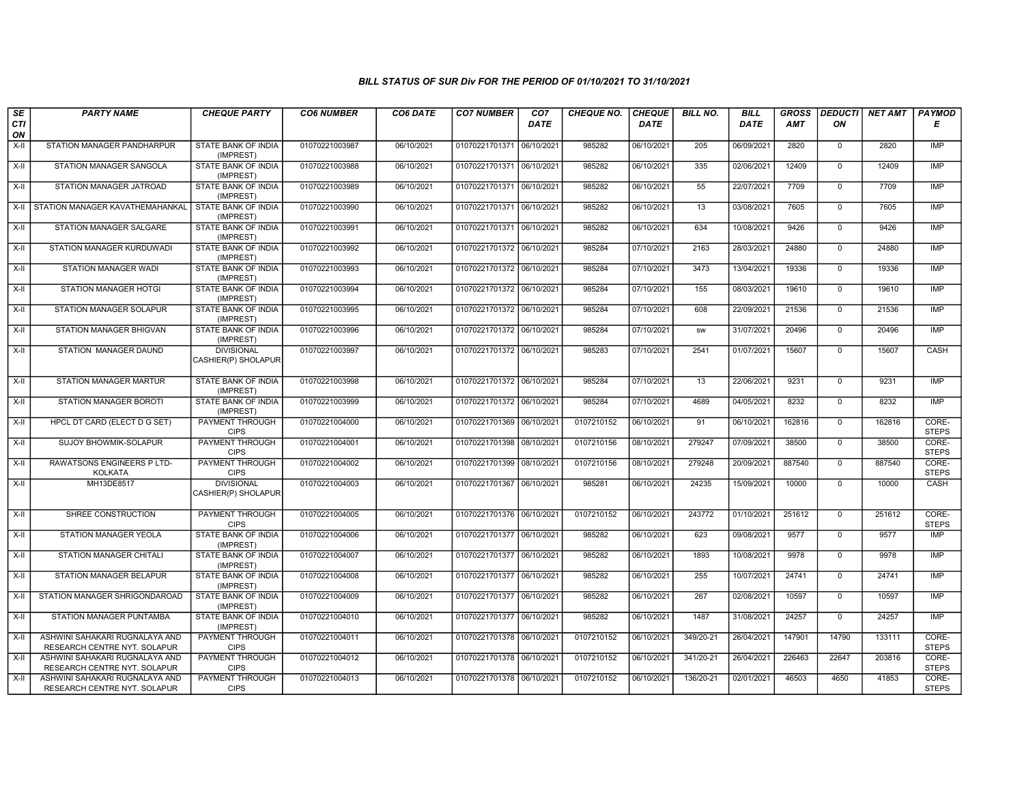| SE               | <b>PARTY NAME</b>                                              | <b>CHEQUE PARTY</b>                      | <b>CO6 NUMBER</b> | CO6 DATE   | <b>CO7 NUMBER</b>         | CO <sub>7</sub> | <b>CHEQUE NO.</b> | <b>CHEQUE</b> | <b>BILL NO.</b> | <b>BILL</b> | <b>GROSS</b> | <b>DEDUCTI</b> | NET AMT | <b>PAYMOD</b>         |
|------------------|----------------------------------------------------------------|------------------------------------------|-------------------|------------|---------------------------|-----------------|-------------------|---------------|-----------------|-------------|--------------|----------------|---------|-----------------------|
| <b>CTI</b><br>ON |                                                                |                                          |                   |            |                           | <b>DATE</b>     |                   | <b>DATE</b>   |                 | <b>DATE</b> | <b>AMT</b>   | ΟN             |         | Е                     |
| X-II             | STATION MANAGER PANDHARPUR                                     | STATE BANK OF INDIA<br>(IMPREST)         | 01070221003987    | 06/10/2021 | 01070221701371 06/10/2021 |                 | 985282            | 06/10/2021    | 205             | 06/09/2021  | 2820         | $\mathbf 0$    | 2820    | <b>IMP</b>            |
| $X-H$            | STATION MANAGER SANGOLA                                        | STATE BANK OF INDIA<br>(IMPREST)         | 01070221003988    | 06/10/2021 | 01070221701371 06/10/2021 |                 | 985282            | 06/10/2021    | 335             | 02/06/2021  | 12409        | $\Omega$       | 12409   | <b>IMP</b>            |
| X-II             | STATION MANAGER JATROAD                                        | STATE BANK OF INDIA<br>(IMPREST)         | 01070221003989    | 06/10/2021 | 01070221701371 06/10/2021 |                 | 985282            | 06/10/2021    | 55              | 22/07/2021  | 7709         | $\mathbf 0$    | 7709    | <b>IMP</b>            |
| X-II             | STATION MANAGER KAVATHEMAHANKAL                                | STATE BANK OF INDIA<br>(IMPREST)         | 01070221003990    | 06/10/2021 | 01070221701371 06/10/2021 |                 | 985282            | 06/10/2021    | 13              | 03/08/2021  | 7605         | $\mathbf 0$    | 7605    | <b>IMP</b>            |
| $X-H$            | STATION MANAGER SALGARE                                        | <b>STATE BANK OF INDIA</b><br>(IMPREST)  | 01070221003991    | 06/10/2021 | 01070221701371 06/10/2021 |                 | 985282            | 06/10/2021    | 634             | 10/08/2021  | 9426         | $\mathbf 0$    | 9426    | <b>IMP</b>            |
| X-II             | STATION MANAGER KURDUWADI                                      | STATE BANK OF INDIA<br>(IMPREST)         | 01070221003992    | 06/10/2021 | 01070221701372 06/10/2021 |                 | 985284            | 07/10/2021    | 2163            | 28/03/2021  | 24880        | $\mathbf 0$    | 24880   | <b>IMP</b>            |
| X-II             | STATION MANAGER WADI                                           | STATE BANK OF INDIA<br>(IMPREST)         | 01070221003993    | 06/10/2021 | 01070221701372 06/10/2021 |                 | 985284            | 07/10/2021    | 3473            | 13/04/2021  | 19336        | $\mathbf{0}$   | 19336   | <b>IMP</b>            |
| X-II             | <b>STATION MANAGER HOTGI</b>                                   | STATE BANK OF INDIA<br>(IMPREST)         | 01070221003994    | 06/10/2021 | 01070221701372 06/10/2021 |                 | 985284            | 07/10/2021    | 155             | 08/03/2021  | 19610        | $\mathbf 0$    | 19610   | <b>IMP</b>            |
| X-II             | STATION MANAGER SOLAPUR                                        | STATE BANK OF INDIA<br>(IMPREST)         | 01070221003995    | 06/10/2021 | 01070221701372 06/10/2021 |                 | 985284            | 07/10/2021    | 608             | 22/09/2021  | 21536        | $\mathbf 0$    | 21536   | <b>IMP</b>            |
| $X-H$            | <b>STATION MANAGER BHIGVAN</b>                                 | <b>STATE BANK OF INDIA</b><br>(IMPREST)  | 01070221003996    | 06/10/2021 | 01070221701372 06/10/2021 |                 | 985284            | 07/10/2021    | <b>SW</b>       | 31/07/2021  | 20496        | $\mathbf 0$    | 20496   | <b>IMP</b>            |
| X-II             | STATION MANAGER DAUND                                          | <b>DIVISIONAL</b><br>CASHIER(P) SHOLAPUR | 01070221003997    | 06/10/2021 | 01070221701372 06/10/2021 |                 | 985283            | 07/10/2021    | 2541            | 01/07/2021  | 15607        | $\mathbf 0$    | 15607   | CASH                  |
| $X-H$            | STATION MANAGER MARTUR                                         | <b>STATE BANK OF INDIA</b><br>(IMPREST)  | 01070221003998    | 06/10/2021 | 01070221701372 06/10/2021 |                 | 985284            | 07/10/2021    | 13              | 22/06/2021  | 9231         | $\mathbf 0$    | 9231    | <b>IMP</b>            |
| X-II             | STATION MANAGER BOROTI                                         | STATE BANK OF INDIA<br>(IMPREST)         | 01070221003999    | 06/10/2021 | 01070221701372 06/10/2021 |                 | 985284            | 07/10/2021    | 4689            | 04/05/2021  | 8232         | $\mathbf 0$    | 8232    | <b>IMP</b>            |
| $X-H$            | HPCL DT CARD (ELECT D G SET)                                   | PAYMENT THROUGH<br><b>CIPS</b>           | 01070221004000    | 06/10/2021 | 01070221701369 06/10/2021 |                 | 0107210152        | 06/10/2021    | 91              | 06/10/2021  | 162816       | $\mathbf 0$    | 162816  | CORE-<br><b>STEPS</b> |
| X-II             | SUJOY BHOWMIK-SOLAPUR                                          | PAYMENT THROUGH<br><b>CIPS</b>           | 01070221004001    | 06/10/2021 | 01070221701398 08/10/202  |                 | 0107210156        | 08/10/2021    | 279247          | 07/09/2021  | 38500        | $\mathbf{0}$   | 38500   | CORE-<br><b>STEPS</b> |
| $X-H$            | RAWATSONS ENGINEERS P LTD-<br><b>KOLKATA</b>                   | <b>PAYMENT THROUGH</b><br><b>CIPS</b>    | 01070221004002    | 06/10/2021 | 01070221701399 08/10/2021 |                 | 0107210156        | 08/10/2021    | 279248          | 20/09/2021  | 887540       | $\mathbf 0$    | 887540  | CORE-<br><b>STEPS</b> |
| $X-II$           | MH13DE8517                                                     | <b>DIVISIONAL</b><br>CASHIER(P) SHOLAPUR | 01070221004003    | 06/10/2021 | 01070221701367 06/10/2021 |                 | 985281            | 06/10/2021    | 24235           | 15/09/2021  | 10000        | $\mathbf 0$    | 10000   | CASH                  |
| X-II             | SHREE CONSTRUCTION                                             | PAYMENT THROUGH<br><b>CIPS</b>           | 01070221004005    | 06/10/2021 | 01070221701376 06/10/2021 |                 | 0107210152        | 06/10/2021    | 243772          | 01/10/2021  | 251612       | $\mathbf{0}$   | 251612  | CORE-<br><b>STEPS</b> |
| $X-H$            | STATION MANAGER YEOLA                                          | <b>STATE BANK OF INDIA</b><br>(IMPREST)  | 01070221004006    | 06/10/2021 | 01070221701377 06/10/2021 |                 | 985282            | 06/10/2021    | 623             | 09/08/2021  | 9577         | $\mathbf 0$    | 9577    | <b>IMP</b>            |
| X-II             | <b>STATION MANAGER CHITALI</b>                                 | STATE BANK OF INDIA<br>(IMPREST)         | 01070221004007    | 06/10/2021 | 01070221701377 06/10/2021 |                 | 985282            | 06/10/2021    | 1893            | 10/08/2021  | 9978         | $\mathbf{0}$   | 9978    | <b>IMP</b>            |
| X-II             | <b>STATION MANAGER BELAPUR</b>                                 | STATE BANK OF INDIA<br>(IMPREST)         | 01070221004008    | 06/10/2021 | 01070221701377 06/10/2021 |                 | 985282            | 06/10/2021    | 255             | 10/07/2021  | 24741        | $\mathbf{0}$   | 24741   | <b>IMP</b>            |
| $X-H$            | STATION MANAGER SHRIGONDAROAD                                  | STATE BANK OF INDIA<br>(IMPREST)         | 01070221004009    | 06/10/2021 | 01070221701377 06/10/2021 |                 | 985282            | 06/10/2021    | 267             | 02/08/2021  | 10597        | $\overline{0}$ | 10597   | <b>IMP</b>            |
| $X-H$            | STATION MANAGER PUNTAMBA                                       | STATE BANK OF INDIA<br>(IMPREST)         | 01070221004010    | 06/10/2021 | 01070221701377 06/10/2021 |                 | 985282            | 06/10/2021    | 1487            | 31/08/2021  | 24257        | $\mathbf 0$    | 24257   | <b>IMP</b>            |
| X-II             | ASHWINI SAHAKARI RUGNALAYA AND<br>RESEARCH CENTRE NYT. SOLAPUR | PAYMENT THROUGH<br><b>CIPS</b>           | 01070221004011    | 06/10/2021 | 01070221701378 06/10/2021 |                 | 0107210152        | 06/10/2021    | 349/20-21       | 26/04/2021  | 147901       | 14790          | 133111  | CORE-<br><b>STEPS</b> |
| X-II             | ASHWINI SAHAKARI RUGNALAYA AND<br>RESEARCH CENTRE NYT. SOLAPUR | PAYMENT THROUGH<br><b>CIPS</b>           | 01070221004012    | 06/10/2021 | 01070221701378 06/10/202  |                 | 0107210152        | 06/10/2021    | 341/20-21       | 26/04/2021  | 226463       | 22647          | 203816  | CORE-<br><b>STEPS</b> |
| X-II             | ASHWINI SAHAKARI RUGNALAYA AND<br>RESEARCH CENTRE NYT. SOLAPUR | PAYMENT THROUGH<br><b>CIPS</b>           | 01070221004013    | 06/10/2021 | 01070221701378 06/10/2021 |                 | 0107210152        | 06/10/2021    | 136/20-21       | 02/01/2021  | 46503        | 4650           | 41853   | CORE-<br><b>STEPS</b> |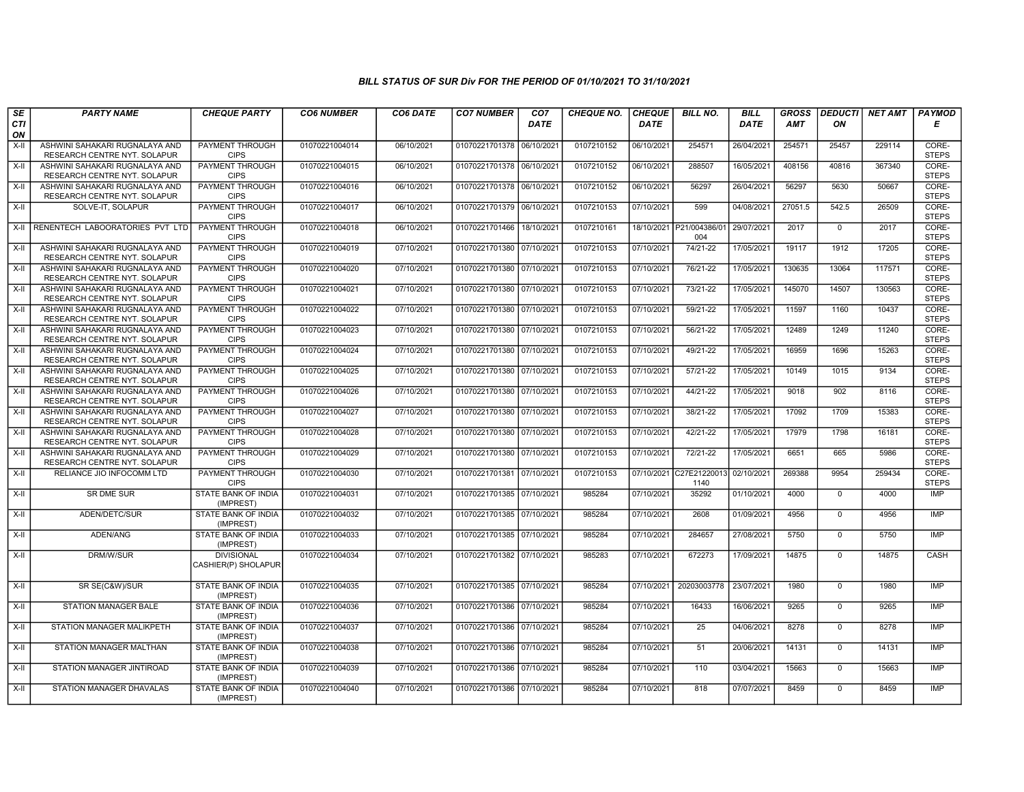| SE        | <b>PARTY NAME</b>                                              | <b>CHEQUE PARTY</b>                      | <b>CO6 NUMBER</b> | CO6 DATE   | <b>CO7 NUMBER</b>         | CO <sub>7</sub> | <b>CHEQUE NO.</b> | <b>CHEQUE</b> | <b>BILL NO.</b>      | <b>BILL</b> | <b>GROSS</b> | <b>DEDUCTI</b> | NET AMT | <b>PAYMOD</b>         |
|-----------|----------------------------------------------------------------|------------------------------------------|-------------------|------------|---------------------------|-----------------|-------------------|---------------|----------------------|-------------|--------------|----------------|---------|-----------------------|
| CTI<br>ON |                                                                |                                          |                   |            |                           | <b>DATE</b>     |                   | <b>DATE</b>   |                      | <b>DATE</b> | <b>AMT</b>   | ΟN             |         | Е                     |
| X-II      | ASHWINI SAHAKARI RUGNALAYA AND<br>RESEARCH CENTRE NYT. SOLAPUR | <b>PAYMENT THROUGH</b><br><b>CIPS</b>    | 01070221004014    | 06/10/2021 | 01070221701378 06/10/2021 |                 | 0107210152        | 06/10/2021    | 254571               | 26/04/2021  | 254571       | 25457          | 229114  | CORE-<br><b>STEPS</b> |
| $X-H$     | ASHWINI SAHAKARI RUGNALAYA AND<br>RESEARCH CENTRE NYT. SOLAPUR | PAYMENT THROUGH<br><b>CIPS</b>           | 01070221004015    | 06/10/2021 | 01070221701378 06/10/2021 |                 | 0107210152        | 06/10/2021    | 288507               | 16/05/2021  | 408156       | 40816          | 367340  | CORE-<br><b>STEPS</b> |
| $X-H$     | ASHWINI SAHAKARI RUGNALAYA AND<br>RESEARCH CENTRE NYT. SOLAPUR | PAYMENT THROUGH<br><b>CIPS</b>           | 01070221004016    | 06/10/2021 | 01070221701378 06/10/2021 |                 | 0107210152        | 06/10/2021    | 56297                | 26/04/2021  | 56297        | 5630           | 50667   | CORE-<br><b>STEPS</b> |
| X-II      | SOLVE-IT. SOLAPUR                                              | PAYMENT THROUGH<br><b>CIPS</b>           | 01070221004017    | 06/10/2021 | 01070221701379 06/10/2021 |                 | 0107210153        | 07/10/2021    | 599                  | 04/08/2021  | 27051.5      | 542.5          | 26509   | CORE-<br><b>STEPS</b> |
| X-II      | RENENTECH LABOORATORIES PVT LTD                                | <b>PAYMENT THROUGH</b><br><b>CIPS</b>    | 01070221004018    | 06/10/2021 | 01070221701466 18/10/2021 |                 | 0107210161        | 18/10/2021    | P21/004386/01<br>004 | 29/07/2021  | 2017         | $\mathbf 0$    | 2017    | CORE-<br><b>STEPS</b> |
| $X-H$     | ASHWINI SAHAKARI RUGNALAYA AND<br>RESEARCH CENTRE NYT. SOLAPUR | PAYMENT THROUGH<br><b>CIPS</b>           | 01070221004019    | 07/10/2021 | 01070221701380 07/10/2021 |                 | 0107210153        | 07/10/2021    | 74/21-22             | 17/05/2021  | 19117        | 1912           | 17205   | CORE-<br><b>STEPS</b> |
| X-II      | ASHWINI SAHAKARI RUGNALAYA AND<br>RESEARCH CENTRE NYT. SOLAPUR | PAYMENT THROUGH<br><b>CIPS</b>           | 01070221004020    | 07/10/2021 | 01070221701380 07/10/2021 |                 | 0107210153        | 07/10/2021    | 76/21-22             | 17/05/2021  | 130635       | 13064          | 117571  | CORE-<br><b>STEPS</b> |
| X-II      | ASHWINI SAHAKARI RUGNALAYA AND<br>RESEARCH CENTRE NYT. SOLAPUR | <b>PAYMENT THROUGH</b><br><b>CIPS</b>    | 01070221004021    | 07/10/2021 | 01070221701380 07/10/2021 |                 | 0107210153        | 07/10/2021    | 73/21-22             | 17/05/2021  | 145070       | 14507          | 130563  | CORE-<br><b>STEPS</b> |
| $X-H$     | ASHWINI SAHAKARI RUGNALAYA AND<br>RESEARCH CENTRE NYT. SOLAPUR | PAYMENT THROUGH<br><b>CIPS</b>           | 01070221004022    | 07/10/2021 | 01070221701380 07/10/2021 |                 | 0107210153        | 07/10/2021    | 59/21-22             | 17/05/2021  | 11597        | 1160           | 10437   | CORE-<br><b>STEPS</b> |
| X-II      | ASHWINI SAHAKARI RUGNALAYA AND<br>RESEARCH CENTRE NYT. SOLAPUR | <b>PAYMENT THROUGH</b><br><b>CIPS</b>    | 01070221004023    | 07/10/2021 | 01070221701380 07/10/2021 |                 | 0107210153        | 07/10/2021    | 56/21-22             | 17/05/2021  | 12489        | 1249           | 11240   | CORE-<br><b>STEPS</b> |
| $X-H$     | ASHWINI SAHAKARI RUGNALAYA AND<br>RESEARCH CENTRE NYT. SOLAPUR | PAYMENT THROUGH<br><b>CIPS</b>           | 01070221004024    | 07/10/2021 | 01070221701380 07/10/2021 |                 | 0107210153        | 07/10/2021    | 49/21-22             | 17/05/2021  | 16959        | 1696           | 15263   | CORE-<br><b>STEPS</b> |
| X-II      | ASHWINI SAHAKARI RUGNALAYA AND<br>RESEARCH CENTRE NYT. SOLAPUR | PAYMENT THROUGH<br><b>CIPS</b>           | 01070221004025    | 07/10/2021 | 01070221701380 07/10/2021 |                 | 0107210153        | 07/10/2021    | 57/21-22             | 17/05/2021  | 10149        | 1015           | 9134    | CORE-<br><b>STEPS</b> |
| $X-H$     | ASHWINI SAHAKARI RUGNALAYA AND<br>RESEARCH CENTRE NYT. SOLAPUR | PAYMENT THROUGH<br><b>CIPS</b>           | 01070221004026    | 07/10/2021 | 01070221701380 07/10/2021 |                 | 0107210153        | 07/10/2021    | 44/21-22             | 17/05/2021  | 9018         | 902            | 8116    | CORE-<br><b>STEPS</b> |
| X-II      | ASHWINI SAHAKARI RUGNALAYA AND<br>RESEARCH CENTRE NYT. SOLAPUR | <b>PAYMENT THROUGH</b><br><b>CIPS</b>    | 01070221004027    | 07/10/2021 | 01070221701380 07/10/2021 |                 | 0107210153        | 07/10/2021    | 38/21-22             | 17/05/2021  | 17092        | 1709           | 15383   | CORE-<br><b>STEPS</b> |
| X-II      | ASHWINI SAHAKARI RUGNALAYA AND<br>RESEARCH CENTRE NYT. SOLAPUR | <b>PAYMENT THROUGH</b><br><b>CIPS</b>    | 01070221004028    | 07/10/2021 | 01070221701380 07/10/2021 |                 | 0107210153        | 07/10/2021    | 42/21-22             | 17/05/2021  | 17979        | 1798           | 16181   | CORE-<br><b>STEPS</b> |
| $X-II$    | ASHWINI SAHAKARI RUGNALAYA AND<br>RESEARCH CENTRE NYT. SOLAPUR | PAYMENT THROUGH<br><b>CIPS</b>           | 01070221004029    | 07/10/2021 | 01070221701380 07/10/2021 |                 | 0107210153        | 07/10/2021    | 72/21-22             | 17/05/2021  | 6651         | 665            | 5986    | CORE-<br><b>STEPS</b> |
| $X-II$    | RELIANCE JIO INFOCOMM LTD                                      | PAYMENT THROUGH<br><b>CIPS</b>           | 01070221004030    | 07/10/2021 | 01070221701381 07/10/2021 |                 | 0107210153        | 07/10/2021    | C27E21220013<br>1140 | 02/10/2021  | 269388       | 9954           | 259434  | CORE-<br><b>STEPS</b> |
| $X-H$     | <b>SR DME SUR</b>                                              | <b>STATE BANK OF INDIA</b><br>(IMPREST)  | 01070221004031    | 07/10/2021 | 01070221701385 07/10/2021 |                 | 985284            | 07/10/2021    | 35292                | 01/10/2021  | 4000         | $\mathbf{0}$   | 4000    | <b>IMP</b>            |
| X-II      | ADEN/DETC/SUR                                                  | STATE BANK OF INDIA<br>(IMPREST)         | 01070221004032    | 07/10/2021 | 01070221701385 07/10/2021 |                 | 985284            | 07/10/2021    | 2608                 | 01/09/2021  | 4956         | $\mathbf{0}$   | 4956    | <b>IMP</b>            |
| X-II      | ADEN/ANG                                                       | STATE BANK OF INDIA<br>(IMPREST)         | 01070221004033    | 07/10/2021 | 01070221701385 07/10/2021 |                 | 985284            | 07/10/2021    | 284657               | 27/08/2021  | 5750         | $\mathbf{0}$   | 5750    | <b>IMP</b>            |
| $X-II$    | <b>DRM/W/SUR</b>                                               | <b>DIVISIONAL</b><br>CASHIER(P) SHOLAPUR | 01070221004034    | 07/10/2021 | 01070221701382 07/10/2021 |                 | 985283            | 07/10/2021    | 672273               | 17/09/2021  | 14875        | $\mathbf 0$    | 14875   | CASH                  |
| X-II      | SR SE(C&W)/SUR                                                 | STATE BANK OF INDIA<br>(IMPREST)         | 01070221004035    | 07/10/2021 | 01070221701385 07/10/2021 |                 | 985284            | 07/10/2021    | 20203003778          | 23/07/2021  | 1980         | $\Omega$       | 1980    | <b>IMP</b>            |
| $X-H$     | STATION MANAGER BALE                                           | STATE BANK OF INDIA<br>(IMPREST)         | 01070221004036    | 07/10/2021 | 01070221701386 07/10/2021 |                 | 985284            | 07/10/2021    | 16433                | 16/06/2021  | 9265         | $\mathbf{0}$   | 9265    | <b>IMP</b>            |
| $X-H$     | STATION MANAGER MALIKPETH                                      | <b>STATE BANK OF INDIA</b><br>(IMPREST)  | 01070221004037    | 07/10/2021 | 01070221701386 07/10/2021 |                 | 985284            | 07/10/2021    | 25                   | 04/06/2021  | 8278         | $\mathbf{0}$   | 8278    | <b>IMP</b>            |
| X-II      | STATION MANAGER MALTHAN                                        | <b>STATE BANK OF INDIA</b><br>(IMPREST)  | 01070221004038    | 07/10/2021 | 01070221701386 07/10/2021 |                 | 985284            | 07/10/2021    | 51                   | 20/06/2021  | 14131        | $\mathbf{0}$   | 14131   | <b>IMP</b>            |
| X-II      | STATION MANAGER JINTIROAD                                      | STATE BANK OF INDIA<br>(IMPREST)         | 01070221004039    | 07/10/2021 | 01070221701386 07/10/2021 |                 | 985284            | 07/10/2021    | 110                  | 03/04/2021  | 15663        | $\Omega$       | 15663   | <b>IMP</b>            |
| $X-II$    | STATION MANAGER DHAVALAS                                       | STATE BANK OF INDIA<br>(IMPREST)         | 01070221004040    | 07/10/2021 | 01070221701386 07/10/2021 |                 | 985284            | 07/10/2021    | 818                  | 07/07/2021  | 8459         | $\mathbf 0$    | 8459    | <b>IMP</b>            |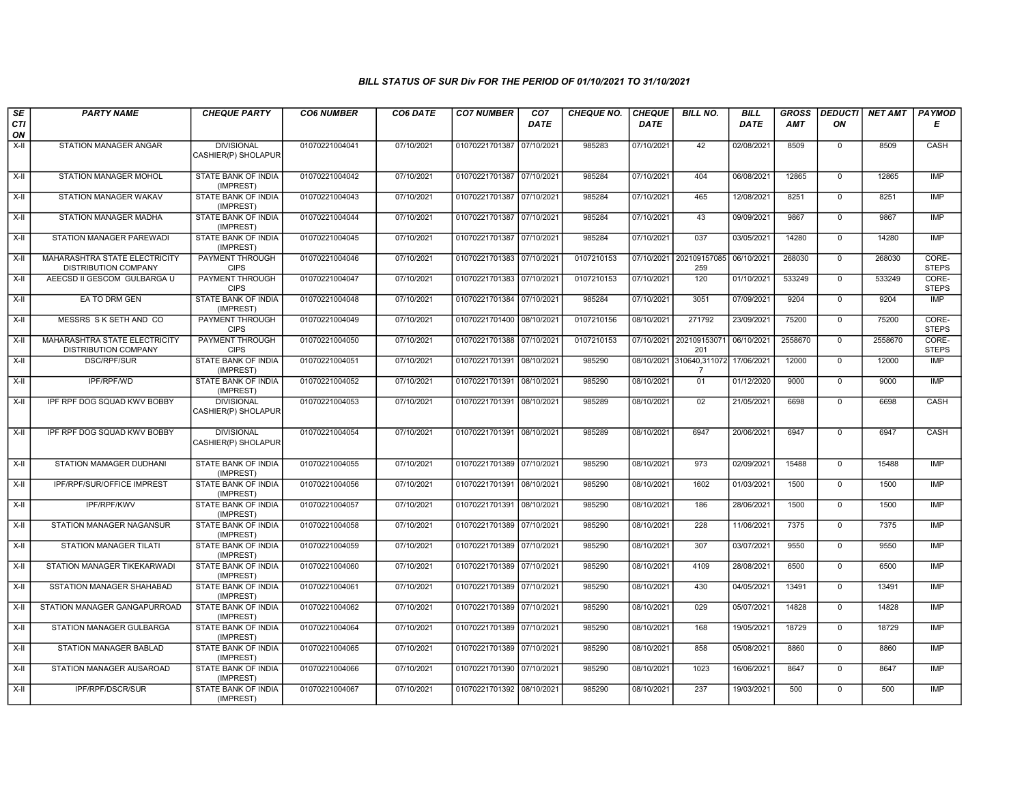| SE        | <b>PARTY NAME</b>                                                   | <b>CHEQUE PARTY</b>                      | <b>CO6 NUMBER</b> | CO6 DATE   | <b>CO7 NUMBER</b>         | CO <sub>7</sub> | <b>CHEQUE NO.</b> | <b>CHEQUE</b> | <b>BILL NO.</b>                | <b>BILL</b> | <b>GROSS</b> | <b>DEDUCTI</b> | <b>NET AMT</b> | <b>PAYMOD</b>         |
|-----------|---------------------------------------------------------------------|------------------------------------------|-------------------|------------|---------------------------|-----------------|-------------------|---------------|--------------------------------|-------------|--------------|----------------|----------------|-----------------------|
| CTI<br>ON |                                                                     |                                          |                   |            |                           | <b>DATE</b>     |                   | DATE          |                                | DATE        | AMT          | ΟN             |                | Е                     |
| $X-H$     | STATION MANAGER ANGAR                                               | <b>DIVISIONAL</b><br>CASHIER(P) SHOLAPUR | 01070221004041    | 07/10/2021 | 01070221701387            | 07/10/2021      | 985283            | 07/10/2021    | 42                             | 02/08/2021  | 8509         | $\mathbf 0$    | 8509           | CASH                  |
| X-II      | <b>STATION MANAGER MOHOL</b>                                        | STATE BANK OF INDIA<br>(IMPREST)         | 01070221004042    | 07/10/2021 | 01070221701387 07/10/2021 |                 | 985284            | 07/10/2021    | 404                            | 06/08/2021  | 12865        | $\mathbf 0$    | 12865          | <b>IMP</b>            |
| $X-H$     | <b>STATION MANAGER WAKAV</b>                                        | <b>STATE BANK OF INDIA</b><br>(IMPREST)  | 01070221004043    | 07/10/2021 | 01070221701387            | 07/10/2021      | 985284            | 07/10/2021    | 465                            | 12/08/2021  | 8251         | $\overline{0}$ | 8251           | <b>IMP</b>            |
| $X-H$     | STATION MANAGER MADHA                                               | STATE BANK OF INDIA<br>(IMPREST)         | 01070221004044    | 07/10/2021 | 01070221701387            | 07/10/2021      | 985284            | 07/10/2021    | 43                             | 09/09/2021  | 9867         | $\overline{0}$ | 9867           | <b>IMP</b>            |
| $X-H$     | STATION MANAGER PAREWADI                                            | <b>STATE BANK OF INDIA</b><br>(IMPREST)  | 01070221004045    | 07/10/2021 | 01070221701387            | 07/10/2021      | 985284            | 07/10/2021    | 037                            | 03/05/2021  | 14280        | $\mathbf 0$    | 14280          | IMP                   |
| X-II      | MAHARASHTRA STATE ELECTRICITY<br><b>DISTRIBUTION COMPANY</b>        | PAYMENT THROUGH<br><b>CIPS</b>           | 01070221004046    | 07/10/2021 | 01070221701383 07/10/2021 |                 | 0107210153        |               | 07/10/2021 202109157085<br>259 | 06/10/2021  | 268030       | $\mathbf 0$    | 268030         | CORE-<br><b>STEPS</b> |
| $X-II$    | AEECSD II GESCOM GULBARGA U                                         | <b>PAYMENT THROUGH</b><br><b>CIPS</b>    | 01070221004047    | 07/10/2021 | 01070221701383 07/10/2021 |                 | 0107210153        | 07/10/2021    | 120                            | 01/10/2021  | 533249       | $\Omega$       | 533249         | CORE-<br><b>STEPS</b> |
| $X-H$     | EA TO DRM GEN                                                       | <b>STATE BANK OF INDIA</b><br>(IMPREST)  | 01070221004048    | 07/10/2021 | 01070221701384 07/10/2021 |                 | 985284            | 07/10/2021    | 3051                           | 07/09/2021  | 9204         | $\overline{0}$ | 9204           | <b>IMP</b>            |
| X-II      | MESSRS S K SETH AND CO                                              | <b>PAYMENT THROUGH</b><br><b>CIPS</b>    | 01070221004049    | 07/10/2021 | 01070221701400            | 08/10/202       | 0107210156        | 08/10/2021    | 271792                         | 23/09/2021  | 75200        | $\mathbf 0$    | 75200          | CORE-<br><b>STEPS</b> |
| X-II      | <b>MAHARASHTRA STATE ELECTRICITY</b><br><b>DISTRIBUTION COMPANY</b> | <b>PAYMENT THROUGH</b><br><b>CIPS</b>    | 01070221004050    | 07/10/2021 | 01070221701388 07/10/202  |                 | 0107210153        | 07/10/2021    | 202109153071<br>201            | 06/10/2021  | 2558670      | $\mathbf 0$    | 2558670        | CORE-<br><b>STEPS</b> |
| $X-II$    | <b>DSC/RPF/SUR</b>                                                  | <b>STATE BANK OF INDIA</b><br>(IMPREST)  | 01070221004051    | 07/10/2021 | 01070221701391            | 08/10/2021      | 985290            | 08/10/2021    | 310640,311072<br>-7            | 17/06/2021  | 12000        | $\Omega$       | 12000          | <b>IMP</b>            |
| $X-H$     | IPF/RPF/WD                                                          | <b>STATE BANK OF INDIA</b><br>(IMPREST)  | 01070221004052    | 07/10/2021 | 01070221701391            | 08/10/2021      | 985290            | 08/10/2021    | 01                             | 01/12/2020  | 9000         | $\overline{0}$ | 9000           | <b>IMP</b>            |
| X-II      | IPF RPF DOG SQUAD KWV BOBBY                                         | <b>DIVISIONAL</b><br>CASHIER(P) SHOLAPUR | 01070221004053    | 07/10/2021 | 01070221701391            | 08/10/2021      | 985289            | 08/10/2021    | 02                             | 21/05/2021  | 6698         | $\mathbf 0$    | 6698           | CASH                  |
| $X-H$     | IPF RPF DOG SQUAD KWV BOBBY                                         | <b>DIVISIONAL</b><br>CASHIER(P) SHOLAPUR | 01070221004054    | 07/10/2021 | 01070221701391 08/10/2021 |                 | 985289            | 08/10/2021    | 6947                           | 20/06/2021  | 6947         | $\mathbf 0$    | 6947           | CASH                  |
| $X-II$    | STATION MAMAGER DUDHANI                                             | STATE BANK OF INDIA<br>(IMPREST)         | 01070221004055    | 07/10/2021 | 01070221701389 07/10/2021 |                 | 985290            | 08/10/2021    | 973                            | 02/09/2021  | 15488        | $\overline{0}$ | 15488          | IMP                   |
| X-II      | IPF/RPF/SUR/OFFICE IMPREST                                          | STATE BANK OF INDIA<br>(IMPREST)         | 01070221004056    | 07/10/2021 | 01070221701391            | 08/10/2021      | 985290            | 08/10/2021    | 1602                           | 01/03/2021  | 1500         | $\mathbf{0}$   | 1500           | <b>IMP</b>            |
| X-II      | <b>IPF/RPF/KWV</b>                                                  | <b>STATE BANK OF INDIA</b><br>(IMPREST)  | 01070221004057    | 07/10/2021 | 01070221701391 08/10/2021 |                 | 985290            | 08/10/2021    | 186                            | 28/06/2021  | 1500         | $\Omega$       | 1500           | <b>IMP</b>            |
| X-II      | STATION MANAGER NAGANSUR                                            | STATE BANK OF INDIA<br>(IMPREST)         | 01070221004058    | 07/10/2021 | 01070221701389            | 07/10/2021      | 985290            | 08/10/2021    | 228                            | 11/06/2021  | 7375         | $\mathbf 0$    | 7375           | IMP                   |
| $X-II$    | <b>STATION MANAGER TILATI</b>                                       | <b>STATE BANK OF INDIA</b><br>(IMPREST)  | 01070221004059    | 07/10/2021 | 01070221701389 07/10/2021 |                 | 985290            | 08/10/2021    | 307                            | 03/07/2021  | 9550         | $\overline{0}$ | 9550           | IMP                   |
| $X-II$    | STATION MANAGER TIKEKARWADI                                         | <b>STATE BANK OF INDIA</b><br>(IMPREST)  | 01070221004060    | 07/10/2021 | 01070221701389 07/10/2021 |                 | 985290            | 08/10/2021    | 4109                           | 28/08/2021  | 6500         | $\mathbf 0$    | 6500           | IMP                   |
| X-II      | <b>SSTATION MANAGER SHAHABAD</b>                                    | <b>STATE BANK OF INDIA</b><br>(IMPREST)  | 01070221004061    | 07/10/2021 | 01070221701389 07/10/2021 |                 | 985290            | 08/10/2021    | 430                            | 04/05/2021  | 13491        | $\Omega$       | 13491          | <b>IMP</b>            |
| $X-H$     | STATION MANAGER GANGAPURROAD                                        | STATE BANK OF INDIA<br>(IMPREST)         | 01070221004062    | 07/10/2021 | 01070221701389            | 07/10/2021      | 985290            | 08/10/2021    | 029                            | 05/07/2021  | 14828        | $\mathbf 0$    | 14828          | <b>IMP</b>            |
| $X-H$     | STATION MANAGER GULBARGA                                            | <b>STATE BANK OF INDIA</b><br>(IMPREST)  | 01070221004064    | 07/10/2021 | 01070221701389 07/10/2021 |                 | 985290            | 08/10/2021    | 168                            | 19/05/2021  | 18729        | $\overline{0}$ | 18729          | IMP                   |
| X-II      | <b>STATION MANAGER BABLAD</b>                                       | <b>STATE BANK OF INDIA</b><br>(IMPREST)  | 01070221004065    | 07/10/2021 | 01070221701389 07/10/2021 |                 | 985290            | 08/10/2021    | 858                            | 05/08/2021  | 8860         | $\mathbf{0}$   | 8860           | <b>IMP</b>            |
| $X-H$     | STATION MANAGER AUSAROAD                                            | <b>STATE BANK OF INDIA</b><br>(IMPREST)  | 01070221004066    | 07/10/2021 | 01070221701390 07/10/2021 |                 | 985290            | 08/10/2021    | 1023                           | 16/06/2021  | 8647         | $\Omega$       | 8647           | <b>IMP</b>            |
| X-II      | IPF/RPF/DSCR/SUR                                                    | STATE BANK OF INDIA<br>(IMPREST)         | 01070221004067    | 07/10/2021 | 01070221701392 08/10/2021 |                 | 985290            | 08/10/2021    | 237                            | 19/03/2021  | 500          | $\mathbf 0$    | 500            | IMP                   |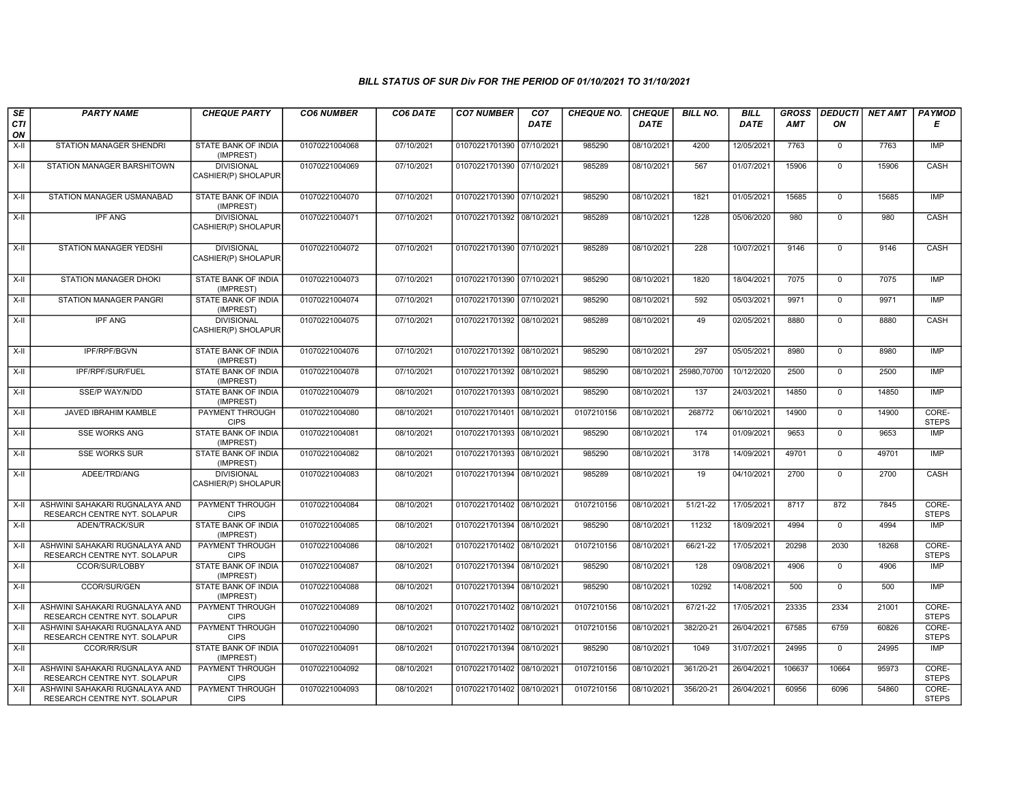| SE        | <b>PARTY NAME</b>                                              | <b>CHEQUE PARTY</b>                      | <b>CO6 NUMBER</b> | CO6 DATE   | <b>CO7 NUMBER</b>         | CO <sub>7</sub> | <b>CHEQUE NO.</b> | <b>CHEQUE</b> | <b>BILL NO.</b> | <b>BILL</b> | <b>GROSS</b> |                | DEDUCTI NET AMT | <b>PAYMOD</b>         |
|-----------|----------------------------------------------------------------|------------------------------------------|-------------------|------------|---------------------------|-----------------|-------------------|---------------|-----------------|-------------|--------------|----------------|-----------------|-----------------------|
| CTI<br>ON |                                                                |                                          |                   |            |                           | <b>DATE</b>     |                   | <b>DATE</b>   |                 | DATE        | AMT          | ON             |                 | Е                     |
| $X-H$     | STATION MANAGER SHENDRI                                        | <b>STATE BANK OF INDIA</b><br>(IMPREST)  | 01070221004068    | 07/10/2021 | 01070221701390            | 07/10/2021      | 985290            | 08/10/2021    | 4200            | 12/05/2021  | 7763         | $\mathbf{0}$   | 7763            | IMP                   |
| $X-H$     | STATION MANAGER BARSHITOWN                                     | <b>DIVISIONAL</b><br>CASHIER(P) SHOLAPUR | 01070221004069    | 07/10/2021 | 01070221701390 07/10/2021 |                 | 985289            | 08/10/2021    | 567             | 01/07/2021  | 15906        | $\mathbf 0$    | 15906           | CASH                  |
| $X-H$     | STATION MANAGER USMANABAD                                      | STATE BANK OF INDIA<br>(IMPREST)         | 01070221004070    | 07/10/2021 | 01070221701390 07/10/2021 |                 | 985290            | 08/10/2021    | 1821            | 01/05/2021  | 15685        | 0              | 15685           | <b>IMP</b>            |
| $X-H$     | <b>IPF ANG</b>                                                 | <b>DIVISIONAL</b><br>CASHIER(P) SHOLAPUR | 01070221004071    | 07/10/2021 | 01070221701392 08/10/2021 |                 | 985289            | 08/10/2021    | 1228            | 05/06/2020  | 980          | 0              | 980             | <b>CASH</b>           |
| X-II      | STATION MANAGER YEDSHI                                         | <b>DIVISIONAL</b><br>CASHIER(P) SHOLAPUR | 01070221004072    | 07/10/2021 | 01070221701390 07/10/2021 |                 | 985289            | 08/10/2021    | 228             | 10/07/2021  | 9146         | $\mathbf 0$    | 9146            | CASH                  |
| $X-II$    | STATION MANAGER DHOKI                                          | STATE BANK OF INDIA<br>(IMPREST)         | 01070221004073    | 07/10/2021 | 01070221701390 07/10/2021 |                 | 985290            | 08/10/2021    | 1820            | 18/04/2021  | 7075         | $\mathbf 0$    | 7075            | IMP                   |
| X-II      | STATION MANAGER PANGRI                                         | STATE BANK OF INDIA<br>(IMPREST)         | 01070221004074    | 07/10/2021 | 01070221701390 07/10/2021 |                 | 985290            | 08/10/2021    | 592             | 05/03/2021  | 9971         | $\mathbf{0}$   | 9971            | IMP                   |
| $X-H$     | <b>IPF ANG</b>                                                 | <b>DIVISIONAL</b><br>CASHIER(P) SHOLAPUR | 01070221004075    | 07/10/2021 | 01070221701392 08/10/2021 |                 | 985289            | 08/10/2021    | 49              | 02/05/2021  | 8880         | $\mathbf 0$    | 8880            | CASH                  |
| $X-H$     | IPF/RPF/BGVN                                                   | STATE BANK OF INDIA<br>(IMPREST)         | 01070221004076    | 07/10/2021 | 01070221701392 08/10/2021 |                 | 985290            | 08/10/2021    | 297             | 05/05/2021  | 8980         | $\overline{0}$ | 8980            | <b>IMP</b>            |
| $X-H$     | IPF/RPF/SUR/FUEL                                               | <b>STATE BANK OF INDIA</b><br>(IMPREST)  | 01070221004078    | 07/10/2021 | 01070221701392 08/10/2021 |                 | 985290            | 08/10/2021    | 25980,70700     | 10/12/2020  | 2500         | $\overline{0}$ | 2500            | <b>IMP</b>            |
| X-II      | SSE/P WAY/N/DD                                                 | STATE BANK OF INDIA<br>(IMPREST)         | 01070221004079    | 08/10/2021 | 01070221701393 08/10/2021 |                 | 985290            | 08/10/2021    | 137             | 24/03/2021  | 14850        | $\mathbf{0}$   | 14850           | IMP                   |
| X-II      | JAVED IBRAHIM KAMBLE                                           | PAYMENT THROUGH<br><b>CIPS</b>           | 01070221004080    | 08/10/2021 | 01070221701401 08/10/2021 |                 | 0107210156        | 08/10/2021    | 268772          | 06/10/2021  | 14900        | 0              | 14900           | CORE-<br><b>STEPS</b> |
| $X-II$    | <b>SSE WORKS ANG</b>                                           | STATE BANK OF INDIA<br>(IMPREST)         | 01070221004081    | 08/10/2021 | 01070221701393 08/10/2021 |                 | 985290            | 08/10/2021    | 174             | 01/09/2021  | 9653         | $\overline{0}$ | 9653            | IMP                   |
| X-II      | <b>SSE WORKS SUR</b>                                           | STATE BANK OF INDIA<br>(IMPREST)         | 01070221004082    | 08/10/2021 | 01070221701393 08/10/2021 |                 | 985290            | 08/10/2021    | 3178            | 14/09/2021  | 49701        | $\mathbf 0$    | 49701           | <b>IMP</b>            |
| X-II      | ADEE/TRD/ANG                                                   | <b>DIVISIONAL</b><br>CASHIER(P) SHOLAPUR | 01070221004083    | 08/10/2021 | 01070221701394 08/10/2021 |                 | 985289            | 08/10/2021    | 19              | 04/10/2021  | 2700         | $\mathbf 0$    | 2700            | CASH                  |
| X-II      | ASHWINI SAHAKARI RUGNALAYA AND<br>RESEARCH CENTRE NYT. SOLAPUR | PAYMENT THROUGH<br><b>CIPS</b>           | 01070221004084    | 08/10/2021 | 01070221701402 08/10/2021 |                 | 0107210156        | 08/10/2021    | $51/21 - 22$    | 17/05/2021  | 8717         | 872            | 7845            | CORE-<br><b>STEPS</b> |
| $X-H$     | <b>ADEN/TRACK/SUR</b>                                          | STATE BANK OF INDIA<br>(IMPREST)         | 01070221004085    | 08/10/2021 | 01070221701394 08/10/2021 |                 | 985290            | 08/10/2021    | 11232           | 18/09/2021  | 4994         | $\overline{0}$ | 4994            | <b>IMP</b>            |
| X-II      | ASHWINI SAHAKARI RUGNALAYA AND<br>RESEARCH CENTRE NYT. SOLAPUR | PAYMENT THROUGH<br><b>CIPS</b>           | 01070221004086    | 08/10/2021 | 01070221701402 08/10/2021 |                 | 0107210156        | 08/10/2021    | 66/21-22        | 17/05/2021  | 20298        | 2030           | 18268           | CORE-<br><b>STEPS</b> |
| $X-H$     | CCOR/SUR/LOBBY                                                 | STATE BANK OF INDIA<br>(IMPREST)         | 01070221004087    | 08/10/2021 | 01070221701394            | 08/10/2021      | 985290            | 08/10/2021    | 128             | 09/08/2021  | 4906         | $\mathsf 0$    | 4906            | <b>IMP</b>            |
| $X-H$     | CCOR/SUR/GEN                                                   | STATE BANK OF INDIA<br>(IMPREST)         | 01070221004088    | 08/10/2021 | 01070221701394 08/10/2021 |                 | 985290            | 08/10/2021    | 10292           | 14/08/2021  | 500          | $\mathbf 0$    | 500             | <b>IMP</b>            |
| X-II      | ASHWINI SAHAKARI RUGNALAYA AND<br>RESEARCH CENTRE NYT. SOLAPUR | PAYMENT THROUGH<br><b>CIPS</b>           | 01070221004089    | 08/10/2021 | 01070221701402 08/10/2021 |                 | 0107210156        | 08/10/2021    | 67/21-22        | 17/05/2021  | 23335        | 2334           | 21001           | CORE-<br><b>STEPS</b> |
| $X-II$    | ASHWINI SAHAKARI RUGNALAYA AND<br>RESEARCH CENTRE NYT. SOLAPUR | <b>PAYMENT THROUGH</b><br><b>CIPS</b>    | 01070221004090    | 08/10/2021 | 01070221701402 08/10/2021 |                 | 0107210156        | 08/10/2021    | 382/20-21       | 26/04/2021  | 67585        | 6759           | 60826           | CORE-<br><b>STEPS</b> |
| X-II      | CCOR/RR/SUR                                                    | STATE BANK OF INDIA<br>(IMPREST)         | 01070221004091    | 08/10/2021 | 01070221701394 08/10/2021 |                 | 985290            | 08/10/2021    | 1049            | 31/07/2021  | 24995        | $\mathbf 0$    | 24995           | IMP                   |
| $X-II$    | ASHWINI SAHAKARI RUGNALAYA AND<br>RESEARCH CENTRE NYT. SOLAPUR | PAYMENT THROUGH<br><b>CIPS</b>           | 01070221004092    | 08/10/2021 | 01070221701402 08/10/2021 |                 | 0107210156        | 08/10/2021    | 361/20-21       | 26/04/2021  | 106637       | 10664          | 95973           | CORE-<br><b>STEPS</b> |
| X-II      | ASHWINI SAHAKARI RUGNALAYA AND<br>RESEARCH CENTRE NYT. SOLAPUR | PAYMENT THROUGH<br><b>CIPS</b>           | 01070221004093    | 08/10/2021 | 01070221701402 08/10/2021 |                 | 0107210156        | 08/10/2021    | 356/20-21       | 26/04/2021  | 60956        | 6096           | 54860           | CORE-<br><b>STEPS</b> |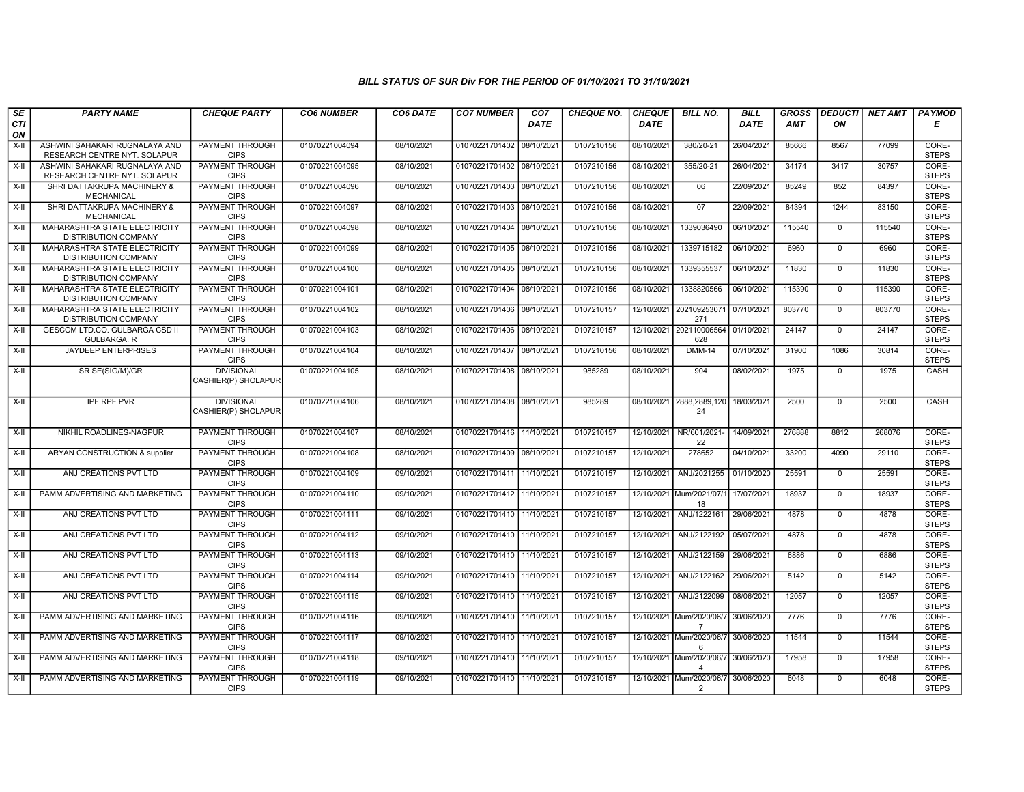| SE               | <b>PARTY NAME</b>                                                   | <b>CHEQUE PARTY</b>                      | <b>CO6 NUMBER</b> | CO6 DATE   | <b>CO7 NUMBER</b>         | CO <sub>7</sub> | <b>CHEQUE NO.</b> | <b>CHEQUE</b> | <b>BILL NO.</b>                                   | <b>BILL</b> | <b>GROSS</b> | <b>DEDUCTI</b> | <b>NET AMT</b> | <b>PAYMOD</b>         |
|------------------|---------------------------------------------------------------------|------------------------------------------|-------------------|------------|---------------------------|-----------------|-------------------|---------------|---------------------------------------------------|-------------|--------------|----------------|----------------|-----------------------|
| <b>CTI</b><br>ON |                                                                     |                                          |                   |            |                           | <b>DATE</b>     |                   | <b>DATE</b>   |                                                   | <b>DATE</b> | <b>AMT</b>   | ON             |                | Е                     |
| X-II             | ASHWINI SAHAKARI RUGNALAYA AND<br>RESEARCH CENTRE NYT. SOLAPUR      | PAYMENT THROUGH<br><b>CIPS</b>           | 01070221004094    | 08/10/2021 | 01070221701402 08/10/202  |                 | 0107210156        | 08/10/2021    | 380/20-21                                         | 26/04/2021  | 85666        | 8567           | 77099          | CORE-<br><b>STEPS</b> |
| $X-H$            | ASHWINI SAHAKARI RUGNALAYA AND<br>RESEARCH CENTRE NYT. SOLAPUR      | <b>PAYMENT THROUGH</b><br><b>CIPS</b>    | 01070221004095    | 08/10/2021 | 01070221701402 08/10/2021 |                 | 0107210156        | 08/10/2021    | 355/20-21                                         | 26/04/2021  | 34174        | 3417           | 30757          | CORE-<br><b>STEPS</b> |
| X-II             | SHRI DATTAKRUPA MACHINERY &<br><b>MECHANICAL</b>                    | PAYMENT THROUGH<br><b>CIPS</b>           | 01070221004096    | 08/10/2021 | 01070221701403 08/10/2021 |                 | 0107210156        | 08/10/2021    | 06                                                | 22/09/2021  | 85249        | 852            | 84397          | CORE-<br><b>STEPS</b> |
| $X-H$            | SHRI DATTAKRUPA MACHINERY &<br>MECHANICAL                           | <b>PAYMENT THROUGH</b><br><b>CIPS</b>    | 01070221004097    | 08/10/2021 | 01070221701403            | 08/10/2021      | 0107210156        | 08/10/2021    | 07                                                | 22/09/2021  | 84394        | 1244           | 83150          | CORE-<br><b>STEPS</b> |
| $X-H$            | <b>MAHARASHTRA STATE ELECTRICITY</b><br><b>DISTRIBUTION COMPANY</b> | <b>PAYMENT THROUGH</b><br><b>CIPS</b>    | 01070221004098    | 08/10/2021 | 01070221701404 08/10/2021 |                 | 0107210156        | 08/10/2021    | 1339036490                                        | 06/10/2021  | 115540       | $\overline{0}$ | 115540         | CORE-<br><b>STEPS</b> |
| X-II             | MAHARASHTRA STATE ELECTRICITY<br><b>DISTRIBUTION COMPANY</b>        | <b>PAYMENT THROUGH</b><br><b>CIPS</b>    | 01070221004099    | 08/10/2021 | 01070221701405 08/10/2021 |                 | 0107210156        | 08/10/2021    | 1339715182                                        | 06/10/2021  | 6960         | $\mathbf 0$    | 6960           | CORE-<br><b>STEPS</b> |
| $X-H$            | MAHARASHTRA STATE ELECTRICITY<br><b>DISTRIBUTION COMPANY</b>        | <b>PAYMENT THROUGH</b><br><b>CIPS</b>    | 01070221004100    | 08/10/2021 | 01070221701405 08/10/2021 |                 | 0107210156        | 08/10/2021    | 1339355537                                        | 06/10/2021  | 11830        | $\mathbf{0}$   | 11830          | CORE-<br><b>STEPS</b> |
| X-II             | <b>MAHARASHTRA STATE ELECTRICITY</b><br><b>DISTRIBUTION COMPANY</b> | <b>PAYMENT THROUGH</b><br><b>CIPS</b>    | 01070221004101    | 08/10/2021 | 01070221701404 08/10/2021 |                 | 0107210156        | 08/10/2021    | 1338820566                                        | 06/10/2021  | 115390       | $\mathbf 0$    | 115390         | CORE-<br><b>STEPS</b> |
| $X-H$            | MAHARASHTRA STATE ELECTRICITY<br><b>DISTRIBUTION COMPANY</b>        | <b>PAYMENT THROUGH</b><br><b>CIPS</b>    | 01070221004102    | 08/10/2021 | 01070221701406            | 08/10/202       | 0107210157        | 12/10/2021    | 202109253071<br>271                               | 07/10/2021  | 803770       | $\mathbf 0$    | 803770         | CORE-<br><b>STEPS</b> |
| $X-H$            | <b>GESCOM LTD.CO. GULBARGA CSD II</b><br>GULBARGA. R                | <b>PAYMENT THROUGH</b><br><b>CIPS</b>    | 01070221004103    | 08/10/2021 | 01070221701406 08/10/2021 |                 | 0107210157        | 12/10/2021    | 202110006564<br>628                               | 01/10/2021  | 24147        | $\overline{0}$ | 24147          | CORE-<br><b>STEPS</b> |
| X-II             | JAYDEEP ENTERPRISES                                                 | PAYMENT THROUGH<br><b>CIPS</b>           | 01070221004104    | 08/10/2021 | 01070221701407            | 08/10/2021      | 0107210156        | 08/10/2021    | <b>DMM-14</b>                                     | 07/10/2021  | 31900        | 1086           | 30814          | CORE-<br><b>STEPS</b> |
| $X-II$           | SR SE(SIG/M)/GR                                                     | <b>DIVISIONAL</b><br>CASHIER(P) SHOLAPUR | 01070221004105    | 08/10/2021 | 01070221701408 08/10/2021 |                 | 985289            | 08/10/2021    | 904                                               | 08/02/2021  | 1975         | $\overline{0}$ | 1975           | CASH                  |
| $X-H$            | <b>IPF RPF PVR</b>                                                  | <b>DIVISIONAL</b><br>CASHIER(P) SHOLAPUR | 01070221004106    | 08/10/2021 | 01070221701408 08/10/2021 |                 | 985289            |               | 08/10/2021 2888,2889,120<br>24                    | 18/03/2021  | 2500         | $\mathbf 0$    | 2500           | CASH                  |
| $X-H$            | NIKHIL ROADLINES-NAGPUR                                             | <b>PAYMENT THROUGH</b><br><b>CIPS</b>    | 01070221004107    | 08/10/2021 | 01070221701416 11/10/2021 |                 | 0107210157        | 12/10/2021    | NR/601/2021-<br>22                                | 14/09/2021  | 276888       | 8812           | 268076         | CORE-<br><b>STEPS</b> |
| X-II             | ARYAN CONSTRUCTION & supplier                                       | <b>PAYMENT THROUGH</b><br><b>CIPS</b>    | 01070221004108    | 08/10/2021 | 01070221701409 08/10/2021 |                 | 0107210157        | 12/10/2021    | 278652                                            | 04/10/2021  | 33200        | 4090           | 29110          | CORE-<br><b>STEPS</b> |
| X-II             | ANJ CREATIONS PVT LTD                                               | <b>PAYMENT THROUGH</b><br><b>CIPS</b>    | 01070221004109    | 09/10/2021 | 01070221701411 11/10/2021 |                 | 0107210157        | 12/10/2021    | ANJ/2021255                                       | 01/10/2020  | 25591        | $\mathbf 0$    | 25591          | CORE-<br><b>STEPS</b> |
| $X-H$            | PAMM ADVERTISING AND MARKETING                                      | PAYMENT THROUGH<br><b>CIPS</b>           | 01070221004110    | 09/10/2021 | 01070221701412 11/10/2021 |                 | 0107210157        |               | 12/10/2021 Mum/2021/07/1<br>18                    | 17/07/2021  | 18937        | $\overline{0}$ | 18937          | CORE-<br><b>STEPS</b> |
| X-II             | ANJ CREATIONS PVT LTD                                               | <b>PAYMENT THROUGH</b><br><b>CIPS</b>    | 01070221004111    | 09/10/2021 | 01070221701410 11/10/2021 |                 | 0107210157        | 12/10/2021    | ANJ/1222161                                       | 29/06/2021  | 4878         | $\mathbf 0$    | 4878           | CORE-<br><b>STEPS</b> |
| $X-H$            | ANJ CREATIONS PVT LTD                                               | <b>PAYMENT THROUGH</b><br><b>CIPS</b>    | 01070221004112    | 09/10/2021 | 01070221701410 11/10/2021 |                 | 0107210157        | 12/10/2021    | ANJ/2122192                                       | 05/07/2021  | 4878         | $\mathbf 0$    | 4878           | CORE-<br><b>STEPS</b> |
| X-II             | ANJ CREATIONS PVT LTD                                               | PAYMENT THROUGH<br><b>CIPS</b>           | 01070221004113    | 09/10/2021 | 01070221701410 11/10/2021 |                 | 0107210157        | 12/10/2021    | ANJ/2122159                                       | 29/06/2021  | 6886         | $\mathbf 0$    | 6886           | CORE-<br><b>STEPS</b> |
| X-II             | ANJ CREATIONS PVT LTD                                               | PAYMENT THROUGH<br><b>CIPS</b>           | 01070221004114    | 09/10/2021 | 01070221701410 11/10/2021 |                 | 0107210157        | 12/10/2021    | ANJ/2122162                                       | 29/06/2021  | 5142         | $\mathbf 0$    | 5142           | CORE-<br><b>STEPS</b> |
| $X-H$            | ANJ CREATIONS PVT LTD                                               | <b>PAYMENT THROUGH</b><br><b>CIPS</b>    | 01070221004115    | 09/10/2021 | 01070221701410 11/10/2021 |                 | 0107210157        | 12/10/2021    | ANJ/2122099                                       | 08/06/2021  | 12057        | $\overline{0}$ | 12057          | CORE-<br><b>STEPS</b> |
| X-II             | PAMM ADVERTISING AND MARKETING                                      | <b>PAYMENT THROUGH</b><br><b>CIPS</b>    | 01070221004116    | 09/10/2021 | 01070221701410 11/10/2021 |                 | 0107210157        |               | 12/10/2021 Mum/2020/06/7<br>-7                    | 30/06/2020  | 7776         | $\overline{0}$ | 7776           | CORE-<br><b>STEPS</b> |
| X-II             | PAMM ADVERTISING AND MARKETING                                      | PAYMENT THROUGH<br><b>CIPS</b>           | 01070221004117    | 09/10/2021 | 01070221701410 11/10/2021 |                 | 0107210157        |               | 12/10/2021 Mum/2020/06/7<br>6                     | 30/06/2020  | 11544        | $\mathbf 0$    | 11544          | CORE-<br><b>STEPS</b> |
| X-II             | PAMM ADVERTISING AND MARKETING                                      | <b>PAYMENT THROUGH</b><br><b>CIPS</b>    | 01070221004118    | 09/10/2021 | 01070221701410 11/10/2021 |                 | 0107210157        |               | 12/10/2021 Mum/2020/06/7<br>$\boldsymbol{\Delta}$ | 30/06/2020  | 17958        | $\mathbf 0$    | 17958          | CORE-<br><b>STEPS</b> |
| X-II             | PAMM ADVERTISING AND MARKETING                                      | <b>PAYMENT THROUGH</b><br><b>CIPS</b>    | 01070221004119    | 09/10/2021 | 01070221701410 11/10/2021 |                 | 0107210157        |               | 12/10/2021 Mum/2020/06/7<br>2                     | 30/06/2020  | 6048         | $\mathbf{0}$   | 6048           | CORE-<br><b>STEPS</b> |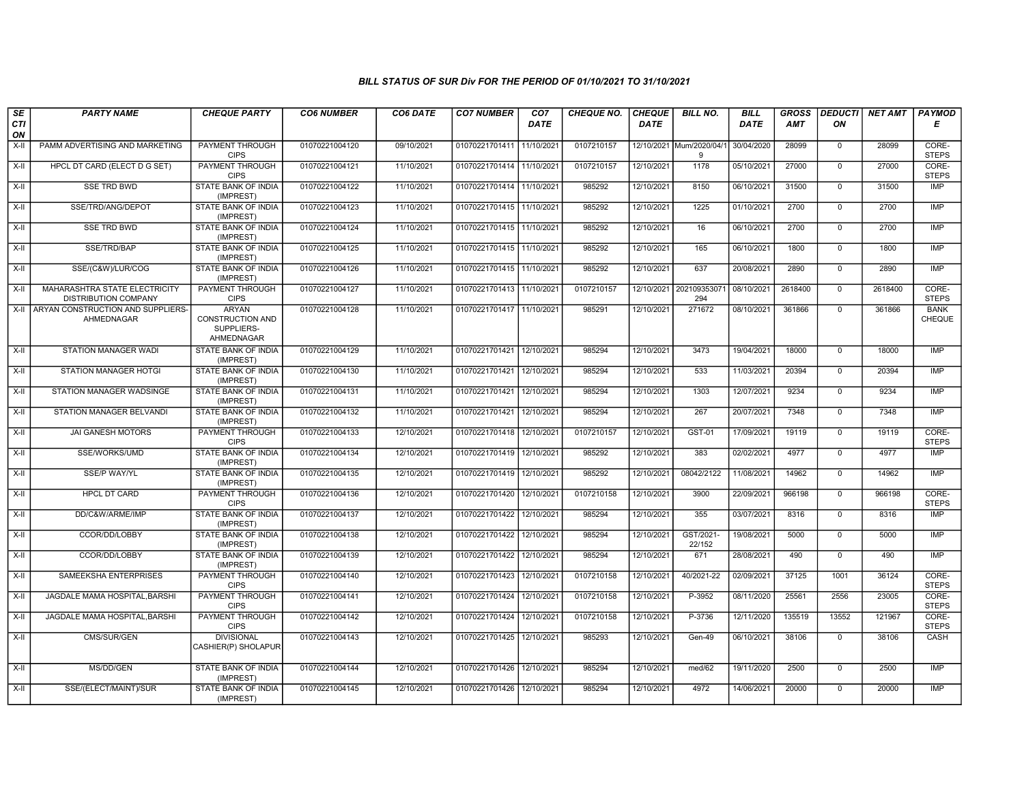| SE        | <b>PARTY NAME</b>                                            | <b>CHEQUE PARTY</b>                                          | <b>CO6 NUMBER</b> | CO6 DATE   | <b>CO7 NUMBER</b>         | CO <sub>7</sub> | <b>CHEQUE NO.</b> | <b>CHEQUE</b> | <b>BILL NO.</b>               | <b>BILL</b> | <b>GROSS</b> | <b>DEDUCTI</b> | NET AMT | <b>PAYMOD</b>         |
|-----------|--------------------------------------------------------------|--------------------------------------------------------------|-------------------|------------|---------------------------|-----------------|-------------------|---------------|-------------------------------|-------------|--------------|----------------|---------|-----------------------|
| CTI<br>ON |                                                              |                                                              |                   |            |                           | <b>DATE</b>     |                   | <b>DATE</b>   |                               | DATE        | AMT          | ON             |         | Е                     |
| X-II      | PAMM ADVERTISING AND MARKETING                               | PAYMENT THROUGH<br><b>CIPS</b>                               | 01070221004120    | 09/10/2021 | 01070221701411            | 11/10/2021      | 0107210157        |               | 12/10/2021 Mum/2020/04/1<br>9 | 30/04/2020  | 28099        | $\mathbf{0}$   | 28099   | CORE-<br><b>STEPS</b> |
| $X-H$     | HPCL DT CARD (ELECT D G SET)                                 | <b>PAYMENT THROUGH</b><br><b>CIPS</b>                        | 01070221004121    | 11/10/2021 | 01070221701414 11/10/2021 |                 | 0107210157        | 12/10/2021    | 1178                          | 05/10/2021  | 27000        | $\Omega$       | 27000   | CORE-<br><b>STEPS</b> |
| $X-H$     | SSE TRD BWD                                                  | STATE BANK OF INDIA<br>(IMPREST)                             | 01070221004122    | 11/10/2021 | 01070221701414 11/10/2021 |                 | 985292            | 12/10/2021    | 8150                          | 06/10/2021  | 31500        | $\mathsf{O}$   | 31500   | <b>IMP</b>            |
| $X-II$    | SSE/TRD/ANG/DEPOT                                            | STATE BANK OF INDIA<br>(IMPREST)                             | 01070221004123    | 11/10/2021 | 01070221701415 11/10/2021 |                 | 985292            | 12/10/2021    | 1225                          | 01/10/2021  | 2700         | $\overline{0}$ | 2700    | IMP                   |
| X-II      | <b>SSE TRD BWD</b>                                           | <b>STATE BANK OF INDIA</b><br>(IMPREST)                      | 01070221004124    | 11/10/2021 | 01070221701415 11/10/2021 |                 | 985292            | 12/10/2021    | 16                            | 06/10/2021  | 2700         | $\mathbf 0$    | 2700    | <b>IMP</b>            |
| X-II      | SSE/TRD/BAP                                                  | <b>STATE BANK OF INDIA</b><br>(IMPREST)                      | 01070221004125    | 11/10/2021 | 01070221701415 11/10/2021 |                 | 985292            | 12/10/2021    | 165                           | 06/10/2021  | 1800         | $\Omega$       | 1800    | <b>IMP</b>            |
| $X-II$    | SSE/(C&W)/LUR/COG                                            | STATE BANK OF INDIA<br>(IMPREST)                             | 01070221004126    | 11/10/2021 | 01070221701415 11/10/2021 |                 | 985292            | 12/10/2021    | 637                           | 20/08/2021  | 2890         | $\mathbf 0$    | 2890    | <b>IMP</b>            |
| $X-II$    | MAHARASHTRA STATE ELECTRICITY<br><b>DISTRIBUTION COMPANY</b> | PAYMENT THROUGH<br><b>CIPS</b>                               | 01070221004127    | 11/10/2021 | 01070221701413 11/10/2021 |                 | 0107210157        | 12/10/2021    | 20210935307<br>294            | 08/10/2021  | 2618400      | $\mathbf 0$    | 2618400 | CORE-<br><b>STEPS</b> |
| $X-H$     | ARYAN CONSTRUCTION AND SUPPLIERS-<br>AHMEDNAGAR              | <b>ARYAN</b><br>CONSTRUCTION AND<br>SUPPLIERS-<br>AHMEDNAGAR | 01070221004128    | 11/10/2021 | 01070221701417 11/10/2021 |                 | 985291            | 12/10/2021    | 271672                        | 08/10/2021  | 361866       | $\mathbf 0$    | 361866  | <b>BANK</b><br>CHEQUE |
| X-II      | STATION MANAGER WADI                                         | STATE BANK OF INDIA<br>(IMPREST)                             | 01070221004129    | 11/10/2021 | 01070221701421 12/10/2021 |                 | 985294            | 12/10/2021    | 3473                          | 19/04/2021  | 18000        | $\overline{0}$ | 18000   | <b>IMP</b>            |
| $X-H$     | <b>STATION MANAGER HOTGI</b>                                 | <b>STATE BANK OF INDIA</b><br>(IMPREST)                      | 01070221004130    | 11/10/2021 | 01070221701421 12/10/2021 |                 | 985294            | 12/10/2021    | 533                           | 11/03/2021  | 20394        | $\mathsf{O}$   | 20394   | <b>IMP</b>            |
| X-II      | STATION MANAGER WADSINGE                                     | <b>STATE BANK OF INDIA</b><br>(IMPREST)                      | 01070221004131    | 11/10/2021 | 01070221701421 12/10/2021 |                 | 985294            | 12/10/2021    | 1303                          | 12/07/2021  | 9234         | $\mathbf 0$    | 9234    | <b>IMP</b>            |
| X-II      | <b>STATION MANAGER BELVANDI</b>                              | STATE BANK OF INDIA<br>(IMPREST)                             | 01070221004132    | 11/10/2021 | 01070221701421 12/10/2021 |                 | 985294            | 12/10/2021    | 267                           | 20/07/2021  | 7348         | $\Omega$       | 7348    | <b>IMP</b>            |
| $X-II$    | JAI GANESH MOTORS                                            | PAYMENT THROUGH<br><b>CIPS</b>                               | 01070221004133    | 12/10/2021 | 01070221701418 12/10/2021 |                 | 0107210157        | 12/10/2021    | GST-01                        | 17/09/2021  | 19119        | $\mathbf 0$    | 19119   | CORE-<br><b>STEPS</b> |
| $X-H$     | SSE/WORKS/UMD                                                | <b>STATE BANK OF INDIA</b><br>(IMPREST)                      | 01070221004134    | 12/10/2021 | 01070221701419 12/10/2021 |                 | 985292            | 12/10/2021    | 383                           | 02/02/2021  | 4977         | $\mathbf 0$    | 4977    | IMP                   |
| $X-H$     | <b>SSE/P WAY/YL</b>                                          | <b>STATE BANK OF INDIA</b><br>(IMPREST)                      | 01070221004135    | 12/10/2021 | 01070221701419 12/10/2021 |                 | 985292            | 12/10/2021    | 08042/2122                    | 11/08/2021  | 14962        | $\mathbf 0$    | 14962   | <b>IMP</b>            |
| X-II      | <b>HPCL DT CARD</b>                                          | PAYMENT THROUGH<br><b>CIPS</b>                               | 01070221004136    | 12/10/2021 | 01070221701420            | 12/10/2021      | 0107210158        | 12/10/2021    | 3900                          | 22/09/2021  | 966198       | $\mathbf 0$    | 966198  | CORE-<br><b>STEPS</b> |
| X-II      | DD/C&W/ARME/IMP                                              | <b>STATE BANK OF INDIA</b><br>(IMPREST)                      | 01070221004137    | 12/10/2021 | 01070221701422            | 12/10/2021      | 985294            | 12/10/2021    | 355                           | 03/07/2021  | 8316         | $\mathbf{0}$   | 8316    | <b>IMP</b>            |
| $X-H$     | CCOR/DD/LOBBY                                                | <b>STATE BANK OF INDIA</b><br>(IMPREST)                      | 01070221004138    | 12/10/2021 | 01070221701422            | 12/10/2021      | 985294            | 12/10/2021    | GST/2021-<br>22/152           | 19/08/2021  | 5000         | $\Omega$       | 5000    | <b>IMP</b>            |
| X-II      | CCOR/DD/LOBBY                                                | <b>STATE BANK OF INDIA</b><br>(IMPREST)                      | 01070221004139    | 12/10/2021 | 01070221701422 12/10/2021 |                 | 985294            | 12/10/2021    | 671                           | 28/08/2021  | 490          | $\mathbf 0$    | 490     | <b>IMP</b>            |
| X-II      | SAMEEKSHA ENTERPRISES                                        | PAYMENT THROUGH<br><b>CIPS</b>                               | 01070221004140    | 12/10/2021 | 01070221701423            | 12/10/2021      | 0107210158        | 12/10/2021    | 40/2021-22                    | 02/09/2021  | 37125        | 1001           | 36124   | CORE-<br><b>STEPS</b> |
| $X-II$    | JAGDALE MAMA HOSPITAL, BARSHI                                | PAYMENT THROUGH<br><b>CIPS</b>                               | 01070221004141    | 12/10/2021 | 01070221701424 12/10/2021 |                 | 0107210158        | 12/10/2021    | P-3952                        | 08/11/2020  | 25561        | 2556           | 23005   | CORE-<br><b>STEPS</b> |
| $X-H$     | JAGDALE MAMA HOSPITAL.BARSHI                                 | <b>PAYMENT THROUGH</b><br><b>CIPS</b>                        | 01070221004142    | 12/10/2021 | 01070221701424 12/10/2021 |                 | 0107210158        | 12/10/2021    | P-3736                        | 12/11/2020  | 135519       | 13552          | 121967  | CORE-<br><b>STEPS</b> |
| $X-H$     | CMS/SUR/GEN                                                  | <b>DIVISIONAL</b><br>CASHIER(P) SHOLAPUR                     | 01070221004143    | 12/10/2021 | 01070221701425 12/10/2021 |                 | 985293            | 12/10/2021    | Gen-49                        | 06/10/2021  | 38106        | $\mathbf 0$    | 38106   | CASH                  |
| $X-II$    | MS/DD/GEN                                                    | STATE BANK OF INDIA<br>(IMPREST)                             | 01070221004144    | 12/10/2021 | 01070221701426            | 12/10/2021      | 985294            | 12/10/2021    | med/62                        | 19/11/2020  | 2500         | $\mathbf 0$    | 2500    | <b>IMP</b>            |
| $X-H$     | SSE/(ELECT/MAINT)/SUR                                        | STATE BANK OF INDIA<br>(IMPREST)                             | 01070221004145    | 12/10/2021 | 01070221701426 12/10/2021 |                 | 985294            | 12/10/2021    | 4972                          | 14/06/2021  | 20000        | $\mathbf 0$    | 20000   | IMP                   |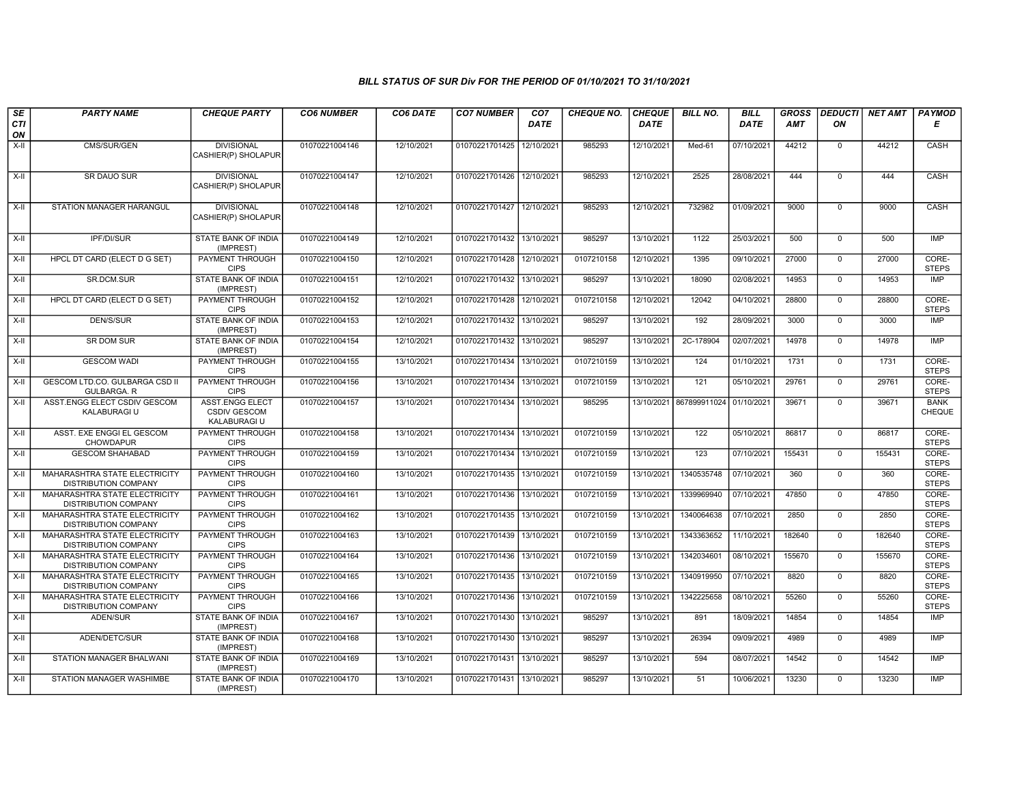| SE        | <b>PARTY NAME</b>                                                   | <b>CHEQUE PARTY</b>                                           | <b>CO6 NUMBER</b> | CO6 DATE   | <b>CO7 NUMBER</b>         | CO <sub>7</sub> | <b>CHEQUE NO.</b> | <b>CHEQUE</b> | <b>BILL NO.</b>         | <b>BILL</b> | <b>GROSS</b> | <b>DEDUCTI</b> | <b>NET AMT</b> | <b>PAYMOD</b>                |
|-----------|---------------------------------------------------------------------|---------------------------------------------------------------|-------------------|------------|---------------------------|-----------------|-------------------|---------------|-------------------------|-------------|--------------|----------------|----------------|------------------------------|
| CTI<br>ON |                                                                     |                                                               |                   |            |                           | <b>DATE</b>     |                   | <b>DATE</b>   |                         | <b>DATE</b> | AMT          | ON             |                | Е                            |
| X-II      | CMS/SUR/GEN                                                         | <b>DIVISIONAL</b><br>CASHIER(P) SHOLAPUR                      | 01070221004146    | 12/10/2021 | 01070221701425            | 12/10/2021      | 985293            | 12/10/2021    | Med-61                  | 07/10/2021  | 44212        | 0              | 44212          | CASH                         |
| $X-H$     | SR DAUO SUR                                                         | <b>DIVISIONAL</b><br>CASHIER(P) SHOLAPUR                      | 01070221004147    | 12/10/2021 | 01070221701426 12/10/2021 |                 | 985293            | 12/10/2021    | 2525                    | 28/08/2021  | 444          | $\mathbf 0$    | 444            | CASH                         |
| $X-II$    | STATION MANAGER HARANGUL                                            | <b>DIVISIONAL</b><br>CASHIER(P) SHOLAPUR                      | 01070221004148    | 12/10/2021 | 01070221701427            | 12/10/2021      | 985293            | 12/10/2021    | 732982                  | 01/09/2021  | 9000         | 0              | 9000           | CASH                         |
| $X-H$     | <b>IPF/DI/SUR</b>                                                   | <b>STATE BANK OF INDIA</b><br>(IMPREST)                       | 01070221004149    | 12/10/2021 | 01070221701432 13/10/2021 |                 | 985297            | 13/10/2021    | 1122                    | 25/03/2021  | 500          | $\overline{0}$ | 500            | <b>IMP</b>                   |
| X-II      | HPCL DT CARD (ELECT D G SET)                                        | PAYMENT THROUGH<br><b>CIPS</b>                                | 01070221004150    | 12/10/2021 | 01070221701428 12/10/202  |                 | 0107210158        | 12/10/2021    | 1395                    | 09/10/2021  | 27000        | $\mathbf{0}$   | 27000          | CORE-<br><b>STEPS</b>        |
| X-II      | SR.DCM.SUR                                                          | <b>STATE BANK OF INDIA</b><br>(IMPREST)                       | 01070221004151    | 12/10/2021 | 01070221701432 13/10/2021 |                 | 985297            | 13/10/2021    | 18090                   | 02/08/2021  | 14953        | $\mathbf{0}$   | 14953          | <b>IMP</b>                   |
| $X-II$    | HPCL DT CARD (ELECT D G SET)                                        | PAYMENT THROUGH<br><b>CIPS</b>                                | 01070221004152    | 12/10/2021 | 01070221701428 12/10/2021 |                 | 0107210158        | 12/10/2021    | 12042                   | 04/10/2021  | 28800        | $\overline{0}$ | 28800          | CORE-<br><b>STEPS</b>        |
| X-II      | <b>DEN/S/SUR</b>                                                    | <b>STATE BANK OF INDIA</b><br>(IMPREST)                       | 01070221004153    | 12/10/2021 | 01070221701432 13/10/2021 |                 | 985297            | 13/10/2021    | 192                     | 28/09/2021  | 3000         | $\mathbf{0}$   | 3000           | <b>IMP</b>                   |
| X-II      | <b>SR DOM SUR</b>                                                   | STATE BANK OF INDIA<br>(IMPREST)                              | 01070221004154    | 12/10/2021 | 01070221701432 13/10/2021 |                 | 985297            | 13/10/2021    | 2C-178904               | 02/07/2021  | 14978        | $\mathbf 0$    | 14978          | <b>IMP</b>                   |
| $X-II$    | <b>GESCOM WADI</b>                                                  | PAYMENT THROUGH<br><b>CIPS</b>                                | 01070221004155    | 13/10/2021 | 01070221701434            | 13/10/2021      | 0107210159        | 13/10/2021    | 124                     | 01/10/2021  | 1731         | $\mathbf 0$    | 1731           | CORE-<br><b>STEPS</b>        |
| X-II      | GESCOM LTD.CO. GULBARGA CSD II<br><b>GULBARGA, R</b>                | <b>PAYMENT THROUGH</b><br><b>CIPS</b>                         | 01070221004156    | 13/10/2021 | 01070221701434            | 13/10/2021      | 0107210159        | 13/10/2021    | 121                     | 05/10/2021  | 29761        | $\mathbf{0}$   | 29761          | CORE-<br><b>STEPS</b>        |
| $X-H$     | ASST.ENGG ELECT CSDIV GESCOM<br>KALABURAGI U                        | <b>ASST.ENGG ELECT</b><br><b>CSDIV GESCOM</b><br>KALABURAGI U | 01070221004157    | 13/10/2021 | 01070221701434 13/10/2021 |                 | 985295            |               | 13/10/2021 867899911024 | 01/10/2021  | 39671        | $\overline{0}$ | 39671          | <b>BANK</b><br><b>CHEQUE</b> |
| $X-II$    | ASST. EXE ENGGI EL GESCOM<br>CHOWDAPUR                              | PAYMENT THROUGH<br><b>CIPS</b>                                | 01070221004158    | 13/10/2021 | 01070221701434 13/10/2021 |                 | 0107210159        | 13/10/2021    | 122                     | 05/10/2021  | 86817        | $\overline{0}$ | 86817          | CORE-<br><b>STEPS</b>        |
| X-II      | <b>GESCOM SHAHABAD</b>                                              | <b>PAYMENT THROUGH</b><br><b>CIPS</b>                         | 01070221004159    | 13/10/2021 | 01070221701434 13/10/2021 |                 | 0107210159        | 13/10/2021    | 123                     | 07/10/2021  | 155431       | $\mathbf{0}$   | 155431         | CORE-<br><b>STEPS</b>        |
| X-II      | MAHARASHTRA STATE ELECTRICITY<br><b>DISTRIBUTION COMPANY</b>        | PAYMENT THROUGH<br><b>CIPS</b>                                | 01070221004160    | 13/10/2021 | 01070221701435 13/10/2021 |                 | 0107210159        | 13/10/2021    | 1340535748              | 07/10/2021  | 360          | $\mathbf{0}$   | 360            | CORE-<br><b>STEPS</b>        |
| $X-II$    | MAHARASHTRA STATE ELECTRICITY<br><b>DISTRIBUTION COMPANY</b>        | PAYMENT THROUGH<br><b>CIPS</b>                                | 01070221004161    | 13/10/2021 | 01070221701436            | 13/10/2021      | 0107210159        | 13/10/2021    | 1339969940              | 07/10/2021  | 47850        | $\mathbf 0$    | 47850          | CORE-<br><b>STEPS</b>        |
| X-II      | MAHARASHTRA STATE ELECTRICITY<br><b>DISTRIBUTION COMPANY</b>        | PAYMENT THROUGH<br><b>CIPS</b>                                | 01070221004162    | 13/10/2021 | 01070221701435            | 13/10/2021      | 0107210159        | 13/10/2021    | 1340064638              | 07/10/2021  | 2850         | $\mathbf{0}$   | 2850           | CORE-<br><b>STEPS</b>        |
| X-II      | MAHARASHTRA STATE ELECTRICITY<br><b>DISTRIBUTION COMPANY</b>        | <b>PAYMENT THROUGH</b><br><b>CIPS</b>                         | 01070221004163    | 13/10/2021 | 01070221701439            | 13/10/2021      | 0107210159        | 13/10/2021    | 1343363652              | 11/10/2021  | 182640       | $\overline{0}$ | 182640         | CORE-<br><b>STEPS</b>        |
| X-II      | <b>MAHARASHTRA STATE ELECTRICITY</b><br><b>DISTRIBUTION COMPANY</b> | <b>PAYMENT THROUGH</b><br><b>CIPS</b>                         | 01070221004164    | 13/10/2021 | 01070221701436 13/10/2021 |                 | 0107210159        | 13/10/2021    | 1342034601              | 08/10/2021  | 155670       | $\mathbf{0}$   | 155670         | CORE-<br><b>STEPS</b>        |
| X-II      | MAHARASHTRA STATE ELECTRICITY<br><b>DISTRIBUTION COMPANY</b>        | <b>PAYMENT THROUGH</b><br><b>CIPS</b>                         | 01070221004165    | 13/10/2021 | 01070221701435            | 13/10/202       | 0107210159        | 13/10/2021    | 1340919950              | 07/10/2021  | 8820         | $\mathbf 0$    | 8820           | CORE-<br><b>STEPS</b>        |
| $X-II$    | MAHARASHTRA STATE ELECTRICITY<br><b>DISTRIBUTION COMPANY</b>        | PAYMENT THROUGH<br><b>CIPS</b>                                | 01070221004166    | 13/10/2021 | 01070221701436            | 13/10/202       | 0107210159        | 13/10/2021    | 1342225658              | 08/10/2021  | 55260        | $\overline{0}$ | 55260          | CORE-<br><b>STEPS</b>        |
| $X-II$    | ADEN/SUR                                                            | <b>STATE BANK OF INDIA</b><br>(IMPREST)                       | 01070221004167    | 13/10/2021 | 01070221701430 13/10/2021 |                 | 985297            | 13/10/2021    | 891                     | 18/09/2021  | 14854        | $\overline{0}$ | 14854          | <b>IMP</b>                   |
| X-II      | ADEN/DETC/SUR                                                       | <b>STATE BANK OF INDIA</b><br>(IMPREST)                       | 01070221004168    | 13/10/2021 | 01070221701430 13/10/2021 |                 | 985297            | 13/10/2021    | 26394                   | 09/09/2021  | 4989         | $\mathbf 0$    | 4989           | <b>IMP</b>                   |
| $X-H$     | STATION MANAGER BHALWANI                                            | STATE BANK OF INDIA<br>(IMPREST)                              | 01070221004169    | 13/10/2021 | 01070221701431 13/10/2021 |                 | 985297            | 13/10/2021    | 594                     | 08/07/2021  | 14542        | $\mathbf 0$    | 14542          | <b>IMP</b>                   |
| X-II      | STATION MANAGER WASHIMBE                                            | STATE BANK OF INDIA<br>(IMPREST)                              | 01070221004170    | 13/10/2021 | 01070221701431 13/10/2021 |                 | 985297            | 13/10/2021    | 51                      | 10/06/2021  | 13230        | $\mathbf 0$    | 13230          | <b>IMP</b>                   |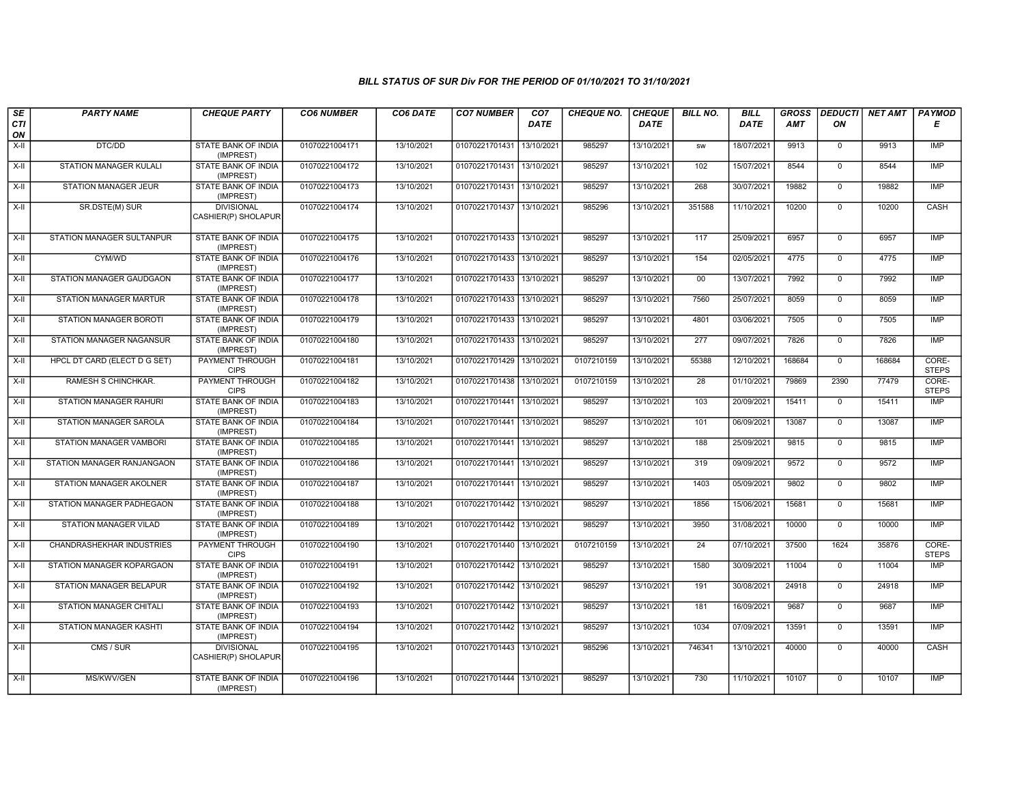| SE        | <b>PARTY NAME</b>              | <b>CHEQUE PARTY</b>                      | <b>CO6 NUMBER</b> | CO6 DATE   | <b>CO7 NUMBER</b>         | CO <sub>7</sub> | <b>CHEQUE NO.</b> | <b>CHEQUE</b> | <b>BILL NO.</b> | <b>BILL</b> | <b>GROSS</b> |                | <b>DEDUCTI NET AMT</b> | <b>PAYMOD</b>         |
|-----------|--------------------------------|------------------------------------------|-------------------|------------|---------------------------|-----------------|-------------------|---------------|-----------------|-------------|--------------|----------------|------------------------|-----------------------|
| CTI<br>ON |                                |                                          |                   |            |                           | <b>DATE</b>     |                   | <b>DATE</b>   |                 | DATE        | <b>AMT</b>   | ON             |                        | Е                     |
| $X-H$     | DTC/DD                         | <b>STATE BANK OF INDIA</b><br>(IMPREST)  | 01070221004171    | 13/10/2021 | 01070221701431            | 13/10/2021      | 985297            | 13/10/2021    | sw              | 18/07/2021  | 9913         | $\overline{0}$ | 9913                   | IMP                   |
| $X-H$     | <b>STATION MANAGER KULALI</b>  | <b>STATE BANK OF INDIA</b><br>(IMPREST)  | 01070221004172    | 13/10/2021 | 01070221701431 13/10/2021 |                 | 985297            | 13/10/2021    | 102             | 15/07/2021  | 8544         | $\overline{0}$ | 8544                   | IMP                   |
| X-II      | <b>STATION MANAGER JEUR</b>    | STATE BANK OF INDIA<br>(IMPREST)         | 01070221004173    | 13/10/2021 | 01070221701431            | 13/10/2021      | 985297            | 13/10/2021    | 268             | 30/07/2021  | 19882        | $\mathbf 0$    | 19882                  | IMP                   |
| $X-II$    | SR.DSTE(M) SUR                 | <b>DIVISIONAL</b><br>CASHIER(P) SHOLAPUR | 01070221004174    | 13/10/2021 | 01070221701437            | 13/10/2021      | 985296            | 13/10/2021    | 351588          | 11/10/2021  | 10200        | $\mathbf{0}$   | 10200                  | CASH                  |
| X-II      | STATION MANAGER SULTANPUR      | STATE BANK OF INDIA<br>(IMPREST)         | 01070221004175    | 13/10/2021 | 01070221701433 13/10/2021 |                 | 985297            | 13/10/2021    | 117             | 25/09/2021  | 6957         | $\mathbf 0$    | 6957                   | <b>IMP</b>            |
| $X-II$    | CYM/WD                         | STATE BANK OF INDIA<br>(IMPREST)         | 01070221004176    | 13/10/2021 | 01070221701433            | 13/10/2021      | 985297            | 13/10/2021    | 154             | 02/05/2021  | 4775         | $\overline{0}$ | 4775                   | IMP                   |
| X-II      | STATION MANAGER GAUDGAON       | <b>STATE BANK OF INDIA</b><br>(IMPREST)  | 01070221004177    | 13/10/2021 | 01070221701433 13/10/2021 |                 | 985297            | 13/10/2021    | 00              | 13/07/2021  | 7992         | $\mathbf{0}$   | 7992                   | IMP                   |
| $X-H$     | <b>STATION MANAGER MARTUR</b>  | <b>STATE BANK OF INDIA</b><br>(IMPREST)  | 01070221004178    | 13/10/2021 | 01070221701433            | 13/10/2021      | 985297            | 13/10/2021    | 7560            | 25/07/2021  | 8059         | $\overline{0}$ | 8059                   | <b>IMP</b>            |
| X-II      | STATION MANAGER BOROTI         | <b>STATE BANK OF INDIA</b><br>(IMPREST)  | 01070221004179    | 13/10/2021 | 01070221701433            | 13/10/2021      | 985297            | 13/10/2021    | 4801            | 03/06/2021  | 7505         | $\mathbf 0$    | 7505                   | <b>IMP</b>            |
| $X-II$    | STATION MANAGER NAGANSUR       | STATE BANK OF INDIA<br>(IMPREST)         | 01070221004180    | 13/10/2021 | 01070221701433            | 13/10/2021      | 985297            | 13/10/2021    | 277             | 09/07/2021  | 7826         | $\overline{0}$ | 7826                   | <b>IMP</b>            |
| $X-H$     | HPCL DT CARD (ELECT D G SET)   | <b>PAYMENT THROUGH</b><br><b>CIPS</b>    | 01070221004181    | 13/10/2021 | 01070221701429 13/10/2021 |                 | 0107210159        | 13/10/2021    | 55388           | 12/10/2021  | 168684       | $\overline{0}$ | 168684                 | CORE-<br><b>STEPS</b> |
| $X-H$     | RAMESH S CHINCHKAR.            | <b>PAYMENT THROUGH</b><br><b>CIPS</b>    | 01070221004182    | 13/10/2021 | 01070221701438            | 13/10/2021      | 0107210159        | 13/10/2021    | $\overline{28}$ | 01/10/2021  | 79869        | 2390           | 77479                  | CORE-<br><b>STEPS</b> |
| X-II      | STATION MANAGER RAHURI         | <b>STATE BANK OF INDIA</b><br>(IMPREST)  | 01070221004183    | 13/10/2021 | 01070221701441            | 13/10/2021      | 985297            | 13/10/2021    | 103             | 20/09/2021  | 15411        | $\mathbf 0$    | 15411                  | IMP                   |
| X-II      | STATION MANAGER SAROLA         | STATE BANK OF INDIA<br>(IMPREST)         | 01070221004184    | 13/10/2021 | 01070221701441            | 13/10/2021      | 985297            | 13/10/2021    | 101             | 06/09/2021  | 13087        | $\overline{0}$ | 13087                  | <b>IMP</b>            |
| $X-II$    | STATION MANAGER VAMBORI        | <b>STATE BANK OF INDIA</b><br>(IMPREST)  | 01070221004185    | 13/10/2021 | 01070221701441            | 13/10/2021      | 985297            | 13/10/2021    | 188             | 25/09/2021  | 9815         | $\mathbf{0}$   | 9815                   | <b>IMP</b>            |
| $X-H$     | STATION MANAGER RANJANGAON     | <b>STATE BANK OF INDIA</b><br>(IMPREST)  | 01070221004186    | 13/10/2021 | 01070221701441            | 13/10/2021      | 985297            | 13/10/2021    | 319             | 09/09/2021  | 9572         | $\mathbf{0}$   | 9572                   | IMP                   |
| X-II      | STATION MANAGER AKOLNER        | STATE BANK OF INDIA<br>(IMPREST)         | 01070221004187    | 13/10/2021 | 01070221701441            | 13/10/2021      | 985297            | 13/10/2021    | 1403            | 05/09/2021  | 9802         | $\mathbf 0$    | 9802                   | <b>IMP</b>            |
| X-II      | STATION MANAGER PADHEGAON      | STATE BANK OF INDIA<br>(IMPREST)         | 01070221004188    | 13/10/2021 | 01070221701442 13/10/2021 |                 | 985297            | 13/10/2021    | 1856            | 15/06/2021  | 15681        | $\mathbf{0}$   | 15681                  | IMP                   |
| $X-II$    | STATION MANAGER VILAD          | STATE BANK OF INDIA<br>(IMPREST)         | 01070221004189    | 13/10/2021 | 01070221701442            | 13/10/2021      | 985297            | 13/10/2021    | 3950            | 31/08/2021  | 10000        | $\overline{0}$ | 10000                  | IMP                   |
| X-II      | CHANDRASHEKHAR INDUSTRIES      | <b>PAYMENT THROUGH</b><br><b>CIPS</b>    | 01070221004190    | 13/10/2021 | 01070221701440 13/10/2021 |                 | 0107210159        | 13/10/2021    | $\overline{24}$ | 07/10/2021  | 37500        | 1624           | 35876                  | CORE-<br><b>STEPS</b> |
| $X-H$     | STATION MANAGER KOPARGAON      | <b>STATE BANK OF INDIA</b><br>(IMPREST)  | 01070221004191    | 13/10/2021 | 01070221701442 13/10/2021 |                 | 985297            | 13/10/2021    | 1580            | 30/09/2021  | 11004        | $\mathbf{0}$   | 11004                  | IMP                   |
| X-II      | STATION MANAGER BELAPUR        | STATE BANK OF INDIA<br>(IMPREST)         | 01070221004192    | 13/10/2021 | 01070221701442            | 13/10/2021      | 985297            | 13/10/2021    | 191             | 30/08/2021  | 24918        | $\mathbf 0$    | 24918                  | <b>IMP</b>            |
| $X-H$     | <b>STATION MANAGER CHITALI</b> | STATE BANK OF INDIA<br>(IMPREST)         | 01070221004193    | 13/10/2021 | 01070221701442 13/10/2021 |                 | 985297            | 13/10/2021    | 181             | 16/09/2021  | 9687         | $\Omega$       | 9687                   | <b>IMP</b>            |
| X-II      | STATION MANAGER KASHTI         | STATE BANK OF INDIA<br>(IMPREST)         | 01070221004194    | 13/10/2021 | 01070221701442            | 13/10/2021      | 985297            | 13/10/2021    | 1034            | 07/09/2021  | 13591        | $\mathbf 0$    | 13591                  | IMP                   |
| $X-H$     | CMS / SUR                      | <b>DIVISIONAL</b><br>CASHIER(P) SHOLAPUR | 01070221004195    | 13/10/2021 | 01070221701443 13/10/2021 |                 | 985296            | 13/10/2021    | 746341          | 13/10/2021  | 40000        | $\mathbf{0}$   | 40000                  | CASH                  |
| $X-H$     | MS/KWV/GEN                     | <b>STATE BANK OF INDIA</b><br>(IMPREST)  | 01070221004196    | 13/10/2021 | 01070221701444 13/10/2021 |                 | 985297            | 13/10/2021    | 730             | 11/10/2021  | 10107        | $\mathbf 0$    | 10107                  | <b>IMP</b>            |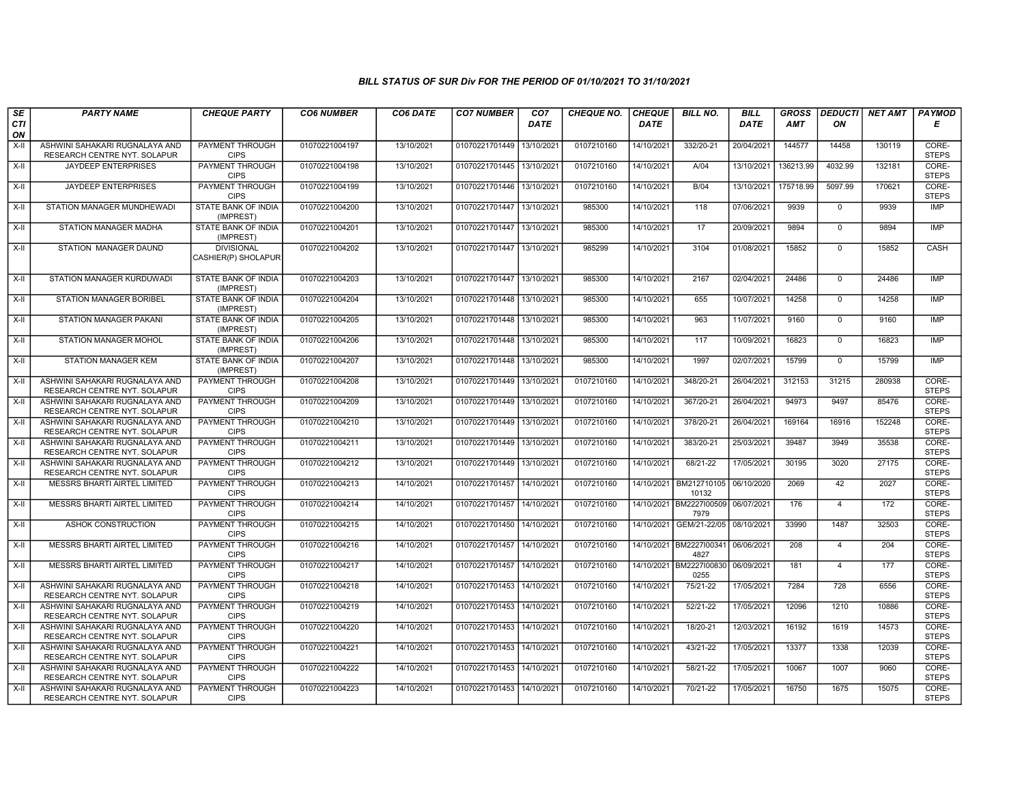| SE        | <b>PARTY NAME</b>                                              | <b>CHEQUE PARTY</b>                      | <b>CO6 NUMBER</b> | CO6 DATE   | <b>CO7 NUMBER</b>         | CO <sub>7</sub> | <b>CHEQUE NO.</b> | <b>CHEQUE</b> | <b>BILL NO.</b>                 | <b>BILL</b> | <b>GROSS</b> | <b>DEDUCTI</b> | NET AMT | <b>PAYMOD</b>         |
|-----------|----------------------------------------------------------------|------------------------------------------|-------------------|------------|---------------------------|-----------------|-------------------|---------------|---------------------------------|-------------|--------------|----------------|---------|-----------------------|
| CTI<br>ON |                                                                |                                          |                   |            |                           | <b>DATE</b>     |                   | <b>DATE</b>   |                                 | DATE        | <b>AMT</b>   | ON             |         | Е                     |
| X-II      | ASHWINI SAHAKARI RUGNALAYA AND<br>RESEARCH CENTRE NYT. SOLAPUR | <b>PAYMENT THROUGH</b><br><b>CIPS</b>    | 01070221004197    | 13/10/2021 | 01070221701449            | 13/10/2021      | 0107210160        | 14/10/2021    | 332/20-21                       | 20/04/2021  | 144577       | 14458          | 130119  | CORE-<br><b>STEPS</b> |
| $X-H$     | <b>JAYDEEP ENTERPRISES</b>                                     | <b>PAYMENT THROUGH</b><br><b>CIPS</b>    | 01070221004198    | 13/10/2021 | 01070221701445 13/10/2021 |                 | 0107210160        | 14/10/2021    | AV04                            | 13/10/2021  | 136213.99    | 4032.99        | 132181  | CORE-<br><b>STEPS</b> |
| X-II      | JAYDEEP ENTERPRISES                                            | PAYMENT THROUGH<br><b>CIPS</b>           | 01070221004199    | 13/10/2021 | 01070221701446            | 13/10/2021      | 0107210160        | 14/10/2021    | B/04                            | 13/10/2021  | 175718.99    | 5097.99        | 170621  | CORE-<br><b>STEPS</b> |
| X-II      | STATION MANAGER MUNDHEWADI                                     | STATE BANK OF INDIA<br>(IMPREST)         | 01070221004200    | 13/10/2021 | 01070221701447            | 13/10/2021      | 985300            | 14/10/2021    | 118                             | 07/06/2021  | 9939         | $\mathbf 0$    | 9939    | <b>IMP</b>            |
| $X-H$     | STATION MANAGER MADHA                                          | STATE BANK OF INDIA<br>(IMPREST)         | 01070221004201    | 13/10/2021 | 01070221701447 13/10/2021 |                 | 985300            | 14/10/2021    | 17                              | 20/09/2021  | 9894         | $\mathbf{0}$   | 9894    | <b>IMP</b>            |
| $X-H$     | <b>STATION MANAGER DAUND</b>                                   | <b>DIVISIONAL</b><br>CASHIER(P) SHOLAPUR | 01070221004202    | 13/10/2021 | 01070221701447 13/10/2021 |                 | 985299            | 14/10/2021    | 3104                            | 01/08/2021  | 15852        | $\mathbf{0}$   | 15852   | CASH                  |
| $X-H$     | STATION MANAGER KURDUWADI                                      | STATE BANK OF INDIA<br>(IMPREST)         | 01070221004203    | 13/10/2021 | 01070221701447 13/10/2021 |                 | 985300            | 14/10/2021    | 2167                            | 02/04/2021  | 24486        | $\mathbf 0$    | 24486   | <b>IMP</b>            |
| X-II      | STATION MANAGER BORIBEL                                        | STATE BANK OF INDIA<br>(IMPREST)         | 01070221004204    | 13/10/2021 | 01070221701448 13/10/2021 |                 | 985300            | 14/10/2021    | 655                             | 10/07/2021  | 14258        | $\mathbf{0}$   | 14258   | <b>IMP</b>            |
| $X-II$    | <b>STATION MANAGER PAKANI</b>                                  | STATE BANK OF INDIA<br>(IMPREST)         | 01070221004205    | 13/10/2021 | 01070221701448 13/10/2021 |                 | 985300            | 14/10/2021    | 963                             | 11/07/2021  | 9160         | $\mathbf{0}$   | 9160    | <b>IMP</b>            |
| X-II      | STATION MANAGER MOHOL                                          | STATE BANK OF INDIA<br>(IMPREST)         | 01070221004206    | 13/10/2021 | 01070221701448 13/10/2021 |                 | 985300            | 14/10/2021    | 117                             | 10/09/2021  | 16823        | $\mathbf 0$    | 16823   | IMP                   |
| $X-H$     | <b>STATION MANAGER KEM</b>                                     | <b>STATE BANK OF INDIA</b><br>(IMPREST)  | 01070221004207    | 13/10/2021 | 01070221701448 13/10/2021 |                 | 985300            | 14/10/2021    | 1997                            | 02/07/2021  | 15799        | $\overline{0}$ | 15799   | <b>IMP</b>            |
| X-II      | ASHWINI SAHAKARI RUGNALAYA AND<br>RESEARCH CENTRE NYT. SOLAPUR | PAYMENT THROUGH<br><b>CIPS</b>           | 01070221004208    | 13/10/2021 | 01070221701449 13/10/202  |                 | 0107210160        | 14/10/2021    | 348/20-21                       | 26/04/2021  | 312153       | 31215          | 280938  | CORE-<br><b>STEPS</b> |
| $X-II$    | ASHWINI SAHAKARI RUGNALAYA AND<br>RESEARCH CENTRE NYT. SOLAPUR | PAYMENT THROUGH<br><b>CIPS</b>           | 01070221004209    | 13/10/2021 | 01070221701449            | 13/10/2021      | 0107210160        | 14/10/2021    | 367/20-21                       | 26/04/2021  | 94973        | 9497           | 85476   | CORE-<br><b>STEPS</b> |
| X-II      | ASHWINI SAHAKARI RUGNALAYA AND<br>RESEARCH CENTRE NYT. SOLAPUR | PAYMENT THROUGH<br><b>CIPS</b>           | 01070221004210    | 13/10/2021 | 01070221701449 13/10/2021 |                 | 0107210160        | 14/10/2021    | 378/20-21                       | 26/04/2021  | 169164       | 16916          | 152248  | CORE-<br><b>STEPS</b> |
| X-II      | ASHWINI SAHAKARI RUGNALAYA AND<br>RESEARCH CENTRE NYT. SOLAPUR | PAYMENT THROUGH<br><b>CIPS</b>           | 01070221004211    | 13/10/2021 | 01070221701449 13/10/2021 |                 | 0107210160        | 14/10/2021    | 383/20-21                       | 25/03/2021  | 39487        | 3949           | 35538   | CORE-<br><b>STEPS</b> |
| X-II      | ASHWINI SAHAKARI RUGNALAYA AND<br>RESEARCH CENTRE NYT. SOLAPUR | PAYMENT THROUGH<br><b>CIPS</b>           | 01070221004212    | 13/10/2021 | 01070221701449            | 13/10/202       | 0107210160        | 14/10/2021    | 68/21-22                        | 17/05/2021  | 30195        | 3020           | 27175   | CORE-<br><b>STEPS</b> |
| X-II      | MESSRS BHARTI AIRTEL LIMITED                                   | PAYMENT THROUGH<br><b>CIPS</b>           | 01070221004213    | 14/10/2021 | 01070221701457            | 14/10/2021      | 0107210160        | 14/10/2021    | BM212710105<br>10132            | 06/10/2020  | 2069         | 42             | 2027    | CORE-<br><b>STEPS</b> |
| X-II      | MESSRS BHARTI AIRTEL LIMITED                                   | PAYMENT THROUGH<br><b>CIPS</b>           | 01070221004214    | 14/10/2021 | 01070221701457            | 14/10/2021      | 0107210160        | 14/10/2021    | BM2227100509 06/07/2021<br>7979 |             | 176          | $\overline{4}$ | 172     | CORE-<br><b>STEPS</b> |
| X-II      | ASHOK CONSTRUCTION                                             | PAYMENT THROUGH<br><b>CIPS</b>           | 01070221004215    | 14/10/2021 | 01070221701450 14/10/2021 |                 | 0107210160        | 14/10/2021    | GEM/21-22/05   08/10/2021       |             | 33990        | 1487           | 32503   | CORE-<br><b>STEPS</b> |
| X-II      | MESSRS BHARTI AIRTEL LIMITED                                   | <b>PAYMENT THROUGH</b><br><b>CIPS</b>    | 01070221004216    | 14/10/2021 | 01070221701457            | 14/10/2021      | 0107210160        | 14/10/2021    | BM2227100341<br>4827            | 06/06/2021  | 208          | $\overline{4}$ | 204     | CORE-<br><b>STEPS</b> |
| $X-H$     | MESSRS BHARTI AIRTEL LIMITED                                   | <b>PAYMENT THROUGH</b><br><b>CIPS</b>    | 01070221004217    | 14/10/2021 | 01070221701457 14/10/2021 |                 | 0107210160        |               | 14/10/2021 BM2227I00830<br>0255 | 06/09/2021  | 181          | $\overline{4}$ | 177     | CORE-<br><b>STEPS</b> |
| $X-II$    | ASHWINI SAHAKARI RUGNALAYA AND<br>RESEARCH CENTRE NYT. SOLAPUR | PAYMENT THROUGH<br><b>CIPS</b>           | 01070221004218    | 14/10/2021 | 01070221701453 14/10/2021 |                 | 0107210160        | 14/10/2021    | 75/21-22                        | 17/05/2021  | 7284         | 728            | 6556    | CORE-<br><b>STEPS</b> |
| X-II      | ASHWINI SAHAKARI RUGNALAYA AND<br>RESEARCH CENTRE NYT. SOLAPUR | <b>PAYMENT THROUGH</b><br><b>CIPS</b>    | 01070221004219    | 14/10/2021 | 01070221701453 14/10/2021 |                 | 0107210160        | 14/10/2021    | 52/21-22                        | 17/05/2021  | 12096        | 1210           | 10886   | CORE-<br><b>STEPS</b> |
| X-II      | ASHWINI SAHAKARI RUGNALAYA AND<br>RESEARCH CENTRE NYT. SOLAPUR | <b>PAYMENT THROUGH</b><br><b>CIPS</b>    | 01070221004220    | 14/10/2021 | 01070221701453            | 14/10/2021      | 0107210160        | 14/10/2021    | 18/20-21                        | 12/03/2021  | 16192        | 1619           | 14573   | CORE-<br><b>STEPS</b> |
| X-II      | ASHWINI SAHAKARI RUGNALAYA AND<br>RESEARCH CENTRE NYT. SOLAPUR | PAYMENT THROUGH<br><b>CIPS</b>           | 01070221004221    | 14/10/2021 | 01070221701453 14/10/2021 |                 | 0107210160        | 14/10/2021    | 43/21-22                        | 17/05/2021  | 13377        | 1338           | 12039   | CORE-<br><b>STEPS</b> |
| $X-II$    | ASHWINI SAHAKARI RUGNALAYA AND<br>RESEARCH CENTRE NYT. SOLAPUR | PAYMENT THROUGH<br><b>CIPS</b>           | 01070221004222    | 14/10/2021 | 01070221701453 14/10/2021 |                 | 0107210160        | 14/10/2021    | 58/21-22                        | 17/05/2021  | 10067        | 1007           | 9060    | CORE-<br><b>STEPS</b> |
| X-II      | ASHWINI SAHAKARI RUGNALAYA AND<br>RESEARCH CENTRE NYT. SOLAPUR | PAYMENT THROUGH<br><b>CIPS</b>           | 01070221004223    | 14/10/2021 | 01070221701453 14/10/2021 |                 | 0107210160        | 14/10/2021    | 70/21-22                        | 17/05/2021  | 16750        | 1675           | 15075   | CORE-<br><b>STEPS</b> |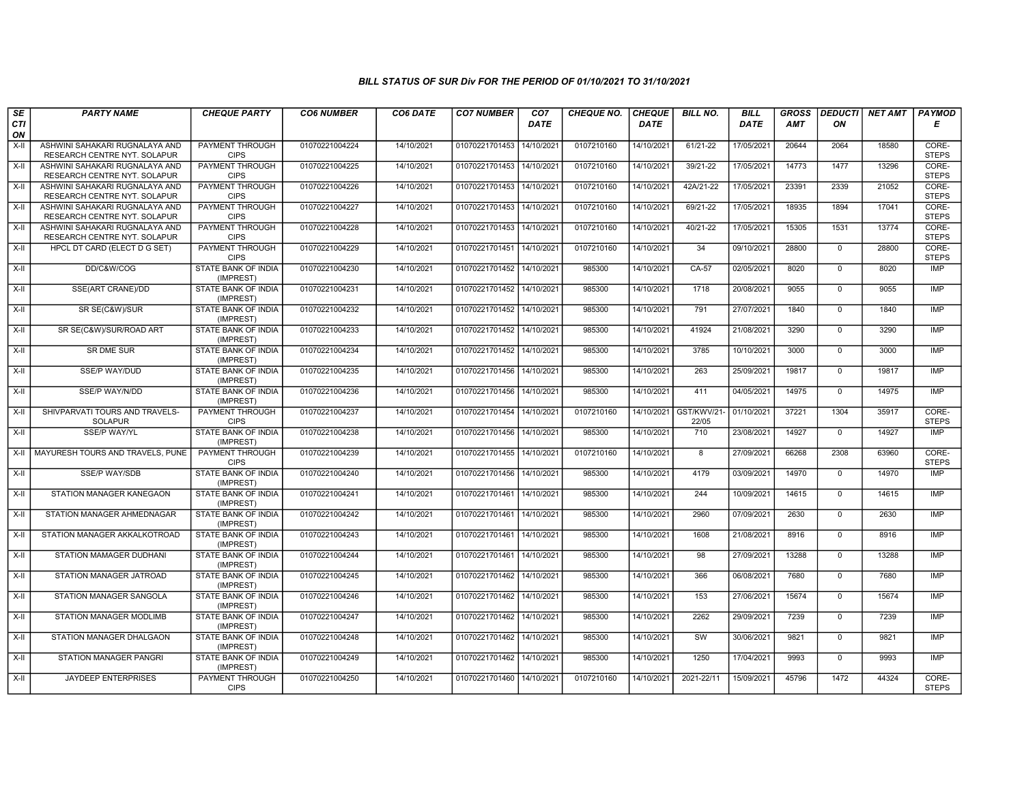| SE        | <b>PARTY NAME</b>                                              | <b>CHEQUE PARTY</b>                     | <b>CO6 NUMBER</b> | CO6 DATE   | <b>CO7 NUMBER</b>         | CO <sub>7</sub> | <b>CHEQUE NO.</b> | <b>CHEQUE</b> | <b>BILL NO.</b>     | <b>BILL</b> | <b>GROSS</b> | <b>DEDUCTI</b> | NET AMT | <b>PAYMOD</b>         |
|-----------|----------------------------------------------------------------|-----------------------------------------|-------------------|------------|---------------------------|-----------------|-------------------|---------------|---------------------|-------------|--------------|----------------|---------|-----------------------|
| CTI<br>ON |                                                                |                                         |                   |            |                           | <b>DATE</b>     |                   | <b>DATE</b>   |                     | <b>DATE</b> | <b>AMT</b>   | ON             |         | Е                     |
| X-II      | ASHWINI SAHAKARI RUGNALAYA AND<br>RESEARCH CENTRE NYT. SOLAPUR | PAYMENT THROUGH<br><b>CIPS</b>          | 01070221004224    | 14/10/2021 | 01070221701453            | 14/10/2021      | 0107210160        | 14/10/2021    | 61/21-22            | 17/05/2021  | 20644        | 2064           | 18580   | CORE-<br><b>STEPS</b> |
| X-II      | ASHWINI SAHAKARI RUGNALAYA AND<br>RESEARCH CENTRE NYT. SOLAPUR | <b>PAYMENT THROUGH</b><br><b>CIPS</b>   | 01070221004225    | 14/10/2021 | 01070221701453 14/10/2021 |                 | 0107210160        | 14/10/2021    | 39/21-22            | 17/05/2021  | 14773        | 1477           | 13296   | CORE-<br><b>STEPS</b> |
| $X-H$     | ASHWINI SAHAKARI RUGNALAYA AND<br>RESEARCH CENTRE NYT. SOLAPUR | PAYMENT THROUGH<br><b>CIPS</b>          | 01070221004226    | 14/10/2021 | 01070221701453            | 14/10/2021      | 0107210160        | 14/10/2021    | 42A/21-22           | 17/05/2021  | 23391        | 2339           | 21052   | CORE-<br><b>STEPS</b> |
| $X-II$    | ASHWINI SAHAKARI RUGNALAYA AND<br>RESEARCH CENTRE NYT. SOLAPUR | <b>PAYMENT THROUGH</b><br><b>CIPS</b>   | 01070221004227    | 14/10/2021 | 01070221701453            | 14/10/2021      | 0107210160        | 14/10/2021    | 69/21-22            | 17/05/2021  | 18935        | 1894           | 17041   | CORE-<br><b>STEPS</b> |
| $X-H$     | ASHWINI SAHAKARI RUGNALAYA AND<br>RESEARCH CENTRE NYT. SOLAPUR | <b>PAYMENT THROUGH</b><br><b>CIPS</b>   | 01070221004228    | 14/10/2021 | 01070221701453            | 14/10/2021      | 0107210160        | 14/10/2021    | $40/21 - 22$        | 17/05/2021  | 15305        | 1531           | 13774   | CORE-<br><b>STEPS</b> |
| X-II      | HPCL DT CARD (ELECT D G SET)                                   | <b>PAYMENT THROUGH</b><br><b>CIPS</b>   | 01070221004229    | 14/10/2021 | 01070221701451 14/10/2021 |                 | 0107210160        | 14/10/2021    | 34                  | 09/10/2021  | 28800        | $\mathbf 0$    | 28800   | CORE-<br><b>STEPS</b> |
| X-II      | DD/C&W/COG                                                     | STATE BANK OF INDIA<br>(IMPREST)        | 01070221004230    | 14/10/2021 | 01070221701452            | 14/10/2021      | 985300            | 14/10/2021    | CA-57               | 02/05/2021  | 8020         | $\mathbf{0}$   | 8020    | IMP                   |
| X-II      | SSE(ART CRANE)/DD                                              | STATE BANK OF INDIA<br>(IMPREST)        | 01070221004231    | 14/10/2021 | 01070221701452 14/10/2021 |                 | 985300            | 14/10/2021    | 1718                | 20/08/2021  | 9055         | $\mathbf 0$    | 9055    | <b>IMP</b>            |
| X-II      | SR SE(C&W)/SUR                                                 | STATE BANK OF INDIA<br>(IMPREST)        | 01070221004232    | 14/10/2021 | 01070221701452            | 14/10/2021      | 985300            | 14/10/2021    | 791                 | 27/07/2021  | 1840         | $\mathbf 0$    | 1840    | <b>IMP</b>            |
| $X-H$     | SR SE(C&W)/SUR/ROAD ART                                        | <b>STATE BANK OF INDIA</b><br>(IMPREST) | 01070221004233    | 14/10/2021 | 01070221701452            | 14/10/2021      | 985300            | 14/10/2021    | 41924               | 21/08/2021  | 3290         | $\Omega$       | 3290    | <b>IMP</b>            |
| X-II      | SR DME SUR                                                     | STATE BANK OF INDIA<br>(IMPREST)        | 01070221004234    | 14/10/2021 | 01070221701452            | 14/10/2021      | 985300            | 14/10/2021    | 3785                | 10/10/2021  | 3000         | $\Omega$       | 3000    | <b>IMP</b>            |
| $X-II$    | <b>SSE/P WAY/DUD</b>                                           | STATE BANK OF INDIA<br>(IMPREST)        | 01070221004235    | 14/10/2021 | 01070221701456 14/10/2021 |                 | 985300            | 14/10/2021    | 263                 | 25/09/2021  | 19817        | $\overline{0}$ | 19817   | <b>IMP</b>            |
| X-II      | SSE/P WAY/N/DD                                                 | <b>STATE BANK OF INDIA</b><br>(IMPREST) | 01070221004236    | 14/10/2021 | 01070221701456 14/10/2021 |                 | 985300            | 14/10/2021    | 411                 | 04/05/2021  | 14975        | $\Omega$       | 14975   | <b>IMP</b>            |
| X-II      | SHIVPARVATI TOURS AND TRAVELS-<br><b>SOLAPUR</b>               | <b>PAYMENT THROUGH</b><br><b>CIPS</b>   | 01070221004237    | 14/10/2021 | 01070221701454            | 14/10/2021      | 0107210160        | 14/10/2021    | GST/KWV/21<br>22/05 | 01/10/2021  | 37221        | 1304           | 35917   | CORE-<br><b>STEPS</b> |
| $X-H$     | <b>SSE/P WAY/YL</b>                                            | STATE BANK OF INDIA<br>(IMPREST)        | 01070221004238    | 14/10/2021 | 01070221701456            | 14/10/2021      | 985300            | 14/10/2021    | 710                 | 23/08/2021  | 14927        | $\mathbf 0$    | 14927   | IMP                   |
| X-II      | MAYURESH TOURS AND TRAVELS, PUNE                               | PAYMENT THROUGH<br><b>CIPS</b>          | 01070221004239    | 14/10/2021 | 01070221701455            | 14/10/2021      | 0107210160        | 14/10/2021    | 8                   | 27/09/2021  | 66268        | 2308           | 63960   | CORE-<br><b>STEPS</b> |
| X-II      | <b>SSE/P WAY/SDB</b>                                           | <b>STATE BANK OF INDIA</b><br>(IMPREST) | 01070221004240    | 14/10/2021 | 01070221701456            | 14/10/2021      | 985300            | 14/10/2021    | 4179                | 03/09/2021  | 14970        | $\mathbf{0}$   | 14970   | <b>IMP</b>            |
| $X-H$     | STATION MANAGER KANEGAON                                       | <b>STATE BANK OF INDIA</b><br>(IMPREST) | 01070221004241    | 14/10/2021 | 01070221701461 14/10/2021 |                 | 985300            | 14/10/2021    | 244                 | 10/09/2021  | 14615        | $\mathbf 0$    | 14615   | <b>IMP</b>            |
| X-II      | STATION MANAGER AHMEDNAGAR                                     | STATE BANK OF INDIA<br>(IMPREST)        | 01070221004242    | 14/10/2021 | 01070221701461            | 14/10/2021      | 985300            | 14/10/2021    | 2960                | 07/09/2021  | 2630         | $\mathbf 0$    | 2630    | <b>IMP</b>            |
| $X-II$    | STATION MANAGER AKKALKOTROAD                                   | <b>STATE BANK OF INDIA</b><br>(IMPREST) | 01070221004243    | 14/10/2021 | 01070221701461            | 14/10/2021      | 985300            | 14/10/2021    | 1608                | 21/08/2021  | 8916         | $\overline{0}$ | 8916    | IMP                   |
| $X-II$    | STATION MAMAGER DUDHANI                                        | STATE BANK OF INDIA<br>(IMPREST)        | 01070221004244    | 14/10/2021 | 01070221701461            | 14/10/2021      | 985300            | 14/10/2021    | 98                  | 27/09/2021  | 13288        | $\Omega$       | 13288   | <b>IMP</b>            |
| X-II      | STATION MANAGER JATROAD                                        | STATE BANK OF INDIA<br>(IMPREST)        | 01070221004245    | 14/10/2021 | 01070221701462 14/10/2021 |                 | 985300            | 14/10/2021    | 366                 | 06/08/2021  | 7680         | $\mathbf{0}$   | 7680    | <b>IMP</b>            |
| X-II      | STATION MANAGER SANGOLA                                        | STATE BANK OF INDIA<br>(IMPREST)        | 01070221004246    | 14/10/2021 | 01070221701462            | 14/10/2021      | 985300            | 14/10/2021    | 153                 | 27/06/2021  | 15674        | $\mathbf 0$    | 15674   | <b>IMP</b>            |
| X-II      | STATION MANAGER MODLIMB                                        | STATE BANK OF INDIA<br>(IMPREST)        | 01070221004247    | 14/10/2021 | 01070221701462            | 14/10/2021      | 985300            | 14/10/2021    | 2262                | 29/09/2021  | 7239         | $\mathbf{0}$   | 7239    | <b>IMP</b>            |
| $X-II$    | STATION MANAGER DHALGAON                                       | STATE BANK OF INDIA<br>(IMPREST)        | 01070221004248    | 14/10/2021 | 01070221701462 14/10/2021 |                 | 985300            | 14/10/2021    | <b>SW</b>           | 30/06/2021  | 9821         | $\mathbf 0$    | 9821    | <b>IMP</b>            |
| $X-H$     | <b>STATION MANAGER PANGRI</b>                                  | <b>STATE BANK OF INDIA</b><br>(IMPREST) | 01070221004249    | 14/10/2021 | 01070221701462            | 14/10/2021      | 985300            | 14/10/2021    | 1250                | 17/04/2021  | 9993         | $\Omega$       | 9993    | <b>IMP</b>            |
| X-II      | <b>JAYDEEP ENTERPRISES</b>                                     | <b>PAYMENT THROUGH</b><br><b>CIPS</b>   | 01070221004250    | 14/10/2021 | 01070221701460 14/10/2021 |                 | 0107210160        | 14/10/2021    | 2021-22/11          | 15/09/2021  | 45796        | 1472           | 44324   | CORE-<br><b>STEPS</b> |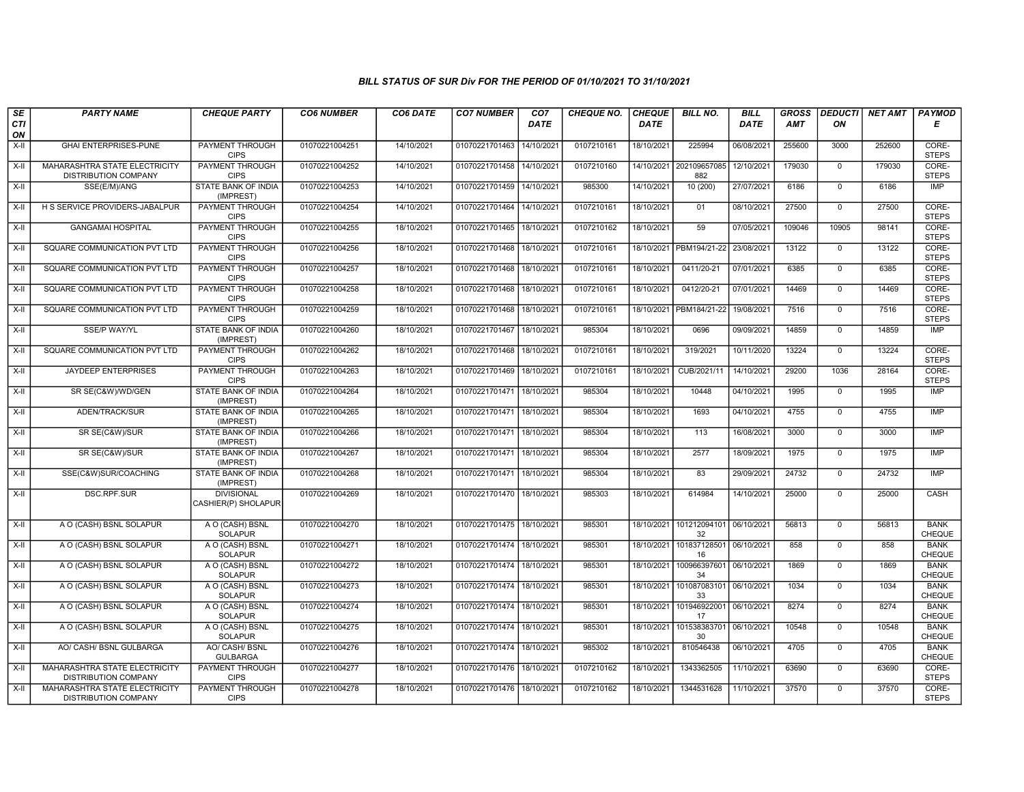| SE<br><b>CTI</b>   | <b>PARTY NAME</b>                                            | <b>CHEQUE PARTY</b>                      | <b>CO6 NUMBER</b> | CO6 DATE   | <b>CO7 NUMBER</b>         | CO <sub>7</sub><br>DATE | <b>CHEQUE NO.</b> | <b>CHEQUE</b><br><b>DATE</b> | <b>BILL NO.</b>                | <b>BILL</b><br><b>DATE</b> | <b>GROSS</b><br>AMT | <b>DEDUCTI</b><br>ON | <b>NET AMT</b> | <b>PAYMOD</b><br>Е           |
|--------------------|--------------------------------------------------------------|------------------------------------------|-------------------|------------|---------------------------|-------------------------|-------------------|------------------------------|--------------------------------|----------------------------|---------------------|----------------------|----------------|------------------------------|
| ON                 |                                                              |                                          |                   |            |                           |                         |                   |                              |                                |                            |                     |                      |                |                              |
| $X-H$              | <b>GHAI ENTERPRISES-PUNE</b>                                 | <b>PAYMENT THROUGH</b><br><b>CIPS</b>    | 01070221004251    | 14/10/2021 | 01070221701463            | 14/10/2021              | 0107210161        | 18/10/2021                   | 225994                         | 06/08/2021                 | 255600              | 3000                 | 252600         | CORE-<br><b>STEPS</b>        |
| $X-II$             | MAHARASHTRA STATE ELECTRICITY<br><b>DISTRIBUTION COMPANY</b> | <b>PAYMENT THROUGH</b><br><b>CIPS</b>    | 01070221004252    | 14/10/2021 | 01070221701458            | 14/10/2021              | 0107210160        |                              | 14/10/2021 202109657085<br>882 | 12/10/2021                 | 179030              | $\Omega$             | 179030         | CORE-<br><b>STEPS</b>        |
| X-II               | SSE(E/M)/ANG                                                 | <b>STATE BANK OF INDIA</b><br>(IMPREST)  | 01070221004253    | 14/10/2021 | 01070221701459            | 14/10/2021              | 985300            | 14/10/2021                   | 10 (200)                       | 27/07/2021                 | 6186                | $\mathbf 0$          | 6186           | <b>IMP</b>                   |
| X-II               | H S SERVICE PROVIDERS-JABALPUR                               | PAYMENT THROUGH<br><b>CIPS</b>           | 01070221004254    | 14/10/2021 | 01070221701464            | 14/10/2021              | 0107210161        | 18/10/2021                   | 01                             | 08/10/2021                 | 27500               | $\mathbf{0}$         | 27500          | CORE-<br><b>STEPS</b>        |
| X-II               | <b>GANGAMAI HOSPITAL</b>                                     | <b>PAYMENT THROUGH</b><br><b>CIPS</b>    | 01070221004255    | 18/10/2021 | 01070221701465            | 18/10/2021              | 0107210162        | 18/10/2021                   | 59                             | 07/05/2021                 | 109046              | 10905                | 98141          | CORE-<br><b>STEPS</b>        |
| X-II               | SQUARE COMMUNICATION PVT LTD                                 | <b>PAYMENT THROUGH</b><br><b>CIPS</b>    | 01070221004256    | 18/10/2021 | 01070221701468            | 18/10/2021              | 0107210161        | 18/10/2021                   | PBM194/21-22                   | 23/08/2021                 | 13122               | $\Omega$             | 13122          | CORE-<br><b>STEPS</b>        |
| X-II               | SQUARE COMMUNICATION PVT LTD                                 | PAYMENT THROUGH<br><b>CIPS</b>           | 01070221004257    | 18/10/2021 | 01070221701468            | 18/10/202               | 0107210161        | 18/10/2021                   | 0411/20-21                     | 07/01/2021                 | 6385                | $\mathbf 0$          | 6385           | CORE-<br><b>STEPS</b>        |
| X-II               | SQUARE COMMUNICATION PVT LTD                                 | PAYMENT THROUGH<br><b>CIPS</b>           | 01070221004258    | 18/10/2021 | 01070221701468            | 18/10/202               | 0107210161        | 18/10/2021                   | 0412/20-21                     | 07/01/2021                 | 14469               | $\mathbf{0}$         | 14469          | CORE-<br><b>STEPS</b>        |
| $X-H$              | SQUARE COMMUNICATION PVT LTD                                 | <b>PAYMENT THROUGH</b><br><b>CIPS</b>    | 01070221004259    | 18/10/2021 | 01070221701468            | 18/10/2021              | 0107210161        | 18/10/2021                   | PBM184/21-22                   | 19/08/2021                 | 7516                | $\mathbf 0$          | 7516           | CORE-<br><b>STEPS</b>        |
| X-II               | <b>SSE/P WAY/YL</b>                                          | <b>STATE BANK OF INDIA</b><br>(IMPREST)  | 01070221004260    | 18/10/2021 | 01070221701467 18/10/2021 |                         | 985304            | 18/10/2021                   | 0696                           | 09/09/2021                 | 14859               | $\Omega$             | 14859          | <b>IMP</b>                   |
| X-II               | SQUARE COMMUNICATION PVT LTD                                 | PAYMENT THROUGH<br><b>CIPS</b>           | 01070221004262    | 18/10/2021 | 01070221701468            | 18/10/202               | 0107210161        | 18/10/2021                   | 319/2021                       | 10/11/2020                 | 13224               | $\mathbf 0$          | 13224          | CORE-<br><b>STEPS</b>        |
| X-II               | JAYDEEP ENTERPRISES                                          | PAYMENT THROUGH<br><b>CIPS</b>           | 01070221004263    | 18/10/2021 | 01070221701469            | 18/10/2021              | 0107210161        | 18/10/2021                   | CUB/2021/11                    | 14/10/2021                 | 29200               | 1036                 | 28164          | CORE-<br><b>STEPS</b>        |
| X-II               | SR SE(C&W)/WD/GEN                                            | <b>STATE BANK OF INDIA</b><br>(IMPREST)  | 01070221004264    | 18/10/2021 | 01070221701471            | 18/10/2021              | 985304            | 18/10/2021                   | 10448                          | 04/10/2021                 | 1995                | $\mathbf{0}$         | 1995           | <b>IMP</b>                   |
| X-II               | ADEN/TRACK/SUR                                               | <b>STATE BANK OF INDIA</b><br>(IMPREST)  | 01070221004265    | 18/10/2021 | 01070221701471 18/10/2021 |                         | 985304            | 18/10/2021                   | 1693                           | 04/10/2021                 | 4755                | $\mathbf 0$          | 4755           | <b>IMP</b>                   |
| X-II               | SR SE(C&W)/SUR                                               | <b>STATE BANK OF INDIA</b><br>(IMPREST)  | 01070221004266    | 18/10/2021 | 01070221701471            | 18/10/2021              | 985304            | 18/10/2021                   | 113                            | 16/08/2021                 | 3000                | $\mathbf 0$          | 3000           | IMP                          |
| X-II               | SR SE(C&W)/SUR                                               | STATE BANK OF INDIA<br>(IMPREST)         | 01070221004267    | 18/10/2021 | 01070221701471            | 18/10/2021              | 985304            | 18/10/2021                   | 2577                           | 18/09/2021                 | 1975                | $\mathbf 0$          | 1975           | <b>IMP</b>                   |
| X-II               | SSE(C&W)SUR/COACHING                                         | STATE BANK OF INDIA<br>(IMPREST)         | 01070221004268    | 18/10/2021 | 01070221701471 18/10/2021 |                         | 985304            | 18/10/2021                   | 83                             | 29/09/2021                 | 24732               | $\mathbf 0$          | 24732          | <b>IMP</b>                   |
| $\overline{x}$ -II | <b>DSC.RPF.SUR</b>                                           | <b>DIVISIONAL</b><br>CASHIER(P) SHOLAPUR | 01070221004269    | 18/10/2021 | 01070221701470            | 18/10/2021              | 985303            | 18/10/2021                   | 614984                         | 14/10/2021                 | 25000               | $\mathbf 0$          | 25000          | <b>CASH</b>                  |
| $X-H$              | A O (CASH) BSNL SOLAPUR                                      | A O (CASH) BSNL<br><b>SOLAPUR</b>        | 01070221004270    | 18/10/2021 | 01070221701475            | 18/10/2021              | 985301            | 18/10/2021                   | 101212094101<br>32             | 06/10/2021                 | 56813               | $\mathbf 0$          | 56813          | <b>BANK</b><br><b>CHEQUE</b> |
| $X-H$              | A O (CASH) BSNL SOLAPUR                                      | A O (CASH) BSNL<br><b>SOLAPUR</b>        | 01070221004271    | 18/10/2021 | 01070221701474            | 18/10/2021              | 985301            | 18/10/2021                   | 101837128501<br>16             | 06/10/2021                 | 858                 | $\mathbf 0$          | 858            | <b>BANK</b><br><b>CHEQUE</b> |
| $X-H$              | A O (CASH) BSNL SOLAPUR                                      | A O (CASH) BSNL<br><b>SOLAPUR</b>        | 01070221004272    | 18/10/2021 | 01070221701474            | 18/10/2021              | 985301            | 18/10/2021                   | 100966397601<br>34             | 06/10/2021                 | 1869                | $\mathbf 0$          | 1869           | <b>BANK</b><br>CHEQUE        |
| X-II               | A O (CASH) BSNL SOLAPUR                                      | A O (CASH) BSNL<br><b>SOLAPUR</b>        | 01070221004273    | 18/10/2021 | 01070221701474            | 18/10/2021              | 985301            | 18/10/2021                   | 101087083101<br>33             | 06/10/2021                 | 1034                | $\Omega$             | 1034           | <b>BANK</b><br><b>CHEQUE</b> |
| $X-H$              | A O (CASH) BSNL SOLAPUR                                      | A O (CASH) BSNL<br><b>SOLAPUR</b>        | 01070221004274    | 18/10/2021 | 01070221701474            | 18/10/2021              | 985301            | 18/10/2021                   | 101946922001<br>17             | 06/10/2021                 | 8274                | $\overline{0}$       | 8274           | <b>BANK</b><br>CHEQUE        |
| $X-H$              | A O (CASH) BSNL SOLAPUR                                      | A O (CASH) BSNL<br><b>SOLAPUR</b>        | 01070221004275    | 18/10/2021 | 01070221701474            | 18/10/2021              | 985301            | 18/10/2021                   | 101538383701<br>30             | 06/10/2021                 | 10548               | $\overline{0}$       | 10548          | <b>BANK</b><br><b>CHEQUE</b> |
| X-II               | AO/ CASH/ BSNL GULBARGA                                      | AO/ CASH/ BSNL<br><b>GULBARGA</b>        | 01070221004276    | 18/10/2021 | 01070221701474            | 18/10/2021              | 985302            | 18/10/2021                   | 810546438                      | 06/10/2021                 | 4705                | $\mathbf{0}$         | 4705           | <b>BANK</b><br>CHEQUE        |
| X-II               | MAHARASHTRA STATE ELECTRICITY<br><b>DISTRIBUTION COMPANY</b> | PAYMENT THROUGH<br><b>CIPS</b>           | 01070221004277    | 18/10/2021 | 01070221701476            | 18/10/2021              | 0107210162        | 18/10/2021                   | 1343362505                     | 11/10/2021                 | 63690               | $\Omega$             | 63690          | CORE-<br><b>STEPS</b>        |
| X-II               | MAHARASHTRA STATE ELECTRICITY<br>DISTRIBUTION COMPANY        | <b>PAYMENT THROUGH</b><br><b>CIPS</b>    | 01070221004278    | 18/10/2021 | 01070221701476            | 18/10/2021              | 0107210162        | 18/10/2021                   | 1344531628                     | 11/10/2021                 | 37570               | $\overline{0}$       | 37570          | CORE-<br><b>STEPS</b>        |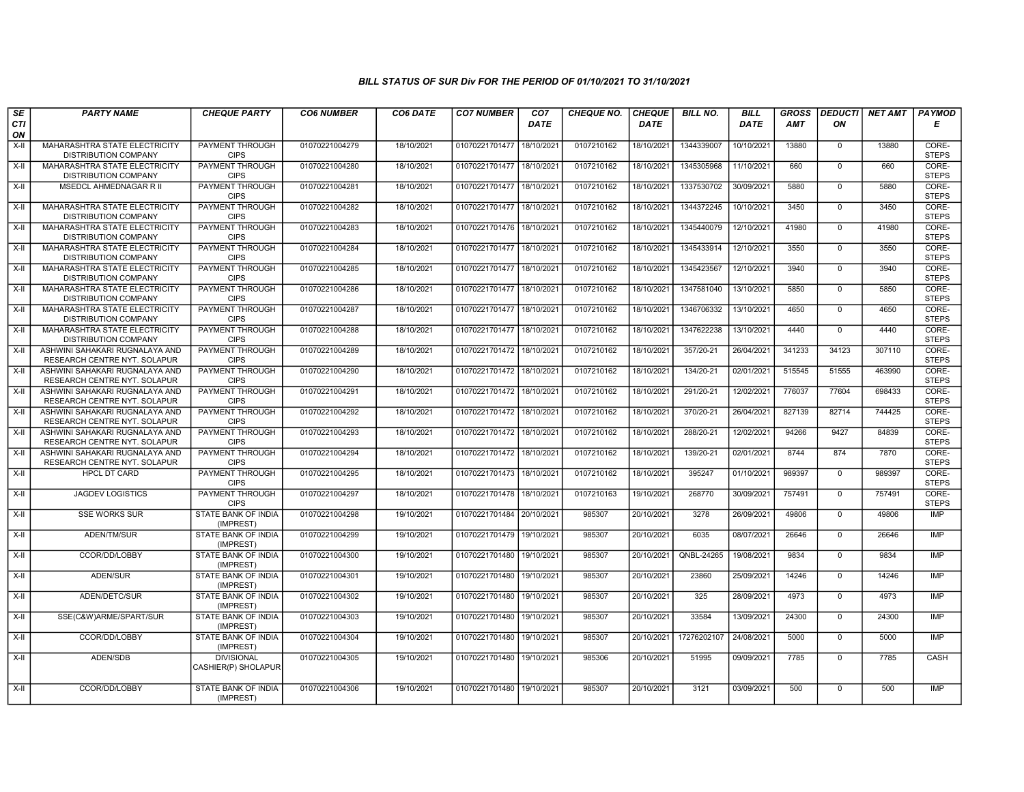| SE        | <b>PARTY NAME</b>                                                   | <b>CHEQUE PARTY</b>                      | <b>CO6 NUMBER</b> | CO6 DATE   | <b>CO7 NUMBER</b>         | CO <sub>7</sub> | <b>CHEQUE NO.</b> | <b>CHEQUE</b> | <b>BILL NO.</b> | <b>BILL</b> | <b>GROSS</b> |                | DEDUCTI NET AMT | <b>PAYMOD</b>         |
|-----------|---------------------------------------------------------------------|------------------------------------------|-------------------|------------|---------------------------|-----------------|-------------------|---------------|-----------------|-------------|--------------|----------------|-----------------|-----------------------|
| CTI<br>ON |                                                                     |                                          |                   |            |                           | <b>DATE</b>     |                   | <b>DATE</b>   |                 | <b>DATE</b> | <b>AMT</b>   | ON             |                 | Е                     |
| X-II      | MAHARASHTRA STATE ELECTRICITY<br><b>DISTRIBUTION COMPANY</b>        | PAYMENT THROUGH<br><b>CIPS</b>           | 01070221004279    | 18/10/2021 | 01070221701477            | 18/10/2021      | 0107210162        | 18/10/2021    | 1344339007      | 10/10/2021  | 13880        | $\mathbf 0$    | 13880           | CORE-<br><b>STEPS</b> |
| $X-H$     | MAHARASHTRA STATE ELECTRICITY<br><b>DISTRIBUTION COMPANY</b>        | <b>PAYMENT THROUGH</b><br><b>CIPS</b>    | 01070221004280    | 18/10/2021 | 01070221701477            | 18/10/2021      | 0107210162        | 18/10/2021    | 1345305968      | 11/10/2021  | 660          | $\Omega$       | 660             | CORE-<br><b>STEPS</b> |
| X-II      | MSEDCL AHMEDNAGAR R II                                              | PAYMENT THROUGH<br><b>CIPS</b>           | 01070221004281    | 18/10/2021 | 01070221701477            | 18/10/2021      | 0107210162        | 18/10/2021    | 1337530702      | 30/09/2021  | 5880         | $\mathbf 0$    | 5880            | CORE-<br><b>STEPS</b> |
| $X-H$     | <b>MAHARASHTRA STATE ELECTRICITY</b><br><b>DISTRIBUTION COMPANY</b> | PAYMENT THROUGH<br><b>CIPS</b>           | 01070221004282    | 18/10/2021 | 01070221701477            | 18/10/2021      | 0107210162        | 18/10/2021    | 1344372245      | 10/10/2021  | 3450         | $\overline{0}$ | 3450            | CORE-<br><b>STEPS</b> |
| X-II      | MAHARASHTRA STATE ELECTRICITY<br><b>DISTRIBUTION COMPANY</b>        | <b>PAYMENT THROUGH</b><br><b>CIPS</b>    | 01070221004283    | 18/10/2021 | 01070221701476 18/10/2021 |                 | 0107210162        | 18/10/2021    | 1345440079      | 12/10/2021  | 41980        | $\mathbf 0$    | 41980           | CORE-<br><b>STEPS</b> |
| $X-H$     | MAHARASHTRA STATE ELECTRICITY<br><b>DISTRIBUTION COMPANY</b>        | <b>PAYMENT THROUGH</b><br><b>CIPS</b>    | 01070221004284    | 18/10/2021 | 01070221701477            | 18/10/2021      | 0107210162        | 18/10/2021    | 1345433914      | 12/10/2021  | 3550         | $\overline{0}$ | 3550            | CORE-<br><b>STEPS</b> |
| X-II      | MAHARASHTRA STATE ELECTRICITY<br><b>DISTRIBUTION COMPANY</b>        | PAYMENT THROUGH<br><b>CIPS</b>           | 01070221004285    | 18/10/2021 | 01070221701477            | 18/10/2021      | 0107210162        | 18/10/2021    | 1345423567      | 12/10/2021  | 3940         | $\mathbf 0$    | 3940            | CORE-<br><b>STEPS</b> |
| $X-II$    | MAHARASHTRA STATE ELECTRICITY<br><b>DISTRIBUTION COMPANY</b>        | <b>PAYMENT THROUGH</b><br><b>CIPS</b>    | 01070221004286    | 18/10/2021 | 01070221701477            | 18/10/2021      | 0107210162        | 18/10/2021    | 1347581040      | 13/10/2021  | 5850         | $\overline{0}$ | 5850            | CORE-<br><b>STEPS</b> |
| $X-II$    | MAHARASHTRA STATE ELECTRICITY<br><b>DISTRIBUTION COMPANY</b>        | <b>PAYMENT THROUGH</b><br><b>CIPS</b>    | 01070221004287    | 18/10/2021 | 01070221701477            | 18/10/2021      | 0107210162        | 18/10/2021    | 1346706332      | 13/10/2021  | 4650         | $\Omega$       | 4650            | CORE-<br><b>STEPS</b> |
| $X-II$    | <b>MAHARASHTRA STATE ELECTRICITY</b><br><b>DISTRIBUTION COMPANY</b> | <b>PAYMENT THROUGH</b><br><b>CIPS</b>    | 01070221004288    | 18/10/2021 | 01070221701477            | 18/10/2021      | 0107210162        | 18/10/2021    | 1347622238      | 13/10/2021  | 4440         | $\Omega$       | 4440            | CORE-<br><b>STEPS</b> |
| X-II      | ASHWINI SAHAKARI RUGNALAYA AND<br>RESEARCH CENTRE NYT. SOLAPUR      | PAYMENT THROUGH<br><b>CIPS</b>           | 01070221004289    | 18/10/2021 | 01070221701472            | 18/10/2021      | 0107210162        | 18/10/2021    | 357/20-21       | 26/04/2021  | 341233       | 34123          | 307110          | CORE-<br><b>STEPS</b> |
| $X-II$    | ASHWINI SAHAKARI RUGNALAYA AND<br>RESEARCH CENTRE NYT. SOLAPUR      | PAYMENT THROUGH<br><b>CIPS</b>           | 01070221004290    | 18/10/2021 | 01070221701472            | 18/10/2021      | 0107210162        | 18/10/2021    | 134/20-21       | 02/01/2021  | 515545       | 51555          | 463990          | CORE-<br><b>STEPS</b> |
| X-II      | ASHWINI SAHAKARI RUGNALAYA AND<br>RESEARCH CENTRE NYT. SOLAPUR      | PAYMENT THROUGH<br><b>CIPS</b>           | 01070221004291    | 18/10/2021 | 01070221701472 18/10/2021 |                 | 0107210162        | 18/10/2021    | 291/20-21       | 12/02/2021  | 776037       | 77604          | 698433          | CORE-<br><b>STEPS</b> |
| $X-II$    | ASHWINI SAHAKARI RUGNALAYA AND<br>RESEARCH CENTRE NYT. SOLAPUR      | <b>PAYMENT THROUGH</b><br><b>CIPS</b>    | 01070221004292    | 18/10/2021 | 01070221701472            | 18/10/2021      | 0107210162        | 18/10/2021    | 370/20-21       | 26/04/2021  | 827139       | 82714          | 744425          | CORE-<br><b>STEPS</b> |
| $X-II$    | ASHWINI SAHAKARI RUGNALAYA AND<br>RESEARCH CENTRE NYT. SOLAPUR      | PAYMENT THROUGH<br><b>CIPS</b>           | 01070221004293    | 18/10/2021 | 01070221701472            | 18/10/2021      | 0107210162        | 18/10/2021    | 288/20-21       | 12/02/2021  | 94266        | 9427           | 84839           | CORE-<br><b>STEPS</b> |
| $X-II$    | ASHWINI SAHAKARI RUGNALAYA AND<br>RESEARCH CENTRE NYT. SOLAPUR      | PAYMENT THROUGH<br><b>CIPS</b>           | 01070221004294    | 18/10/2021 | 01070221701472 18/10/2021 |                 | 0107210162        | 18/10/2021    | 139/20-21       | 02/01/2021  | 8744         | 874            | 7870            | CORE-<br><b>STEPS</b> |
| $X-II$    | <b>HPCL DT CARD</b>                                                 | <b>PAYMENT THROUGH</b><br><b>CIPS</b>    | 01070221004295    | 18/10/2021 | 01070221701473            | 18/10/2021      | 0107210162        | 18/10/2021    | 395247          | 01/10/2021  | 989397       | $\overline{0}$ | 989397          | CORE-<br><b>STEPS</b> |
| $X-H$     | <b>JAGDEV LOGISTICS</b>                                             | <b>PAYMENT THROUGH</b><br><b>CIPS</b>    | 01070221004297    | 18/10/2021 | 01070221701478            | 18/10/2021      | 0107210163        | 19/10/2021    | 268770          | 30/09/2021  | 757491       | $\overline{0}$ | 757491          | CORE-<br><b>STEPS</b> |
| X-II      | <b>SSE WORKS SUR</b>                                                | STATE BANK OF INDIA<br>(IMPREST)         | 01070221004298    | 19/10/2021 | 01070221701484            | 20/10/2021      | 985307            | 20/10/2021    | 3278            | 26/09/2021  | 49806        | $\mathbf 0$    | 49806           | <b>IMP</b>            |
| X-II      | ADEN/TM/SUR                                                         | <b>STATE BANK OF INDIA</b><br>(IMPREST)  | 01070221004299    | 19/10/2021 | 01070221701479 19/10/2021 |                 | 985307            | 20/10/2021    | 6035            | 08/07/2021  | 26646        | $\mathbf 0$    | 26646           | IMP                   |
| $X-II$    | CCOR/DD/LOBBY                                                       | <b>STATE BANK OF INDIA</b><br>(IMPREST)  | 01070221004300    | 19/10/2021 | 01070221701480            | 19/10/2021      | 985307            | 20/10/2021    | QNBL-24265      | 19/08/2021  | 9834         | $\overline{0}$ | 9834            | <b>IMP</b>            |
| $X-H$     | ADEN/SUR                                                            | <b>STATE BANK OF INDIA</b><br>(IMPREST)  | 01070221004301    | 19/10/2021 | 01070221701480            | 19/10/2021      | 985307            | 20/10/2021    | 23860           | 25/09/2021  | 14246        | $\mathbf{0}$   | 14246           | IMP                   |
| $X-H$     | ADEN/DETC/SUR                                                       | STATE BANK OF INDIA<br>(IMPREST)         | 01070221004302    | 19/10/2021 | 01070221701480            | 19/10/2021      | 985307            | 20/10/2021    | 325             | 28/09/2021  | 4973         | $\mathbf{0}$   | 4973            | <b>IMP</b>            |
| X-II      | SSE(C&W)ARME/SPART/SUR                                              | STATE BANK OF INDIA<br>(IMPREST)         | 01070221004303    | 19/10/2021 | 01070221701480            | 19/10/2021      | 985307            | 20/10/2021    | 33584           | 13/09/2021  | 24300        | $\mathbf 0$    | 24300           | <b>IMP</b>            |
| X-II      | CCOR/DD/LOBBY                                                       | STATE BANK OF INDIA<br>(IMPREST)         | 01070221004304    | 19/10/2021 | 01070221701480            | 19/10/2021      | 985307            | 20/10/2021    | 17276202107     | 24/08/2021  | 5000         | $\mathbf 0$    | 5000            | IMP                   |
| X-II      | ADEN/SDB                                                            | <b>DIVISIONAL</b><br>CASHIER(P) SHOLAPUR | 01070221004305    | 19/10/2021 | 01070221701480            | 19/10/2021      | 985306            | 20/10/2021    | 51995           | 09/09/2021  | 7785         | $\mathbf 0$    | 7785            | CASH                  |
| $X-H$     | CCOR/DD/LOBBY                                                       | STATE BANK OF INDIA<br>(IMPREST)         | 01070221004306    | 19/10/2021 | 01070221701480            | 19/10/2021      | 985307            | 20/10/2021    | 3121            | 03/09/2021  | 500          | $\overline{0}$ | 500             | IMP                   |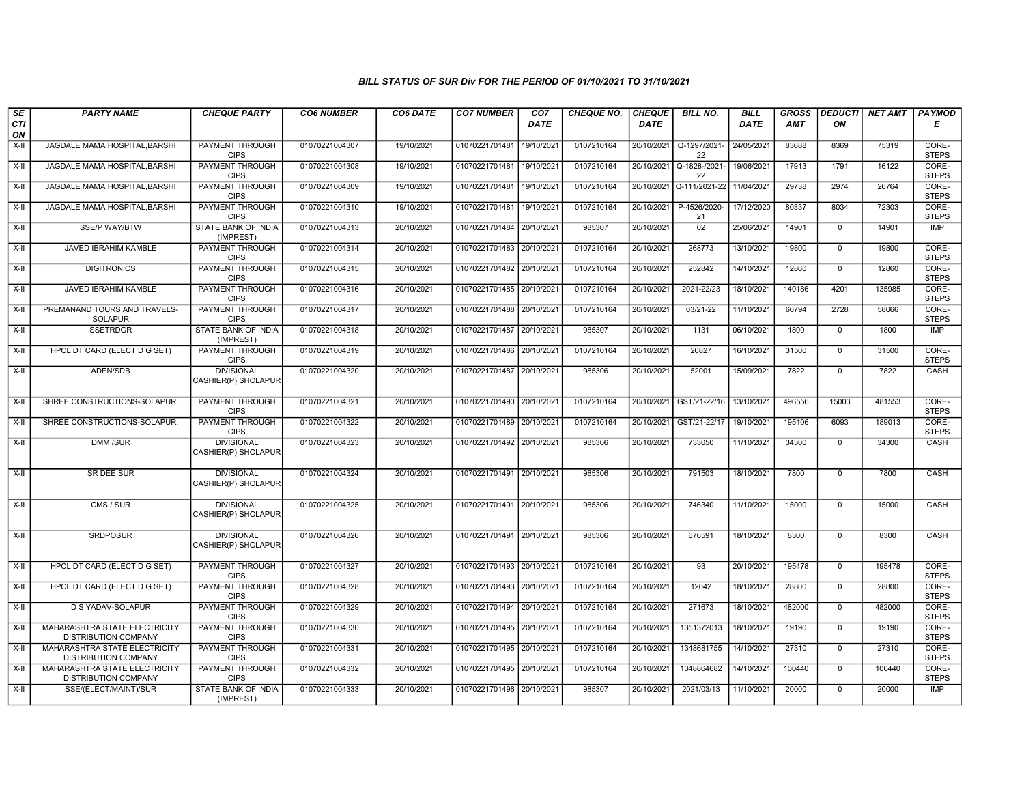| SE        | <b>PARTY NAME</b>                                            | <b>CHEQUE PARTY</b>                      | <b>CO6 NUMBER</b> | CO6 DATE   | <b>CO7 NUMBER</b>         | CO <sub>7</sub> | <b>CHEQUE NO.</b> | <b>CHEQUE</b> | <b>BILL NO.</b>     | <b>BILL</b> | <b>GROSS</b> | <b>DEDUCTI</b> | NET AMT | <b>PAYMOD</b>         |
|-----------|--------------------------------------------------------------|------------------------------------------|-------------------|------------|---------------------------|-----------------|-------------------|---------------|---------------------|-------------|--------------|----------------|---------|-----------------------|
| CTI<br>ON |                                                              |                                          |                   |            |                           | <b>DATE</b>     |                   | <b>DATE</b>   |                     | DATE        | AMT          | ON             |         | E                     |
| $X-H$     | JAGDALE MAMA HOSPITAL, BARSHI                                | <b>PAYMENT THROUGH</b><br><b>CIPS</b>    | 01070221004307    | 19/10/2021 | 01070221701481            | 19/10/2021      | 0107210164        | 20/10/2021    | Q-1297/2021-<br>22  | 24/05/2021  | 83688        | 8369           | 75319   | CORE-<br><b>STEPS</b> |
| X-II      | <b>JAGDALE MAMA HOSPITAL BARSHI</b>                          | <b>PAYMENT THROUGH</b><br><b>CIPS</b>    | 01070221004308    | 19/10/2021 | 01070221701481 19/10/2021 |                 | 0107210164        | 20/10/2021    | Q-1828-/2021-<br>22 | 19/06/2021  | 17913        | 1791           | 16122   | CORE-<br><b>STEPS</b> |
| X-II      | JAGDALE MAMA HOSPITAL, BARSHI                                | PAYMENT THROUGH<br><b>CIPS</b>           | 01070221004309    | 19/10/2021 | 01070221701481 19/10/2021 |                 | 0107210164        | 20/10/2021    | Q-111/2021-22       | 11/04/2021  | 29738        | 2974           | 26764   | CORE-<br><b>STEPS</b> |
| $X-H$     | JAGDALE MAMA HOSPITAL, BARSHI                                | <b>PAYMENT THROUGH</b><br><b>CIPS</b>    | 01070221004310    | 19/10/2021 | 01070221701481            | 19/10/2021      | 0107210164        | 20/10/2021    | P-4526/2020-<br>21  | 17/12/2020  | 80337        | 8034           | 72303   | CORE-<br><b>STEPS</b> |
| X-II      | <b>SSE/P WAY/BTW</b>                                         | <b>STATE BANK OF INDIA</b><br>(IMPREST)  | 01070221004313    | 20/10/2021 | 01070221701484 20/10/2021 |                 | 985307            | 20/10/2021    | 02                  | 25/06/2021  | 14901        | $\mathbf{0}$   | 14901   | <b>IMP</b>            |
| X-II      | <b>JAVED IBRAHIM KAMBLE</b>                                  | PAYMENT THROUGH<br><b>CIPS</b>           | 01070221004314    | 20/10/2021 | 01070221701483 20/10/2021 |                 | 0107210164        | 20/10/2021    | 268773              | 13/10/2021  | 19800        | $\mathbf{0}$   | 19800   | CORE-<br><b>STEPS</b> |
| X-II      | <b>DIGITRONICS</b>                                           | PAYMENT THROUGH<br><b>CIPS</b>           | 01070221004315    | 20/10/2021 | 01070221701482 20/10/2021 |                 | 0107210164        | 20/10/2021    | 252842              | 14/10/2021  | 12860        | $\Omega$       | 12860   | CORE-<br><b>STEPS</b> |
| $X-II$    | JAVED IBRAHIM KAMBLE                                         | PAYMENT THROUGH<br><b>CIPS</b>           | 01070221004316    | 20/10/2021 | 01070221701485 20/10/2021 |                 | 0107210164        | 20/10/2021    | 2021-22/23          | 18/10/2021  | 140186       | 4201           | 135985  | CORE-<br><b>STEPS</b> |
| $X-II$    | PREMANAND TOURS AND TRAVELS-<br><b>SOLAPUR</b>               | <b>PAYMENT THROUGH</b><br><b>CIPS</b>    | 01070221004317    | 20/10/2021 | 01070221701488 20/10/2021 |                 | 0107210164        | 20/10/2021    | 03/21-22            | 11/10/2021  | 60794        | 2728           | 58066   | CORE-<br><b>STEPS</b> |
| X-II      | <b>SSETRDGR</b>                                              | <b>STATE BANK OF INDIA</b><br>(IMPREST)  | 01070221004318    | 20/10/2021 | 01070221701487 20/10/2021 |                 | 985307            | 20/10/2021    | 1131                | 06/10/2021  | 1800         | $\mathbf 0$    | 1800    | <b>IMP</b>            |
| X-II      | HPCL DT CARD (ELECT D G SET)                                 | PAYMENT THROUGH<br><b>CIPS</b>           | 01070221004319    | 20/10/2021 | 01070221701486 20/10/2021 |                 | 0107210164        | 20/10/2021    | 20827               | 16/10/2021  | 31500        | $\Omega$       | 31500   | CORE-<br><b>STEPS</b> |
| X-II      | ADEN/SDB                                                     | <b>DIVISIONAL</b><br>CASHIER(P) SHOLAPUR | 01070221004320    | 20/10/2021 | 01070221701487 20/10/2021 |                 | 985306            | 20/10/2021    | 52001               | 15/09/2021  | 7822         | $\mathsf{O}$   | 7822    | CASH                  |
| $X-II$    | SHREE CONSTRUCTIONS-SOLAPUR.                                 | PAYMENT THROUGH<br><b>CIPS</b>           | 01070221004321    | 20/10/2021 | 01070221701490 20/10/2021 |                 | 0107210164        | 20/10/2021    | GST/21-22/16        | 13/10/2021  | 496556       | 15003          | 481553  | CORE-<br><b>STEPS</b> |
| X-II      | SHREE CONSTRUCTIONS-SOLAPUR.                                 | PAYMENT THROUGH<br><b>CIPS</b>           | 01070221004322    | 20/10/2021 | 01070221701489 20/10/2021 |                 | 0107210164        | 20/10/2021    | GST/21-22/17        | 19/10/2021  | 195106       | 6093           | 189013  | CORE-<br><b>STEPS</b> |
| X-II      | DMM /SUR                                                     | <b>DIVISIONAL</b><br>CASHIER(P) SHOLAPUR | 01070221004323    | 20/10/2021 | 01070221701492 20/10/2021 |                 | 985306            | 20/10/2021    | 733050              | 11/10/2021  | 34300        | $\mathbf 0$    | 34300   | CASH                  |
| X-II      | SR DEE SUR                                                   | <b>DIVISIONAL</b><br>CASHIER(P) SHOLAPUR | 01070221004324    | 20/10/2021 | 01070221701491 20/10/2021 |                 | 985306            | 20/10/2021    | 791503              | 18/10/2021  | 7800         | $\mathbf 0$    | 7800    | CASH                  |
| $X-H$     | CMS / SUR                                                    | <b>DIVISIONAL</b><br>CASHIER(P) SHOLAPUR | 01070221004325    | 20/10/2021 | 01070221701491 20/10/2021 |                 | 985306            | 20/10/2021    | 746340              | 11/10/2021  | 15000        | $\mathbf 0$    | 15000   | CASH                  |
| $X-H$     | <b>SRDPOSUR</b>                                              | <b>DIVISIONAL</b><br>CASHIER(P) SHOLAPUR | 01070221004326    | 20/10/2021 | 01070221701491 20/10/2021 |                 | 985306            | 20/10/2021    | 676591              | 18/10/2021  | 8300         | $\Omega$       | 8300    | CASH                  |
| X-II      | HPCL DT CARD (ELECT D G SET)                                 | PAYMENT THROUGH<br><b>CIPS</b>           | 01070221004327    | 20/10/2021 | 01070221701493 20/10/2021 |                 | 0107210164        | 20/10/2021    | 93                  | 20/10/2021  | 195478       | $\Omega$       | 195478  | CORE-<br><b>STEPS</b> |
| X-II      | HPCL DT CARD (ELECT D G SET)                                 | PAYMENT THROUGH<br><b>CIPS</b>           | 01070221004328    | 20/10/2021 | 01070221701493 20/10/2021 |                 | 0107210164        | 20/10/2021    | 12042               | 18/10/2021  | 28800        | $\mathbf 0$    | 28800   | CORE-<br><b>STEPS</b> |
| $X-H$     | <b>D S YADAV-SOLAPUR</b>                                     | <b>PAYMENT THROUGH</b><br><b>CIPS</b>    | 01070221004329    | 20/10/2021 | 01070221701494 20/10/2021 |                 | 0107210164        | 20/10/2021    | 271673              | 18/10/2021  | 482000       | $\mathbf{0}$   | 482000  | CORE-<br><b>STEPS</b> |
| X-II      | MAHARASHTRA STATE ELECTRICITY<br><b>DISTRIBUTION COMPANY</b> | <b>PAYMENT THROUGH</b><br><b>CIPS</b>    | 01070221004330    | 20/10/2021 | 01070221701495 20/10/2021 |                 | 0107210164        | 20/10/2021    | 1351372013          | 18/10/2021  | 19190        | $\mathbf{0}$   | 19190   | CORE-<br><b>STEPS</b> |
| $X-II$    | MAHARASHTRA STATE ELECTRICITY<br><b>DISTRIBUTION COMPANY</b> | <b>PAYMENT THROUGH</b><br><b>CIPS</b>    | 01070221004331    | 20/10/2021 | 01070221701495 20/10/2021 |                 | 0107210164        | 20/10/2021    | 1348681755          | 14/10/2021  | 27310        | $\mathbf 0$    | 27310   | CORE-<br><b>STEPS</b> |
| $X-II$    | MAHARASHTRA STATE ELECTRICITY<br>DISTRIBUTION COMPANY        | <b>PAYMENT THROUGH</b><br><b>CIPS</b>    | 01070221004332    | 20/10/2021 | 01070221701495 20/10/2021 |                 | 0107210164        | 20/10/2021    | 1348864682          | 14/10/2021  | 100440       | $\mathbf 0$    | 100440  | CORE-<br><b>STEPS</b> |
| $X-H$     | SSE/(ELECT/MAINT)/SUR                                        | <b>STATE BANK OF INDIA</b><br>(IMPREST)  | 01070221004333    | 20/10/2021 | 01070221701496 20/10/2021 |                 | 985307            | 20/10/2021    | 2021/03/13          | 11/10/2021  | 20000        | $\mathbf 0$    | 20000   | <b>IMP</b>            |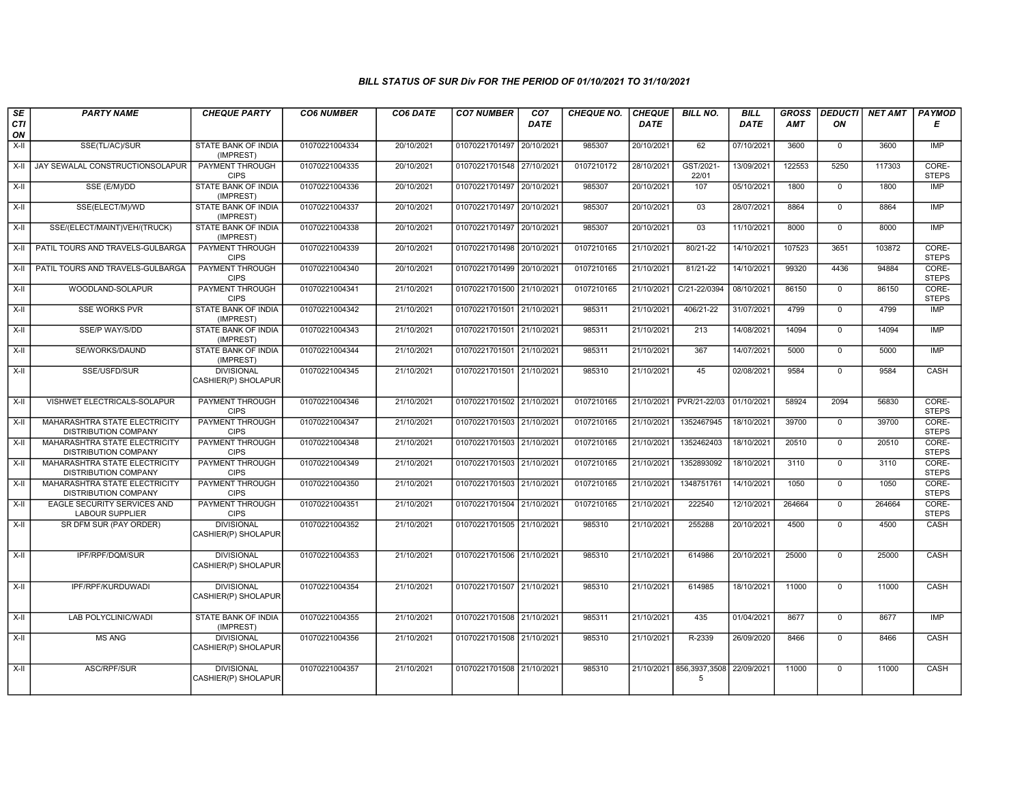| SE        | <b>PARTY NAME</b>                                            | <b>CHEQUE PARTY</b>                      | <b>CO6 NUMBER</b> | CO6 DATE   | <b>CO7 NUMBER</b>         | CO <sub>7</sub> | CHEQUE NO. | <b>CHEQUE</b> | <b>BILL NO.</b>               | <b>BILL</b> | <b>GROSS</b> |                | <b>DEDUCTI NET AMT</b> | <b>PAYMOD</b>         |
|-----------|--------------------------------------------------------------|------------------------------------------|-------------------|------------|---------------------------|-----------------|------------|---------------|-------------------------------|-------------|--------------|----------------|------------------------|-----------------------|
| CTI<br>ON |                                                              |                                          |                   |            |                           | <b>DATE</b>     |            | <b>DATE</b>   |                               | <b>DATE</b> | <b>AMT</b>   | ON             |                        | Е                     |
| $X-H$     | SSE(TL/AC)/SUR                                               | <b>STATE BANK OF INDIA</b><br>(IMPREST)  | 01070221004334    | 20/10/2021 | 01070221701497            | 20/10/2021      | 985307     | 20/10/2021    | 62                            | 07/10/2021  | 3600         | $\overline{0}$ | 3600                   | IMP                   |
| $X-H$     | JAY SEWALAL CONSTRUCTIONSOLAPUR                              | PAYMENT THROUGH<br><b>CIPS</b>           | 01070221004335    | 20/10/2021 | 01070221701548 27/10/2021 |                 | 0107210172 | 28/10/2021    | GST/2021-<br>22/01            | 13/09/2021  | 122553       | 5250           | 117303                 | CORE-<br><b>STEPS</b> |
| X-II      | SSE (E/M)/DD                                                 | STATE BANK OF INDIA<br>(IMPREST)         | 01070221004336    | 20/10/2021 | 01070221701497            | 20/10/2021      | 985307     | 20/10/2021    | 107                           | 05/10/2021  | 1800         | $\mathbf 0$    | 1800                   | IMP                   |
| $X-II$    | SSE(ELECT/M)/WD                                              | STATE BANK OF INDIA<br>(IMPREST)         | 01070221004337    | 20/10/2021 | 01070221701497            | 20/10/2021      | 985307     | 20/10/2021    | 03                            | 28/07/2021  | 8864         | $\mathbf{0}$   | 8864                   | <b>IMP</b>            |
| $X-H$     | SSE/(ELECT/MAINT)VEH/(TRUCK)                                 | <b>STATE BANK OF INDIA</b><br>(IMPREST)  | 01070221004338    | 20/10/2021 | 01070221701497 20/10/2021 |                 | 985307     | 20/10/2021    | 03                            | 11/10/2021  | 8000         | $\mathbf{0}$   | 8000                   | <b>IMP</b>            |
| X-II      | PATIL TOURS AND TRAVELS-GULBARGA                             | <b>PAYMENT THROUGH</b><br><b>CIPS</b>    | 01070221004339    | 20/10/2021 | 01070221701498 20/10/2021 |                 | 0107210165 | 21/10/2021    | 80/21-22                      | 14/10/2021  | 107523       | 3651           | 103872                 | CORE-<br><b>STEPS</b> |
| $X-H$     | PATIL TOURS AND TRAVELS-GULBARGA                             | PAYMENT THROUGH<br><b>CIPS</b>           | 01070221004340    | 20/10/2021 | 01070221701499 20/10/2021 |                 | 0107210165 | 21/10/2021    | 81/21-22                      | 14/10/2021  | 99320        | 4436           | 94884                  | CORE-<br><b>STEPS</b> |
| $X-II$    | WOODLAND-SOLAPUR                                             | PAYMENT THROUGH<br><b>CIPS</b>           | 01070221004341    | 21/10/2021 | 01070221701500 21/10/2021 |                 | 0107210165 | 21/10/2021    | C/21-22/0394                  | 08/10/2021  | 86150        | $\overline{0}$ | 86150                  | CORE-<br><b>STEPS</b> |
| $X-H$     | <b>SSE WORKS PVR</b>                                         | <b>STATE BANK OF INDIA</b><br>(IMPREST)  | 01070221004342    | 21/10/2021 | 01070221701501            | 21/10/2021      | 985311     | 21/10/2021    | 406/21-22                     | 31/07/2021  | 4799         | $\mathbf{0}$   | 4799                   | <b>IMP</b>            |
| $X-H$     | SSE/P WAY/S/DD                                               | <b>STATE BANK OF INDIA</b><br>(IMPREST)  | 01070221004343    | 21/10/2021 | 01070221701501 21/10/2021 |                 | 985311     | 21/10/2021    | 213                           | 14/08/2021  | 14094        | $\mathbf{0}$   | 14094                  | IMP                   |
| X-II      | SE/WORKS/DAUND                                               | STATE BANK OF INDIA<br>(IMPREST)         | 01070221004344    | 21/10/2021 | 01070221701501 21/10/2021 |                 | 985311     | 21/10/2021    | 367                           | 14/07/2021  | 5000         | $\mathbf{0}$   | 5000                   | <b>IMP</b>            |
| $X-H$     | SSE/USFD/SUR                                                 | <b>DIVISIONAL</b><br>CASHIER(P) SHOLAPUR | 01070221004345    | 21/10/2021 | 01070221701501 21/10/2021 |                 | 985310     | 21/10/2021    | 45                            | 02/08/2021  | 9584         | $\Omega$       | 9584                   | CASH                  |
| X-II      | VISHWET ELECTRICALS-SOLAPUR                                  | PAYMENT THROUGH<br><b>CIPS</b>           | 01070221004346    | 21/10/2021 | 01070221701502 21/10/2021 |                 | 0107210165 | 21/10/2021    | PVR/21-22/03                  | 01/10/2021  | 58924        | 2094           | 56830                  | CORE-<br><b>STEPS</b> |
| X-II      | MAHARASHTRA STATE ELECTRICITY<br><b>DISTRIBUTION COMPANY</b> | <b>PAYMENT THROUGH</b><br><b>CIPS</b>    | 01070221004347    | 21/10/2021 | 01070221701503 21/10/2021 |                 | 0107210165 | 21/10/2021    | 1352467945                    | 18/10/2021  | 39700        | $\overline{0}$ | 39700                  | CORE-<br><b>STEPS</b> |
| $X-II$    | MAHARASHTRA STATE ELECTRICITY<br><b>DISTRIBUTION COMPANY</b> | PAYMENT THROUGH<br><b>CIPS</b>           | 01070221004348    | 21/10/2021 | 01070221701503 21/10/2021 |                 | 0107210165 | 21/10/2021    | 1352462403                    | 18/10/2021  | 20510        | $\mathbf{0}$   | 20510                  | CORE-<br><b>STEPS</b> |
| X-II      | MAHARASHTRA STATE ELECTRICITY<br><b>DISTRIBUTION COMPANY</b> | <b>PAYMENT THROUGH</b><br><b>CIPS</b>    | 01070221004349    | 21/10/2021 | 01070221701503 21/10/2021 |                 | 0107210165 | 21/10/2021    | 1352893092                    | 18/10/2021  | 3110         | $\mathbf{0}$   | 3110                   | CORE-<br><b>STEPS</b> |
| $X-II$    | MAHARASHTRA STATE ELECTRICITY<br><b>DISTRIBUTION COMPANY</b> | PAYMENT THROUGH<br><b>CIPS</b>           | 01070221004350    | 21/10/2021 | 01070221701503 21/10/2021 |                 | 0107210165 | 21/10/2021    | 1348751761                    | 14/10/2021  | 1050         | $\mathbf 0$    | 1050                   | CORE-<br><b>STEPS</b> |
| X-II      | EAGLE SECURITY SERVICES AND<br><b>LABOUR SUPPLIER</b>        | PAYMENT THROUGH<br><b>CIPS</b>           | 01070221004351    | 21/10/2021 | 01070221701504 21/10/2021 |                 | 0107210165 | 21/10/2021    | 222540                        | 12/10/2021  | 264664       | $\mathbf{0}$   | 264664                 | CORE-<br><b>STEPS</b> |
| $X-H$     | SR DFM SUR (PAY ORDER)                                       | <b>DIVISIONAL</b><br>CASHIER(P) SHOLAPUR | 01070221004352    | 21/10/2021 | 01070221701505 21/10/2021 |                 | 985310     | 21/10/2021    | 255288                        | 20/10/2021  | 4500         | $\overline{0}$ | 4500                   | CASH                  |
| X-II      | IPF/RPF/DQM/SUR                                              | <b>DIVISIONAL</b><br>CASHIER(P) SHOLAPUR | 01070221004353    | 21/10/2021 | 01070221701506 21/10/2021 |                 | 985310     | 21/10/2021    | 614986                        | 20/10/2021  | 25000        | $\Omega$       | 25000                  | CASH                  |
| X-II      | IPF/RPF/KURDUWADI                                            | <b>DIVISIONAL</b><br>CASHIER(P) SHOLAPUR | 01070221004354    | 21/10/2021 | 01070221701507 21/10/2021 |                 | 985310     | 21/10/2021    | 614985                        | 18/10/2021  | 11000        | $\mathbf{0}$   | 11000                  | CASH                  |
| $X-II$    | LAB POLYCLINIC/WADI                                          | <b>STATE BANK OF INDIA</b><br>(IMPREST)  | 01070221004355    | 21/10/2021 | 01070221701508 21/10/2021 |                 | 985311     | 21/10/2021    | 435                           | 01/04/2021  | 8677         | $\overline{0}$ | 8677                   | <b>IMP</b>            |
| $X-H$     | <b>MS ANG</b>                                                | <b>DIVISIONAL</b><br>CASHIER(P) SHOLAPUR | 01070221004356    | 21/10/2021 | 01070221701508 21/10/2021 |                 | 985310     | 21/10/2021    | R-2339                        | 26/09/2020  | 8466         | $\mathbf{0}$   | 8466                   | <b>CASH</b>           |
| X-II      | ASC/RPF/SUR                                                  | <b>DIVISIONAL</b><br>CASHIER(P) SHOLAPUR | 01070221004357    | 21/10/2021 | 01070221701508 21/10/2021 |                 | 985310     |               | 21/10/2021 856,3937,3508<br>5 | 22/09/2021  | 11000        | $\mathbf 0$    | 11000                  | CASH                  |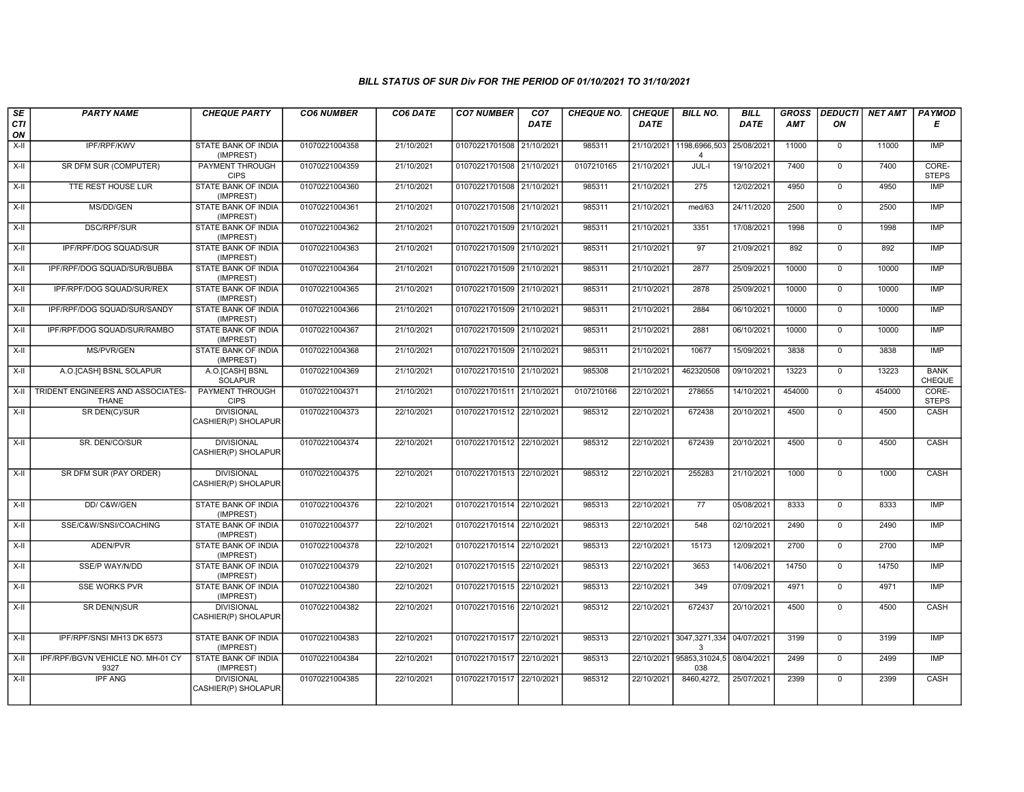| SE        | <b>PARTY NAME</b>                                 | <b>CHEQUE PARTY</b>                      | <b>CO6 NUMBER</b> | CO6 DATE   | <b>CO7 NUMBER</b>         | CO <sub>7</sub> | <b>CHEQUE NO.</b> | <b>CHEQUE</b> | <b>BILL NO.</b>                            | <b>BILL</b> | <b>GROSS</b> |                | DEDUCTI NET AMT | <b>PAYMOD</b>         |
|-----------|---------------------------------------------------|------------------------------------------|-------------------|------------|---------------------------|-----------------|-------------------|---------------|--------------------------------------------|-------------|--------------|----------------|-----------------|-----------------------|
| CTI<br>ON |                                                   |                                          |                   |            |                           | <b>DATE</b>     |                   | DATE          |                                            | DATE        | AMT          | ON             |                 | Е                     |
| $X-II$    | IPF/RPF/KWV                                       | <b>STATE BANK OF INDIA</b><br>(IMPREST)  | 01070221004358    | 21/10/2021 | 01070221701508 21/10/2021 |                 | 985311            |               | 21/10/2021 1198,6966,503<br>$\overline{4}$ | 25/08/2021  | 11000        | $\overline{0}$ | 11000           | IMP                   |
| $X-H$     | SR DFM SUR (COMPUTER)                             | <b>PAYMENT THROUGH</b><br><b>CIPS</b>    | 01070221004359    | 21/10/2021 | 01070221701508 21/10/2021 |                 | 0107210165        | 21/10/2021    | JUL-I                                      | 19/10/2021  | 7400         | $\mathbf{0}$   | 7400            | CORE-<br><b>STEPS</b> |
| X-II      | TTE REST HOUSE LUR                                | STATE BANK OF INDIA<br>(IMPREST)         | 01070221004360    | 21/10/2021 | 01070221701508 21/10/2021 |                 | 985311            | 21/10/2021    | 275                                        | 12/02/2021  | 4950         | $\mathbf 0$    | 4950            | <b>IMP</b>            |
| $X-II$    | MS/DD/GEN                                         | STATE BANK OF INDIA<br>(IMPREST)         | 01070221004361    | 21/10/2021 | 01070221701508 21/10/2021 |                 | 985311            | 21/10/2021    | med/63                                     | 24/11/2020  | 2500         | $\overline{0}$ | 2500            | <b>IMP</b>            |
| X-II      | <b>DSC/RPF/SUR</b>                                | <b>STATE BANK OF INDIA</b><br>(IMPREST)  | 01070221004362    | 21/10/2021 | 01070221701509 21/10/2021 |                 | 985311            | 21/10/2021    | 3351                                       | 17/08/2021  | 1998         | $\overline{0}$ | 1998            | IMP                   |
| X-II      | IPF/RPF/DOG SQUAD/SUR                             | <b>STATE BANK OF INDIA</b><br>(IMPREST)  | 01070221004363    | 21/10/2021 | 01070221701509 21/10/2021 |                 | 985311            | 21/10/2021    | 97                                         | 21/09/2021  | 892          | $\overline{0}$ | 892             | <b>IMP</b>            |
| X-II      | IPF/RPF/DOG SQUAD/SUR/BUBBA                       | STATE BANK OF INDIA<br>(IMPREST)         | 01070221004364    | 21/10/2021 | 01070221701509 21/10/2021 |                 | 985311            | 21/10/2021    | 2877                                       | 25/09/2021  | 10000        | $\mathbf 0$    | 10000           | IMP                   |
| $X-H$     | IPF/RPF/DOG SQUAD/SUR/REX                         | <b>STATE BANK OF INDIA</b><br>(IMPREST)  | 01070221004365    | 21/10/2021 | 01070221701509 21/10/2021 |                 | 985311            | 21/10/2021    | 2878                                       | 25/09/2021  | 10000        | $\overline{0}$ | 10000           | IMP                   |
| $X-H$     | IPF/RPF/DOG SQUAD/SUR/SANDY                       | <b>STATE BANK OF INDIA</b><br>(IMPREST)  | 01070221004366    | 21/10/2021 | 01070221701509 21/10/2021 |                 | 985311            | 21/10/2021    | 2884                                       | 06/10/2021  | 10000        | $\mathbf{0}$   | 10000           | <b>IMP</b>            |
| X-II      | IPF/RPF/DOG SQUAD/SUR/RAMBO                       | <b>STATE BANK OF INDIA</b><br>(IMPREST)  | 01070221004367    | 21/10/2021 | 01070221701509 21/10/2021 |                 | 985311            | 21/10/2021    | 2881                                       | 06/10/2021  | 10000        | $\overline{0}$ | 10000           | IMP                   |
| X-II      | MS/PVR/GEN                                        | STATE BANK OF INDIA<br>(IMPREST)         | 01070221004368    | 21/10/2021 | 01070221701509 21/10/2021 |                 | 985311            | 21/10/2021    | 10677                                      | 15/09/2021  | 3838         | $\mathbf 0$    | 3838            | <b>IMP</b>            |
| $X-H$     | A.O. [CASH] BSNL SOLAPUR                          | A.O.[CASH] BSNL<br><b>SOLAPUR</b>        | 01070221004369    | 21/10/2021 | 01070221701510 21/10/2021 |                 | 985308            | 21/10/2021    | 462320508                                  | 09/10/2021  | 13223        | $\overline{0}$ | 13223           | <b>BANK</b><br>CHEQUE |
| $X-II$    | TRIDENT ENGINEERS AND ASSOCIATES-<br><b>THANE</b> | <b>PAYMENT THROUGH</b><br><b>CIPS</b>    | 01070221004371    | 21/10/2021 | 01070221701511 21/10/2021 |                 | 0107210166        | 22/10/2021    | 278655                                     | 14/10/2021  | 454000       | $\Omega$       | 454000          | CORE-<br><b>STEPS</b> |
| $X-H$     | SR DEN(C)/SUR                                     | <b>DIVISIONAL</b><br>CASHIER(P) SHOLAPUR | 01070221004373    | 22/10/2021 | 01070221701512 22/10/2021 |                 | 985312            | 22/10/2021    | 672438                                     | 20/10/2021  | 4500         | $\overline{0}$ | 4500            | <b>CASH</b>           |
| $X-H$     | SR. DEN/CO/SUR                                    | <b>DIVISIONAL</b><br>CASHIER(P) SHOLAPUR | 01070221004374    | 22/10/2021 | 01070221701512 22/10/2021 |                 | 985312            | 22/10/2021    | 672439                                     | 20/10/2021  | 4500         | $\mathbf{0}$   | 4500            | CASH                  |
| X-II      | SR DFM SUR (PAY ORDER)                            | <b>DIVISIONAL</b><br>CASHIER(P) SHOLAPUR | 01070221004375    | 22/10/2021 | 01070221701513 22/10/2021 |                 | 985312            | 22/10/2021    | 255283                                     | 21/10/2021  | 1000         | $\mathbf 0$    | 1000            | CASH                  |
| $X-H$     | DD/ C&W/GEN                                       | <b>STATE BANK OF INDIA</b><br>(IMPREST)  | 01070221004376    | 22/10/2021 | 01070221701514 22/10/2021 |                 | 985313            | 22/10/2021    | 77                                         | 05/08/2021  | 8333         | $\overline{0}$ | 8333            | IMP                   |
| $X-H$     | SSE/C&W/SNSI/COACHING                             | STATE BANK OF INDIA<br>(IMPREST)         | 01070221004377    | 22/10/2021 | 01070221701514 22/10/2021 |                 | 985313            | 22/10/2021    | 548                                        | 02/10/2021  | 2490         | $\mathbf 0$    | 2490            | IMP                   |
| X-II      | ADEN/PVR                                          | STATE BANK OF INDIA<br>(IMPREST)         | 01070221004378    | 22/10/2021 | 01070221701514 22/10/2021 |                 | 985313            | 22/10/2021    | 15173                                      | 12/09/2021  | 2700         | $\mathbf{0}$   | 2700            | <b>IMP</b>            |
| X-II      | SSE/P WAY/N/DD                                    | <b>STATE BANK OF INDIA</b><br>(IMPREST)  | 01070221004379    | 22/10/2021 | 01070221701515 22/10/2021 |                 | 985313            | 22/10/2021    | 3653                                       | 14/06/2021  | 14750        | $\overline{0}$ | 14750           | <b>IMP</b>            |
| X-II      | <b>SSE WORKS PVR</b>                              | <b>STATE BANK OF INDIA</b><br>(IMPREST)  | 01070221004380    | 22/10/2021 | 01070221701515 22/10/2021 |                 | 985313            | 22/10/2021    | 349                                        | 07/09/2021  | 4971         | $\overline{0}$ | 4971            | IMP                   |
| X-II      | SR DEN(N)SUR                                      | <b>DIVISIONAL</b><br>CASHIER(P) SHOLAPUR | 01070221004382    | 22/10/2021 | 01070221701516 22/10/2021 |                 | 985312            | 22/10/2021    | 672437                                     | 20/10/2021  | 4500         | $\mathbf 0$    | 4500            | CASH                  |
| $X-H$     | IPF/RPF/SNSI MH13 DK 6573                         | <b>STATE BANK OF INDIA</b><br>(IMPREST)  | 01070221004383    | 22/10/2021 | 01070221701517 22/10/2021 |                 | 985313            |               | 22/10/2021 3047,3271,334<br>3              | 04/07/2021  | 3199         | $\overline{0}$ | 3199            | <b>IMP</b>            |
| $X-II$    | IPF/RPF/BGVN VEHICLE NO. MH-01 CY<br>9327         | <b>STATE BANK OF INDIA</b><br>(IMPREST)  | 01070221004384    | 22/10/2021 | 01070221701517            | 22/10/2021      | 985313            | 22/10/2021    | 95853,31024,5<br>038                       | 08/04/2021  | 2499         | $\mathbf 0$    | 2499            | IMP                   |
| X-II      | <b>IPF ANG</b>                                    | <b>DIVISIONAL</b><br>CASHIER(P) SHOLAPUR | 01070221004385    | 22/10/2021 | 01070221701517 22/10/2021 |                 | 985312            | 22/10/2021    | 8460,4272,                                 | 25/07/2021  | 2399         | $\mathbf 0$    | 2399            | CASH                  |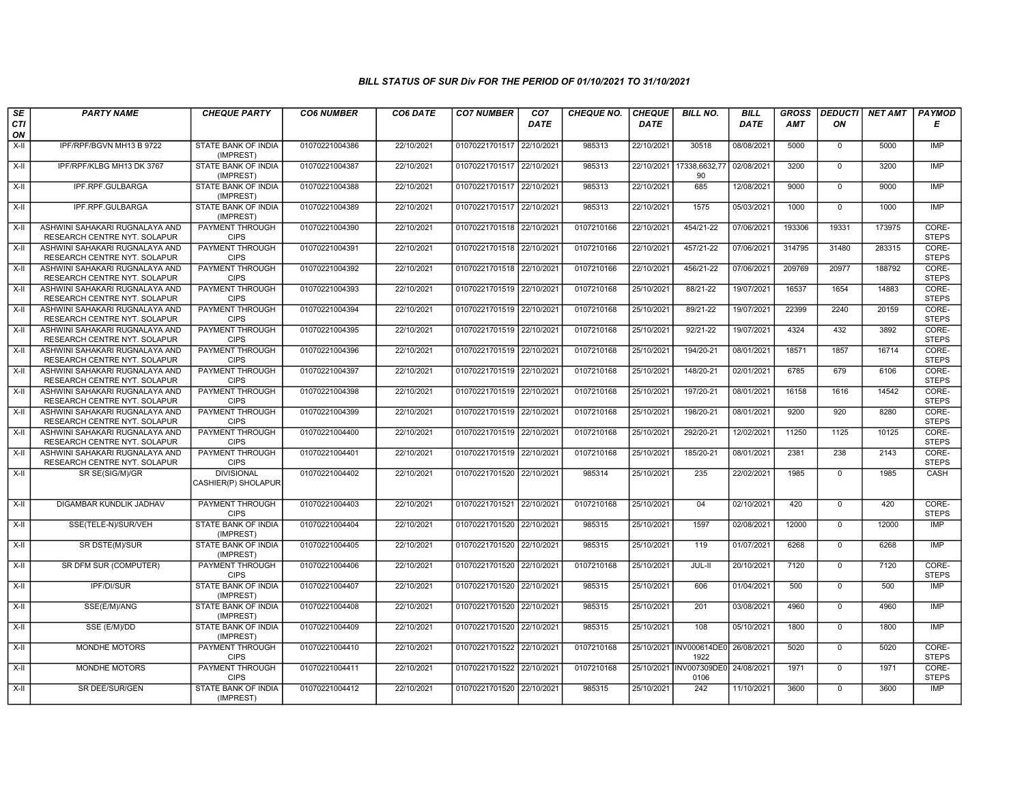| SE        | <b>PARTY NAME</b>                                              | <b>CHEQUE PARTY</b>                      | <b>CO6 NUMBER</b> | CO6 DATE   | <b>CO7 NUMBER</b>         | CO <sub>7</sub> | <b>CHEQUE NO.</b> | <b>CHEQUE</b> | <b>BILL NO.</b>                 | <b>BILL</b> | <b>GROSS</b> | <b>DEDUCTI</b> | <b>NET AMT</b> | <b>PAYMOD</b>         |
|-----------|----------------------------------------------------------------|------------------------------------------|-------------------|------------|---------------------------|-----------------|-------------------|---------------|---------------------------------|-------------|--------------|----------------|----------------|-----------------------|
| CTI<br>ON |                                                                |                                          |                   |            |                           | <b>DATE</b>     |                   | <b>DATE</b>   |                                 | <b>DATE</b> | <b>AMT</b>   | ΟN             |                | Е                     |
| $X-H$     | IPF/RPF/BGVN MH13 B 9722                                       | <b>STATE BANK OF INDIA</b><br>(IMPREST)  | 01070221004386    | 22/10/2021 | 01070221701517            | 22/10/2021      | 985313            | 22/10/2021    | 30518                           | 08/08/2021  | 5000         | $\mathbf{0}$   | 5000           | IMP                   |
| $X-H$     | IPF/RPF/KLBG MH13 DK 3767                                      | STATE BANK OF INDIA<br>(IMPREST)         | 01070221004387    | 22/10/2021 | 01070221701517 22/10/2021 |                 | 985313            |               | 22/10/2021 17338,6632,77<br>90  | 02/08/2021  | 3200         | $\Omega$       | 3200           | <b>IMP</b>            |
| $X-H$     | IPF.RPF.GULBARGA                                               | STATE BANK OF INDIA<br>(IMPREST)         | 01070221004388    | 22/10/2021 | 01070221701517 22/10/2021 |                 | 985313            | 22/10/2021    | 685                             | 12/08/2021  | 9000         | $\mathbf 0$    | 9000           | <b>IMP</b>            |
| $X-II$    | IPF.RPF.GULBARGA                                               | STATE BANK OF INDIA<br>(IMPREST)         | 01070221004389    | 22/10/2021 | 01070221701517 22/10/2021 |                 | 985313            | 22/10/2021    | 1575                            | 05/03/2021  | 1000         | $\overline{0}$ | 1000           | IMP                   |
| X-II      | ASHWINI SAHAKARI RUGNALAYA AND<br>RESEARCH CENTRE NYT. SOLAPUR | <b>PAYMENT THROUGH</b><br><b>CIPS</b>    | 01070221004390    | 22/10/2021 | 01070221701518 22/10/2021 |                 | 0107210166        | 22/10/2021    | 454/21-22                       | 07/06/2021  | 193306       | 19331          | 173975         | CORE-<br><b>STEPS</b> |
| X-II      | ASHWINI SAHAKARI RUGNALAYA AND<br>RESEARCH CENTRE NYT. SOLAPUR | <b>PAYMENT THROUGH</b><br><b>CIPS</b>    | 01070221004391    | 22/10/2021 | 01070221701518 22/10/2021 |                 | 0107210166        | 22/10/2021    | 457/21-22                       | 07/06/2021  | 314795       | 31480          | 283315         | CORE-<br><b>STEPS</b> |
| $X-II$    | ASHWINI SAHAKARI RUGNALAYA AND<br>RESEARCH CENTRE NYT. SOLAPUR | PAYMENT THROUGH<br><b>CIPS</b>           | 01070221004392    | 22/10/2021 | 01070221701518            | 22/10/2021      | 0107210166        | 22/10/2021    | 456/21-22                       | 07/06/2021  | 209769       | 20977          | 188792         | CORE-<br><b>STEPS</b> |
| $X-II$    | ASHWINI SAHAKARI RUGNALAYA AND<br>RESEARCH CENTRE NYT. SOLAPUR | <b>PAYMENT THROUGH</b><br><b>CIPS</b>    | 01070221004393    | 22/10/2021 | 01070221701519            | 22/10/2021      | 0107210168        | 25/10/2021    | 88/21-22                        | 19/07/2021  | 16537        | 1654           | 14883          | CORE-<br><b>STEPS</b> |
| X-II      | ASHWINI SAHAKARI RUGNALAYA AND<br>RESEARCH CENTRE NYT. SOLAPUR | <b>PAYMENT THROUGH</b><br><b>CIPS</b>    | 01070221004394    | 22/10/2021 | 01070221701519 22/10/2021 |                 | 0107210168        | 25/10/2021    | 89/21-22                        | 19/07/2021  | 22399        | 2240           | 20159          | CORE-<br><b>STEPS</b> |
| X-II      | ASHWINI SAHAKARI RUGNALAYA AND<br>RESEARCH CENTRE NYT. SOLAPUR | <b>PAYMENT THROUGH</b><br><b>CIPS</b>    | 01070221004395    | 22/10/2021 | 01070221701519 22/10/2021 |                 | 0107210168        | 25/10/2021    | $92/21 - 22$                    | 19/07/2021  | 4324         | 432            | 3892           | CORE-<br><b>STEPS</b> |
| X-II      | ASHWINI SAHAKARI RUGNALAYA AND<br>RESEARCH CENTRE NYT. SOLAPUR | PAYMENT THROUGH<br><b>CIPS</b>           | 01070221004396    | 22/10/2021 | 01070221701519            | 22/10/202       | 0107210168        | 25/10/2021    | 194/20-21                       | 08/01/2021  | 18571        | 1857           | 16714          | CORE-<br><b>STEPS</b> |
| $X-II$    | ASHWINI SAHAKARI RUGNALAYA AND<br>RESEARCH CENTRE NYT. SOLAPUR | <b>PAYMENT THROUGH</b><br><b>CIPS</b>    | 01070221004397    | 22/10/2021 | 01070221701519            | 22/10/2021      | 0107210168        | 25/10/2021    | 148/20-21                       | 02/01/2021  | 6785         | 679            | 6106           | CORE-<br><b>STEPS</b> |
| X-II      | ASHWINI SAHAKARI RUGNALAYA AND<br>RESEARCH CENTRE NYT. SOLAPUR | <b>PAYMENT THROUGH</b><br><b>CIPS</b>    | 01070221004398    | 22/10/2021 | 01070221701519 22/10/2021 |                 | 0107210168        | 25/10/2021    | 197/20-21                       | 08/01/2021  | 16158        | 1616           | 14542          | CORE-<br><b>STEPS</b> |
| $X-H$     | ASHWINI SAHAKARI RUGNALAYA AND<br>RESEARCH CENTRE NYT. SOLAPUR | <b>PAYMENT THROUGH</b><br><b>CIPS</b>    | 01070221004399    | 22/10/2021 | 01070221701519 22/10/2021 |                 | 0107210168        | 25/10/2021    | 198/20-21                       | 08/01/2021  | 9200         | 920            | 8280           | CORE-<br><b>STEPS</b> |
| X-II      | ASHWINI SAHAKARI RUGNALAYA AND<br>RESEARCH CENTRE NYT. SOLAPUR | PAYMENT THROUGH<br><b>CIPS</b>           | 01070221004400    | 22/10/2021 | 01070221701519            | 22/10/202       | 0107210168        | 25/10/2021    | 292/20-21                       | 12/02/2021  | 11250        | 1125           | 10125          | CORE-<br><b>STEPS</b> |
| $X-H$     | ASHWINI SAHAKARI RUGNALAYA AND<br>RESEARCH CENTRE NYT. SOLAPUR | <b>PAYMENT THROUGH</b><br><b>CIPS</b>    | 01070221004401    | 22/10/2021 | 01070221701519 22/10/2021 |                 | 0107210168        | 25/10/2021    | 185/20-21                       | 08/01/2021  | 2381         | 238            | 2143           | CORE-<br><b>STEPS</b> |
| $X-H$     | SR SE(SIG/M)/GR                                                | <b>DIVISIONAL</b><br>CASHIER(P) SHOLAPUR | 01070221004402    | 22/10/2021 | 01070221701520 22/10/2021 |                 | 985314            | 25/10/2021    | 235                             | 22/02/2021  | 1985         | $\overline{0}$ | 1985           | CASH                  |
| X-II      | DIGAMBAR KUNDLIK JADHAV                                        | PAYMENT THROUGH<br><b>CIPS</b>           | 01070221004403    | 22/10/2021 | 01070221701521            | 22/10/202       | 0107210168        | 25/10/2021    | 04                              | 02/10/2021  | 420          | $\overline{0}$ | 420            | CORE-<br><b>STEPS</b> |
| $X-H$     | SSE(TELE-N)/SUR/VEH                                            | <b>STATE BANK OF INDIA</b><br>(IMPREST)  | 01070221004404    | 22/10/2021 | 01070221701520            | 22/10/2021      | 985315            | 25/10/2021    | 1597                            | 02/08/2021  | 12000        | $\overline{0}$ | 12000          | IMP                   |
| $X-H$     | SR DSTE(M)/SUR                                                 | STATE BANK OF INDIA<br>(IMPREST)         | 01070221004405    | 22/10/2021 | 01070221701520 22/10/2021 |                 | 985315            | 25/10/2021    | 119                             | 01/07/2021  | 6268         | $\overline{0}$ | 6268           | IMP                   |
| $X-H$     | SR DFM SUR (COMPUTER)                                          | <b>PAYMENT THROUGH</b><br><b>CIPS</b>    | 01070221004406    | 22/10/2021 | 01070221701520 22/10/2021 |                 | 0107210168        | 25/10/2021    | JUL-II                          | 20/10/2021  | 7120         | $\mathbf 0$    | 7120           | CORE-<br><b>STEPS</b> |
| $X-H$     | IPF/DI/SUR                                                     | STATE BANK OF INDIA<br>(IMPREST)         | 01070221004407    | 22/10/2021 | 01070221701520            | 22/10/2021      | 985315            | 25/10/2021    | 606                             | 01/04/2021  | 500          | $\mathsf{O}$   | 500            | <b>IMP</b>            |
| $X-II$    | SSE(E/M)/ANG                                                   | STATE BANK OF INDIA<br>(IMPREST)         | 01070221004408    | 22/10/2021 | 01070221701520            | 22/10/2021      | 985315            | 25/10/2021    | 201                             | 03/08/2021  | 4960         | $\overline{0}$ | 4960           | IMP                   |
| X-II      | SSE (E/M)/DD                                                   | <b>STATE BANK OF INDIA</b><br>(IMPREST)  | 01070221004409    | 22/10/2021 | 01070221701520            | 22/10/2021      | 985315            | 25/10/2021    | 108                             | 05/10/2021  | 1800         | $\mathbf{0}$   | 1800           | <b>IMP</b>            |
| X-II      | <b>MONDHE MOTORS</b>                                           | PAYMENT THROUGH<br><b>CIPS</b>           | 01070221004410    | 22/10/2021 | 01070221701522 22/10/2021 |                 | 0107210168        |               | 25/10/2021 INV000614DE0<br>1922 | 26/08/2021  | 5020         | $\mathbf{0}$   | 5020           | CORE-<br><b>STEPS</b> |
| $X-II$    | MONDHE MOTORS                                                  | PAYMENT THROUGH<br><b>CIPS</b>           | 01070221004411    | 22/10/2021 | 01070221701522            | 22/10/2021      | 0107210168        |               | 25/10/2021 INV007309DE0<br>0106 | 24/08/2021  | 1971         | $\mathbf 0$    | 1971           | CORE-<br><b>STEPS</b> |
| $X-II$    | SR DEE/SUR/GEN                                                 | STATE BANK OF INDIA<br>(IMPREST)         | 01070221004412    | 22/10/2021 | 01070221701520 22/10/2021 |                 | 985315            | 25/10/2021    | 242                             | 11/10/2021  | 3600         | $\overline{0}$ | 3600           | IMP                   |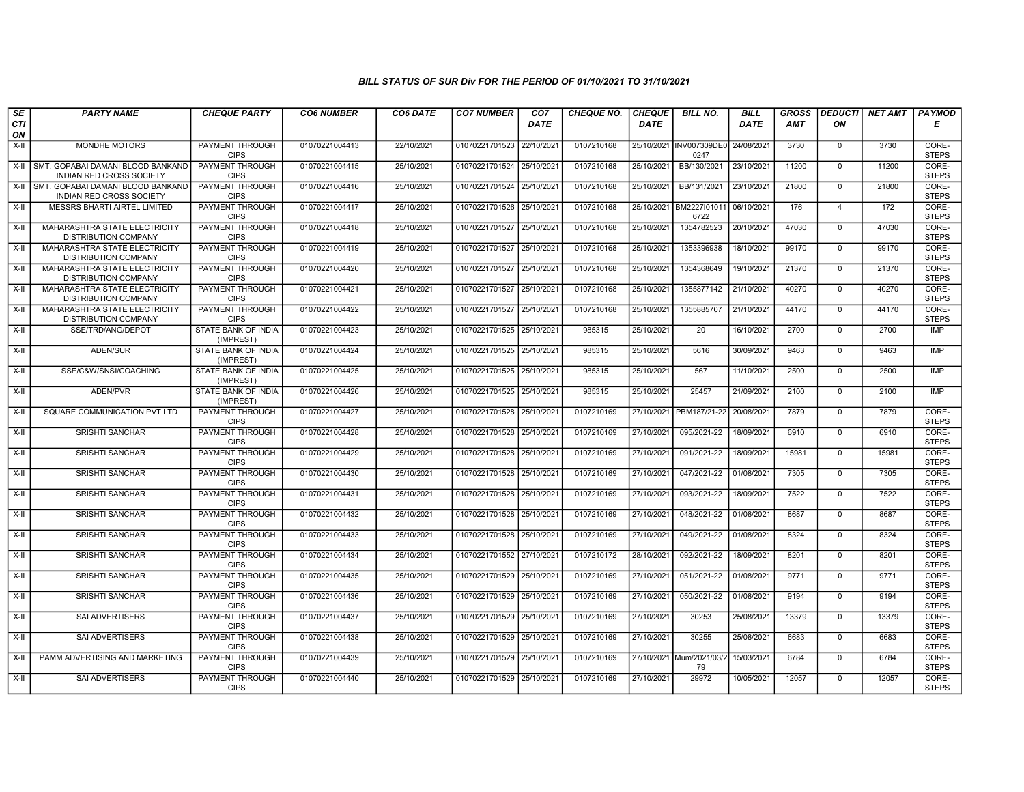| SE        | <b>PARTY NAME</b>                                                    | <b>CHEQUE PARTY</b>                     | <b>CO6 NUMBER</b> | CO6 DATE   | <b>CO7 NUMBER</b>         | CO <sub>7</sub> | <b>CHEQUE NO.</b> | <b>CHEQUE</b> | <b>BILL NO.</b>                 | <b>BILL</b> | <b>GROSS</b> | <b>DEDUCTI</b> | NET AMT | <b>PAYMOD</b>         |
|-----------|----------------------------------------------------------------------|-----------------------------------------|-------------------|------------|---------------------------|-----------------|-------------------|---------------|---------------------------------|-------------|--------------|----------------|---------|-----------------------|
| CTI<br>ON |                                                                      |                                         |                   |            |                           | <b>DATE</b>     |                   | <b>DATE</b>   |                                 | <b>DATE</b> | <b>AMT</b>   | ON             |         | Е                     |
| X-II      | <b>MONDHE MOTORS</b>                                                 | PAYMENT THROUGH<br><b>CIPS</b>          | 01070221004413    | 22/10/2021 | 01070221701523 22/10/2021 |                 | 0107210168        |               | 25/10/2021 INV007309DE0<br>0247 | 24/08/2021  | 3730         | $\mathbf{0}$   | 3730    | CORE-<br><b>STEPS</b> |
| X-II      | SMT. GOPABAI DAMANI BLOOD BANKAND<br>INDIAN RED CROSS SOCIETY        | <b>PAYMENT THROUGH</b><br><b>CIPS</b>   | 01070221004415    | 25/10/2021 | 01070221701524 25/10/2021 |                 | 0107210168        | 25/10/2021    | BB/130/2021                     | 23/10/2021  | 11200        | $\mathbf{0}$   | 11200   | CORE-<br><b>STEPS</b> |
| $X-H$     | SMT, GOPABAI DAMANI BLOOD BANKAND<br><b>INDIAN RED CROSS SOCIETY</b> | PAYMENT THROUGH<br><b>CIPS</b>          | 01070221004416    | 25/10/2021 | 01070221701524            | 25/10/2021      | 0107210168        | 25/10/2021    | BB/131/2021                     | 23/10/2021  | 21800        | 0              | 21800   | CORE-<br><b>STEPS</b> |
| $X-II$    | MESSRS BHARTI AIRTEL LIMITED                                         | PAYMENT THROUGH<br><b>CIPS</b>          | 01070221004417    | 25/10/2021 | 01070221701526            | 25/10/202       | 0107210168        | 25/10/2021    | BM2227l01011<br>6722            | 06/10/2021  | 176          | $\overline{4}$ | 172     | CORE-<br><b>STEPS</b> |
| $X-H$     | MAHARASHTRA STATE ELECTRICITY<br><b>DISTRIBUTION COMPANY</b>         | <b>PAYMENT THROUGH</b><br><b>CIPS</b>   | 01070221004418    | 25/10/2021 | 01070221701527 25/10/2021 |                 | 0107210168        | 25/10/2021    | 1354782523                      | 20/10/2021  | 47030        | $\mathbf 0$    | 47030   | CORE-<br><b>STEPS</b> |
| X-II      | MAHARASHTRA STATE ELECTRICITY<br><b>DISTRIBUTION COMPANY</b>         | <b>PAYMENT THROUGH</b><br><b>CIPS</b>   | 01070221004419    | 25/10/2021 | 01070221701527 25/10/2021 |                 | 0107210168        | 25/10/2021    | 1353396938                      | 18/10/2021  | 99170        | $\mathbf 0$    | 99170   | CORE-<br><b>STEPS</b> |
| $X-II$    | <b>MAHARASHTRA STATE ELECTRICITY</b><br>DISTRIBUTION COMPANY         | PAYMENT THROUGH<br><b>CIPS</b>          | 01070221004420    | 25/10/2021 | 01070221701527 25/10/202  |                 | 0107210168        | 25/10/2021    | 1354368649                      | 19/10/2021  | 21370        | $\mathbf{0}$   | 21370   | CORE-<br><b>STEPS</b> |
| X-II      | MAHARASHTRA STATE ELECTRICITY<br><b>DISTRIBUTION COMPANY</b>         | PAYMENT THROUGH<br><b>CIPS</b>          | 01070221004421    | 25/10/2021 | 01070221701527            | 25/10/202       | 0107210168        | 25/10/2021    | 1355877142                      | 21/10/2021  | 40270        | $\mathbf{0}$   | 40270   | CORE-<br><b>STEPS</b> |
| $X-II$    | MAHARASHTRA STATE ELECTRICITY<br>DISTRIBUTION COMPANY                | <b>PAYMENT THROUGH</b><br><b>CIPS</b>   | 01070221004422    | 25/10/2021 | 01070221701527            | 25/10/2021      | 0107210168        | 25/10/2021    | 1355885707                      | 21/10/2021  | 44170        | $\Omega$       | 44170   | CORE-<br><b>STEPS</b> |
| $X-H$     | SSE/TRD/ANG/DEPOT                                                    | <b>STATE BANK OF INDIA</b><br>(IMPREST) | 01070221004423    | 25/10/2021 | 01070221701525 25/10/2021 |                 | 985315            | 25/10/2021    | 20                              | 16/10/2021  | 2700         | $\mathbf 0$    | 2700    | IMP                   |
| $X-II$    | ADEN/SUR                                                             | STATE BANK OF INDIA<br>(IMPREST)        | 01070221004424    | 25/10/2021 | 01070221701525 25/10/2021 |                 | 985315            | 25/10/2021    | 5616                            | 30/09/2021  | 9463         | $\mathbf 0$    | 9463    | <b>IMP</b>            |
| X-II      | SSE/C&W/SNSI/COACHING                                                | <b>STATE BANK OF INDIA</b><br>(IMPREST) | 01070221004425    | 25/10/2021 | 01070221701525 25/10/2021 |                 | 985315            | 25/10/2021    | 567                             | 11/10/2021  | 2500         | $\mathbf{0}$   | 2500    | <b>IMP</b>            |
| X-II      | ADEN/PVR                                                             | <b>STATE BANK OF INDIA</b><br>(IMPREST) | 01070221004426    | 25/10/2021 | 01070221701525 25/10/2021 |                 | 985315            | 25/10/2021    | 25457                           | 21/09/2021  | 2100         | $\mathbf{0}$   | 2100    | <b>IMP</b>            |
| X-II      | SQUARE COMMUNICATION PVT LTD                                         | <b>PAYMENT THROUGH</b><br><b>CIPS</b>   | 01070221004427    | 25/10/2021 | 01070221701528            | 25/10/2021      | 0107210169        | 27/10/2021    | PBM187/21-22                    | 20/08/2021  | 7879         | $\mathbf 0$    | 7879    | CORE-<br><b>STEPS</b> |
| X-II      | <b>SRISHTI SANCHAR</b>                                               | <b>PAYMENT THROUGH</b><br><b>CIPS</b>   | 01070221004428    | 25/10/2021 | 01070221701528 25/10/202  |                 | 0107210169        | 27/10/2021    | 095/2021-22                     | 18/09/2021  | 6910         | $\mathbf{0}$   | 6910    | CORE-<br><b>STEPS</b> |
| X-II      | SRISHTI SANCHAR                                                      | PAYMENT THROUGH<br><b>CIPS</b>          | 01070221004429    | 25/10/2021 | 01070221701528 25/10/2021 |                 | 0107210169        | 27/10/2021    | 091/2021-22                     | 18/09/2021  | 15981        | $\mathbf 0$    | 15981   | CORE-<br><b>STEPS</b> |
| X-II      | <b>SRISHTI SANCHAR</b>                                               | PAYMENT THROUGH<br><b>CIPS</b>          | 01070221004430    | 25/10/2021 | 01070221701528 25/10/2021 |                 | 0107210169        | 27/10/2021    | 047/2021-22                     | 01/08/2021  | 7305         | $\mathbf{0}$   | 7305    | CORE-<br><b>STEPS</b> |
| X-II      | <b>SRISHTI SANCHAR</b>                                               | <b>PAYMENT THROUGH</b><br><b>CIPS</b>   | 01070221004431    | 25/10/2021 | 01070221701528 25/10/2021 |                 | 0107210169        | 27/10/2021    | 093/2021-22                     | 18/09/2021  | 7522         | $\mathbf{0}$   | 7522    | CORE-<br><b>STEPS</b> |
| X-II      | <b>SRISHTI SANCHAR</b>                                               | PAYMENT THROUGH<br><b>CIPS</b>          | 01070221004432    | 25/10/2021 | 01070221701528 25/10/202  |                 | 0107210169        | 27/10/2021    | 048/2021-22                     | 01/08/2021  | 8687         | $\mathbf 0$    | 8687    | CORE-<br><b>STEPS</b> |
| X-II      | SRISHTI SANCHAR                                                      | <b>PAYMENT THROUGH</b><br><b>CIPS</b>   | 01070221004433    | 25/10/2021 | 01070221701528 25/10/202  |                 | 0107210169        | 27/10/2021    | 049/2021-22                     | 01/08/2021  | 8324         | $\mathbf{0}$   | 8324    | CORE-<br><b>STEPS</b> |
| $X-H$     | SRISHTI SANCHAR                                                      | PAYMENT THROUGH<br><b>CIPS</b>          | 01070221004434    | 25/10/2021 | 01070221701552 27/10/2021 |                 | 0107210172        | 28/10/2021    | 092/2021-22                     | 18/09/2021  | 8201         | $\mathbf 0$    | 8201    | CORE-<br><b>STEPS</b> |
| X-II      | <b>SRISHTI SANCHAR</b>                                               | <b>PAYMENT THROUGH</b><br><b>CIPS</b>   | 01070221004435    | 25/10/2021 | 01070221701529 25/10/2021 |                 | 0107210169        | 27/10/2021    | 051/2021-22                     | 01/08/2021  | 9771         | $\mathbf 0$    | 9771    | CORE-<br><b>STEPS</b> |
| X-II      | SRISHTI SANCHAR                                                      | PAYMENT THROUGH<br><b>CIPS</b>          | 01070221004436    | 25/10/2021 | 01070221701529            | 25/10/202       | 0107210169        | 27/10/2021    | 050/2021-22                     | 01/08/2021  | 9194         | $\mathbf{0}$   | 9194    | CORE-<br><b>STEPS</b> |
| X-II      | SAI ADVERTISERS                                                      | PAYMENT THROUGH<br><b>CIPS</b>          | 01070221004437    | 25/10/2021 | 01070221701529            | 25/10/202       | 0107210169        | 27/10/2021    | 30253                           | 25/08/2021  | 13379        | $\mathbf 0$    | 13379   | CORE-<br><b>STEPS</b> |
| $X-H$     | SAI ADVERTISERS                                                      | <b>PAYMENT THROUGH</b><br><b>CIPS</b>   | 01070221004438    | 25/10/2021 | 01070221701529 25/10/2021 |                 | 0107210169        | 27/10/2021    | 30255                           | 25/08/2021  | 6683         | $\mathbf{0}$   | 6683    | CORE-<br><b>STEPS</b> |
| X-II      | PAMM ADVERTISING AND MARKETING                                       | <b>PAYMENT THROUGH</b><br><b>CIPS</b>   | 01070221004439    | 25/10/2021 | 01070221701529 25/10/2021 |                 | 0107210169        |               | 27/10/2021 Mum/2021/03/2<br>79  | 15/03/2021  | 6784         | $\Omega$       | 6784    | CORE-<br><b>STEPS</b> |
| X-II      | SAI ADVERTISERS                                                      | <b>PAYMENT THROUGH</b><br><b>CIPS</b>   | 01070221004440    | 25/10/2021 | 01070221701529 25/10/2021 |                 | 0107210169        | 27/10/2021    | 29972                           | 10/05/2021  | 12057        | $\mathbf{0}$   | 12057   | CORE-<br><b>STEPS</b> |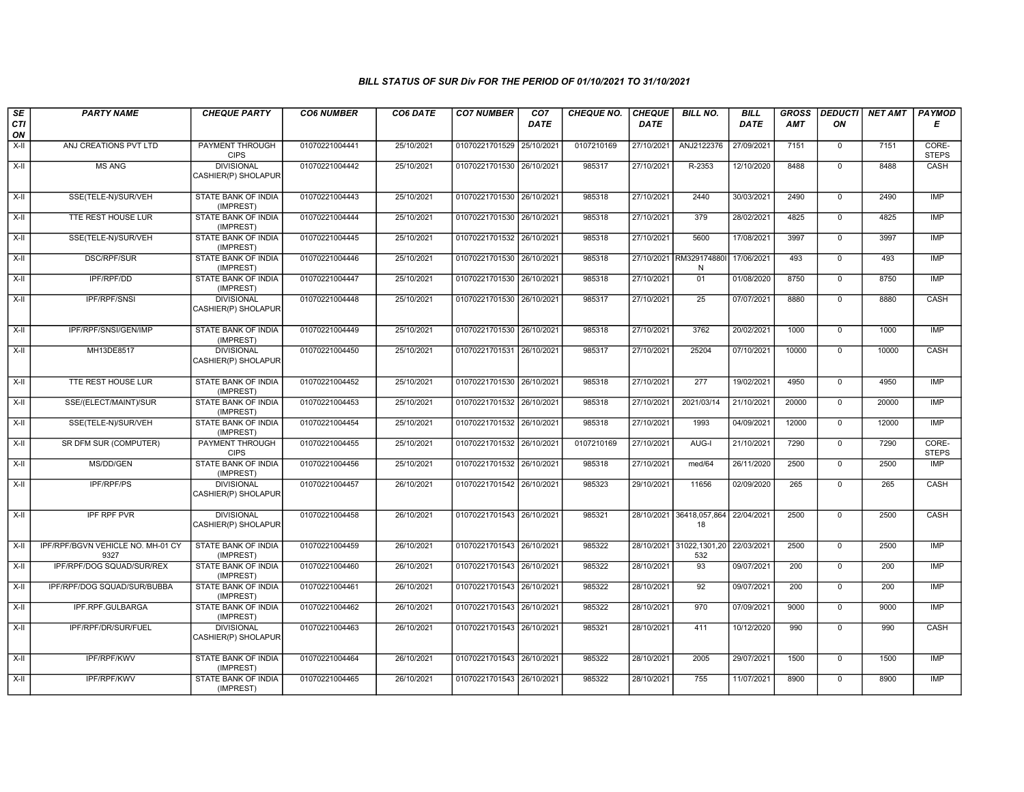| SE<br>CTI   | <b>PARTY NAME</b>                         | <b>CHEQUE PARTY</b>                                     | <b>CO6 NUMBER</b> | CO6 DATE   | <b>CO7 NUMBER</b>         | CO <sub>7</sub><br><b>DATE</b> | CHEQUE NO. | <b>CHEQUE</b><br><b>DATE</b> | <b>BILL NO.</b>                 | <b>BILL</b><br>DATE | <b>GROSS</b><br><b>AMT</b> | <b>DEDUCTI</b><br>ΟN | <b>NET AMT</b> | <b>PAYMOD</b><br>Е          |
|-------------|-------------------------------------------|---------------------------------------------------------|-------------------|------------|---------------------------|--------------------------------|------------|------------------------------|---------------------------------|---------------------|----------------------------|----------------------|----------------|-----------------------------|
| ON<br>$X-H$ | ANJ CREATIONS PVT LTD                     | <b>PAYMENT THROUGH</b>                                  | 01070221004441    | 25/10/2021 | 01070221701529 25/10/2021 |                                | 0107210169 | 27/10/2021                   | ANJ2122376                      | 27/09/2021          | 7151                       | $\mathbf 0$          | 7151           | CORE-                       |
| X-II        | <b>MS ANG</b>                             | <b>CIPS</b><br><b>DIVISIONAL</b><br>CASHIER(P) SHOLAPUR | 01070221004442    | 25/10/2021 | 01070221701530 26/10/2021 |                                | 985317     | 27/10/2021                   | R-2353                          | 12/10/2020          | 8488                       | $\overline{0}$       | 8488           | <b>STEPS</b><br><b>CASH</b> |
| $X-H$       | SSE(TELE-N)/SUR/VEH                       | <b>STATE BANK OF INDIA</b><br>(IMPREST)                 | 01070221004443    | 25/10/2021 | 01070221701530 26/10/2021 |                                | 985318     | 27/10/2021                   | 2440                            | 30/03/2021          | 2490                       | $\overline{0}$       | 2490           | <b>IMP</b>                  |
| X-II        | <b>TTE REST HOUSE LUR</b>                 | <b>STATE BANK OF INDIA</b><br>(IMPREST)                 | 01070221004444    | 25/10/2021 | 01070221701530 26/10/2021 |                                | 985318     | 27/10/2021                   | 379                             | 28/02/2021          | 4825                       | $\overline{0}$       | 4825           | <b>IMP</b>                  |
| X-II        | SSE(TELE-N)/SUR/VEH                       | STATE BANK OF INDIA<br>(IMPREST)                        | 01070221004445    | 25/10/2021 | 01070221701532 26/10/2021 |                                | 985318     | 27/10/2021                   | 5600                            | 17/08/2021          | 3997                       | $\mathbf 0$          | 3997           | <b>IMP</b>                  |
| $X-II$      | <b>DSC/RPF/SUR</b>                        | STATE BANK OF INDIA<br>(IMPREST)                        | 01070221004446    | 25/10/2021 | 01070221701530 26/10/2021 |                                | 985318     | 27/10/2021                   | RM329174880<br>${\sf N}$        | 17/06/2021          | 493                        | $\overline{0}$       | 493            | <b>IMP</b>                  |
| X-II        | IPF/RPF/DD                                | STATE BANK OF INDIA<br>(IMPREST)                        | 01070221004447    | 25/10/2021 | 01070221701530 26/10/2021 |                                | 985318     | 27/10/2021                   | 01                              | 01/08/2020          | 8750                       | $\mathbf{0}$         | 8750           | <b>IMP</b>                  |
| $X-H$       | <b>IPF/RPF/SNSI</b>                       | <b>DIVISIONAL</b><br>CASHIER(P) SHOLAPUR                | 01070221004448    | 25/10/2021 | 01070221701530 26/10/2021 |                                | 985317     | 27/10/2021                   | $\overline{25}$                 | 07/07/2021          | 8880                       | $\overline{0}$       | 8880           | <b>CASH</b>                 |
| $X-II$      | IPF/RPF/SNSI/GEN/IMP                      | <b>STATE BANK OF INDIA</b><br>(IMPREST)                 | 01070221004449    | 25/10/2021 | 01070221701530 26/10/2021 |                                | 985318     | 27/10/2021                   | 3762                            | 20/02/2021          | 1000                       | $\overline{0}$       | 1000           | <b>IMP</b>                  |
| X-II        | MH13DE8517                                | <b>DIVISIONAL</b><br>CASHIER(P) SHOLAPUR                | 01070221004450    | 25/10/2021 | 01070221701531 26/10/2021 |                                | 985317     | 27/10/2021                   | 25204                           | 07/10/2021          | 10000                      | $\mathbf{0}$         | 10000          | <b>CASH</b>                 |
| X-II        | TTE REST HOUSE LUR                        | STATE BANK OF INDIA<br>(IMPREST)                        | 01070221004452    | 25/10/2021 | 01070221701530 26/10/2021 |                                | 985318     | 27/10/2021                   | 277                             | 19/02/2021          | 4950                       | $\mathbf{0}$         | 4950           | <b>IMP</b>                  |
| $X-H$       | SSE/(ELECT/MAINT)/SUR                     | <b>STATE BANK OF INDIA</b><br>(IMPREST)                 | 01070221004453    | 25/10/2021 | 01070221701532 26/10/2021 |                                | 985318     | 27/10/2021                   | 2021/03/14                      | 21/10/2021          | 20000                      | $\overline{0}$       | 20000          | <b>IMP</b>                  |
| X-II        | SSE(TELE-N)/SUR/VEH                       | <b>STATE BANK OF INDIA</b><br>(IMPREST)                 | 01070221004454    | 25/10/2021 | 01070221701532 26/10/2021 |                                | 985318     | 27/10/2021                   | 1993                            | 04/09/2021          | 12000                      | $\overline{0}$       | 12000          | <b>IMP</b>                  |
| $X-II$      | SR DFM SUR (COMPUTER)                     | PAYMENT THROUGH<br><b>CIPS</b>                          | 01070221004455    | 25/10/2021 | 01070221701532 26/10/2021 |                                | 0107210169 | 27/10/2021                   | AUG-I                           | 21/10/2021          | 7290                       | $\mathbf 0$          | 7290           | CORE-<br><b>STEPS</b>       |
| $X-H$       | MS/DD/GEN                                 | STATE BANK OF INDIA<br>(IMPREST)                        | 01070221004456    | 25/10/2021 | 01070221701532 26/10/2021 |                                | 985318     | 27/10/2021                   | med/64                          | 26/11/2020          | 2500                       | $\overline{0}$       | 2500           | IMP                         |
| X-II        | <b>IPF/RPF/PS</b>                         | <b>DIVISIONAL</b><br>CASHIER(P) SHOLAPUR                | 01070221004457    | 26/10/2021 | 01070221701542 26/10/2021 |                                | 985323     | 29/10/2021                   | 11656                           | 02/09/2020          | 265                        | $\mathbf{0}$         | 265            | CASH                        |
| X-II        | <b>IPF RPF PVR</b>                        | <b>DIVISIONAL</b><br>CASHIER(P) SHOLAPUR                | 01070221004458    | 26/10/2021 | 01070221701543 26/10/2021 |                                | 985321     |                              | 28/10/2021 36418,057,864<br>18  | 22/04/2021          | 2500                       | $\mathbf 0$          | 2500           | CASH                        |
| $X-II$      | IPF/RPF/BGVN VEHICLE NO. MH-01 CY<br>9327 | STATE BANK OF INDIA<br>(IMPREST)                        | 01070221004459    | 26/10/2021 | 01070221701543 26/10/2021 |                                | 985322     |                              | 28/10/2021 31022,1301,20<br>532 | 22/03/2021          | 2500                       | $\mathbf 0$          | 2500           | <b>IMP</b>                  |
| $X-H$       | IPF/RPF/DOG SQUAD/SUR/REX                 | <b>STATE BANK OF INDIA</b><br>(IMPREST)                 | 01070221004460    | 26/10/2021 | 01070221701543 26/10/2021 |                                | 985322     | 28/10/2021                   | 93                              | 09/07/2021          | 200                        | $\overline{0}$       | 200            | IMP                         |
| $X-II$      | IPF/RPF/DOG SQUAD/SUR/BUBBA               | STATE BANK OF INDIA<br>(IMPREST)                        | 01070221004461    | 26/10/2021 | 01070221701543 26/10/2021 |                                | 985322     | 28/10/2021                   | 92                              | 09/07/2021          | 200                        | $\overline{0}$       | 200            | <b>IMP</b>                  |
| X-II        | IPF.RPF.GULBARGA                          | <b>STATE BANK OF INDIA</b><br>(IMPREST)                 | 01070221004462    | 26/10/2021 | 01070221701543 26/10/2021 |                                | 985322     | 28/10/2021                   | 970                             | 07/09/2021          | 9000                       | $\overline{0}$       | 9000           | <b>IMP</b>                  |
| X-II        | IPF/RPF/DR/SUR/FUEL                       | <b>DIVISIONAL</b><br>CASHIER(P) SHOLAPUR                | 01070221004463    | 26/10/2021 | 01070221701543 26/10/2021 |                                | 985321     | 28/10/2021                   | 411                             | 10/12/2020          | 990                        | $\mathbf 0$          | 990            | CASH                        |
| $X-H$       | <b>IPF/RPF/KWV</b>                        | <b>STATE BANK OF INDIA</b><br>(IMPREST)                 | 01070221004464    | 26/10/2021 | 01070221701543 26/10/2021 |                                | 985322     | 28/10/2021                   | 2005                            | 29/07/2021          | 1500                       | $\overline{0}$       | 1500           | IMP                         |
| X-II        | <b>IPF/RPF/KWV</b>                        | STATE BANK OF INDIA<br>(IMPREST)                        | 01070221004465    | 26/10/2021 | 01070221701543 26/10/2021 |                                | 985322     | 28/10/2021                   | 755                             | 11/07/2021          | 8900                       | $\mathbf{0}$         | 8900           | <b>IMP</b>                  |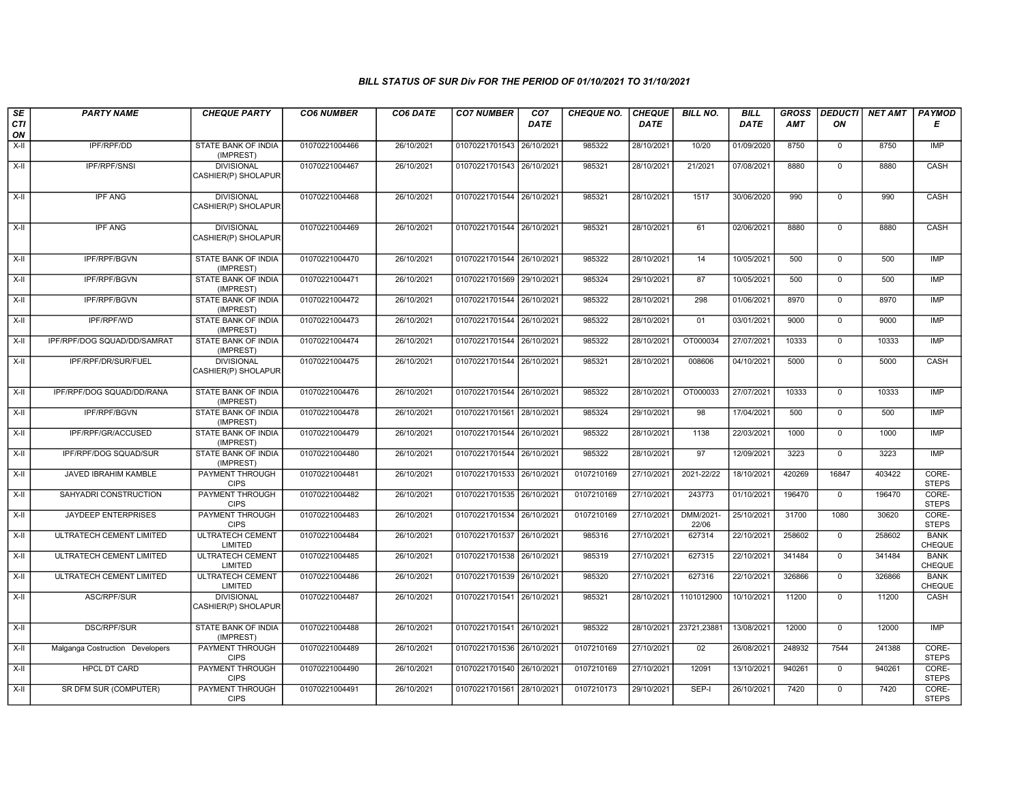| SE        | <b>PARTY NAME</b>               | <b>CHEQUE PARTY</b>                      | <b>CO6 NUMBER</b> | CO6 DATE   | <b>CO7 NUMBER</b>         | CO <sub>7</sub> | CHEQUE NO. | <b>CHEQUE</b> | <b>BILL NO.</b>    | <b>BILL</b> | <b>GROSS</b> | <b>DEDUCTI</b> | NET AMT | <b>PAYMOD</b>                |
|-----------|---------------------------------|------------------------------------------|-------------------|------------|---------------------------|-----------------|------------|---------------|--------------------|-------------|--------------|----------------|---------|------------------------------|
| CTI<br>ON |                                 |                                          |                   |            |                           | DATE            |            | <b>DATE</b>   |                    | <b>DATE</b> | AMT          | ON             |         | Е                            |
| $X-H$     | IPF/RPF/DD                      | <b>STATE BANK OF INDIA</b><br>(IMPREST)  | 01070221004466    | 26/10/2021 | 01070221701543            | 26/10/2021      | 985322     | 28/10/2021    | 10/20              | 01/09/2020  | 8750         | $\mathbf 0$    | 8750    | IMP                          |
| $X-H$     | <b>IPF/RPF/SNSI</b>             | <b>DIVISIONAL</b><br>CASHIER(P) SHOLAPUR | 01070221004467    | 26/10/2021 | 01070221701543 26/10/2021 |                 | 985321     | 28/10/2021    | 21/2021            | 07/08/2021  | 8880         | $\mathbf 0$    | 8880    | CASH                         |
| $X-H$     | <b>IPF ANG</b>                  | <b>DIVISIONAL</b><br>CASHIER(P) SHOLAPUR | 01070221004468    | 26/10/2021 | 01070221701544 26/10/2021 |                 | 985321     | 28/10/2021    | 1517               | 30/06/2020  | 990          | $\mathbf{0}$   | 990     | <b>CASH</b>                  |
| X-II      | <b>IPF ANG</b>                  | <b>DIVISIONAL</b><br>CASHIER(P) SHOLAPUR | 01070221004469    | 26/10/2021 | 01070221701544 26/10/2021 |                 | 985321     | 28/10/2021    | 61                 | 02/06/2021  | 8880         | $\mathbf{0}$   | 8880    | CASH                         |
| X-II      | IPF/RPF/BGVN                    | STATE BANK OF INDIA<br>(IMPREST)         | 01070221004470    | 26/10/2021 | 01070221701544 26/10/2021 |                 | 985322     | 28/10/2021    | 14                 | 10/05/2021  | 500          | $\mathbf{0}$   | 500     | <b>IMP</b>                   |
| X-II      | IPF/RPF/BGVN                    | STATE BANK OF INDIA<br>(IMPREST)         | 01070221004471    | 26/10/2021 | 01070221701569 29/10/2021 |                 | 985324     | 29/10/2021    | 87                 | 10/05/2021  | 500          | $\overline{0}$ | 500     | IMP                          |
| X-II      | IPF/RPF/BGVN                    | STATE BANK OF INDIA<br>(IMPREST)         | 01070221004472    | 26/10/2021 | 01070221701544 26/10/2021 |                 | 985322     | 28/10/2021    | 298                | 01/06/2021  | 8970         | $\mathbf{0}$   | 8970    | <b>IMP</b>                   |
| X-II      | <b>IPF/RPF/WD</b>               | STATE BANK OF INDIA<br>(IMPREST)         | 01070221004473    | 26/10/2021 | 01070221701544 26/10/2021 |                 | 985322     | 28/10/2021    | 01                 | 03/01/2021  | 9000         | $\mathbf 0$    | 9000    | IMP                          |
| X-II      | IPF/RPF/DOG SQUAD/DD/SAMRAT     | <b>STATE BANK OF INDIA</b><br>(IMPREST)  | 01070221004474    | 26/10/2021 | 01070221701544 26/10/2021 |                 | 985322     | 28/10/2021    | OT000034           | 27/07/2021  | 10333        | $\mathsf{O}$   | 10333   | <b>IMP</b>                   |
| $X-II$    | IPF/RPF/DR/SUR/FUEL             | <b>DIVISIONAL</b><br>CASHIER(P) SHOLAPUR | 01070221004475    | 26/10/2021 | 01070221701544 26/10/2021 |                 | 985321     | 28/10/2021    | 008606             | 04/10/2021  | 5000         | $\mathsf 0$    | 5000    | CASH                         |
| $X-H$     | IPF/RPF/DOG SQUAD/DD/RANA       | <b>STATE BANK OF INDIA</b><br>(IMPREST)  | 01070221004476    | 26/10/2021 | 01070221701544 26/10/2021 |                 | 985322     | 28/10/2021    | OT000033           | 27/07/2021  | 10333        | $\mathbf 0$    | 10333   | IMP                          |
| X-II      | IPF/RPF/BGVN                    | <b>STATE BANK OF INDIA</b><br>(IMPREST)  | 01070221004478    | 26/10/2021 | 01070221701561 28/10/2021 |                 | 985324     | 29/10/2021    | 98                 | 17/04/2021  | 500          | $\mathbf 0$    | 500     | <b>IMP</b>                   |
| X-II      | IPF/RPF/GR/ACCUSED              | STATE BANK OF INDIA<br>(IMPREST)         | 01070221004479    | 26/10/2021 | 01070221701544 26/10/2021 |                 | 985322     | 28/10/2021    | 1138               | 22/03/2021  | 1000         | $\overline{0}$ | 1000    | <b>IMP</b>                   |
| $X-H$     | IPF/RPF/DOG SQUAD/SUR           | STATE BANK OF INDIA<br>(IMPREST)         | 01070221004480    | 26/10/2021 | 01070221701544 26/10/2021 |                 | 985322     | 28/10/2021    | 97                 | 12/09/2021  | 3223         | $\overline{0}$ | 3223    | <b>IMP</b>                   |
| $X-II$    | JAVED IBRAHIM KAMBLE            | <b>PAYMENT THROUGH</b><br><b>CIPS</b>    | 01070221004481    | 26/10/2021 | 01070221701533 26/10/2021 |                 | 0107210169 | 27/10/2021    | 2021-22/22         | 18/10/2021  | 420269       | 16847          | 403422  | CORE-<br><b>STEPS</b>        |
| X-II      | SAHYADRI CONSTRUCTION           | PAYMENT THROUGH<br><b>CIPS</b>           | 01070221004482    | 26/10/2021 | 01070221701535 26/10/2021 |                 | 0107210169 | 27/10/2021    | 243773             | 01/10/2021  | 196470       | $\mathbf 0$    | 196470  | CORE-<br><b>STEPS</b>        |
| $X-H$     | JAYDEEP ENTERPRISES             | PAYMENT THROUGH<br><b>CIPS</b>           | 01070221004483    | 26/10/2021 | 01070221701534 26/10/2021 |                 | 0107210169 | 27/10/2021    | DMM/2021-<br>22/06 | 25/10/2021  | 31700        | 1080           | 30620   | CORE-<br><b>STEPS</b>        |
| $X-H$     | ULTRATECH CEMENT LIMITED        | <b>ULTRATECH CEMENT</b><br>LIMITED       | 01070221004484    | 26/10/2021 | 01070221701537 26/10/2021 |                 | 985316     | 27/10/2021    | 627314             | 22/10/2021  | 258602       | $\overline{0}$ | 258602  | <b>BANK</b><br>CHEQUE        |
| X-II      | ULTRATECH CEMENT LIMITED        | <b>ULTRATECH CEMENT</b><br>LIMITED       | 01070221004485    | 26/10/2021 | 01070221701538 26/10/2021 |                 | 985319     | 27/10/2021    | 627315             | 22/10/2021  | 341484       | $\mathbf 0$    | 341484  | <b>BANK</b><br>CHEQUE        |
| X-II      | ULTRATECH CEMENT LIMITED        | <b>ULTRATECH CEMENT</b><br>LIMITED       | 01070221004486    | 26/10/2021 | 01070221701539 26/10/2021 |                 | 985320     | 27/10/2021    | 627316             | 22/10/2021  | 326866       | $\mathbf 0$    | 326866  | <b>BANK</b><br><b>CHEQUE</b> |
| X-II      | ASC/RPF/SUR                     | <b>DIVISIONAL</b><br>CASHIER(P) SHOLAPUR | 01070221004487    | 26/10/2021 | 01070221701541 26/10/2021 |                 | 985321     | 28/10/2021    | 1101012900         | 10/10/2021  | 11200        | $\overline{0}$ | 11200   | CASH                         |
| $X-H$     | <b>DSC/RPF/SUR</b>              | <b>STATE BANK OF INDIA</b><br>(IMPREST)  | 01070221004488    | 26/10/2021 | 01070221701541 26/10/2021 |                 | 985322     | 28/10/2021    | 23721,23881        | 13/08/2021  | 12000        | $\overline{0}$ | 12000   | <b>IMP</b>                   |
| X-II      | Malganga Costruction Developers | PAYMENT THROUGH<br><b>CIPS</b>           | 01070221004489    | 26/10/2021 | 01070221701536 26/10/2021 |                 | 0107210169 | 27/10/2021    | 02                 | 26/08/2021  | 248932       | 7544           | 241388  | CORE-<br><b>STEPS</b>        |
| X-II      | <b>HPCL DT CARD</b>             | PAYMENT THROUGH<br><b>CIPS</b>           | 01070221004490    | 26/10/2021 | 01070221701540 26/10/2021 |                 | 0107210169 | 27/10/2021    | 12091              | 13/10/2021  | 940261       | $\mathbf 0$    | 940261  | CORE-<br><b>STEPS</b>        |
| X-II      | SR DFM SUR (COMPUTER)           | PAYMENT THROUGH<br><b>CIPS</b>           | 01070221004491    | 26/10/2021 | 01070221701561 28/10/2021 |                 | 0107210173 | 29/10/2021    | SEP-I              | 26/10/2021  | 7420         | $\mathbf 0$    | 7420    | CORE-<br><b>STEPS</b>        |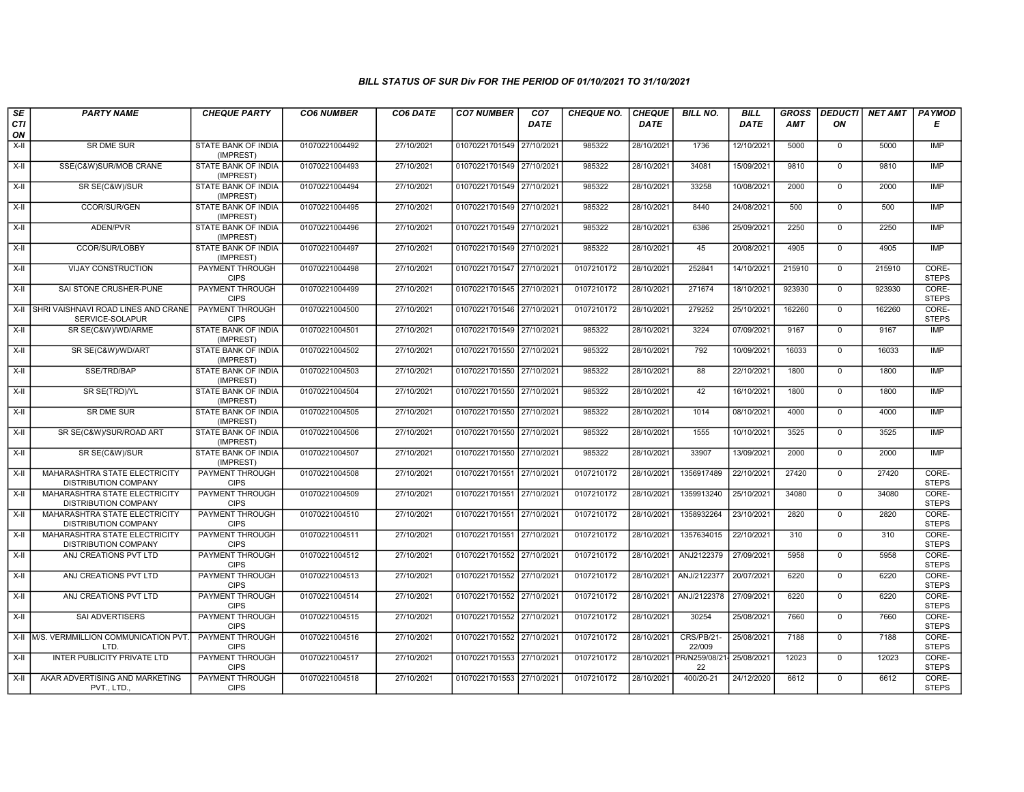| SE        | <b>PARTY NAME</b>                                            | <b>CHEQUE PARTY</b>                     | <b>CO6 NUMBER</b> | CO6 DATE   | <b>CO7 NUMBER</b>         | CO <sub>7</sub> | <b>CHEQUE NO.</b> | <b>CHEQUE</b> | <b>BILL NO.</b>             | <b>BILL</b> | <b>GROSS</b> |                | <b>DEDUCTI NET AMT</b> | <b>PAYMOD</b>         |
|-----------|--------------------------------------------------------------|-----------------------------------------|-------------------|------------|---------------------------|-----------------|-------------------|---------------|-----------------------------|-------------|--------------|----------------|------------------------|-----------------------|
| CTI<br>ON |                                                              |                                         |                   |            |                           | <b>DATE</b>     |                   | <b>DATE</b>   |                             | <b>DATE</b> | <b>AMT</b>   | ON             |                        | Е                     |
| $X-H$     | <b>SR DME SUR</b>                                            | <b>STATE BANK OF INDIA</b><br>(IMPREST) | 01070221004492    | 27/10/2021 | 01070221701549            | 27/10/2021      | 985322            | 28/10/2021    | 1736                        | 12/10/2021  | 5000         | $\mathbf 0$    | 5000                   | IMP                   |
| $X-H$     | SSE(C&W)SUR/MOB CRANE                                        | STATE BANK OF INDIA<br>(IMPREST)        | 01070221004493    | 27/10/2021 | 01070221701549 27/10/2021 |                 | 985322            | 28/10/2021    | 34081                       | 15/09/2021  | 9810         | $\mathbf{0}$   | 9810                   | IMP                   |
| X-II      | SR SE(C&W)/SUR                                               | STATE BANK OF INDIA<br>(IMPREST)        | 01070221004494    | 27/10/2021 | 01070221701549 27/10/2021 |                 | 985322            | 28/10/2021    | 33258                       | 10/08/2021  | 2000         | $\mathbf 0$    | 2000                   | IMP                   |
| $X-II$    | CCOR/SUR/GEN                                                 | STATE BANK OF INDIA<br>(IMPREST)        | 01070221004495    | 27/10/2021 | 01070221701549 27/10/2021 |                 | 985322            | 28/10/2021    | 8440                        | 24/08/2021  | 500          | $\mathbf{0}$   | 500                    | IMP                   |
| $X-H$     | ADEN/PVR                                                     | <b>STATE BANK OF INDIA</b><br>(IMPREST) | 01070221004496    | 27/10/2021 | 01070221701549 27/10/2021 |                 | 985322            | 28/10/2021    | 6386                        | 25/09/2021  | 2250         | $\mathbf{0}$   | 2250                   | <b>IMP</b>            |
| X-II      | <b>CCOR/SUR/LOBBY</b>                                        | <b>STATE BANK OF INDIA</b><br>(IMPREST) | 01070221004497    | 27/10/2021 | 01070221701549 27/10/2021 |                 | 985322            | 28/10/2021    | 45                          | 20/08/2021  | 4905         | $\Omega$       | 4905                   | IMP                   |
| X-II      | <b>VIJAY CONSTRUCTION</b>                                    | PAYMENT THROUGH<br><b>CIPS</b>          | 01070221004498    | 27/10/2021 | 01070221701547 27/10/2021 |                 | 0107210172        | 28/10/2021    | 252841                      | 14/10/2021  | 215910       | $\mathbf{0}$   | 215910                 | CORE-<br><b>STEPS</b> |
| $X-H$     | SAI STONE CRUSHER-PUNE                                       | <b>PAYMENT THROUGH</b><br><b>CIPS</b>   | 01070221004499    | 27/10/2021 | 01070221701545 27/10/2021 |                 | 0107210172        | 28/10/2021    | 271674                      | 18/10/2021  | 923930       | $\overline{0}$ | 923930                 | CORE-<br><b>STEPS</b> |
| X-II      | SHRI VAISHNAVI ROAD LINES AND CRANE<br>SERVICE-SOLAPUR       | <b>PAYMENT THROUGH</b><br><b>CIPS</b>   | 01070221004500    | 27/10/2021 | 01070221701546 27/10/2021 |                 | 0107210172        | 28/10/2021    | 279252                      | 25/10/2021  | 162260       | $\mathbf{0}$   | 162260                 | CORE-<br><b>STEPS</b> |
| $X-H$     | SR SE(C&W)/WD/ARME                                           | <b>STATE BANK OF INDIA</b><br>(IMPREST) | 01070221004501    | 27/10/2021 | 01070221701549 27/10/2021 |                 | 985322            | 28/10/2021    | 3224                        | 07/09/2021  | 9167         | $\mathbf 0$    | 9167                   | IMP                   |
| X-II      | SR SE(C&W)/WD/ART                                            | STATE BANK OF INDIA<br>(IMPREST)        | 01070221004502    | 27/10/2021 | 01070221701550            | 27/10/2021      | 985322            | 28/10/2021    | 792                         | 10/09/2021  | 16033        | $\mathbf 0$    | 16033                  | <b>IMP</b>            |
| X-II      | SSE/TRD/BAP                                                  | <b>STATE BANK OF INDIA</b><br>(IMPREST) | 01070221004503    | 27/10/2021 | 01070221701550 27/10/2021 |                 | 985322            | 28/10/2021    | 88                          | 22/10/2021  | 1800         | $\mathbf 0$    | 1800                   | IMP                   |
| $X-II$    | SR SE(TRD)/YL                                                | <b>STATE BANK OF INDIA</b><br>(IMPREST) | 01070221004504    | 27/10/2021 | 01070221701550 27/10/2021 |                 | 985322            | 28/10/2021    | 42                          | 16/10/2021  | 1800         | $\mathbf 0$    | 1800                   | <b>IMP</b>            |
| X-II      | <b>SR DME SUR</b>                                            | <b>STATE BANK OF INDIA</b><br>(IMPREST) | 01070221004505    | 27/10/2021 | 01070221701550 27/10/2021 |                 | 985322            | 28/10/2021    | 1014                        | 08/10/2021  | 4000         | $\mathbf{0}$   | 4000                   | IMP                   |
| X-II      | SR SE(C&W)/SUR/ROAD ART                                      | STATE BANK OF INDIA<br>(IMPREST)        | 01070221004506    | 27/10/2021 | 01070221701550 27/10/2021 |                 | 985322            | 28/10/2021    | 1555                        | 10/10/2021  | 3525         | $\Omega$       | 3525                   | <b>IMP</b>            |
| X-II      | SR SE(C&W)/SUR                                               | STATE BANK OF INDIA<br>(IMPREST)        | 01070221004507    | 27/10/2021 | 01070221701550 27/10/2021 |                 | 985322            | 28/10/2021    | 33907                       | 13/09/2021  | 2000         | $\mathbf{0}$   | 2000                   | IMP                   |
| X-II      | MAHARASHTRA STATE ELECTRICITY<br><b>DISTRIBUTION COMPANY</b> | <b>PAYMENT THROUGH</b><br><b>CIPS</b>   | 01070221004508    | 27/10/2021 | 01070221701551            | 27/10/2021      | 0107210172        | 28/10/2021    | 1356917489                  | 22/10/2021  | 27420        | $\mathbf 0$    | 27420                  | CORE-<br><b>STEPS</b> |
| $X-II$    | MAHARASHTRA STATE ELECTRICITY<br><b>DISTRIBUTION COMPANY</b> | <b>PAYMENT THROUGH</b><br><b>CIPS</b>   | 01070221004509    | 27/10/2021 | 01070221701551            | 27/10/2021      | 0107210172        | 28/10/2021    | 1359913240                  | 25/10/2021  | 34080        | $\mathbf 0$    | 34080                  | CORE-<br><b>STEPS</b> |
| X-II      | MAHARASHTRA STATE ELECTRICITY<br><b>DISTRIBUTION COMPANY</b> | <b>PAYMENT THROUGH</b><br><b>CIPS</b>   | 01070221004510    | 27/10/2021 | 01070221701551            | 27/10/2021      | 0107210172        | 28/10/2021    | 1358932264                  | 23/10/2021  | 2820         | $\mathbf{0}$   | 2820                   | CORE-<br><b>STEPS</b> |
| $X-II$    | MAHARASHTRA STATE ELECTRICITY<br>DISTRIBUTION COMPANY        | PAYMENT THROUGH<br><b>CIPS</b>          | 01070221004511    | 27/10/2021 | 01070221701551            | 27/10/2021      | 0107210172        | 28/10/2021    | 1357634015                  | 22/10/2021  | 310          | $\overline{0}$ | 310                    | CORE-<br><b>STEPS</b> |
| X-II      | ANJ CREATIONS PVT LTD                                        | PAYMENT THROUGH<br><b>CIPS</b>          | 01070221004512    | 27/10/2021 | 01070221701552 27/10/2021 |                 | 0107210172        | 28/10/2021    | ANJ2122379                  | 27/09/2021  | 5958         | $\mathbf{0}$   | 5958                   | CORE-<br><b>STEPS</b> |
| $X-H$     | ANJ CREATIONS PVT LTD                                        | <b>PAYMENT THROUGH</b><br><b>CIPS</b>   | 01070221004513    | 27/10/2021 | 01070221701552 27/10/202  |                 | 0107210172        | 28/10/2021    | ANJ/2122377                 | 20/07/2021  | 6220         | $\mathbf{0}$   | 6220                   | CORE-<br><b>STEPS</b> |
| X-II      | ANJ CREATIONS PVT LTD                                        | PAYMENT THROUGH<br><b>CIPS</b>          | 01070221004514    | 27/10/2021 | 01070221701552            | 27/10/2021      | 0107210172        | 28/10/2021    | ANJ/2122378                 | 27/09/2021  | 6220         | $\mathbf 0$    | 6220                   | CORE-<br><b>STEPS</b> |
| $X-H$     | SAI ADVERTISERS                                              | PAYMENT THROUGH<br><b>CIPS</b>          | 01070221004515    | 27/10/2021 | 01070221701552 27/10/2021 |                 | 0107210172        | 28/10/2021    | 30254                       | 25/08/2021  | 7660         | $\Omega$       | 7660                   | CORE-<br><b>STEPS</b> |
|           | X-II M/S. VERMMILLION COMMUNICATION PVT<br><b>LTD</b>        | PAYMENT THROUGH<br><b>CIPS</b>          | 01070221004516    | 27/10/2021 | 01070221701552 27/10/2021 |                 | 0107210172        | 28/10/2021    | <b>CRS/PB/21-</b><br>22/009 | 25/08/2021  | 7188         | $\mathbf 0$    | 7188                   | CORE-<br><b>STEPS</b> |
| $X-H$     | <b>INTER PUBLICITY PRIVATE LTD</b>                           | <b>PAYMENT THROUGH</b><br><b>CIPS</b>   | 01070221004517    | 27/10/2021 | 01070221701553 27/10/2021 |                 | 0107210172        | 28/10/2021    | PR/N259/08/21<br>22         | 25/08/2021  | 12023        | $\mathbf 0$    | 12023                  | CORE-<br><b>STEPS</b> |
| X-II      | AKAR ADVERTISING AND MARKETING<br>PVT., LTD.                 | PAYMENT THROUGH<br><b>CIPS</b>          | 01070221004518    | 27/10/2021 | 01070221701553 27/10/2021 |                 | 0107210172        | 28/10/2021    | 400/20-21                   | 24/12/2020  | 6612         | $\mathbf 0$    | 6612                   | CORE-<br><b>STEPS</b> |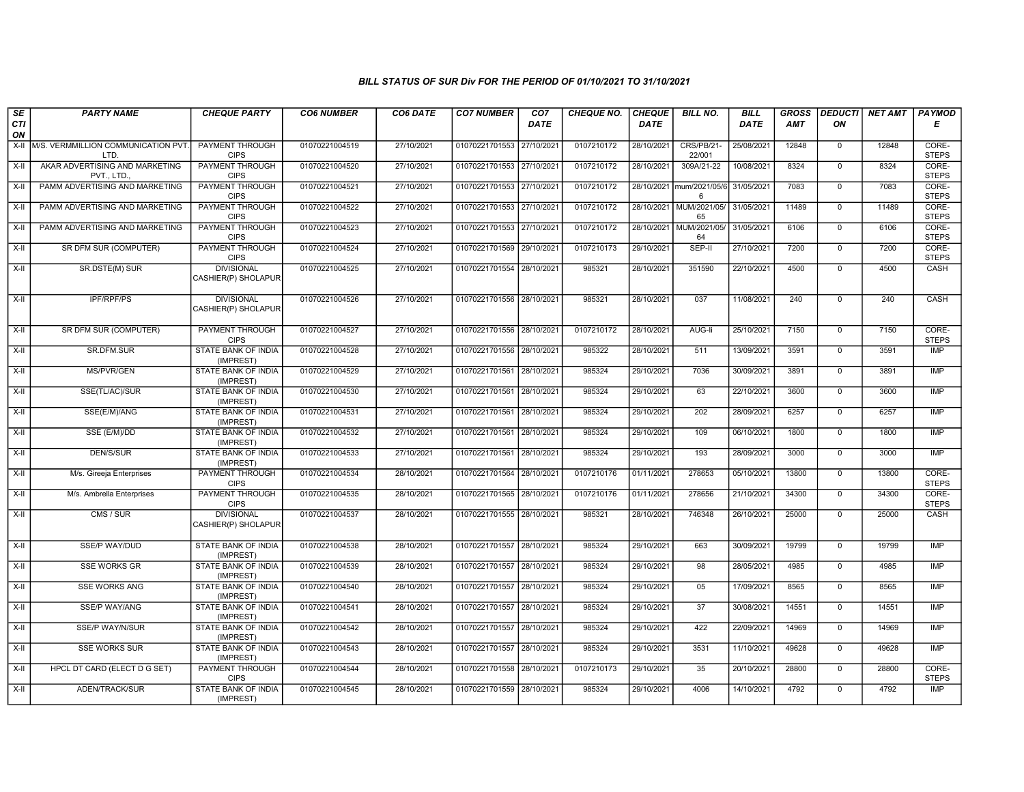| SE               | <b>PARTY NAME</b>                            | <b>CHEQUE PARTY</b>                      | <b>CO6 NUMBER</b> | CO6 DATE   | <b>CO7 NUMBER</b>         | CO <sub>7</sub> | <b>CHEQUE NO.</b> | <b>CHEQUE</b> | <b>BILL NO.</b>               | <b>BILL</b> | <b>GROSS</b> | <b>DEDUCTI</b> | NET AMT | <b>PAYMOD</b>         |
|------------------|----------------------------------------------|------------------------------------------|-------------------|------------|---------------------------|-----------------|-------------------|---------------|-------------------------------|-------------|--------------|----------------|---------|-----------------------|
| <b>CTI</b><br>ON |                                              |                                          |                   |            |                           | <b>DATE</b>     |                   | DATE          |                               | DATE        | AMT          | ON             |         | E                     |
| $X-H$            | M/S. VERMMILLION COMMUNICATION PVT.<br>LTD.  | <b>PAYMENT THROUGH</b><br><b>CIPS</b>    | 01070221004519    | 27/10/2021 | 01070221701553 27/10/2021 |                 | 0107210172        | 28/10/2021    | CRS/PB/21-<br>22/001          | 25/08/2021  | 12848        | $\mathbf 0$    | 12848   | CORE-<br><b>STEPS</b> |
| $X-H$            | AKAR ADVERTISING AND MARKETING<br>PVT., LTD. | <b>PAYMENT THROUGH</b><br><b>CIPS</b>    | 01070221004520    | 27/10/2021 | 01070221701553 27/10/2021 |                 | 0107210172        | 28/10/2021    | 309A/21-22                    | 10/08/2021  | 8324         | $\overline{0}$ | 8324    | CORE-<br><b>STEPS</b> |
| X-II             | PAMM ADVERTISING AND MARKETING               | PAYMENT THROUGH<br><b>CIPS</b>           | 01070221004521    | 27/10/2021 | 01070221701553 27/10/2021 |                 | 0107210172        | 28/10/2021    | mum/2021/05/6<br>6            | 31/05/2021  | 7083         | $\mathbf 0$    | 7083    | CORE-<br><b>STEPS</b> |
| $X-H$            | PAMM ADVERTISING AND MARKETING               | <b>PAYMENT THROUGH</b><br><b>CIPS</b>    | 01070221004522    | 27/10/2021 | 01070221701553 27/10/2021 |                 | 0107210172        | 28/10/2021    | MUM/2021/05/<br>65            | 31/05/2021  | 11489        | $\overline{0}$ | 11489   | CORE-<br><b>STEPS</b> |
| X-II             | PAMM ADVERTISING AND MARKETING               | <b>PAYMENT THROUGH</b><br><b>CIPS</b>    | 01070221004523    | 27/10/2021 | 01070221701553 27/10/2021 |                 | 0107210172        |               | 28/10/2021 MUM/2021/05/<br>64 | 31/05/2021  | 6106         | $\overline{0}$ | 6106    | CORE-<br><b>STEPS</b> |
| X-II             | <b>SR DFM SUR (COMPUTER)</b>                 | <b>PAYMENT THROUGH</b><br><b>CIPS</b>    | 01070221004524    | 27/10/2021 | 01070221701569 29/10/2021 |                 | 0107210173        | 29/10/2021    | SEP-II                        | 27/10/2021  | 7200         | $\overline{0}$ | 7200    | CORE-<br><b>STEPS</b> |
| X-II             | SR.DSTE(M) SUR                               | <b>DIVISIONAL</b><br>CASHIER(P) SHOLAPUR | 01070221004525    | 27/10/2021 | 01070221701554 28/10/2021 |                 | 985321            | 28/10/2021    | 351590                        | 22/10/2021  | 4500         | $\mathbf 0$    | 4500    | CASH                  |
| $X-H$            | <b>IPF/RPF/PS</b>                            | <b>DIVISIONAL</b><br>CASHIER(P) SHOLAPUR | 01070221004526    | 27/10/2021 | 01070221701556 28/10/2021 |                 | 985321            | 28/10/2021    | 037                           | 11/08/2021  | 240          | $\overline{0}$ | 240     | CASH                  |
| $X-H$            | SR DFM SUR (COMPUTER)                        | PAYMENT THROUGH<br><b>CIPS</b>           | 01070221004527    | 27/10/2021 | 01070221701556 28/10/2021 |                 | 0107210172        | 28/10/2021    | AUG-li                        | 25/10/2021  | 7150         | $\mathbf{0}$   | 7150    | CORE-<br><b>STEPS</b> |
| $X-H$            | SR.DFM.SUR                                   | <b>STATE BANK OF INDIA</b><br>(IMPREST)  | 01070221004528    | 27/10/2021 | 01070221701556 28/10/2021 |                 | 985322            | 28/10/2021    | 511                           | 13/09/2021  | 3591         | $\overline{0}$ | 3591    | <b>IMP</b>            |
| X-II             | MS/PVR/GEN                                   | <b>STATE BANK OF INDIA</b><br>(IMPREST)  | 01070221004529    | 27/10/2021 | 01070221701561 28/10/2021 |                 | 985324            | 29/10/2021    | 7036                          | 30/09/2021  | 3891         | $\overline{0}$ | 3891    | IMP                   |
| $X-H$            | SSE(TL/AC)/SUR                               | <b>STATE BANK OF INDIA</b><br>(IMPREST)  | 01070221004530    | 27/10/2021 | 01070221701561 28/10/2021 |                 | 985324            | 29/10/2021    | 63                            | 22/10/2021  | 3600         | $\mathbf{0}$   | 3600    | IMP                   |
| X-II             | SSE(E/M)/ANG                                 | STATE BANK OF INDIA<br>(IMPREST)         | 01070221004531    | 27/10/2021 | 01070221701561 28/10/2021 |                 | 985324            | 29/10/2021    | 202                           | 28/09/2021  | 6257         | $\mathbf 0$    | 6257    | <b>IMP</b>            |
| X-II             | SSE (E/M)/DD                                 | <b>STATE BANK OF INDIA</b><br>(IMPREST)  | 01070221004532    | 27/10/2021 | 01070221701561            | 28/10/2021      | 985324            | 29/10/2021    | 109                           | 06/10/2021  | 1800         | $\overline{0}$ | 1800    | <b>IMP</b>            |
| $X-H$            | <b>DEN/S/SUR</b>                             | <b>STATE BANK OF INDIA</b><br>(IMPREST)  | 01070221004533    | 27/10/2021 | 01070221701561 28/10/2021 |                 | 985324            | 29/10/2021    | 193                           | 28/09/2021  | 3000         | $\overline{0}$ | 3000    | <b>IMP</b>            |
| X-II             | M/s. Gireeja Enterprises                     | PAYMENT THROUGH<br><b>CIPS</b>           | 01070221004534    | 28/10/2021 | 01070221701564 28/10/2021 |                 | 0107210176        | 01/11/2021    | 278653                        | 05/10/2021  | 13800        | $\mathbf 0$    | 13800   | CORE-<br><b>STEPS</b> |
| $X-I$            | M/s. Ambrella Enterprises                    | PAYMENT THROUGH<br><b>CIPS</b>           | 01070221004535    | 28/10/2021 | 01070221701565 28/10/2021 |                 | 0107210176        | 01/11/2021    | 278656                        | 21/10/2021  | 34300        | $\mathbf 0$    | 34300   | CORE-<br><b>STEPS</b> |
| $X-II$           | CMS / SUR                                    | <b>DIVISIONAL</b><br>CASHIER(P) SHOLAPUR | 01070221004537    | 28/10/2021 | 01070221701555 28/10/2021 |                 | 985321            | 28/10/2021    | 746348                        | 26/10/2021  | 25000        | $\mathbf 0$    | 25000   | CASH                  |
| $X-H$            | SSE/P WAY/DUD                                | <b>STATE BANK OF INDIA</b><br>(IMPREST)  | 01070221004538    | 28/10/2021 | 01070221701557 28/10/2021 |                 | 985324            | 29/10/2021    | 663                           | 30/09/2021  | 19799        | $\overline{0}$ | 19799   | IMP                   |
| $X-H$            | <b>SSE WORKS GR</b>                          | <b>STATE BANK OF INDIA</b><br>(IMPREST)  | 01070221004539    | 28/10/2021 | 01070221701557 28/10/2021 |                 | 985324            | 29/10/2021    | 98                            | 28/05/2021  | 4985         | $\mathbf 0$    | 4985    | IMP                   |
| $X-H$            | <b>SSE WORKS ANG</b>                         | STATE BANK OF INDIA<br>(IMPREST)         | 01070221004540    | 28/10/2021 | 01070221701557 28/10/2021 |                 | 985324            | 29/10/2021    | 05                            | 17/09/2021  | 8565         | $\overline{0}$ | 8565    | <b>IMP</b>            |
| $X-H$            | <b>SSE/P WAY/ANG</b>                         | <b>STATE BANK OF INDIA</b><br>(IMPREST)  | 01070221004541    | 28/10/2021 | 01070221701557 28/10/2021 |                 | 985324            | 29/10/2021    | $\overline{37}$               | 30/08/2021  | 14551        | $\overline{0}$ | 14551   | IMP                   |
| X-II             | <b>SSE/P WAY/N/SUR</b>                       | STATE BANK OF INDIA<br>(IMPREST)         | 01070221004542    | 28/10/2021 | 01070221701557 28/10/2021 |                 | 985324            | 29/10/2021    | 422                           | 22/09/2021  | 14969        | $\overline{0}$ | 14969   | IMP                   |
| X-II             | <b>SSE WORKS SUR</b>                         | STATE BANK OF INDIA<br>(IMPREST)         | 01070221004543    | 28/10/2021 | 01070221701557 28/10/2021 |                 | 985324            | 29/10/2021    | 3531                          | 11/10/2021  | 49628        | $\mathbf{0}$   | 49628   | IMP                   |
| $X-H$            | HPCL DT CARD (ELECT D G SET)                 | <b>PAYMENT THROUGH</b><br><b>CIPS</b>    | 01070221004544    | 28/10/2021 | 01070221701558 28/10/2021 |                 | 0107210173        | 29/10/2021    | 35                            | 20/10/2021  | 28800        | $\overline{0}$ | 28800   | CORE-<br><b>STEPS</b> |
| X-II             | ADEN/TRACK/SUR                               | <b>STATE BANK OF INDIA</b><br>(IMPREST)  | 01070221004545    | 28/10/2021 | 01070221701559 28/10/2021 |                 | 985324            | 29/10/2021    | 4006                          | 14/10/2021  | 4792         | $\mathsf 0$    | 4792    | IMP                   |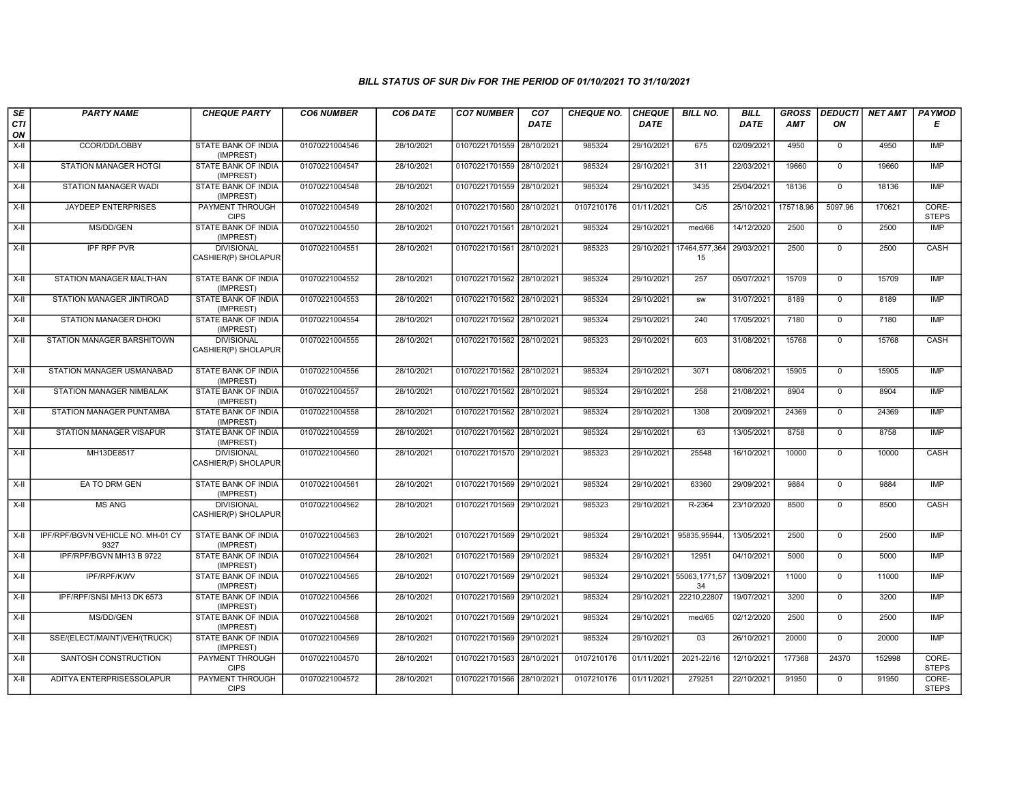| SE        | <b>PARTY NAME</b>                         | <b>CHEQUE PARTY</b>                      | <b>CO6 NUMBER</b> | CO6 DATE   | <b>CO7 NUMBER</b>         | CO <sub>7</sub> | <b>CHEQUE NO.</b> | <b>CHEQUE</b> | <b>BILL NO.</b>     | <b>BILL</b> | <b>GROSS</b> |                | <b>DEDUCTI NET AMT</b> | <b>PAYMOD</b>         |
|-----------|-------------------------------------------|------------------------------------------|-------------------|------------|---------------------------|-----------------|-------------------|---------------|---------------------|-------------|--------------|----------------|------------------------|-----------------------|
| CTI<br>ON |                                           |                                          |                   |            |                           | <b>DATE</b>     |                   | <b>DATE</b>   |                     | <b>DATE</b> | <b>AMT</b>   | ON             |                        | Е                     |
| X-II      | CCOR/DD/LOBBY                             | STATE BANK OF INDIA<br>(IMPREST)         | 01070221004546    | 28/10/2021 | 01070221701559 28/10/2021 |                 | 985324            | 29/10/2021    | 675                 | 02/09/2021  | 4950         | 0              | 4950                   | IMP                   |
| $X-H$     | <b>STATION MANAGER HOTGI</b>              | <b>STATE BANK OF INDIA</b><br>(IMPREST)  | 01070221004547    | 28/10/2021 | 01070221701559 28/10/2021 |                 | 985324            | 29/10/2021    | 311                 | 22/03/2021  | 19660        | $\mathbf 0$    | 19660                  | IMP                   |
| X-II      | STATION MANAGER WADI                      | STATE BANK OF INDIA<br>(IMPREST)         | 01070221004548    | 28/10/2021 | 01070221701559 28/10/2021 |                 | 985324            | 29/10/2021    | 3435                | 25/04/2021  | 18136        | $\mathbf 0$    | 18136                  | <b>IMP</b>            |
| $X-H$     | JAYDEEP ENTERPRISES                       | <b>PAYMENT THROUGH</b><br><b>CIPS</b>    | 01070221004549    | 28/10/2021 | 01070221701560 28/10/2021 |                 | 0107210176        | 01/11/2021    | C/5                 | 25/10/2021  | 175718.96    | 5097.96        | 170621                 | CORE-<br><b>STEPS</b> |
| $X-H$     | MS/DD/GEN                                 | <b>STATE BANK OF INDIA</b><br>(IMPREST)  | 01070221004550    | 28/10/2021 | 01070221701561 28/10/2021 |                 | 985324            | 29/10/2021    | med/66              | 14/12/2020  | 2500         | $\overline{0}$ | 2500                   | IMP                   |
| X-II      | IPF RPF PVR                               | <b>DIVISIONAL</b><br>CASHIER(P) SHOLAPUR | 01070221004551    | 28/10/2021 | 01070221701561 28/10/2021 |                 | 985323            | 29/10/2021    | 17464,577,364<br>15 | 29/03/2021  | 2500         | $\mathbf 0$    | 2500                   | CASH                  |
| X-II      | STATION MANAGER MALTHAN                   | STATE BANK OF INDIA<br>(IMPREST)         | 01070221004552    | 28/10/2021 | 01070221701562 28/10/2021 |                 | 985324            | 29/10/2021    | 257                 | 05/07/2021  | 15709        | $\mathbf 0$    | 15709                  | IMP                   |
| $X-H$     | STATION MANAGER JINTIROAD                 | <b>STATE BANK OF INDIA</b><br>(IMPREST)  | 01070221004553    | 28/10/2021 | 01070221701562 28/10/2021 |                 | 985324            | 29/10/2021    | <b>SW</b>           | 31/07/2021  | 8189         | $\overline{0}$ | 8189                   | IMP                   |
| X-II      | <b>STATION MANAGER DHOKI</b>              | STATE BANK OF INDIA<br>(IMPREST)         | 01070221004554    | 28/10/2021 | 01070221701562 28/10/2021 |                 | 985324            | 29/10/2021    | 240                 | 17/05/2021  | 7180         | $\mathbf 0$    | 7180                   | <b>IMP</b>            |
| X-II      | STATION MANAGER BARSHITOWN                | <b>DIVISIONAL</b><br>CASHIER(P) SHOLAPUR | 01070221004555    | 28/10/2021 | 01070221701562 28/10/2021 |                 | 985323            | 29/10/2021    | 603                 | 31/08/2021  | 15768        | 0              | 15768                  | CASH                  |
| X-II      | STATION MANAGER USMANABAD                 | <b>STATE BANK OF INDIA</b><br>(IMPREST)  | 01070221004556    | 28/10/2021 | 01070221701562 28/10/2021 |                 | 985324            | 29/10/2021    | 3071                | 08/06/2021  | 15905        | $\mathbf 0$    | 15905                  | IMP                   |
| X-II      | STATION MANAGER NIMBALAK                  | STATE BANK OF INDIA<br>(IMPREST)         | 01070221004557    | 28/10/2021 | 01070221701562 28/10/2021 |                 | 985324            | 29/10/2021    | 258                 | 21/08/2021  | 8904         | $\mathbf 0$    | 8904                   | <b>IMP</b>            |
| X-II      | STATION MANAGER PUNTAMBA                  | STATE BANK OF INDIA<br>(IMPREST)         | 01070221004558    | 28/10/2021 | 01070221701562 28/10/2021 |                 | 985324            | 29/10/2021    | 1308                | 20/09/2021  | 24369        | $\mathbf 0$    | 24369                  | IMP                   |
| $X-H$     | STATION MANAGER VISAPUR                   | STATE BANK OF INDIA<br>(IMPREST)         | 01070221004559    | 28/10/2021 | 01070221701562 28/10/2021 |                 | 985324            | 29/10/2021    | 63                  | 13/05/2021  | 8758         | $\mathbf 0$    | 8758                   | IMP                   |
| X-II      | MH13DE8517                                | <b>DIVISIONAL</b><br>CASHIER(P) SHOLAPUR | 01070221004560    | 28/10/2021 | 01070221701570 29/10/2021 |                 | 985323            | 29/10/2021    | 25548               | 16/10/2021  | 10000        | $\mathbf 0$    | 10000                  | CASH                  |
| X-II      | EA TO DRM GEN                             | <b>STATE BANK OF INDIA</b><br>(IMPREST)  | 01070221004561    | 28/10/2021 | 01070221701569 29/10/2021 |                 | 985324            | 29/10/2021    | 63360               | 29/09/2021  | 9884         | $\mathbf{0}$   | 9884                   | IMP                   |
| X-II      | <b>MS ANG</b>                             | <b>DIVISIONAL</b><br>CASHIER(P) SHOLAPUR | 01070221004562    | 28/10/2021 | 01070221701569 29/10/2021 |                 | 985323            | 29/10/2021    | R-2364              | 23/10/2020  | 8500         | $\mathbf 0$    | 8500                   | CASH                  |
| $X-II$    | IPF/RPF/BGVN VEHICLE NO. MH-01 CY<br>9327 | STATE BANK OF INDIA<br>(IMPREST)         | 01070221004563    | 28/10/2021 | 01070221701569 29/10/2021 |                 | 985324            | 29/10/2021    | 95835,95944         | 13/05/2021  | 2500         | $\overline{0}$ | 2500                   | <b>IMP</b>            |
| $X-H$     | IPF/RPF/BGVN MH13 B 9722                  | <b>STATE BANK OF INDIA</b><br>(IMPREST)  | 01070221004564    | 28/10/2021 | 01070221701569 29/10/2021 |                 | 985324            | 29/10/2021    | 12951               | 04/10/2021  | 5000         | $\mathbf{0}$   | 5000                   | IMP                   |
| X-II      | IPF/RPF/KWV                               | STATE BANK OF INDIA<br>(IMPREST)         | 01070221004565    | 28/10/2021 | 01070221701569 29/10/2021 |                 | 985324            | 29/10/2021    | 55063,1771,57<br>34 | 13/09/2021  | 11000        | $\mathbf 0$    | 11000                  | IMP                   |
| $X-H$     | IPF/RPF/SNSI MH13 DK 6573                 | STATE BANK OF INDIA<br>(IMPREST)         | 01070221004566    | 28/10/2021 | 01070221701569 29/10/2021 |                 | 985324            | 29/10/2021    | 22210,22807         | 19/07/2021  | 3200         | $\mathsf 0$    | 3200                   | IMP                   |
| $X-II$    | <b>MS/DD/GEN</b>                          | <b>STATE BANK OF INDIA</b><br>(IMPREST)  | 01070221004568    | 28/10/2021 | 01070221701569 29/10/2021 |                 | 985324            | 29/10/2021    | med/65              | 02/12/2020  | 2500         | $\mathbf 0$    | 2500                   | <b>IMP</b>            |
| X-II      | SSE/(ELECT/MAINT)VEH/(TRUCK)              | STATE BANK OF INDIA<br>(IMPREST)         | 01070221004569    | 28/10/2021 | 01070221701569 29/10/2021 |                 | 985324            | 29/10/2021    | 03                  | 26/10/2021  | 20000        | $\mathbf 0$    | 20000                  | IMP                   |
| X-II      | SANTOSH CONSTRUCTION                      | <b>PAYMENT THROUGH</b><br><b>CIPS</b>    | 01070221004570    | 28/10/2021 | 01070221701563 28/10/2021 |                 | 0107210176        | 01/11/2021    | 2021-22/16          | 12/10/2021  | 177368       | 24370          | 152998                 | CORE-<br><b>STEPS</b> |
| $X-H$     | ADITYA ENTERPRISESSOLAPUR                 | PAYMENT THROUGH<br><b>CIPS</b>           | 01070221004572    | 28/10/2021 | 01070221701566 28/10/2021 |                 | 0107210176        | 01/11/2021    | 279251              | 22/10/2021  | 91950        | $\mathbf 0$    | 91950                  | CORE-<br><b>STEPS</b> |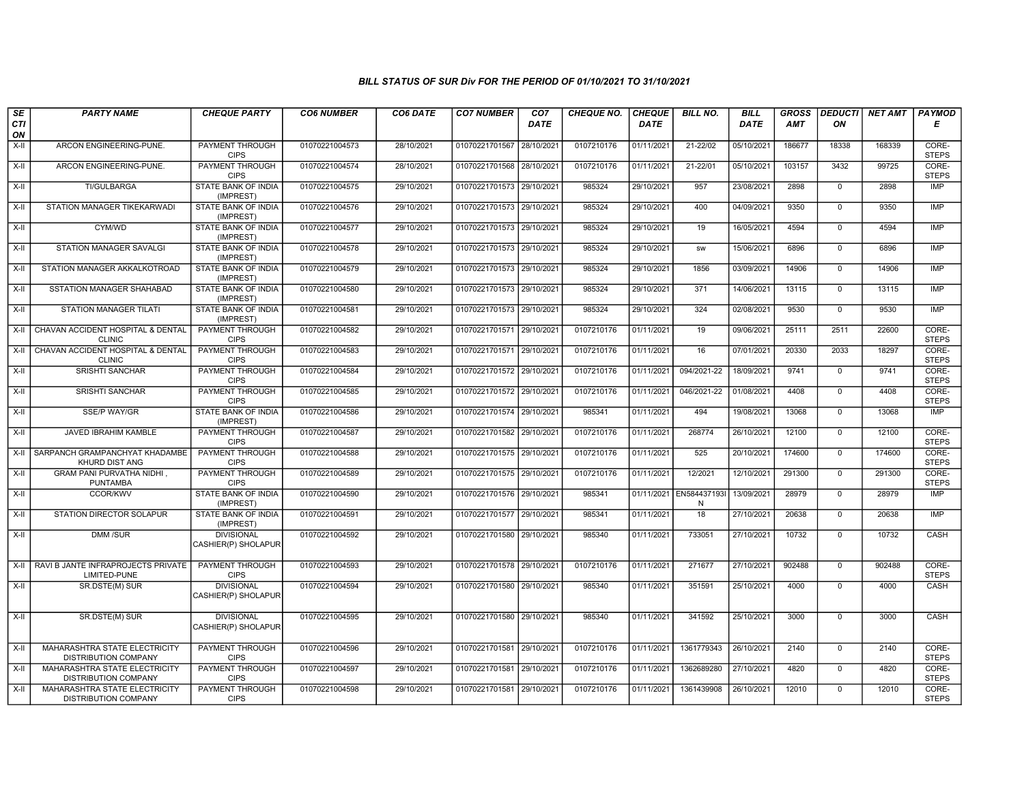| SE        | <b>PARTY NAME</b>                                                   | <b>CHEQUE PARTY</b>                      | <b>CO6 NUMBER</b> | CO6 DATE   | <b>CO7 NUMBER</b>         | CO <sub>7</sub> | <b>CHEQUE NO.</b> | <b>CHEQUE</b> | <b>BILL NO.</b>  | <b>BILL</b> | <b>GROSS</b> |              | <b>DEDUCTI</b> NET AMT | <b>PAYMOD</b>         |
|-----------|---------------------------------------------------------------------|------------------------------------------|-------------------|------------|---------------------------|-----------------|-------------------|---------------|------------------|-------------|--------------|--------------|------------------------|-----------------------|
| CTI<br>ON |                                                                     |                                          |                   |            |                           | <b>DATE</b>     |                   | <b>DATE</b>   |                  | <b>DATE</b> | AMT          | ON           |                        | Е                     |
| $X-H$     | ARCON ENGINEERING-PUNE.                                             | <b>PAYMENT THROUGH</b><br><b>CIPS</b>    | 01070221004573    | 28/10/2021 | 01070221701567            | 28/10/2021      | 0107210176        | 01/11/2021    | 21-22/02         | 05/10/2021  | 186677       | 18338        | 168339                 | CORE-<br><b>STEPS</b> |
| $X-H$     | ARCON ENGINEERING-PUNE.                                             | <b>PAYMENT THROUGH</b><br><b>CIPS</b>    | 01070221004574    | 28/10/2021 | 01070221701568 28/10/2021 |                 | 0107210176        | 01/11/2021    | 21-22/01         | 05/10/2021  | 103157       | 3432         | 99725                  | CORE-<br><b>STEPS</b> |
| $X-H$     | <b>TI/GULBARGA</b>                                                  | <b>STATE BANK OF INDIA</b><br>(IMPREST)  | 01070221004575    | 29/10/2021 | 01070221701573 29/10/2021 |                 | 985324            | 29/10/2021    | 957              | 23/08/2021  | 2898         | $\mathbf 0$  | 2898                   | <b>IMP</b>            |
| X-II      | STATION MANAGER TIKEKARWADI                                         | STATE BANK OF INDIA<br>(IMPREST)         | 01070221004576    | 29/10/2021 | 01070221701573 29/10/2021 |                 | 985324            | 29/10/2021    | 400              | 04/09/2021  | 9350         | $\mathbf{0}$ | 9350                   | <b>IMP</b>            |
| $X-H$     | CYM/WD                                                              | <b>STATE BANK OF INDIA</b><br>(IMPREST)  | 01070221004577    | 29/10/2021 | 01070221701573 29/10/2021 |                 | 985324            | 29/10/2021    | 19               | 16/05/2021  | 4594         | $\mathbf 0$  | 4594                   | <b>IMP</b>            |
| $X-H$     | <b>STATION MANAGER SAVALGI</b>                                      | STATE BANK OF INDIA<br>(IMPREST)         | 01070221004578    | 29/10/2021 | 01070221701573 29/10/2021 |                 | 985324            | 29/10/2021    | <b>SW</b>        | 15/06/2021  | 6896         | $\Omega$     | 6896                   | <b>IMP</b>            |
| X-II      | STATION MANAGER AKKALKOTROAD                                        | STATE BANK OF INDIA<br>(IMPREST)         | 01070221004579    | 29/10/2021 | 01070221701573 29/10/2021 |                 | 985324            | 29/10/2021    | 1856             | 03/09/2021  | 14906        | $\mathbf 0$  | 14906                  | <b>IMP</b>            |
| X-II      | SSTATION MANAGER SHAHABAD                                           | STATE BANK OF INDIA<br>(IMPREST)         | 01070221004580    | 29/10/2021 | 01070221701573 29/10/2021 |                 | 985324            | 29/10/2021    | 371              | 14/06/2021  | 13115        | $\mathbf 0$  | 13115                  | <b>IMP</b>            |
| $X-H$     | <b>STATION MANAGER TILATI</b>                                       | <b>STATE BANK OF INDIA</b><br>(IMPREST)  | 01070221004581    | 29/10/2021 | 01070221701573 29/10/2021 |                 | 985324            | 29/10/2021    | 324              | 02/08/2021  | 9530         | $\mathbf 0$  | 9530                   | <b>IMP</b>            |
| X-II      | CHAVAN ACCIDENT HOSPITAL & DENTAL<br><b>CLINIC</b>                  | <b>PAYMENT THROUGH</b><br><b>CIPS</b>    | 01070221004582    | 29/10/2021 | 01070221701571 29/10/2021 |                 | 0107210176        | 01/11/2021    | 19               | 09/06/2021  | 25111        | 2511         | 22600                  | CORE-<br><b>STEPS</b> |
| $X-H$     | CHAVAN ACCIDENT HOSPITAL & DENTAL<br><b>CLINIC</b>                  | PAYMENT THROUGH<br><b>CIPS</b>           | 01070221004583    | 29/10/2021 | 01070221701571 29/10/2021 |                 | 0107210176        | 01/11/2021    | 16               | 07/01/2021  | 20330        | 2033         | 18297                  | CORE-<br><b>STEPS</b> |
| X-II      | <b>SRISHTI SANCHAR</b>                                              | PAYMENT THROUGH<br><b>CIPS</b>           | 01070221004584    | 29/10/2021 | 01070221701572 29/10/2021 |                 | 0107210176        | 01/11/2021    | 094/2021-22      | 18/09/2021  | 9741         | $\mathbf{0}$ | 9741                   | CORE-<br><b>STEPS</b> |
| X-II      | <b>SRISHTI SANCHAR</b>                                              | PAYMENT THROUGH<br><b>CIPS</b>           | 01070221004585    | 29/10/2021 | 01070221701572 29/10/2021 |                 | 0107210176        | 01/11/2021    | 046/2021-22      | 01/08/2021  | 4408         | $\Omega$     | 4408                   | CORE-<br><b>STEPS</b> |
| X-II      | <b>SSE/P WAY/GR</b>                                                 | <b>STATE BANK OF INDIA</b><br>(IMPREST)  | 01070221004586    | 29/10/2021 | 01070221701574 29/10/2021 |                 | 985341            | 01/11/2021    | 494              | 19/08/2021  | 13068        | $\mathbf 0$  | 13068                  | <b>IMP</b>            |
| X-II      | JAVED IBRAHIM KAMBLE                                                | <b>PAYMENT THROUGH</b><br><b>CIPS</b>    | 01070221004587    | 29/10/2021 | 01070221701582            | 29/10/2021      | 0107210176        | 01/11/2021    | 268774           | 26/10/2021  | 12100        | $\mathbf 0$  | 12100                  | CORE-<br><b>STEPS</b> |
| $X-II$    | SARPANCH GRAMPANCHYAT KHADAMBE<br>KHURD DIST ANG                    | PAYMENT THROUGH<br><b>CIPS</b>           | 01070221004588    | 29/10/2021 | 01070221701575 29/10/2021 |                 | 0107210176        | 01/11/2021    | 525              | 20/10/2021  | 174600       | $\mathbf 0$  | 174600                 | CORE-<br><b>STEPS</b> |
| $X-II$    | GRAM PANI PURVATHA NIDHI,<br>PUNTAMBA                               | <b>PAYMENT THROUGH</b><br><b>CIPS</b>    | 01070221004589    | 29/10/2021 | 01070221701575 29/10/2021 |                 | 0107210176        | 01/11/2021    | 12/2021          | 12/10/2021  | 291300       | $\mathbf 0$  | 291300                 | CORE-<br><b>STEPS</b> |
| $X-H$     | <b>CCOR/KWV</b>                                                     | <b>STATE BANK OF INDIA</b><br>(IMPREST)  | 01070221004590    | 29/10/2021 | 01070221701576 29/10/2021 |                 | 985341            | 01/11/2021    | EN584437193<br>N | 13/09/2021  | 28979        | $\mathbf 0$  | 28979                  | <b>IMP</b>            |
| X-II      | STATION DIRECTOR SOLAPUR                                            | <b>STATE BANK OF INDIA</b><br>(IMPREST)  | 01070221004591    | 29/10/2021 | 01070221701577 29/10/2021 |                 | 985341            | 01/11/2021    | 18               | 27/10/2021  | 20638        | $\mathbf 0$  | 20638                  | <b>IMP</b>            |
| X-II      | DMM /SUR                                                            | <b>DIVISIONAL</b><br>CASHIER(P) SHOLAPUR | 01070221004592    | 29/10/2021 | 01070221701580 29/10/2021 |                 | 985340            | 01/11/2021    | 733051           | 27/10/2021  | 10732        | $\mathbf{0}$ | 10732                  | CASH                  |
| $X-H$     | RAVI B JANTE INFRAPROJECTS PRIVATE<br>LIMITED-PUNE                  | <b>PAYMENT THROUGH</b><br><b>CIPS</b>    | 01070221004593    | 29/10/2021 | 01070221701578 29/10/2021 |                 | 0107210176        | 01/11/2021    | 271677           | 27/10/2021  | 902488       | $\mathbf 0$  | 902488                 | CORE-<br><b>STEPS</b> |
| X-II      | SR.DSTE(M) SUR                                                      | <b>DIVISIONAL</b><br>CASHIER(P) SHOLAPUR | 01070221004594    | 29/10/2021 | 01070221701580            | 29/10/2021      | 985340            | 01/11/2021    | 351591           | 25/10/2021  | 4000         | $\mathbf 0$  | 4000                   | CASH                  |
| $X-H$     | SR.DSTE(M) SUR                                                      | <b>DIVISIONAL</b><br>CASHIER(P) SHOLAPUR | 01070221004595    | 29/10/2021 | 01070221701580 29/10/2021 |                 | 985340            | 01/11/2021    | 341592           | 25/10/2021  | 3000         | $\mathbf 0$  | 3000                   | CASH                  |
| X-II      | <b>MAHARASHTRA STATE ELECTRICITY</b><br><b>DISTRIBUTION COMPANY</b> | <b>PAYMENT THROUGH</b><br><b>CIPS</b>    | 01070221004596    | 29/10/2021 | 01070221701581 29/10/2021 |                 | 0107210176        | 01/11/2021    | 1361779343       | 26/10/2021  | 2140         | $\Omega$     | 2140                   | CORE-<br><b>STEPS</b> |
| X-II      | MAHARASHTRA STATE ELECTRICITY<br><b>DISTRIBUTION COMPANY</b>        | <b>PAYMENT THROUGH</b><br><b>CIPS</b>    | 01070221004597    | 29/10/2021 | 01070221701581 29/10/2021 |                 | 0107210176        | 01/11/2021    | 1362689280       | 27/10/2021  | 4820         | $\mathbf 0$  | 4820                   | CORE-<br><b>STEPS</b> |
| X-II      | MAHARASHTRA STATE ELECTRICITY<br><b>DISTRIBUTION COMPANY</b>        | <b>PAYMENT THROUGH</b><br><b>CIPS</b>    | 01070221004598    | 29/10/2021 | 01070221701581 29/10/2021 |                 | 0107210176        | 01/11/2021    | 1361439908       | 26/10/2021  | 12010        | $\mathbf 0$  | 12010                  | CORE-<br><b>STEPS</b> |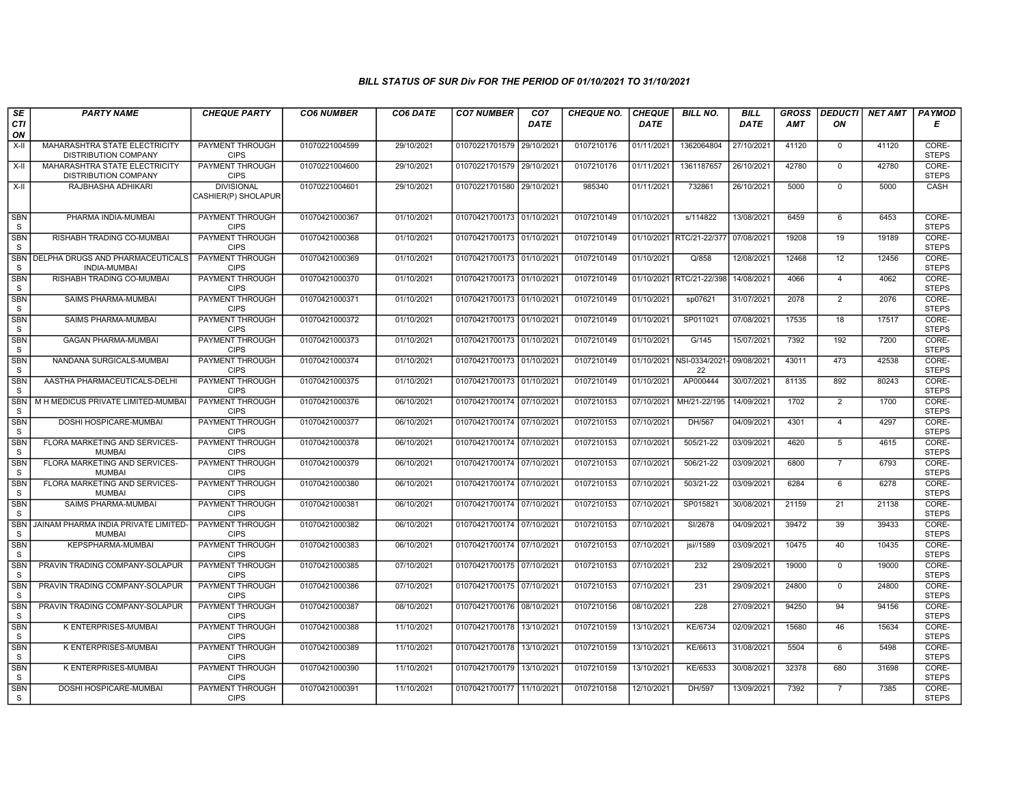| SE               | <b>PARTY NAME</b>                                                   | <b>CHEQUE PARTY</b>                      | <b>CO6 NUMBER</b> | CO6 DATE   | <b>CO7 NUMBER</b>         | CO <sub>7</sub> | <b>CHEQUE NO.</b> | <b>CHEQUE</b> | <b>BILL NO.</b>          | <b>BILL</b> | <b>GROSS</b> | <b>DEDUCTI</b> | <b>NET AMT</b> | <b>PAYMOD</b>         |
|------------------|---------------------------------------------------------------------|------------------------------------------|-------------------|------------|---------------------------|-----------------|-------------------|---------------|--------------------------|-------------|--------------|----------------|----------------|-----------------------|
| CTI<br>ON        |                                                                     |                                          |                   |            |                           | <b>DATE</b>     |                   | <b>DATE</b>   |                          | <b>DATE</b> | <b>AMT</b>   | ΟN             |                | Е                     |
| $X-II$           | MAHARASHTRA STATE ELECTRICITY<br><b>DISTRIBUTION COMPANY</b>        | PAYMENT THROUGH<br><b>CIPS</b>           | 01070221004599    | 29/10/2021 | 01070221701579 29/10/202  |                 | 0107210176        | 01/11/2021    | 1362064804               | 27/10/2021  | 41120        | $\mathbf 0$    | 41120          | CORE-<br><b>STEPS</b> |
| $X-II$           | <b>MAHARASHTRA STATE ELECTRICITY</b><br><b>DISTRIBUTION COMPANY</b> | PAYMENT THROUGH<br><b>CIPS</b>           | 01070221004600    | 29/10/2021 | 01070221701579 29/10/2021 |                 | 0107210176        | 01/11/2021    | 1361187657               | 26/10/2021  | 42780        | $\mathbf 0$    | 42780          | CORE-<br><b>STEPS</b> |
| X-II             | RAJBHASHA ADHIKARI                                                  | <b>DIVISIONAL</b><br>CASHIER(P) SHOLAPUR | 01070221004601    | 29/10/2021 | 01070221701580 29/10/2021 |                 | 985340            | 01/11/2021    | 732861                   | 26/10/2021  | 5000         | $\mathsf 0$    | 5000           | CASH                  |
| <b>SBN</b><br>S  | PHARMA INDIA-MUMBAI                                                 | <b>PAYMENT THROUGH</b><br><b>CIPS</b>    | 01070421000367    | 01/10/2021 | 01070421700173 01/10/2021 |                 | 0107210149        | 01/10/2021    | s/114822                 | 13/08/2021  | 6459         | 6              | 6453           | CORE-<br><b>STEPS</b> |
| SBN<br>S.        | RISHABH TRADING CO-MUMBAI                                           | PAYMENT THROUGH<br><b>CIPS</b>           | 01070421000368    | 01/10/2021 | 01070421700173 01/10/2021 |                 | 0107210149        |               | 01/10/2021 RTC/21-22/377 | 07/08/2021  | 19208        | 19             | 19189          | CORE-<br><b>STEPS</b> |
| <b>SBN</b><br>S  | DELPHA DRUGS AND PHARMACEUTICALS<br><b>INDIA-MUMBAI</b>             | PAYMENT THROUGH<br><b>CIPS</b>           | 01070421000369    | 01/10/2021 | 01070421700173 01/10/2021 |                 | 0107210149        | 01/10/2021    | Q/858                    | 12/08/2021  | 12468        | 12             | 12456          | CORE-<br><b>STEPS</b> |
| <b>SBN</b><br>S  | RISHABH TRADING CO-MUMBAI                                           | PAYMENT THROUGH<br><b>CIPS</b>           | 01070421000370    | 01/10/2021 | 01070421700173 01/10/2021 |                 | 0107210149        | 01/10/2021    | RTC/21-22/398            | 14/08/2021  | 4066         | $\overline{4}$ | 4062           | CORE-<br><b>STEPS</b> |
| <b>SBN</b><br>S  | SAIMS PHARMA-MUMBAI                                                 | <b>PAYMENT THROUGH</b><br><b>CIPS</b>    | 01070421000371    | 01/10/2021 | 01070421700173 01/10/2021 |                 | 0107210149        | 01/10/2021    | sp07621                  | 31/07/2021  | 2078         | $\overline{2}$ | 2076           | CORE-<br><b>STEPS</b> |
| <b>SBN</b><br>S. | <b>SAIMS PHARMA-MUMBAI</b>                                          | PAYMENT THROUGH<br><b>CIPS</b>           | 01070421000372    | 01/10/2021 | 01070421700173 01/10/202  |                 | 0107210149        | 01/10/2021    | SP011021                 | 07/08/2021  | 17535        | 18             | 17517          | CORE-<br><b>STEPS</b> |
| <b>SBN</b><br>S  | <b>GAGAN PHARMA-MUMBAI</b>                                          | PAYMENT THROUGH<br><b>CIPS</b>           | 01070421000373    | 01/10/2021 | 01070421700173 01/10/202  |                 | 0107210149        | 01/10/2021    | G/145                    | 15/07/2021  | 7392         | 192            | 7200           | CORE-<br><b>STEPS</b> |
| <b>SBN</b><br>S  | NANDANA SURGICALS-MUMBAI                                            | <b>PAYMENT THROUGH</b><br><b>CIPS</b>    | 01070421000374    | 01/10/2021 | 01070421700173 01/10/2021 |                 | 0107210149        | 01/10/2021    | NSI-0334/2021<br>22      | 09/08/2021  | 43011        | 473            | 42538          | CORE-<br><b>STEPS</b> |
| <b>SBN</b><br>S  | AASTHA PHARMACEUTICALS-DELHI                                        | <b>PAYMENT THROUGH</b><br><b>CIPS</b>    | 01070421000375    | 01/10/2021 | 01070421700173 01/10/2021 |                 | 0107210149        | 01/10/2021    | AP000444                 | 30/07/2021  | 81135        | 892            | 80243          | CORE-<br><b>STEPS</b> |
| SBN<br>S         | M H MEDICUS PRIVATE LIMITED-MUMBAI                                  | <b>PAYMENT THROUGH</b><br><b>CIPS</b>    | 01070421000376    | 06/10/2021 | 01070421700174 07/10/2021 |                 | 0107210153        | 07/10/2021    | MH/21-22/195             | 14/09/2021  | 1702         | 2              | 1700           | CORE-<br><b>STEPS</b> |
| <b>SBN</b><br>S  | DOSHI HOSPICARE-MUMBAI                                              | PAYMENT THROUGH<br><b>CIPS</b>           | 01070421000377    | 06/10/2021 | 01070421700174 07/10/202  |                 | 0107210153        | 07/10/2021    | DH/567                   | 04/09/2021  | 4301         | $\overline{4}$ | 4297           | CORE-<br><b>STEPS</b> |
| <b>SBN</b><br>S  | FLORA MARKETING AND SERVICES-<br><b>MUMBAI</b>                      | PAYMENT THROUGH<br><b>CIPS</b>           | 01070421000378    | 06/10/2021 | 01070421700174 07/10/2021 |                 | 0107210153        | 07/10/2021    | 505/21-22                | 03/09/2021  | 4620         | 5              | 4615           | CORE-<br><b>STEPS</b> |
| <b>SBN</b><br>S  | FLORA MARKETING AND SERVICES-<br><b>MUMBAI</b>                      | <b>PAYMENT THROUGH</b><br><b>CIPS</b>    | 01070421000379    | 06/10/2021 | 01070421700174 07/10/2021 |                 | 0107210153        | 07/10/2021    | 506/21-22                | 03/09/2021  | 6800         | $\overline{7}$ | 6793           | CORE-<br><b>STEPS</b> |
| <b>SBN</b><br>S  | FLORA MARKETING AND SERVICES-<br><b>MUMBAI</b>                      | <b>PAYMENT THROUGH</b><br><b>CIPS</b>    | 01070421000380    | 06/10/2021 | 01070421700174 07/10/202  |                 | 0107210153        | 07/10/2021    | 503/21-22                | 03/09/2021  | 6284         | 6              | 6278           | CORE-<br><b>STEPS</b> |
| <b>SBN</b><br>S  | SAIMS PHARMA-MUMBAI                                                 | <b>PAYMENT THROUGH</b><br><b>CIPS</b>    | 01070421000381    | 06/10/2021 | 01070421700174 07/10/2021 |                 | 0107210153        | 07/10/2021    | SP015821                 | 30/08/2021  | 21159        | 21             | 21138          | CORE-<br><b>STEPS</b> |
| <b>SBN</b><br>S  | JAINAM PHARMA INDIA PRIVATE LIMITED-<br><b>MUMBAI</b>               | PAYMENT THROUGH<br><b>CIPS</b>           | 01070421000382    | 06/10/2021 | 01070421700174 07/10/202  |                 | 0107210153        | 07/10/2021    | SI/2678                  | 04/09/2021  | 39472        | 39             | 39433          | CORE-<br><b>STEPS</b> |
| <b>SBN</b><br>S  | KEPSPHARMA-MUMBAI                                                   | <b>PAYMENT THROUGH</b><br><b>CIPS</b>    | 01070421000383    | 06/10/2021 | 01070421700174 07/10/2021 |                 | 0107210153        | 07/10/2021    | jsi//1589                | 03/09/2021  | 10475        | 40             | 10435          | CORE-<br><b>STEPS</b> |
| <b>SBN</b><br>S  | PRAVIN TRADING COMPANY-SOLAPUR                                      | <b>PAYMENT THROUGH</b><br><b>CIPS</b>    | 01070421000385    | 07/10/2021 | 01070421700175 07/10/2021 |                 | 0107210153        | 07/10/2021    | 232                      | 29/09/2021  | 19000        | $\mathbf 0$    | 19000          | CORE-<br><b>STEPS</b> |
| <b>SBN</b><br>S  | PRAVIN TRADING COMPANY-SOLAPUR                                      | PAYMENT THROUGH<br><b>CIPS</b>           | 01070421000386    | 07/10/2021 | 01070421700175 07/10/2021 |                 | 0107210153        | 07/10/2021    | 231                      | 29/09/2021  | 24800        | $\mathbf 0$    | 24800          | CORE-<br><b>STEPS</b> |
| <b>SBN</b><br>S  | PRAVIN TRADING COMPANY-SOLAPUR                                      | PAYMENT THROUGH<br><b>CIPS</b>           | 01070421000387    | 08/10/2021 | 01070421700176 08/10/2021 |                 | 0107210156        | 08/10/2021    | 228                      | 27/09/2021  | 94250        | 94             | 94156          | CORE-<br><b>STEPS</b> |
| <b>SBN</b><br>S  | K ENTERPRISES-MUMBAI                                                | <b>PAYMENT THROUGH</b><br><b>CIPS</b>    | 01070421000388    | 11/10/2021 | 01070421700178 13/10/2021 |                 | 0107210159        | 13/10/2021    | KE/6734                  | 02/09/2021  | 15680        | 46             | 15634          | CORE-<br><b>STEPS</b> |
| <b>SBN</b><br>S  | K ENTERPRISES-MUMBAI                                                | PAYMENT THROUGH<br><b>CIPS</b>           | 01070421000389    | 11/10/2021 | 01070421700178 13/10/202  |                 | 0107210159        | 13/10/2021    | KE/6613                  | 31/08/2021  | 5504         | 6              | 5498           | CORE-<br><b>STEPS</b> |
| <b>SBN</b><br>S  | K ENTERPRISES-MUMBAI                                                | PAYMENT THROUGH<br><b>CIPS</b>           | 01070421000390    | 11/10/2021 | 01070421700179 13/10/2021 |                 | 0107210159        | 13/10/2021    | KE/6533                  | 30/08/2021  | 32378        | 680            | 31698          | CORE-<br><b>STEPS</b> |
| <b>SBN</b><br>S  | DOSHI HOSPICARE-MUMBAI                                              | PAYMENT THROUGH<br><b>CIPS</b>           | 01070421000391    | 11/10/2021 | 01070421700177 11/10/2021 |                 | 0107210158        | 12/10/2021    | DH/597                   | 13/09/2021  | 7392         | $\overline{7}$ | 7385           | CORE-<br><b>STEPS</b> |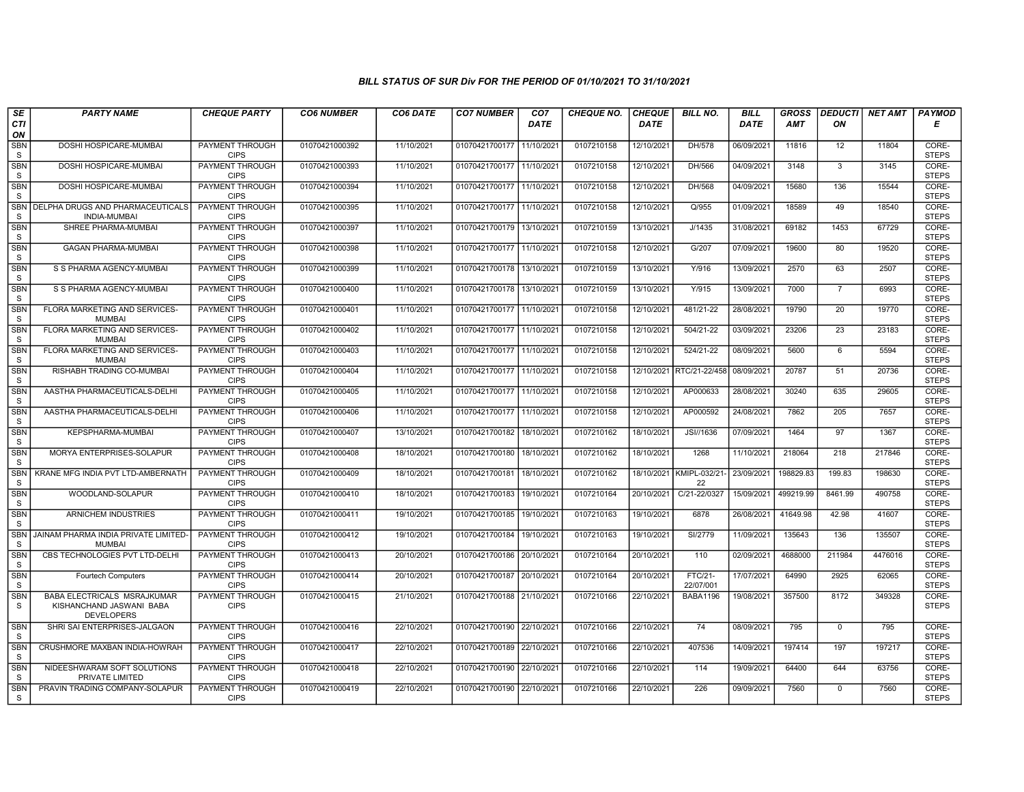| SE                         | <b>PARTY NAME</b>                                                                   | <b>CHEQUE PARTY</b>                   | <b>CO6 NUMBER</b> | CO6 DATE   | <b>CO7 NUMBER</b>         | CO <sub>7</sub> | <b>CHEQUE NO.</b> | <b>CHEQUE</b> | <b>BILL NO.</b>      | <b>BILL</b> | <b>GROSS</b> | <b>DEDUCTI</b>  | NET AMT | <b>PAYMOD</b>         |
|----------------------------|-------------------------------------------------------------------------------------|---------------------------------------|-------------------|------------|---------------------------|-----------------|-------------------|---------------|----------------------|-------------|--------------|-----------------|---------|-----------------------|
| CTI<br>ON                  |                                                                                     |                                       |                   |            |                           | <b>DATE</b>     |                   | <b>DATE</b>   |                      | DATE        | AMT          | ON              |         | Е                     |
| <b>SBN</b><br>S            | DOSHI HOSPICARE-MUMBAI                                                              | <b>PAYMENT THROUGH</b><br><b>CIPS</b> | 01070421000392    | 11/10/2021 | 01070421700177            | 11/10/2021      | 0107210158        | 12/10/2021    | DH/578               | 06/09/2021  | 11816        | 12              | 11804   | CORE-<br><b>STEPS</b> |
| <b>SBN</b><br>S            | DOSHI HOSPICARE-MUMBAI                                                              | <b>PAYMENT THROUGH</b><br><b>CIPS</b> | 01070421000393    | 11/10/2021 | 01070421700177 11/10/2021 |                 | 0107210158        | 12/10/2021    | DH/566               | 04/09/2021  | 3148         | 3               | 3145    | CORE-<br><b>STEPS</b> |
| SBN<br>S                   | DOSHI HOSPICARE-MUMBAI                                                              | PAYMENT THROUGH<br><b>CIPS</b>        | 01070421000394    | 11/10/2021 | 01070421700177 11/10/2021 |                 | 0107210158        | 12/10/2021    | DH/568               | 04/09/2021  | 15680        | 136             | 15544   | CORE-<br><b>STEPS</b> |
| <b>SBN</b><br>S            | DELPHA DRUGS AND PHARMACEUTICALS<br><b>INDIA-MUMBAI</b>                             | <b>PAYMENT THROUGH</b><br><b>CIPS</b> | 01070421000395    | 11/10/2021 | 01070421700177            | 11/10/2021      | 0107210158        | 12/10/2021    | Q/955                | 01/09/2021  | 18589        | 49              | 18540   | CORE-<br><b>STEPS</b> |
| <b>SBN</b><br>S            | SHREE PHARMA-MUMBAI                                                                 | <b>PAYMENT THROUGH</b><br><b>CIPS</b> | 01070421000397    | 11/10/2021 | 01070421700179 13/10/2021 |                 | 0107210159        | 13/10/2021    | J/1435               | 31/08/2021  | 69182        | 1453            | 67729   | CORE-<br><b>STEPS</b> |
| <b>SBN</b><br>S            | <b>GAGAN PHARMA-MUMBAI</b>                                                          | <b>PAYMENT THROUGH</b><br><b>CIPS</b> | 01070421000398    | 11/10/2021 | 01070421700177 11/10/2021 |                 | 0107210158        | 12/10/2021    | G/207                | 07/09/2021  | 19600        | 80              | 19520   | CORE-<br><b>STEPS</b> |
| <b>SBN</b><br>S            | S S PHARMA AGENCY-MUMBAI                                                            | PAYMENT THROUGH<br><b>CIPS</b>        | 01070421000399    | 11/10/2021 | 01070421700178 13/10/2021 |                 | 0107210159        | 13/10/2021    | Y/916                | 13/09/2021  | 2570         | 63              | 2507    | CORE-<br><b>STEPS</b> |
| <b>SBN</b><br>${\tt S}$    | S S PHARMA AGENCY-MUMBAI                                                            | PAYMENT THROUGH<br><b>CIPS</b>        | 01070421000400    | 11/10/2021 | 01070421700178 13/10/2021 |                 | 0107210159        | 13/10/2021    | Y/915                | 13/09/2021  | 7000         | $\overline{7}$  | 6993    | CORE-<br><b>STEPS</b> |
| <b>SBN</b><br>S            | FLORA MARKETING AND SERVICES-<br><b>MUMBAI</b>                                      | <b>PAYMENT THROUGH</b><br><b>CIPS</b> | 01070421000401    | 11/10/2021 | 01070421700177 11/10/2021 |                 | 0107210158        | 12/10/2021    | 481/21-22            | 28/08/2021  | 19790        | 20              | 19770   | CORE-<br><b>STEPS</b> |
| <b>SBN</b><br><sub>S</sub> | FLORA MARKETING AND SERVICES-<br><b>MUMBAI</b>                                      | <b>PAYMENT THROUGH</b><br><b>CIPS</b> | 01070421000402    | 11/10/2021 | 01070421700177 11/10/2021 |                 | 0107210158        | 12/10/2021    | 504/21-22            | 03/09/2021  | 23206        | $\overline{23}$ | 23183   | CORE-<br><b>STEPS</b> |
| SBN<br><sub>S</sub>        | FLORA MARKETING AND SERVICES-<br><b>MUMBAI</b>                                      | PAYMENT THROUGH<br><b>CIPS</b>        | 01070421000403    | 11/10/2021 | 01070421700177 11/10/2021 |                 | 0107210158        | 12/10/2021    | 524/21-22            | 08/09/2021  | 5600         | 6               | 5594    | CORE-<br><b>STEPS</b> |
| <b>SBN</b><br>S            | RISHABH TRADING CO-MUMBAI                                                           | <b>PAYMENT THROUGH</b><br><b>CIPS</b> | 01070421000404    | 11/10/2021 | 01070421700177 11/10/2021 |                 | 0107210158        | 12/10/2021    | RTC/21-22/458        | 08/09/2021  | 20787        | 51              | 20736   | CORE-<br><b>STEPS</b> |
| <b>SBN</b><br><sub>S</sub> | AASTHA PHARMACEUTICALS-DELHI                                                        | <b>PAYMENT THROUGH</b><br><b>CIPS</b> | 01070421000405    | 11/10/2021 | 01070421700177 11/10/2021 |                 | 0107210158        | 12/10/2021    | AP000633             | 28/08/2021  | 30240        | 635             | 29605   | CORE-<br><b>STEPS</b> |
| <b>SBN</b><br><sub>S</sub> | AASTHA PHARMACEUTICALS-DELH                                                         | <b>PAYMENT THROUGH</b><br><b>CIPS</b> | 01070421000406    | 11/10/2021 | 01070421700177 11/10/2021 |                 | 0107210158        | 12/10/2021    | AP000592             | 24/08/2021  | 7862         | 205             | 7657    | CORE-<br><b>STEPS</b> |
| SBN<br>S                   | KEPSPHARMA-MUMBAI                                                                   | PAYMENT THROUGH<br><b>CIPS</b>        | 01070421000407    | 13/10/2021 | 01070421700182            | 18/10/2021      | 0107210162        | 18/10/2021    | JSI//1636            | 07/09/2021  | 1464         | 97              | 1367    | CORE-<br><b>STEPS</b> |
| <b>SBN</b><br>${\tt S}$    | MORYA ENTERPRISES-SOLAPUR                                                           | PAYMENT THROUGH<br><b>CIPS</b>        | 01070421000408    | 18/10/2021 | 01070421700180            | 18/10/2021      | 0107210162        | 18/10/2021    | 1268                 | 11/10/2021  | 218064       | 218             | 217846  | CORE-<br><b>STEPS</b> |
| <b>SBN</b><br><sub>S</sub> | KRANE MFG INDIA PVT LTD-AMBERNATH                                                   | <b>PAYMENT THROUGH</b><br><b>CIPS</b> | 01070421000409    | 18/10/2021 | 01070421700181            | 18/10/2021      | 0107210162        | 18/10/2021    | KMIPL-032/21<br>22   | 23/09/2021  | 198829.83    | 199.83          | 198630  | CORE-<br><b>STEPS</b> |
| <b>SBN</b><br>S            | WOODLAND-SOLAPUR                                                                    | <b>PAYMENT THROUGH</b><br><b>CIPS</b> | 01070421000410    | 18/10/2021 | 01070421700183 19/10/2021 |                 | 0107210164        | 20/10/2021    | C/21-22/0327         | 15/09/2021  | 499219.99    | 8461.99         | 490758  | CORE-<br><b>STEPS</b> |
| <b>SBN</b><br>$\mathbf{s}$ | ARNICHEM INDUSTRIES                                                                 | <b>PAYMENT THROUGH</b><br><b>CIPS</b> | 01070421000411    | 19/10/2021 | 01070421700185            | 19/10/2021      | 0107210163        | 19/10/2021    | 6878                 | 26/08/2021  | 41649.98     | 42.98           | 41607   | CORE-<br><b>STEPS</b> |
| <b>SBN</b><br>S            | JAINAM PHARMA INDIA PRIVATE LIMITED-<br><b>MUMBAI</b>                               | PAYMENT THROUGH<br><b>CIPS</b>        | 01070421000412    | 19/10/2021 | 01070421700184            | 19/10/2021      | 0107210163        | 19/10/2021    | SI/2779              | 11/09/2021  | 135643       | 136             | 135507  | CORE-<br><b>STEPS</b> |
| <b>SBN</b><br>S.           | CBS TECHNOLOGIES PVT LTD-DELHI                                                      | <b>PAYMENT THROUGH</b><br><b>CIPS</b> | 01070421000413    | 20/10/2021 | 01070421700186 20/10/2021 |                 | 0107210164        | 20/10/2021    | 110                  | 02/09/2021  | 4688000      | 211984          | 4476016 | CORE-<br><b>STEPS</b> |
| <b>SBN</b><br>S            | <b>Fourtech Computers</b>                                                           | <b>PAYMENT THROUGH</b><br><b>CIPS</b> | 01070421000414    | 20/10/2021 | 01070421700187 20/10/2021 |                 | 0107210164        | 20/10/2021    | FTC/21-<br>22/07/001 | 17/07/2021  | 64990        | 2925            | 62065   | CORE-<br><b>STEPS</b> |
| SBN<br>S.                  | <b>BABA ELECTRICALS MSRAJKUMAR</b><br>KISHANCHAND JASWANI BABA<br><b>DEVELOPERS</b> | PAYMENT THROUGH<br><b>CIPS</b>        | 01070421000415    | 21/10/2021 | 01070421700188 21/10/2021 |                 | 0107210166        | 22/10/2021    | <b>BABA1196</b>      | 19/08/2021  | 357500       | 8172            | 349328  | CORE-<br><b>STEPS</b> |
| <b>SBN</b><br>S            | SHRI SAI ENTERPRISES-JALGAON                                                        | <b>PAYMENT THROUGH</b><br><b>CIPS</b> | 01070421000416    | 22/10/2021 | 01070421700190 22/10/2021 |                 | 0107210166        | 22/10/2021    | 74                   | 08/09/2021  | 795          | $\mathbf 0$     | 795     | CORE-<br><b>STEPS</b> |
| <b>SBN</b><br>S            | CRUSHMORE MAXBAN INDIA-HOWRAH                                                       | <b>PAYMENT THROUGH</b><br><b>CIPS</b> | 01070421000417    | 22/10/2021 | 01070421700189 22/10/2021 |                 | 0107210166        | 22/10/2021    | 407536               | 14/09/2021  | 197414       | 197             | 197217  | CORE-<br><b>STEPS</b> |
| SBN<br>S                   | NIDEESHWARAM SOFT SOLUTIONS<br>PRIVATE LIMITED                                      | PAYMENT THROUGH<br><b>CIPS</b>        | 01070421000418    | 22/10/2021 | 01070421700190 22/10/2021 |                 | 0107210166        | 22/10/2021    | 114                  | 19/09/2021  | 64400        | 644             | 63756   | CORE-<br><b>STEPS</b> |
| <b>SBN</b><br>S.           | PRAVIN TRADING COMPANY-SOLAPUR                                                      | <b>PAYMENT THROUGH</b><br><b>CIPS</b> | 01070421000419    | 22/10/2021 | 01070421700190 22/10/2021 |                 | 0107210166        | 22/10/2021    | 226                  | 09/09/2021  | 7560         | $\mathbf 0$     | 7560    | CORE-<br><b>STEPS</b> |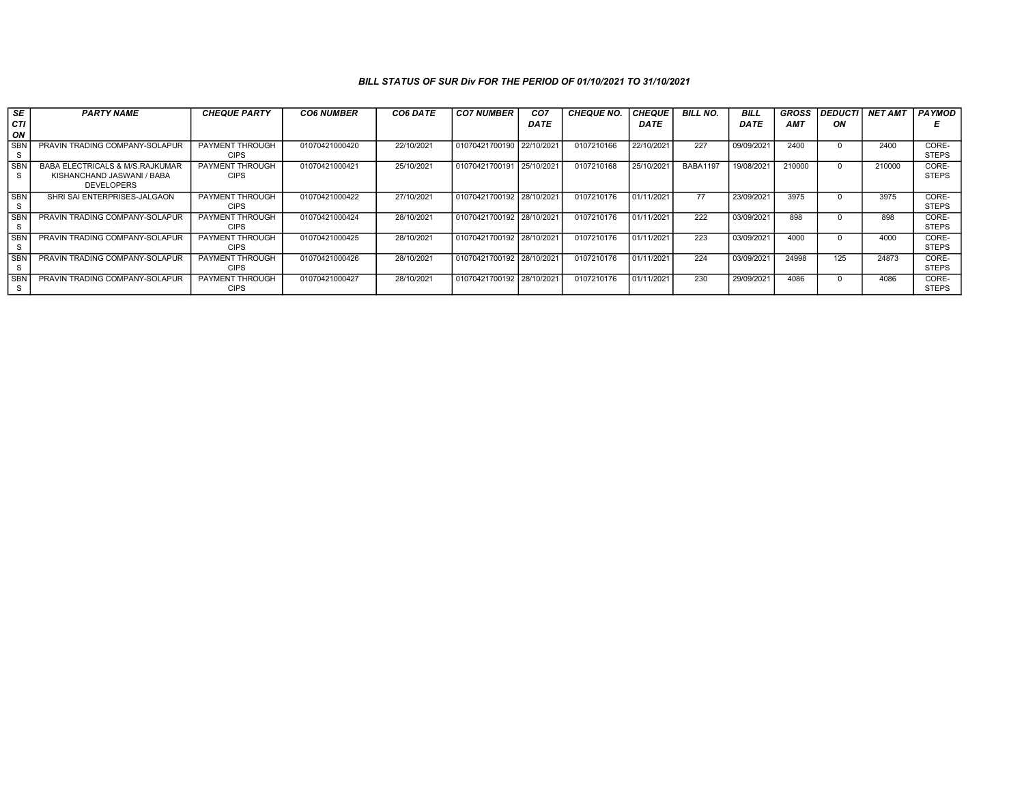| SE              | <b>PARTY NAME</b>                                                                             | <b>CHEQUE PARTY</b>                   | <b>CO6 NUMBER</b> | <b>CO6 DATE</b> | <b>CO7 NUMBER</b>         | CO <sub>7</sub> | <b>CHEQUE NO.</b> | <b>CHEQUE</b> | <b>BILL NO.</b> | <b>BILL</b> | <b>GROSS</b> | <b>DEDUCTI</b> | <b>NET AMT</b> | <b>PAYMOD</b>         |
|-----------------|-----------------------------------------------------------------------------------------------|---------------------------------------|-------------------|-----------------|---------------------------|-----------------|-------------------|---------------|-----------------|-------------|--------------|----------------|----------------|-----------------------|
| CТI<br>ON       |                                                                                               |                                       |                   |                 |                           | <b>DATE</b>     |                   | DATE          |                 | <b>DATE</b> | <b>AMT</b>   | ΟN             |                |                       |
| <b>SBN</b>      | PRAVIN TRADING COMPANY-SOLAPUR                                                                | <b>PAYMENT THROUGH</b><br><b>CIPS</b> | 01070421000420    | 22/10/2021      | 01070421700190 22/10/2021 |                 | 0107210166        | 22/10/2021    | 227             | 09/09/2021  | 2400         |                | 2400           | CORE-<br><b>STEPS</b> |
| <b>SBN</b>      | <b>BABA ELECTRICALS &amp; M/S.RAJKUMAR</b><br>KISHANCHAND JASWANI / BABA<br><b>DEVELOPERS</b> | PAYMENT THROUGH<br><b>CIPS</b>        | 01070421000421    | 25/10/2021      | 01070421700191 25/10/2021 |                 | 0107210168        | 25/10/2021    | <b>BABA1197</b> | 19/08/2021  | 210000       |                | 210000         | CORE-<br><b>STEPS</b> |
| <b>SBN</b>      | SHRI SAI ENTERPRISES-JALGAON                                                                  | PAYMENT THROUGH<br><b>CIPS</b>        | 01070421000422    | 27/10/2021      | 01070421700192 28/10/2021 |                 | 0107210176        | 01/11/2021    | 77              | 23/09/2021  | 3975         |                | 3975           | CORE-<br><b>STEPS</b> |
| <b>SBN</b><br>s | PRAVIN TRADING COMPANY-SOLAPUR                                                                | <b>PAYMENT THROUGH</b><br><b>CIPS</b> | 01070421000424    | 28/10/2021      | 01070421700192 28/10/2021 |                 | 0107210176        | 01/11/2021    | 222             | 03/09/2021  | 898          |                | 898            | CORE-<br><b>STEPS</b> |
| <b>SBI</b>      | PRAVIN TRADING COMPANY-SOLAPUR                                                                | PAYMENT THROUGH<br><b>CIPS</b>        | 01070421000425    | 28/10/2021      | 01070421700192 28/10/2021 |                 | 0107210176        | 01/11/2021    | 223             | 03/09/2021  | 4000         |                | 4000           | CORE-<br><b>STEPS</b> |
| <b>SBI</b>      | PRAVIN TRADING COMPANY-SOLAPUR                                                                | PAYMENT THROUGH<br><b>CIPS</b>        | 01070421000426    | 28/10/2021      | 01070421700192 28/10/2021 |                 | 0107210176        | 01/11/2021    | 224             | 03/09/2021  | 24998        | 125            | 24873          | CORE-<br><b>STEPS</b> |
| <b>SBI</b>      | PRAVIN TRADING COMPANY-SOLAPUR                                                                | PAYMENT THROUGH<br><b>CIPS</b>        | 01070421000427    | 28/10/2021      | 01070421700192 28/10/2021 |                 | 0107210176        | 01/11/2021    | 230             | 29/09/2021  | 4086         |                | 4086           | CORE-<br><b>STEPS</b> |